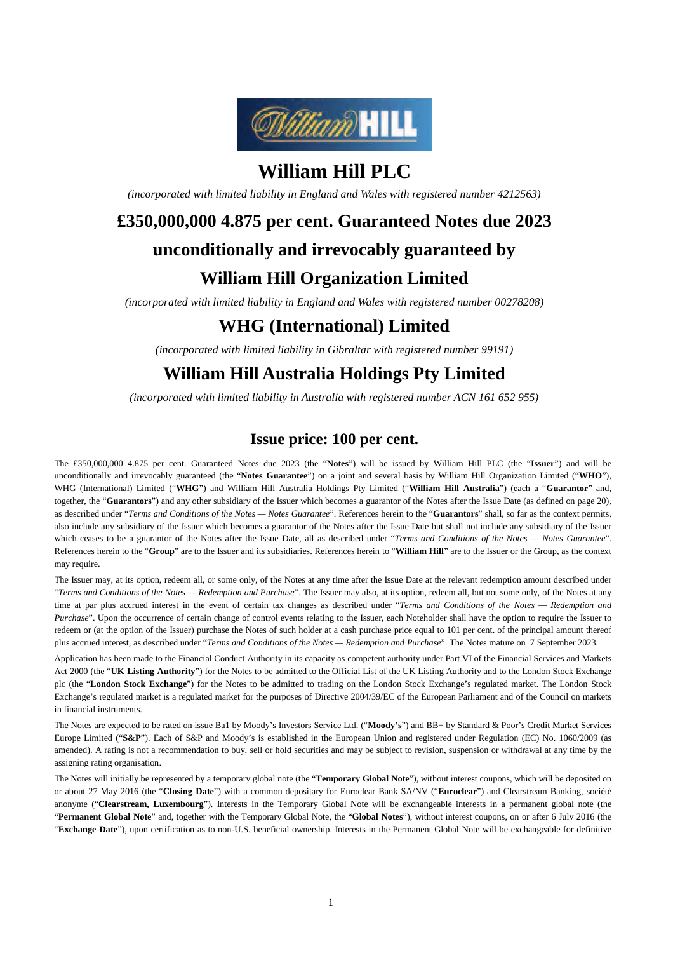

# **William Hill PLC**

*(incorporated with limited liability in England and Wales with registered number 4212563)* 

# **£350,000,000 4.875 per cent. Guaranteed Notes due 2023 unconditionally and irrevocably guaranteed by William Hill Organization Limited**

*(incorporated with limited liability in England and Wales with registered number 00278208)* 

# **WHG (International) Limited**

*(incorporated with limited liability in Gibraltar with registered number 99191)* 

# **William Hill Australia Holdings Pty Limited**

*(incorporated with limited liability in Australia with registered number ACN 161 652 955)*

# **Issue price: 100 per cent.**

The £350,000,000 4.875 per cent. Guaranteed Notes due 2023 (the "**Notes**") will be issued by William Hill PLC (the "**Issuer**") and will be unconditionally and irrevocably guaranteed (the "**Notes Guarantee**") on a joint and several basis by William Hill Organization Limited ("**WHO**"), WHG (International) Limited ("**WHG**") and William Hill Australia Holdings Pty Limited ("**William Hill Australia**") (each a "**Guarantor**" and, together, the "**Guarantors**") and any other subsidiary of the Issuer which becomes a guarantor of the Notes after the Issue Date (as defined on page 20), as described under "*Terms and Conditions of the Notes — Notes Guarantee*". References herein to the "**Guarantors**" shall, so far as the context permits, also include any subsidiary of the Issuer which becomes a guarantor of the Notes after the Issue Date but shall not include any subsidiary of the Issuer which ceases to be a guarantor of the Notes after the Issue Date, all as described under "*Terms and Conditions of the Notes — Notes Guarantee*". References herein to the "**Group**" are to the Issuer and its subsidiaries. References herein to "**William Hill**" are to the Issuer or the Group, as the context may require.

The Issuer may, at its option, redeem all, or some only, of the Notes at any time after the Issue Date at the relevant redemption amount described under "*Terms and Conditions of the Notes — Redemption and Purchase*". The Issuer may also, at its option, redeem all, but not some only, of the Notes at any time at par plus accrued interest in the event of certain tax changes as described under "*Terms and Conditions of the Notes — Redemption and Purchase*". Upon the occurrence of certain change of control events relating to the Issuer, each Noteholder shall have the option to require the Issuer to redeem or (at the option of the Issuer) purchase the Notes of such holder at a cash purchase price equal to 101 per cent. of the principal amount thereof plus accrued interest, as described under "*Terms and Conditions of the Notes — Redemption and Purchase*". The Notes mature on 7 September 2023.

Application has been made to the Financial Conduct Authority in its capacity as competent authority under Part VI of the Financial Services and Markets Act 2000 (the "**UK Listing Authority**") for the Notes to be admitted to the Official List of the UK Listing Authority and to the London Stock Exchange plc (the "**London Stock Exchange**") for the Notes to be admitted to trading on the London Stock Exchange's regulated market. The London Stock Exchange's regulated market is a regulated market for the purposes of Directive 2004/39/EC of the European Parliament and of the Council on markets in financial instruments.

The Notes are expected to be rated on issue Ba1 by Moody's Investors Service Ltd. ("**Moody's**") and BB+ by Standard & Poor's Credit Market Services Europe Limited ("**S&P**"). Each of S&P and Moody's is established in the European Union and registered under Regulation (EC) No. 1060/2009 (as amended). A rating is not a recommendation to buy, sell or hold securities and may be subject to revision, suspension or withdrawal at any time by the assigning rating organisation.

The Notes will initially be represented by a temporary global note (the "**Temporary Global Note**"), without interest coupons, which will be deposited on or about 27 May 2016 (the "**Closing Date**") with a common depositary for Euroclear Bank SA/NV ("**Euroclear**") and Clearstream Banking, société anonyme ("**Clearstream, Luxembourg**"). Interests in the Temporary Global Note will be exchangeable interests in a permanent global note (the "**Permanent Global Note**" and, together with the Temporary Global Note, the "**Global Notes**"), without interest coupons, on or after 6 July 2016 (the "**Exchange Date**"), upon certification as to non-U.S. beneficial ownership. Interests in the Permanent Global Note will be exchangeable for definitive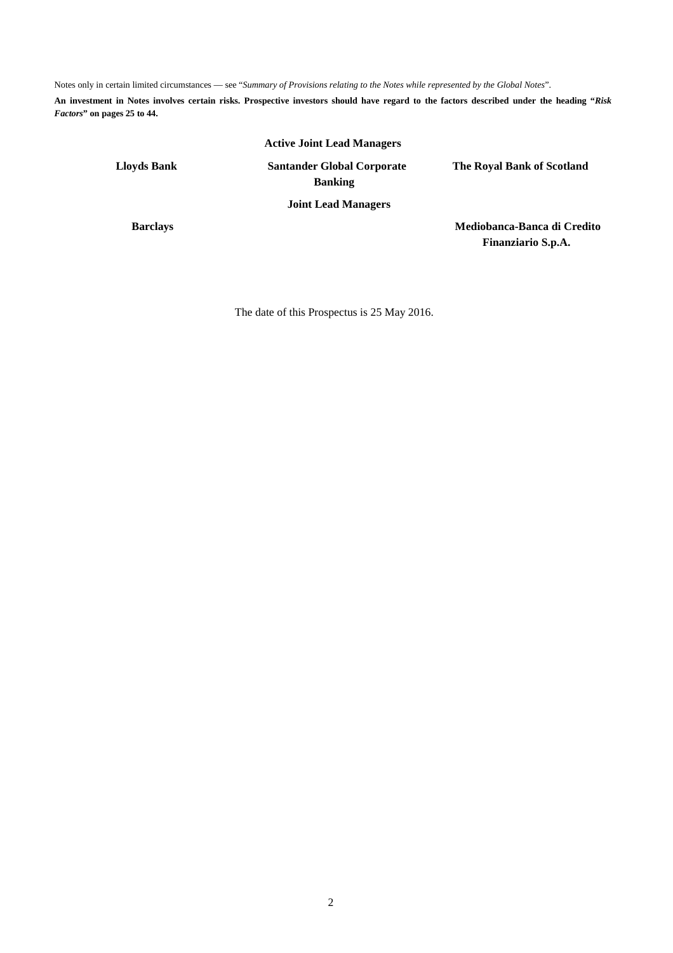Notes only in certain limited circumstances — see "*Summary of Provisions relating to the Notes while represented by the Global Notes*".

**An investment in Notes involves certain risks. Prospective investors should have regard to the factors described under the heading "***Risk Factors***" on pages 25 to 44.**

## **Active Joint Lead Managers**

**Lloyds Bank Santander Global Corporate Banking** 

**The Royal Bank of Scotland** 

**Joint Lead Managers** 

**Barclays Mediobanca-Banca di Credito Finanziario S.p.A.** 

The date of this Prospectus is 25 May 2016.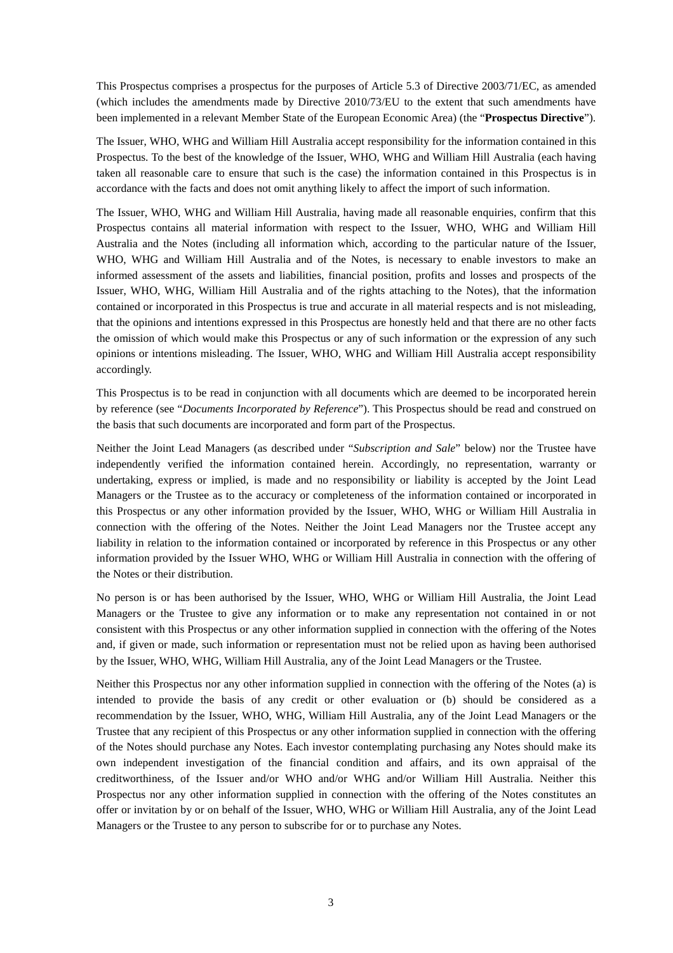This Prospectus comprises a prospectus for the purposes of Article 5.3 of Directive 2003/71/EC, as amended (which includes the amendments made by Directive 2010/73/EU to the extent that such amendments have been implemented in a relevant Member State of the European Economic Area) (the "**Prospectus Directive**").

The Issuer, WHO, WHG and William Hill Australia accept responsibility for the information contained in this Prospectus. To the best of the knowledge of the Issuer, WHO, WHG and William Hill Australia (each having taken all reasonable care to ensure that such is the case) the information contained in this Prospectus is in accordance with the facts and does not omit anything likely to affect the import of such information.

The Issuer, WHO, WHG and William Hill Australia, having made all reasonable enquiries, confirm that this Prospectus contains all material information with respect to the Issuer, WHO, WHG and William Hill Australia and the Notes (including all information which, according to the particular nature of the Issuer, WHO, WHG and William Hill Australia and of the Notes, is necessary to enable investors to make an informed assessment of the assets and liabilities, financial position, profits and losses and prospects of the Issuer, WHO, WHG, William Hill Australia and of the rights attaching to the Notes), that the information contained or incorporated in this Prospectus is true and accurate in all material respects and is not misleading, that the opinions and intentions expressed in this Prospectus are honestly held and that there are no other facts the omission of which would make this Prospectus or any of such information or the expression of any such opinions or intentions misleading. The Issuer, WHO, WHG and William Hill Australia accept responsibility accordingly.

This Prospectus is to be read in conjunction with all documents which are deemed to be incorporated herein by reference (see "*Documents Incorporated by Reference*"). This Prospectus should be read and construed on the basis that such documents are incorporated and form part of the Prospectus.

Neither the Joint Lead Managers (as described under "*Subscription and Sale*" below) nor the Trustee have independently verified the information contained herein. Accordingly, no representation, warranty or undertaking, express or implied, is made and no responsibility or liability is accepted by the Joint Lead Managers or the Trustee as to the accuracy or completeness of the information contained or incorporated in this Prospectus or any other information provided by the Issuer, WHO, WHG or William Hill Australia in connection with the offering of the Notes. Neither the Joint Lead Managers nor the Trustee accept any liability in relation to the information contained or incorporated by reference in this Prospectus or any other information provided by the Issuer WHO, WHG or William Hill Australia in connection with the offering of the Notes or their distribution.

No person is or has been authorised by the Issuer, WHO, WHG or William Hill Australia, the Joint Lead Managers or the Trustee to give any information or to make any representation not contained in or not consistent with this Prospectus or any other information supplied in connection with the offering of the Notes and, if given or made, such information or representation must not be relied upon as having been authorised by the Issuer, WHO, WHG, William Hill Australia, any of the Joint Lead Managers or the Trustee.

Neither this Prospectus nor any other information supplied in connection with the offering of the Notes (a) is intended to provide the basis of any credit or other evaluation or (b) should be considered as a recommendation by the Issuer, WHO, WHG, William Hill Australia, any of the Joint Lead Managers or the Trustee that any recipient of this Prospectus or any other information supplied in connection with the offering of the Notes should purchase any Notes. Each investor contemplating purchasing any Notes should make its own independent investigation of the financial condition and affairs, and its own appraisal of the creditworthiness, of the Issuer and/or WHO and/or WHG and/or William Hill Australia. Neither this Prospectus nor any other information supplied in connection with the offering of the Notes constitutes an offer or invitation by or on behalf of the Issuer, WHO, WHG or William Hill Australia, any of the Joint Lead Managers or the Trustee to any person to subscribe for or to purchase any Notes.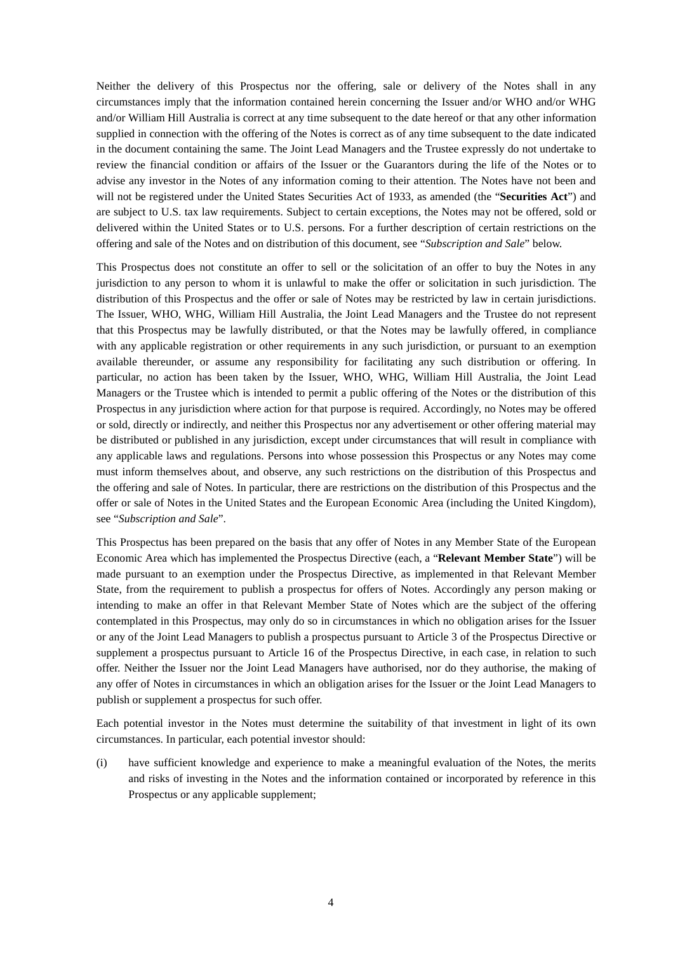Neither the delivery of this Prospectus nor the offering, sale or delivery of the Notes shall in any circumstances imply that the information contained herein concerning the Issuer and/or WHO and/or WHG and/or William Hill Australia is correct at any time subsequent to the date hereof or that any other information supplied in connection with the offering of the Notes is correct as of any time subsequent to the date indicated in the document containing the same. The Joint Lead Managers and the Trustee expressly do not undertake to review the financial condition or affairs of the Issuer or the Guarantors during the life of the Notes or to advise any investor in the Notes of any information coming to their attention. The Notes have not been and will not be registered under the United States Securities Act of 1933, as amended (the "**Securities Act**") and are subject to U.S. tax law requirements. Subject to certain exceptions, the Notes may not be offered, sold or delivered within the United States or to U.S. persons. For a further description of certain restrictions on the offering and sale of the Notes and on distribution of this document, see "*Subscription and Sale*" below.

This Prospectus does not constitute an offer to sell or the solicitation of an offer to buy the Notes in any jurisdiction to any person to whom it is unlawful to make the offer or solicitation in such jurisdiction. The distribution of this Prospectus and the offer or sale of Notes may be restricted by law in certain jurisdictions. The Issuer, WHO, WHG, William Hill Australia, the Joint Lead Managers and the Trustee do not represent that this Prospectus may be lawfully distributed, or that the Notes may be lawfully offered, in compliance with any applicable registration or other requirements in any such jurisdiction, or pursuant to an exemption available thereunder, or assume any responsibility for facilitating any such distribution or offering. In particular, no action has been taken by the Issuer, WHO, WHG, William Hill Australia, the Joint Lead Managers or the Trustee which is intended to permit a public offering of the Notes or the distribution of this Prospectus in any jurisdiction where action for that purpose is required. Accordingly, no Notes may be offered or sold, directly or indirectly, and neither this Prospectus nor any advertisement or other offering material may be distributed or published in any jurisdiction, except under circumstances that will result in compliance with any applicable laws and regulations. Persons into whose possession this Prospectus or any Notes may come must inform themselves about, and observe, any such restrictions on the distribution of this Prospectus and the offering and sale of Notes. In particular, there are restrictions on the distribution of this Prospectus and the offer or sale of Notes in the United States and the European Economic Area (including the United Kingdom), see "*Subscription and Sale*".

This Prospectus has been prepared on the basis that any offer of Notes in any Member State of the European Economic Area which has implemented the Prospectus Directive (each, a "**Relevant Member State**") will be made pursuant to an exemption under the Prospectus Directive, as implemented in that Relevant Member State, from the requirement to publish a prospectus for offers of Notes. Accordingly any person making or intending to make an offer in that Relevant Member State of Notes which are the subject of the offering contemplated in this Prospectus, may only do so in circumstances in which no obligation arises for the Issuer or any of the Joint Lead Managers to publish a prospectus pursuant to Article 3 of the Prospectus Directive or supplement a prospectus pursuant to Article 16 of the Prospectus Directive, in each case, in relation to such offer. Neither the Issuer nor the Joint Lead Managers have authorised, nor do they authorise, the making of any offer of Notes in circumstances in which an obligation arises for the Issuer or the Joint Lead Managers to publish or supplement a prospectus for such offer.

Each potential investor in the Notes must determine the suitability of that investment in light of its own circumstances. In particular, each potential investor should:

(i) have sufficient knowledge and experience to make a meaningful evaluation of the Notes, the merits and risks of investing in the Notes and the information contained or incorporated by reference in this Prospectus or any applicable supplement;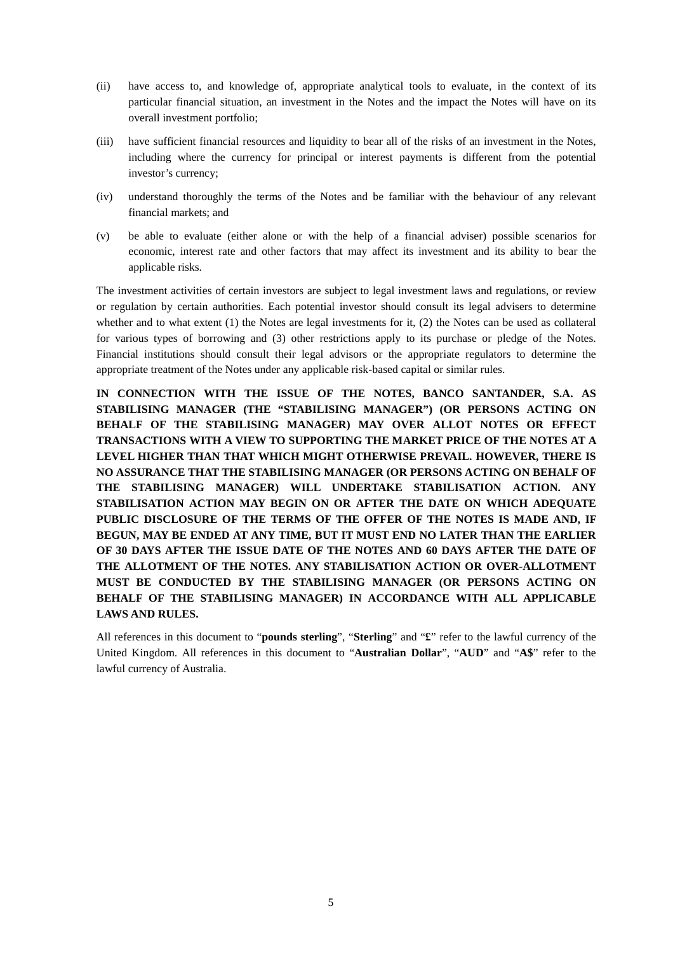- (ii) have access to, and knowledge of, appropriate analytical tools to evaluate, in the context of its particular financial situation, an investment in the Notes and the impact the Notes will have on its overall investment portfolio;
- (iii) have sufficient financial resources and liquidity to bear all of the risks of an investment in the Notes, including where the currency for principal or interest payments is different from the potential investor's currency;
- (iv) understand thoroughly the terms of the Notes and be familiar with the behaviour of any relevant financial markets; and
- (v) be able to evaluate (either alone or with the help of a financial adviser) possible scenarios for economic, interest rate and other factors that may affect its investment and its ability to bear the applicable risks.

The investment activities of certain investors are subject to legal investment laws and regulations, or review or regulation by certain authorities. Each potential investor should consult its legal advisers to determine whether and to what extent (1) the Notes are legal investments for it, (2) the Notes can be used as collateral for various types of borrowing and (3) other restrictions apply to its purchase or pledge of the Notes. Financial institutions should consult their legal advisors or the appropriate regulators to determine the appropriate treatment of the Notes under any applicable risk-based capital or similar rules.

**IN CONNECTION WITH THE ISSUE OF THE NOTES, BANCO SANTANDER, S.A. AS STABILISING MANAGER (THE "STABILISING MANAGER") (OR PERSONS ACTING ON BEHALF OF THE STABILISING MANAGER) MAY OVER ALLOT NOTES OR EFFECT TRANSACTIONS WITH A VIEW TO SUPPORTING THE MARKET PRICE OF THE NOTES AT A LEVEL HIGHER THAN THAT WHICH MIGHT OTHERWISE PREVAIL. HOWEVER, THERE IS NO ASSURANCE THAT THE STABILISING MANAGER (OR PERSONS ACTING ON BEHALF OF THE STABILISING MANAGER) WILL UNDERTAKE STABILISATION ACTION. ANY STABILISATION ACTION MAY BEGIN ON OR AFTER THE DATE ON WHICH ADEQUATE PUBLIC DISCLOSURE OF THE TERMS OF THE OFFER OF THE NOTES IS MADE AND, IF BEGUN, MAY BE ENDED AT ANY TIME, BUT IT MUST END NO LATER THAN THE EARLIER OF 30 DAYS AFTER THE ISSUE DATE OF THE NOTES AND 60 DAYS AFTER THE DATE OF THE ALLOTMENT OF THE NOTES. ANY STABILISATION ACTION OR OVER-ALLOTMENT MUST BE CONDUCTED BY THE STABILISING MANAGER (OR PERSONS ACTING ON BEHALF OF THE STABILISING MANAGER) IN ACCORDANCE WITH ALL APPLICABLE LAWS AND RULES.**

All references in this document to "**pounds sterling**", "**Sterling**" and "**£**" refer to the lawful currency of the United Kingdom. All references in this document to "**Australian Dollar**", "**AUD**" and "**A\$**" refer to the lawful currency of Australia.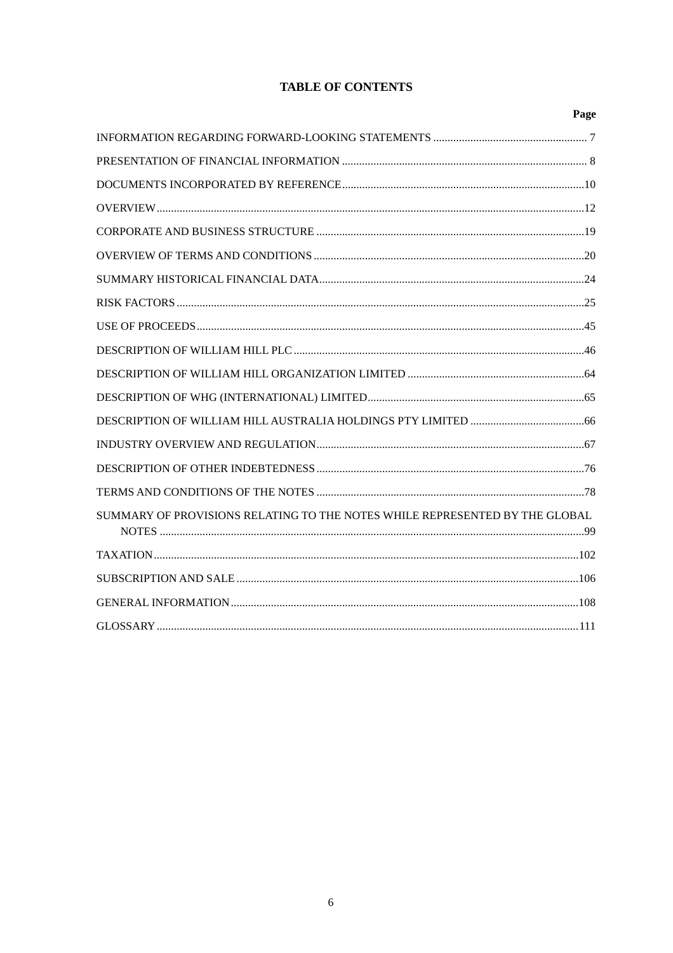# **TABLE OF CONTENTS**

|                                                                             | Page |
|-----------------------------------------------------------------------------|------|
|                                                                             |      |
|                                                                             |      |
|                                                                             |      |
|                                                                             |      |
|                                                                             |      |
|                                                                             |      |
|                                                                             |      |
|                                                                             |      |
|                                                                             |      |
|                                                                             |      |
|                                                                             |      |
|                                                                             |      |
|                                                                             |      |
|                                                                             |      |
|                                                                             |      |
|                                                                             |      |
| SUMMARY OF PROVISIONS RELATING TO THE NOTES WHILE REPRESENTED BY THE GLOBAL |      |
|                                                                             |      |
|                                                                             |      |
|                                                                             |      |
|                                                                             |      |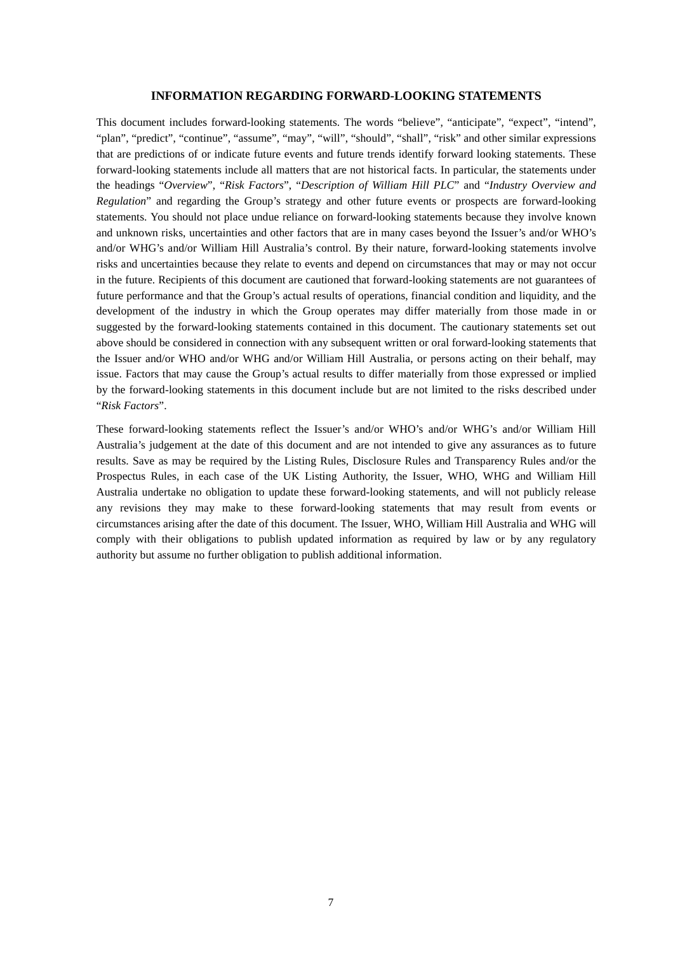## **INFORMATION REGARDING FORWARD-LOOKING STATEMENTS**

This document includes forward-looking statements. The words "believe", "anticipate", "expect", "intend", "plan", "predict", "continue", "assume", "may", "will", "should", "shall", "risk" and other similar expressions that are predictions of or indicate future events and future trends identify forward looking statements. These forward-looking statements include all matters that are not historical facts. In particular, the statements under the headings "*Overview*", "*Risk Factors*", "*Description of William Hill PLC*" and "*Industry Overview and Regulation*" and regarding the Group's strategy and other future events or prospects are forward-looking statements. You should not place undue reliance on forward-looking statements because they involve known and unknown risks, uncertainties and other factors that are in many cases beyond the Issuer's and/or WHO's and/or WHG's and/or William Hill Australia's control. By their nature, forward-looking statements involve risks and uncertainties because they relate to events and depend on circumstances that may or may not occur in the future. Recipients of this document are cautioned that forward-looking statements are not guarantees of future performance and that the Group's actual results of operations, financial condition and liquidity, and the development of the industry in which the Group operates may differ materially from those made in or suggested by the forward-looking statements contained in this document. The cautionary statements set out above should be considered in connection with any subsequent written or oral forward-looking statements that the Issuer and/or WHO and/or WHG and/or William Hill Australia, or persons acting on their behalf, may issue. Factors that may cause the Group's actual results to differ materially from those expressed or implied by the forward-looking statements in this document include but are not limited to the risks described under "*Risk Factors*".

These forward-looking statements reflect the Issuer's and/or WHO's and/or WHG's and/or William Hill Australia's judgement at the date of this document and are not intended to give any assurances as to future results. Save as may be required by the Listing Rules, Disclosure Rules and Transparency Rules and/or the Prospectus Rules, in each case of the UK Listing Authority, the Issuer, WHO, WHG and William Hill Australia undertake no obligation to update these forward-looking statements, and will not publicly release any revisions they may make to these forward-looking statements that may result from events or circumstances arising after the date of this document. The Issuer, WHO, William Hill Australia and WHG will comply with their obligations to publish updated information as required by law or by any regulatory authority but assume no further obligation to publish additional information.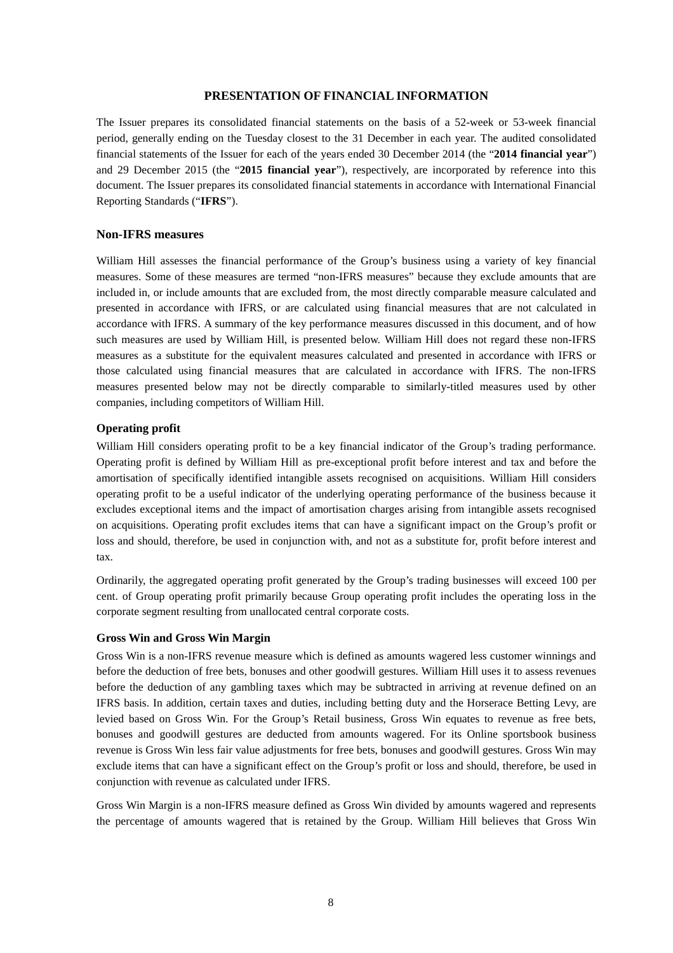## **PRESENTATION OF FINANCIAL INFORMATION**

The Issuer prepares its consolidated financial statements on the basis of a 52-week or 53-week financial period, generally ending on the Tuesday closest to the 31 December in each year. The audited consolidated financial statements of the Issuer for each of the years ended 30 December 2014 (the "**2014 financial year**") and 29 December 2015 (the "**2015 financial year**"), respectively, are incorporated by reference into this document. The Issuer prepares its consolidated financial statements in accordance with International Financial Reporting Standards ("**IFRS**").

#### **Non-IFRS measures**

William Hill assesses the financial performance of the Group's business using a variety of key financial measures. Some of these measures are termed "non-IFRS measures" because they exclude amounts that are included in, or include amounts that are excluded from, the most directly comparable measure calculated and presented in accordance with IFRS, or are calculated using financial measures that are not calculated in accordance with IFRS. A summary of the key performance measures discussed in this document, and of how such measures are used by William Hill, is presented below. William Hill does not regard these non-IFRS measures as a substitute for the equivalent measures calculated and presented in accordance with IFRS or those calculated using financial measures that are calculated in accordance with IFRS. The non-IFRS measures presented below may not be directly comparable to similarly-titled measures used by other companies, including competitors of William Hill.

## **Operating profit**

William Hill considers operating profit to be a key financial indicator of the Group's trading performance. Operating profit is defined by William Hill as pre-exceptional profit before interest and tax and before the amortisation of specifically identified intangible assets recognised on acquisitions. William Hill considers operating profit to be a useful indicator of the underlying operating performance of the business because it excludes exceptional items and the impact of amortisation charges arising from intangible assets recognised on acquisitions. Operating profit excludes items that can have a significant impact on the Group's profit or loss and should, therefore, be used in conjunction with, and not as a substitute for, profit before interest and tax.

Ordinarily, the aggregated operating profit generated by the Group's trading businesses will exceed 100 per cent. of Group operating profit primarily because Group operating profit includes the operating loss in the corporate segment resulting from unallocated central corporate costs.

#### **Gross Win and Gross Win Margin**

Gross Win is a non-IFRS revenue measure which is defined as amounts wagered less customer winnings and before the deduction of free bets, bonuses and other goodwill gestures. William Hill uses it to assess revenues before the deduction of any gambling taxes which may be subtracted in arriving at revenue defined on an IFRS basis. In addition, certain taxes and duties, including betting duty and the Horserace Betting Levy, are levied based on Gross Win. For the Group's Retail business, Gross Win equates to revenue as free bets, bonuses and goodwill gestures are deducted from amounts wagered. For its Online sportsbook business revenue is Gross Win less fair value adjustments for free bets, bonuses and goodwill gestures. Gross Win may exclude items that can have a significant effect on the Group's profit or loss and should, therefore, be used in conjunction with revenue as calculated under IFRS.

Gross Win Margin is a non-IFRS measure defined as Gross Win divided by amounts wagered and represents the percentage of amounts wagered that is retained by the Group. William Hill believes that Gross Win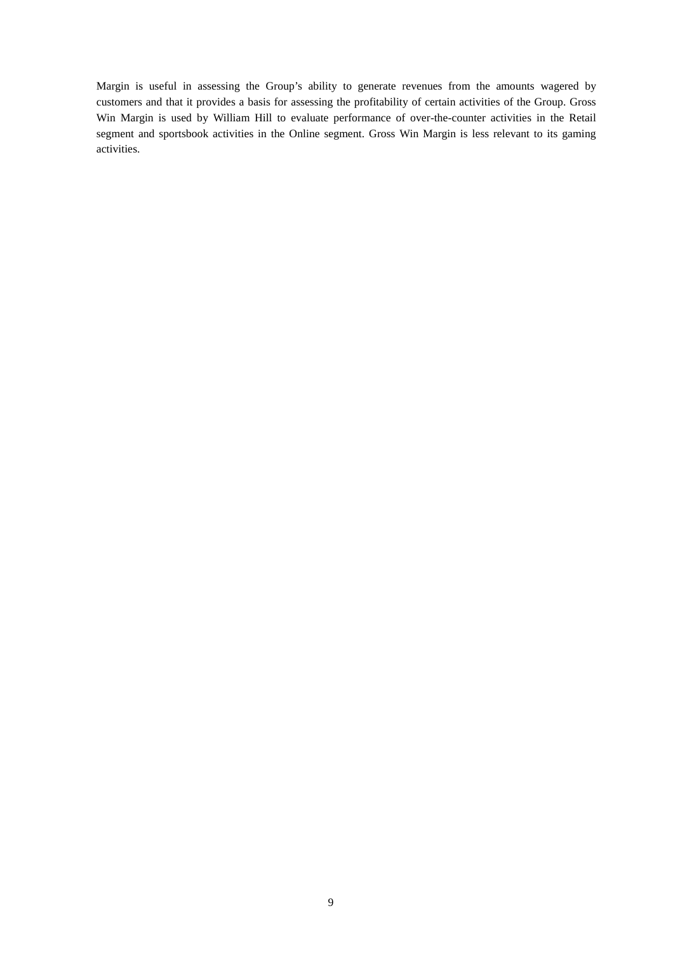Margin is useful in assessing the Group's ability to generate revenues from the amounts wagered by customers and that it provides a basis for assessing the profitability of certain activities of the Group. Gross Win Margin is used by William Hill to evaluate performance of over-the-counter activities in the Retail segment and sportsbook activities in the Online segment. Gross Win Margin is less relevant to its gaming activities.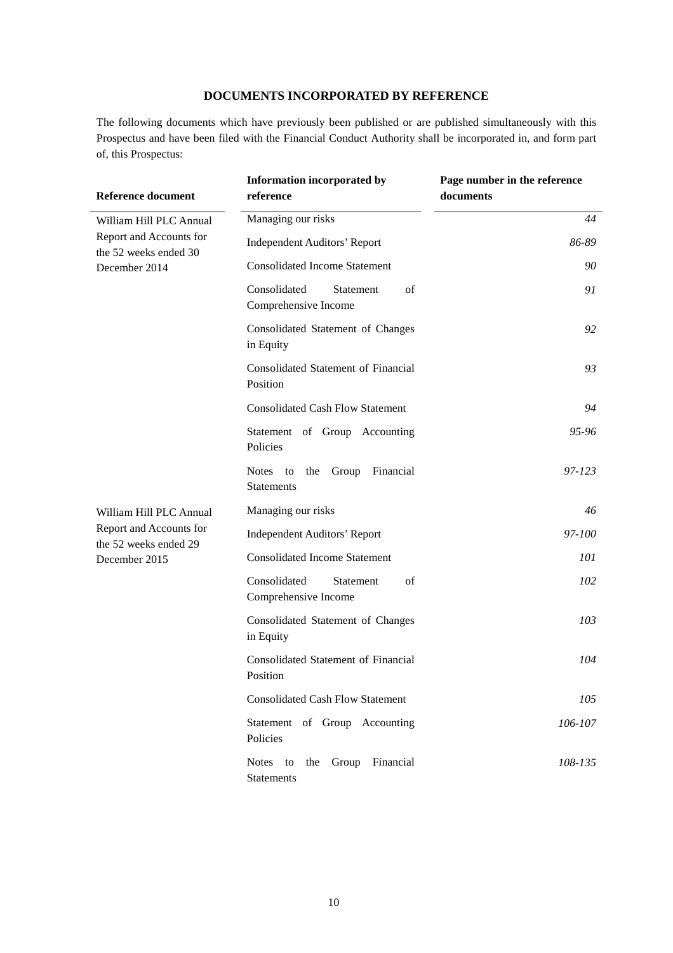## **DOCUMENTS INCORPORATED BY REFERENCE**

The following documents which have previously been published or are published simultaneously with this Prospectus and have been filed with the Financial Conduct Authority shall be incorporated in, and form part of, this Prospectus:

| <b>Reference document</b>                                         | <b>Information incorporated by</b><br>reference                      | Page number in the reference<br>documents |
|-------------------------------------------------------------------|----------------------------------------------------------------------|-------------------------------------------|
| William Hill PLC Annual                                           | Managing our risks                                                   | 44                                        |
| Report and Accounts for<br>the 52 weeks ended 30                  | <b>Independent Auditors' Report</b>                                  | 86-89                                     |
| December 2014                                                     | <b>Consolidated Income Statement</b>                                 | 90                                        |
|                                                                   | Consolidated<br>of<br>Statement<br>Comprehensive Income              | 91                                        |
|                                                                   | Consolidated Statement of Changes<br>in Equity                       | 92                                        |
|                                                                   | <b>Consolidated Statement of Financial</b><br>Position               | 93                                        |
|                                                                   | <b>Consolidated Cash Flow Statement</b>                              | 94                                        |
|                                                                   | Statement of Group Accounting<br>Policies                            | 95-96                                     |
|                                                                   | <b>Notes</b><br>Financial<br>to<br>Group<br>the<br><b>Statements</b> | 97-123                                    |
| William Hill PLC Annual                                           | Managing our risks                                                   | 46                                        |
| Report and Accounts for<br>the 52 weeks ended 29<br>December 2015 | <b>Independent Auditors' Report</b>                                  | 97-100                                    |
|                                                                   | <b>Consolidated Income Statement</b>                                 | 101                                       |
|                                                                   | Consolidated<br>Statement<br>of<br>Comprehensive Income              | 102                                       |
|                                                                   | Consolidated Statement of Changes<br>in Equity                       | 103                                       |
|                                                                   | Consolidated Statement of Financial<br>Position                      | 104                                       |
|                                                                   | <b>Consolidated Cash Flow Statement</b>                              | 105                                       |
|                                                                   | Statement of Group Accounting<br>Policies                            | 106-107                                   |
|                                                                   | Notes to<br>Group Financial<br>the<br>Statements                     | 108-135                                   |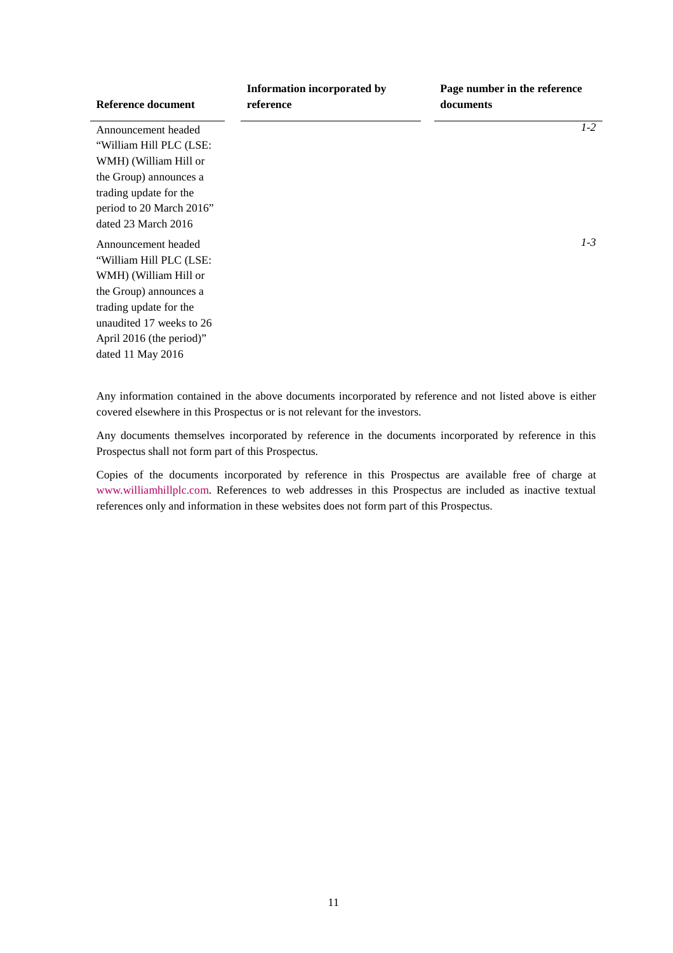| Reference document                                                                                                                                                                                         | Information incorporated by<br>reference | Page number in the reference<br>documents |
|------------------------------------------------------------------------------------------------------------------------------------------------------------------------------------------------------------|------------------------------------------|-------------------------------------------|
| Announcement headed<br>"William Hill PLC (LSE:                                                                                                                                                             |                                          | $1 - 2$                                   |
| WMH) (William Hill or<br>the Group) announces a<br>trading update for the<br>period to 20 March 2016"<br>dated 23 March 2016                                                                               |                                          |                                           |
| Announcement headed<br>"William Hill PLC (LSE:<br>WMH) (William Hill or<br>the Group) announces a<br>trading update for the<br>unaudited 17 weeks to 26<br>April 2016 (the period)"<br>dated 11 May $2016$ |                                          | $1 - 3$                                   |

Any information contained in the above documents incorporated by reference and not listed above is either covered elsewhere in this Prospectus or is not relevant for the investors.

Any documents themselves incorporated by reference in the documents incorporated by reference in this Prospectus shall not form part of this Prospectus.

Copies of the documents incorporated by reference in this Prospectus are available free of charge at www.williamhillplc.com. References to web addresses in this Prospectus are included as inactive textual references only and information in these websites does not form part of this Prospectus.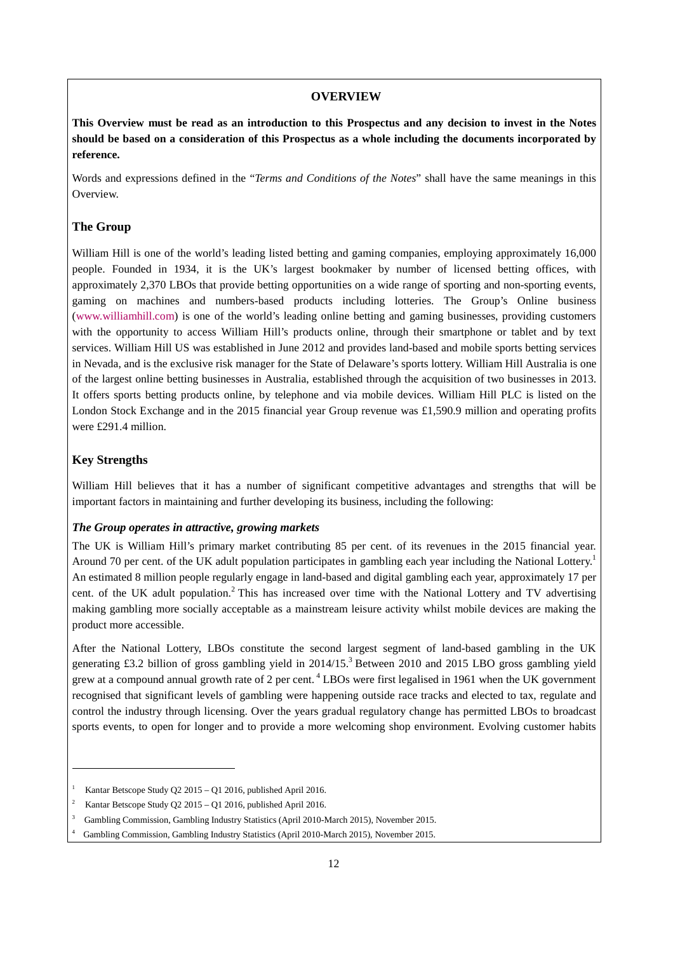#### **OVERVIEW**

**This Overview must be read as an introduction to this Prospectus and any decision to invest in the Notes should be based on a consideration of this Prospectus as a whole including the documents incorporated by reference.**

Words and expressions defined in the "*Terms and Conditions of the Notes*" shall have the same meanings in this Overview.

#### **The Group**

William Hill is one of the world's leading listed betting and gaming companies, employing approximately 16,000 people. Founded in 1934, it is the UK's largest bookmaker by number of licensed betting offices, with approximately 2,370 LBOs that provide betting opportunities on a wide range of sporting and non-sporting events, gaming on machines and numbers-based products including lotteries. The Group's Online business (www.williamhill.com) is one of the world's leading online betting and gaming businesses, providing customers with the opportunity to access William Hill's products online, through their smartphone or tablet and by text services. William Hill US was established in June 2012 and provides land-based and mobile sports betting services in Nevada, and is the exclusive risk manager for the State of Delaware's sports lottery. William Hill Australia is one of the largest online betting businesses in Australia, established through the acquisition of two businesses in 2013. It offers sports betting products online, by telephone and via mobile devices. William Hill PLC is listed on the London Stock Exchange and in the 2015 financial year Group revenue was £1,590.9 million and operating profits were £291.4 million.

#### **Key Strengths**

 $\overline{a}$ 

William Hill believes that it has a number of significant competitive advantages and strengths that will be important factors in maintaining and further developing its business, including the following:

## *The Group operates in attractive, growing markets*

The UK is William Hill's primary market contributing 85 per cent. of its revenues in the 2015 financial year. Around 70 per cent. of the UK adult population participates in gambling each year including the National Lottery.<sup>1</sup> An estimated 8 million people regularly engage in land-based and digital gambling each year, approximately 17 per cent. of the UK adult population.<sup>2</sup> This has increased over time with the National Lottery and TV advertising making gambling more socially acceptable as a mainstream leisure activity whilst mobile devices are making the product more accessible.

After the National Lottery, LBOs constitute the second largest segment of land-based gambling in the UK generating £3.2 billion of gross gambling yield in 2014/15.<sup>3</sup> Between 2010 and 2015 LBO gross gambling yield grew at a compound annual growth rate of 2 per cent. 4 LBOs were first legalised in 1961 when the UK government recognised that significant levels of gambling were happening outside race tracks and elected to tax, regulate and control the industry through licensing. Over the years gradual regulatory change has permitted LBOs to broadcast sports events, to open for longer and to provide a more welcoming shop environment. Evolving customer habits

<sup>1</sup> Kantar Betscope Study Q2 2015 – Q1 2016, published April 2016.

<sup>&</sup>lt;sup>2</sup> Kantar Betscope Study Q2 2015 – Q1 2016, published April 2016.

<sup>3</sup> Gambling Commission, Gambling Industry Statistics (April 2010-March 2015), November 2015.

<sup>4</sup> Gambling Commission, Gambling Industry Statistics (April 2010-March 2015), November 2015.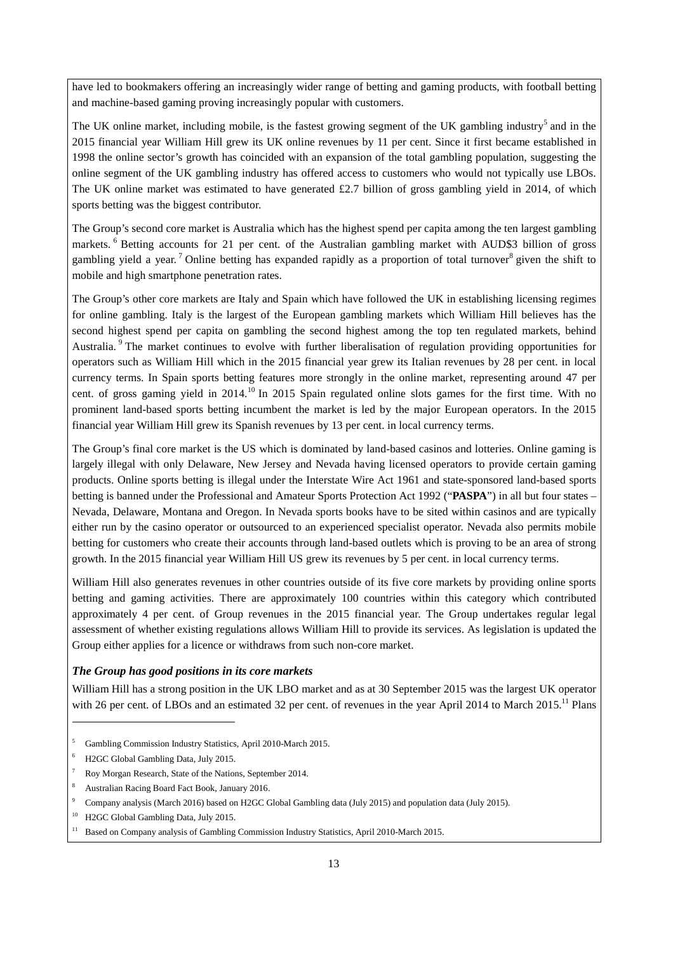have led to bookmakers offering an increasingly wider range of betting and gaming products, with football betting and machine-based gaming proving increasingly popular with customers.

The UK online market, including mobile, is the fastest growing segment of the UK gambling industry<sup>5</sup> and in the 2015 financial year William Hill grew its UK online revenues by 11 per cent. Since it first became established in 1998 the online sector's growth has coincided with an expansion of the total gambling population, suggesting the online segment of the UK gambling industry has offered access to customers who would not typically use LBOs. The UK online market was estimated to have generated £2.7 billion of gross gambling yield in 2014, of which sports betting was the biggest contributor.

The Group's second core market is Australia which has the highest spend per capita among the ten largest gambling markets. 6 Betting accounts for 21 per cent. of the Australian gambling market with AUD\$3 billion of gross gambling yield a year. <sup>7</sup> Online betting has expanded rapidly as a proportion of total turnover<sup>8</sup> given the shift to mobile and high smartphone penetration rates.

The Group's other core markets are Italy and Spain which have followed the UK in establishing licensing regimes for online gambling. Italy is the largest of the European gambling markets which William Hill believes has the second highest spend per capita on gambling the second highest among the top ten regulated markets, behind Australia. <sup>9</sup> The market continues to evolve with further liberalisation of regulation providing opportunities for operators such as William Hill which in the 2015 financial year grew its Italian revenues by 28 per cent. in local currency terms. In Spain sports betting features more strongly in the online market, representing around 47 per cent. of gross gaming yield in 2014.<sup>10</sup> In 2015 Spain regulated online slots games for the first time. With no prominent land-based sports betting incumbent the market is led by the major European operators. In the 2015 financial year William Hill grew its Spanish revenues by 13 per cent. in local currency terms.

The Group's final core market is the US which is dominated by land-based casinos and lotteries. Online gaming is largely illegal with only Delaware, New Jersey and Nevada having licensed operators to provide certain gaming products. Online sports betting is illegal under the Interstate Wire Act 1961 and state-sponsored land-based sports betting is banned under the Professional and Amateur Sports Protection Act 1992 ("**PASPA**") in all but four states – Nevada, Delaware, Montana and Oregon. In Nevada sports books have to be sited within casinos and are typically either run by the casino operator or outsourced to an experienced specialist operator. Nevada also permits mobile betting for customers who create their accounts through land-based outlets which is proving to be an area of strong growth. In the 2015 financial year William Hill US grew its revenues by 5 per cent. in local currency terms.

William Hill also generates revenues in other countries outside of its five core markets by providing online sports betting and gaming activities. There are approximately 100 countries within this category which contributed approximately 4 per cent. of Group revenues in the 2015 financial year. The Group undertakes regular legal assessment of whether existing regulations allows William Hill to provide its services. As legislation is updated the Group either applies for a licence or withdraws from such non-core market.

## *The Group has good positions in its core markets*

William Hill has a strong position in the UK LBO market and as at 30 September 2015 was the largest UK operator with 26 per cent. of LBOs and an estimated 32 per cent. of revenues in the year April 2014 to March 2015.<sup>11</sup> Plans

<sup>5</sup> Gambling Commission Industry Statistics, April 2010-March 2015.

 $\overline{a}$ 

<sup>6</sup> H2GC Global Gambling Data, July 2015.

<sup>&</sup>lt;sup>7</sup> Roy Morgan Research, State of the Nations, September 2014.

<sup>8</sup> Australian Racing Board Fact Book, January 2016.

<sup>9</sup> Company analysis (March 2016) based on H2GC Global Gambling data (July 2015) and population data (July 2015).

<sup>&</sup>lt;sup>10</sup> H2GC Global Gambling Data, July 2015.

<sup>&</sup>lt;sup>11</sup> Based on Company analysis of Gambling Commission Industry Statistics, April 2010-March 2015.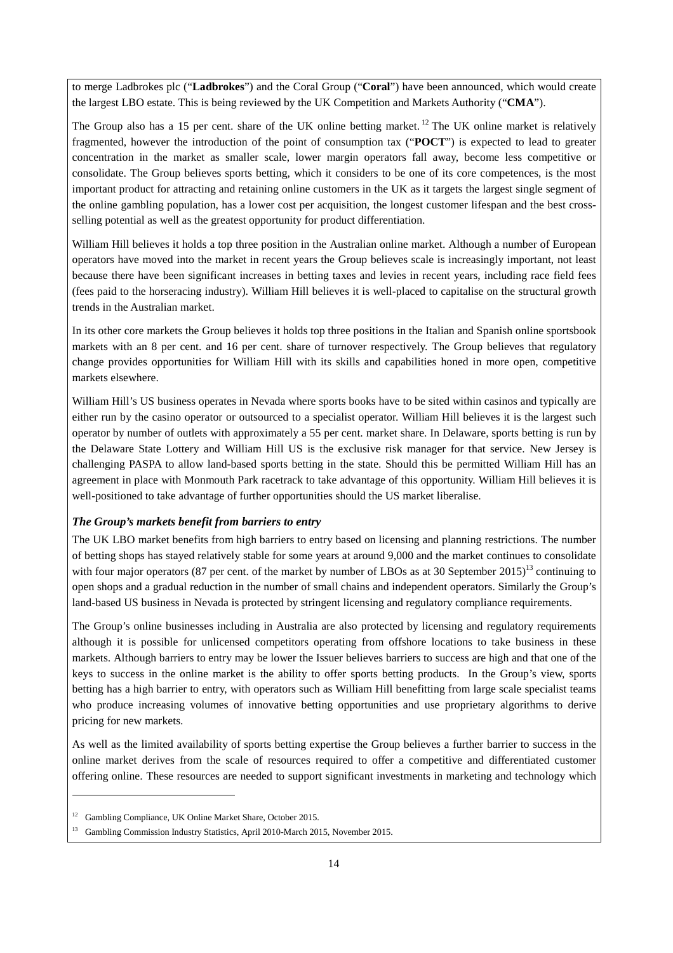to merge Ladbrokes plc ("**Ladbrokes**") and the Coral Group ("**Coral**") have been announced, which would create the largest LBO estate. This is being reviewed by the UK Competition and Markets Authority ("**CMA**").

The Group also has a 15 per cent. share of the UK online betting market.<sup>12</sup> The UK online market is relatively fragmented, however the introduction of the point of consumption tax ("**POCT**") is expected to lead to greater concentration in the market as smaller scale, lower margin operators fall away, become less competitive or consolidate. The Group believes sports betting, which it considers to be one of its core competences, is the most important product for attracting and retaining online customers in the UK as it targets the largest single segment of the online gambling population, has a lower cost per acquisition, the longest customer lifespan and the best crossselling potential as well as the greatest opportunity for product differentiation.

William Hill believes it holds a top three position in the Australian online market. Although a number of European operators have moved into the market in recent years the Group believes scale is increasingly important, not least because there have been significant increases in betting taxes and levies in recent years, including race field fees (fees paid to the horseracing industry). William Hill believes it is well-placed to capitalise on the structural growth trends in the Australian market.

In its other core markets the Group believes it holds top three positions in the Italian and Spanish online sportsbook markets with an 8 per cent. and 16 per cent. share of turnover respectively. The Group believes that regulatory change provides opportunities for William Hill with its skills and capabilities honed in more open, competitive markets elsewhere.

William Hill's US business operates in Nevada where sports books have to be sited within casinos and typically are either run by the casino operator or outsourced to a specialist operator. William Hill believes it is the largest such operator by number of outlets with approximately a 55 per cent. market share. In Delaware, sports betting is run by the Delaware State Lottery and William Hill US is the exclusive risk manager for that service. New Jersey is challenging PASPA to allow land-based sports betting in the state. Should this be permitted William Hill has an agreement in place with Monmouth Park racetrack to take advantage of this opportunity. William Hill believes it is well-positioned to take advantage of further opportunities should the US market liberalise.

## *The Group's markets benefit from barriers to entry*

The UK LBO market benefits from high barriers to entry based on licensing and planning restrictions. The number of betting shops has stayed relatively stable for some years at around 9,000 and the market continues to consolidate with four major operators (87 per cent. of the market by number of LBOs as at 30 September 2015)<sup>13</sup> continuing to open shops and a gradual reduction in the number of small chains and independent operators. Similarly the Group's land-based US business in Nevada is protected by stringent licensing and regulatory compliance requirements.

The Group's online businesses including in Australia are also protected by licensing and regulatory requirements although it is possible for unlicensed competitors operating from offshore locations to take business in these markets. Although barriers to entry may be lower the Issuer believes barriers to success are high and that one of the keys to success in the online market is the ability to offer sports betting products. In the Group's view, sports betting has a high barrier to entry, with operators such as William Hill benefitting from large scale specialist teams who produce increasing volumes of innovative betting opportunities and use proprietary algorithms to derive pricing for new markets.

As well as the limited availability of sports betting expertise the Group believes a further barrier to success in the online market derives from the scale of resources required to offer a competitive and differentiated customer offering online. These resources are needed to support significant investments in marketing and technology which

 $\overline{a}$ 

<sup>&</sup>lt;sup>12</sup> Gambling Compliance, UK Online Market Share, October 2015.

<sup>&</sup>lt;sup>13</sup> Gambling Commission Industry Statistics, April 2010-March 2015, November 2015.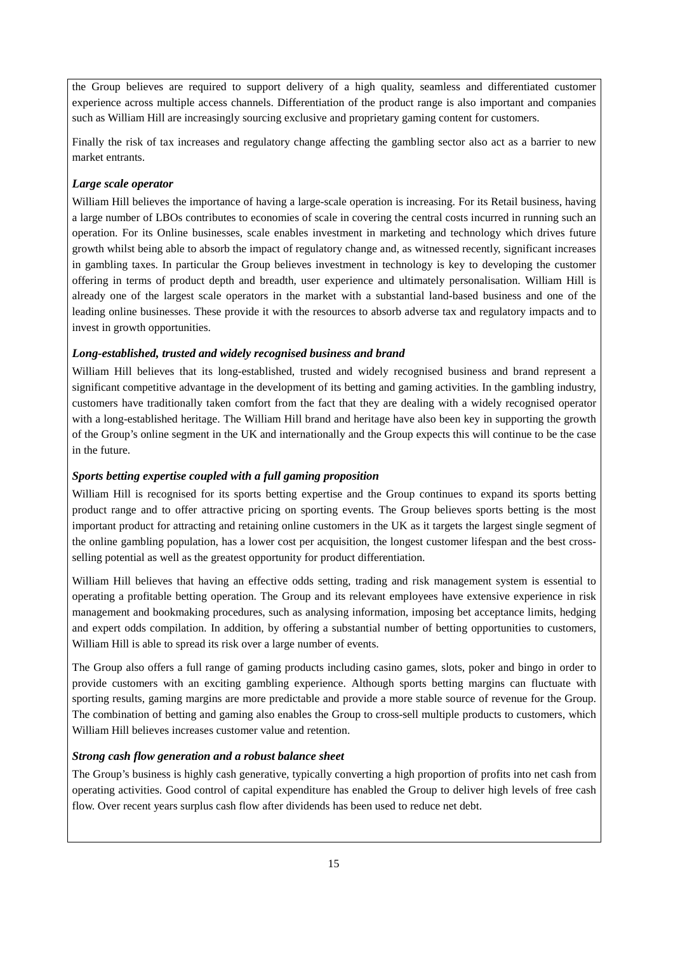the Group believes are required to support delivery of a high quality, seamless and differentiated customer experience across multiple access channels. Differentiation of the product range is also important and companies such as William Hill are increasingly sourcing exclusive and proprietary gaming content for customers.

Finally the risk of tax increases and regulatory change affecting the gambling sector also act as a barrier to new market entrants.

## *Large scale operator*

William Hill believes the importance of having a large-scale operation is increasing. For its Retail business, having a large number of LBOs contributes to economies of scale in covering the central costs incurred in running such an operation. For its Online businesses, scale enables investment in marketing and technology which drives future growth whilst being able to absorb the impact of regulatory change and, as witnessed recently, significant increases in gambling taxes. In particular the Group believes investment in technology is key to developing the customer offering in terms of product depth and breadth, user experience and ultimately personalisation. William Hill is already one of the largest scale operators in the market with a substantial land-based business and one of the leading online businesses. These provide it with the resources to absorb adverse tax and regulatory impacts and to invest in growth opportunities.

## *Long-established, trusted and widely recognised business and brand*

William Hill believes that its long-established, trusted and widely recognised business and brand represent a significant competitive advantage in the development of its betting and gaming activities. In the gambling industry, customers have traditionally taken comfort from the fact that they are dealing with a widely recognised operator with a long-established heritage. The William Hill brand and heritage have also been key in supporting the growth of the Group's online segment in the UK and internationally and the Group expects this will continue to be the case in the future.

## *Sports betting expertise coupled with a full gaming proposition*

William Hill is recognised for its sports betting expertise and the Group continues to expand its sports betting product range and to offer attractive pricing on sporting events. The Group believes sports betting is the most important product for attracting and retaining online customers in the UK as it targets the largest single segment of the online gambling population, has a lower cost per acquisition, the longest customer lifespan and the best crossselling potential as well as the greatest opportunity for product differentiation.

William Hill believes that having an effective odds setting, trading and risk management system is essential to operating a profitable betting operation. The Group and its relevant employees have extensive experience in risk management and bookmaking procedures, such as analysing information, imposing bet acceptance limits, hedging and expert odds compilation. In addition, by offering a substantial number of betting opportunities to customers, William Hill is able to spread its risk over a large number of events.

The Group also offers a full range of gaming products including casino games, slots, poker and bingo in order to provide customers with an exciting gambling experience. Although sports betting margins can fluctuate with sporting results, gaming margins are more predictable and provide a more stable source of revenue for the Group. The combination of betting and gaming also enables the Group to cross-sell multiple products to customers, which William Hill believes increases customer value and retention.

## *Strong cash flow generation and a robust balance sheet*

The Group's business is highly cash generative, typically converting a high proportion of profits into net cash from operating activities. Good control of capital expenditure has enabled the Group to deliver high levels of free cash flow. Over recent years surplus cash flow after dividends has been used to reduce net debt.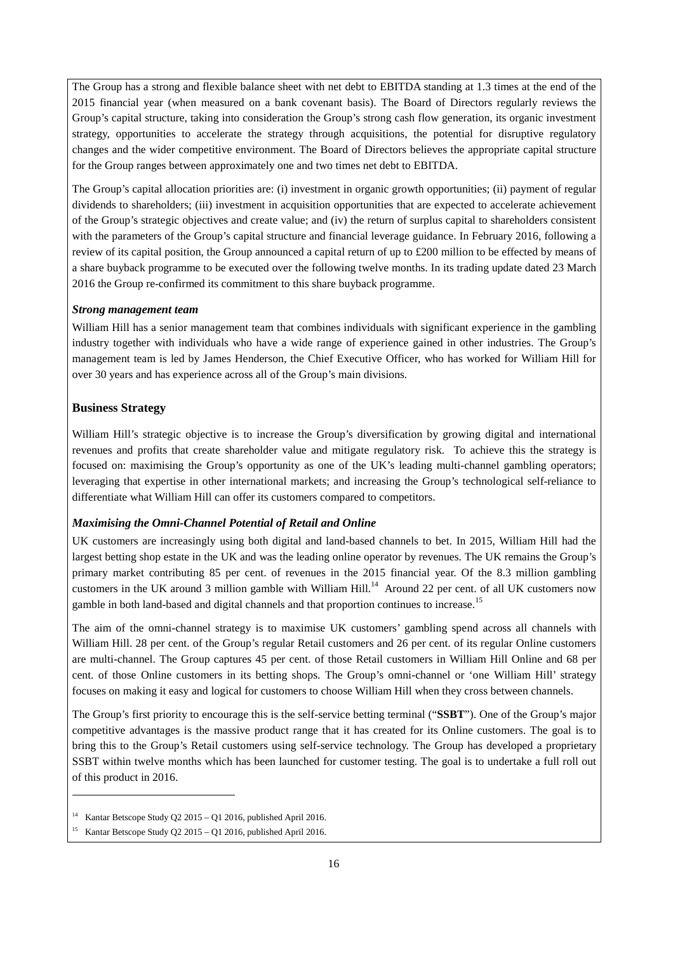The Group has a strong and flexible balance sheet with net debt to EBITDA standing at 1.3 times at the end of the 2015 financial year (when measured on a bank covenant basis). The Board of Directors regularly reviews the Group's capital structure, taking into consideration the Group's strong cash flow generation, its organic investment strategy, opportunities to accelerate the strategy through acquisitions, the potential for disruptive regulatory changes and the wider competitive environment. The Board of Directors believes the appropriate capital structure for the Group ranges between approximately one and two times net debt to EBITDA.

The Group's capital allocation priorities are: (i) investment in organic growth opportunities; (ii) payment of regular dividends to shareholders; (iii) investment in acquisition opportunities that are expected to accelerate achievement of the Group's strategic objectives and create value; and (iv) the return of surplus capital to shareholders consistent with the parameters of the Group's capital structure and financial leverage guidance. In February 2016, following a review of its capital position, the Group announced a capital return of up to £200 million to be effected by means of a share buyback programme to be executed over the following twelve months. In its trading update dated 23 March 2016 the Group re-confirmed its commitment to this share buyback programme.

#### *Strong management team*

William Hill has a senior management team that combines individuals with significant experience in the gambling industry together with individuals who have a wide range of experience gained in other industries. The Group's management team is led by James Henderson, the Chief Executive Officer, who has worked for William Hill for over 30 years and has experience across all of the Group's main divisions.

## **Business Strategy**

 $\overline{a}$ 

William Hill's strategic objective is to increase the Group's diversification by growing digital and international revenues and profits that create shareholder value and mitigate regulatory risk. To achieve this the strategy is focused on: maximising the Group's opportunity as one of the UK's leading multi-channel gambling operators; leveraging that expertise in other international markets; and increasing the Group's technological self-reliance to differentiate what William Hill can offer its customers compared to competitors.

#### *Maximising the Omni-Channel Potential of Retail and Online*

UK customers are increasingly using both digital and land-based channels to bet. In 2015, William Hill had the largest betting shop estate in the UK and was the leading online operator by revenues. The UK remains the Group's primary market contributing 85 per cent. of revenues in the 2015 financial year. Of the 8.3 million gambling customers in the UK around 3 million gamble with William Hill.<sup>14</sup> Around 22 per cent. of all UK customers now gamble in both land-based and digital channels and that proportion continues to increase.15

The aim of the omni-channel strategy is to maximise UK customers' gambling spend across all channels with William Hill. 28 per cent. of the Group's regular Retail customers and 26 per cent. of its regular Online customers are multi-channel. The Group captures 45 per cent. of those Retail customers in William Hill Online and 68 per cent. of those Online customers in its betting shops. The Group's omni-channel or 'one William Hill' strategy focuses on making it easy and logical for customers to choose William Hill when they cross between channels.

The Group's first priority to encourage this is the self-service betting terminal ("**SSBT**"). One of the Group's major competitive advantages is the massive product range that it has created for its Online customers. The goal is to bring this to the Group's Retail customers using self-service technology. The Group has developed a proprietary SSBT within twelve months which has been launched for customer testing. The goal is to undertake a full roll out of this product in 2016.

<sup>14</sup> Kantar Betscope Study Q2 2015 – Q1 2016, published April 2016.

<sup>15</sup> Kantar Betscope Study Q2 2015 – Q1 2016, published April 2016.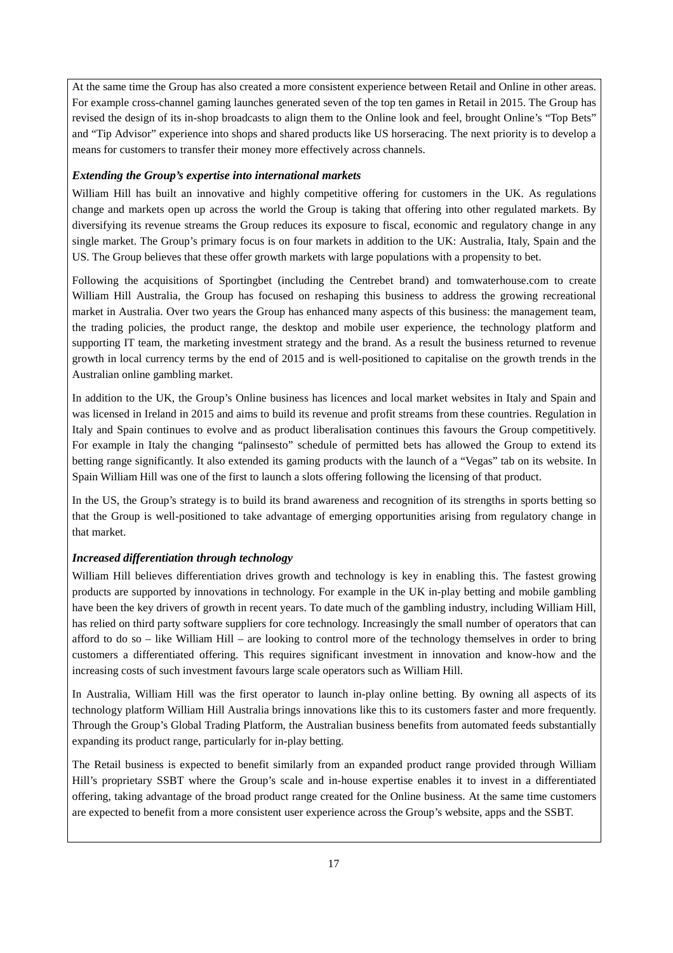At the same time the Group has also created a more consistent experience between Retail and Online in other areas. For example cross-channel gaming launches generated seven of the top ten games in Retail in 2015. The Group has revised the design of its in-shop broadcasts to align them to the Online look and feel, brought Online's "Top Bets" and "Tip Advisor" experience into shops and shared products like US horseracing. The next priority is to develop a means for customers to transfer their money more effectively across channels.

## *Extending the Group's expertise into international markets*

William Hill has built an innovative and highly competitive offering for customers in the UK. As regulations change and markets open up across the world the Group is taking that offering into other regulated markets. By diversifying its revenue streams the Group reduces its exposure to fiscal, economic and regulatory change in any single market. The Group's primary focus is on four markets in addition to the UK: Australia, Italy, Spain and the US. The Group believes that these offer growth markets with large populations with a propensity to bet.

Following the acquisitions of Sportingbet (including the Centrebet brand) and tomwaterhouse.com to create William Hill Australia, the Group has focused on reshaping this business to address the growing recreational market in Australia. Over two years the Group has enhanced many aspects of this business: the management team, the trading policies, the product range, the desktop and mobile user experience, the technology platform and supporting IT team, the marketing investment strategy and the brand. As a result the business returned to revenue growth in local currency terms by the end of 2015 and is well-positioned to capitalise on the growth trends in the Australian online gambling market.

In addition to the UK, the Group's Online business has licences and local market websites in Italy and Spain and was licensed in Ireland in 2015 and aims to build its revenue and profit streams from these countries. Regulation in Italy and Spain continues to evolve and as product liberalisation continues this favours the Group competitively. For example in Italy the changing "palinsesto" schedule of permitted bets has allowed the Group to extend its betting range significantly. It also extended its gaming products with the launch of a "Vegas" tab on its website. In Spain William Hill was one of the first to launch a slots offering following the licensing of that product.

In the US, the Group's strategy is to build its brand awareness and recognition of its strengths in sports betting so that the Group is well-positioned to take advantage of emerging opportunities arising from regulatory change in that market.

## *Increased differentiation through technology*

William Hill believes differentiation drives growth and technology is key in enabling this. The fastest growing products are supported by innovations in technology. For example in the UK in-play betting and mobile gambling have been the key drivers of growth in recent years. To date much of the gambling industry, including William Hill, has relied on third party software suppliers for core technology. Increasingly the small number of operators that can afford to do so – like William Hill – are looking to control more of the technology themselves in order to bring customers a differentiated offering. This requires significant investment in innovation and know-how and the increasing costs of such investment favours large scale operators such as William Hill.

In Australia, William Hill was the first operator to launch in-play online betting. By owning all aspects of its technology platform William Hill Australia brings innovations like this to its customers faster and more frequently. Through the Group's Global Trading Platform, the Australian business benefits from automated feeds substantially expanding its product range, particularly for in-play betting.

The Retail business is expected to benefit similarly from an expanded product range provided through William Hill's proprietary SSBT where the Group's scale and in-house expertise enables it to invest in a differentiated offering, taking advantage of the broad product range created for the Online business. At the same time customers are expected to benefit from a more consistent user experience across the Group's website, apps and the SSBT.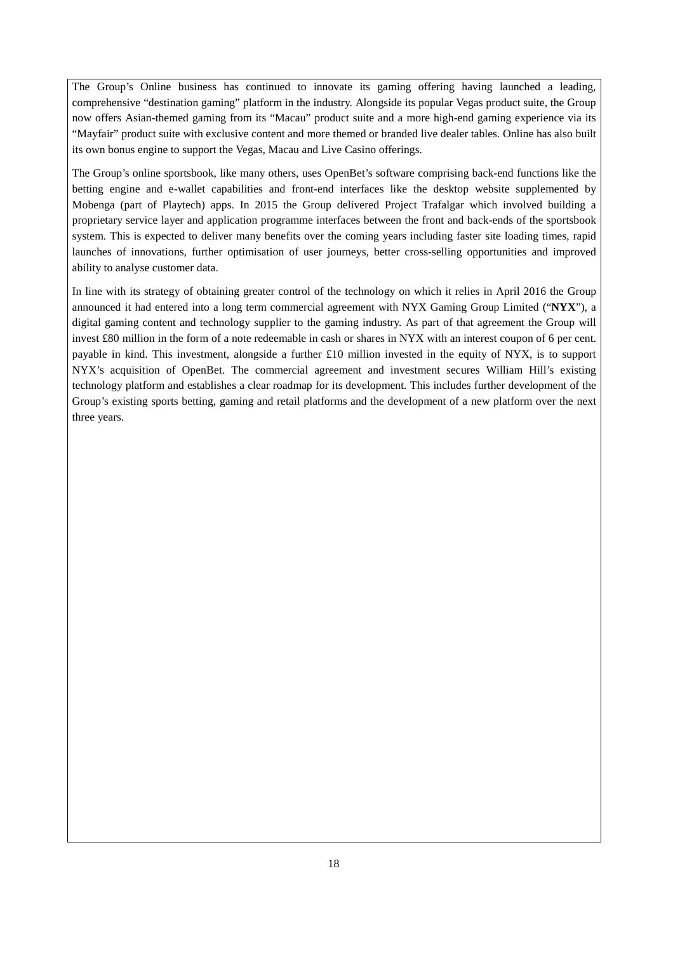The Group's Online business has continued to innovate its gaming offering having launched a leading, comprehensive "destination gaming" platform in the industry. Alongside its popular Vegas product suite, the Group now offers Asian-themed gaming from its "Macau" product suite and a more high-end gaming experience via its "Mayfair" product suite with exclusive content and more themed or branded live dealer tables. Online has also built its own bonus engine to support the Vegas, Macau and Live Casino offerings.

The Group's online sportsbook, like many others, uses OpenBet's software comprising back-end functions like the betting engine and e-wallet capabilities and front-end interfaces like the desktop website supplemented by Mobenga (part of Playtech) apps. In 2015 the Group delivered Project Trafalgar which involved building a proprietary service layer and application programme interfaces between the front and back-ends of the sportsbook system. This is expected to deliver many benefits over the coming years including faster site loading times, rapid launches of innovations, further optimisation of user journeys, better cross-selling opportunities and improved ability to analyse customer data.

In line with its strategy of obtaining greater control of the technology on which it relies in April 2016 the Group announced it had entered into a long term commercial agreement with NYX Gaming Group Limited ("**NYX**"), a digital gaming content and technology supplier to the gaming industry. As part of that agreement the Group will invest £80 million in the form of a note redeemable in cash or shares in NYX with an interest coupon of 6 per cent. payable in kind. This investment, alongside a further £10 million invested in the equity of NYX, is to support NYX's acquisition of OpenBet. The commercial agreement and investment secures William Hill's existing technology platform and establishes a clear roadmap for its development. This includes further development of the Group's existing sports betting, gaming and retail platforms and the development of a new platform over the next three years.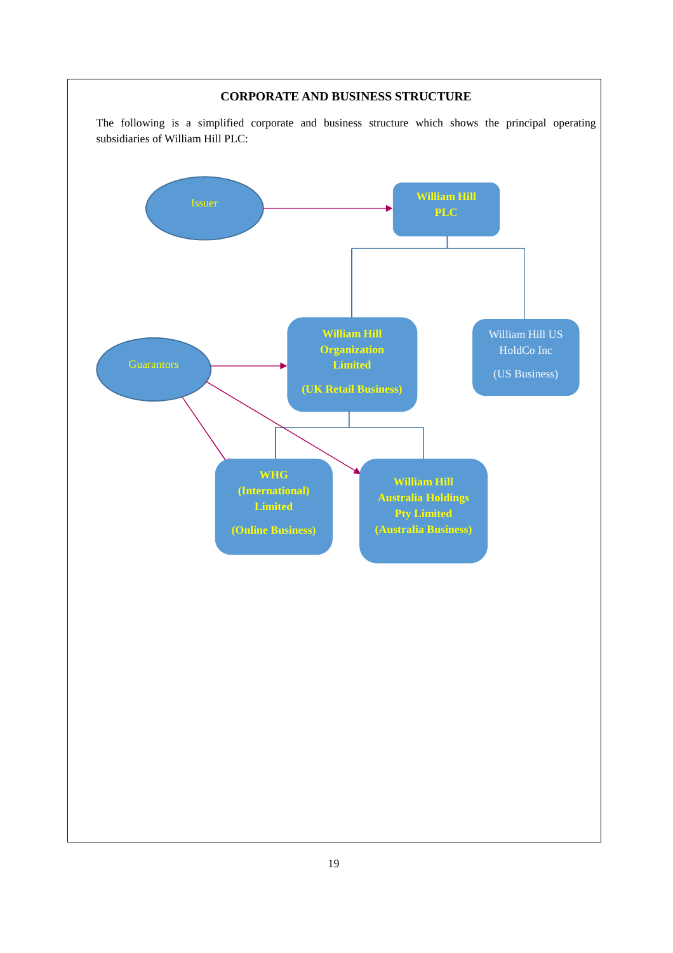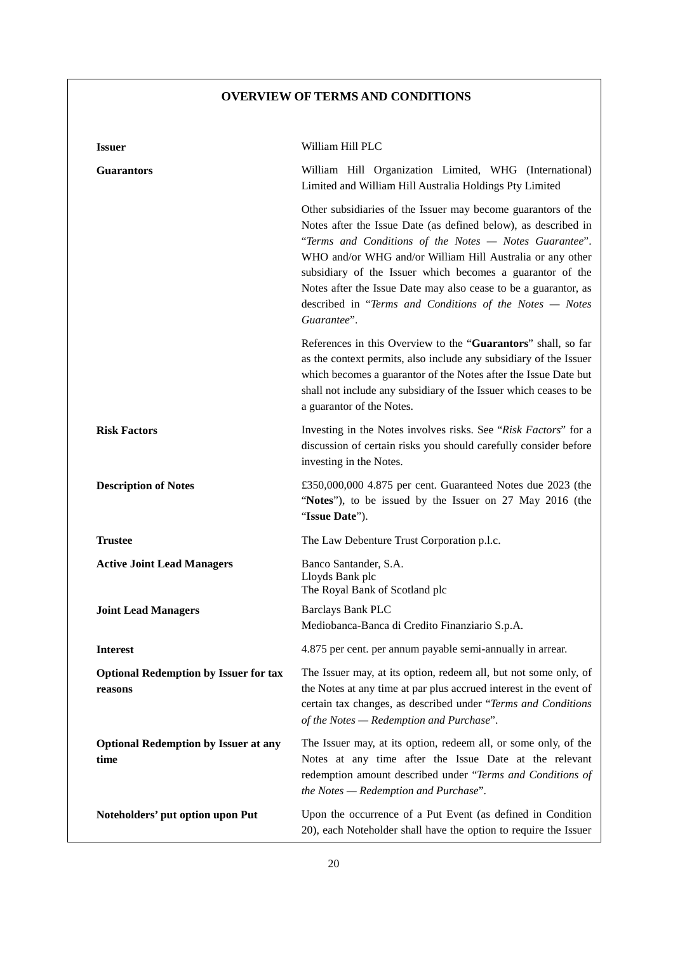# **OVERVIEW OF TERMS AND CONDITIONS**

| <b>Issuer</b>                                           | William Hill PLC                                                                                                                                                                                                                                                                                                                                                                                                                                                 |
|---------------------------------------------------------|------------------------------------------------------------------------------------------------------------------------------------------------------------------------------------------------------------------------------------------------------------------------------------------------------------------------------------------------------------------------------------------------------------------------------------------------------------------|
| <b>Guarantors</b>                                       | William Hill Organization Limited, WHG (International)<br>Limited and William Hill Australia Holdings Pty Limited                                                                                                                                                                                                                                                                                                                                                |
|                                                         | Other subsidiaries of the Issuer may become guarantors of the<br>Notes after the Issue Date (as defined below), as described in<br>"Terms and Conditions of the Notes - Notes Guarantee".<br>WHO and/or WHG and/or William Hill Australia or any other<br>subsidiary of the Issuer which becomes a guarantor of the<br>Notes after the Issue Date may also cease to be a guarantor, as<br>described in "Terms and Conditions of the Notes - Notes<br>Guarantee". |
|                                                         | References in this Overview to the "Guarantors" shall, so far<br>as the context permits, also include any subsidiary of the Issuer<br>which becomes a guarantor of the Notes after the Issue Date but<br>shall not include any subsidiary of the Issuer which ceases to be<br>a guarantor of the Notes.                                                                                                                                                          |
| <b>Risk Factors</b>                                     | Investing in the Notes involves risks. See "Risk Factors" for a<br>discussion of certain risks you should carefully consider before<br>investing in the Notes.                                                                                                                                                                                                                                                                                                   |
| <b>Description of Notes</b>                             | £350,000,000 4.875 per cent. Guaranteed Notes due 2023 (the<br>"Notes"), to be issued by the Issuer on 27 May 2016 (the<br>"Issue Date").                                                                                                                                                                                                                                                                                                                        |
| <b>Trustee</b>                                          | The Law Debenture Trust Corporation p.l.c.                                                                                                                                                                                                                                                                                                                                                                                                                       |
| <b>Active Joint Lead Managers</b>                       | Banco Santander, S.A.<br>Lloyds Bank plc<br>The Royal Bank of Scotland plc                                                                                                                                                                                                                                                                                                                                                                                       |
| <b>Joint Lead Managers</b>                              | <b>Barclays Bank PLC</b><br>Mediobanca-Banca di Credito Finanziario S.p.A.                                                                                                                                                                                                                                                                                                                                                                                       |
| <b>Interest</b>                                         | 4.875 per cent. per annum payable semi-annually in arrear.                                                                                                                                                                                                                                                                                                                                                                                                       |
| <b>Optional Redemption by Issuer for tax</b><br>reasons | The Issuer may, at its option, redeem all, but not some only, of<br>the Notes at any time at par plus accrued interest in the event of<br>certain tax changes, as described under "Terms and Conditions<br>of the Notes - Redemption and Purchase".                                                                                                                                                                                                              |
| <b>Optional Redemption by Issuer at any</b><br>time     | The Issuer may, at its option, redeem all, or some only, of the<br>Notes at any time after the Issue Date at the relevant<br>redemption amount described under "Terms and Conditions of<br>the Notes - Redemption and Purchase".                                                                                                                                                                                                                                 |
| Noteholders' put option upon Put                        | Upon the occurrence of a Put Event (as defined in Condition<br>20), each Noteholder shall have the option to require the Issuer                                                                                                                                                                                                                                                                                                                                  |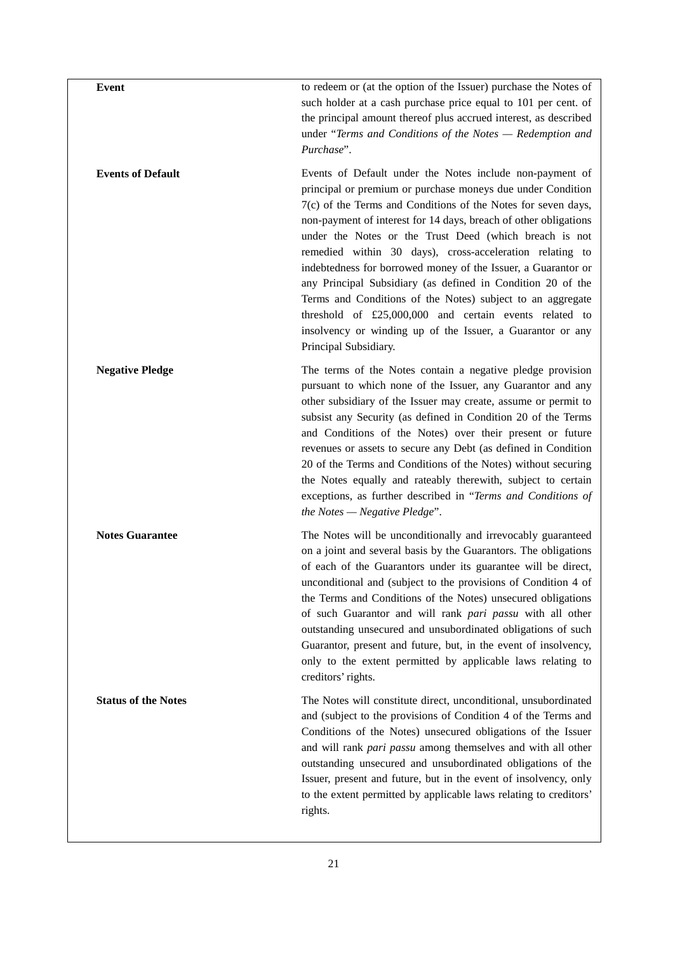| Event                      | to redeem or (at the option of the Issuer) purchase the Notes of<br>such holder at a cash purchase price equal to 101 per cent. of<br>the principal amount thereof plus accrued interest, as described<br>under "Terms and Conditions of the Notes - Redemption and<br>Purchase".                                                                                                                                                                                                                                                                                                                                                                                                                                                   |
|----------------------------|-------------------------------------------------------------------------------------------------------------------------------------------------------------------------------------------------------------------------------------------------------------------------------------------------------------------------------------------------------------------------------------------------------------------------------------------------------------------------------------------------------------------------------------------------------------------------------------------------------------------------------------------------------------------------------------------------------------------------------------|
| <b>Events of Default</b>   | Events of Default under the Notes include non-payment of<br>principal or premium or purchase moneys due under Condition<br>7(c) of the Terms and Conditions of the Notes for seven days,<br>non-payment of interest for 14 days, breach of other obligations<br>under the Notes or the Trust Deed (which breach is not<br>remedied within 30 days), cross-acceleration relating to<br>indebtedness for borrowed money of the Issuer, a Guarantor or<br>any Principal Subsidiary (as defined in Condition 20 of the<br>Terms and Conditions of the Notes) subject to an aggregate<br>threshold of $£25,000,000$ and certain events related to<br>insolvency or winding up of the Issuer, a Guarantor or any<br>Principal Subsidiary. |
| <b>Negative Pledge</b>     | The terms of the Notes contain a negative pledge provision<br>pursuant to which none of the Issuer, any Guarantor and any<br>other subsidiary of the Issuer may create, assume or permit to<br>subsist any Security (as defined in Condition 20 of the Terms<br>and Conditions of the Notes) over their present or future<br>revenues or assets to secure any Debt (as defined in Condition<br>20 of the Terms and Conditions of the Notes) without securing<br>the Notes equally and rateably therewith, subject to certain<br>exceptions, as further described in "Terms and Conditions of<br>the Notes $-$ Negative Pledge".                                                                                                     |
| <b>Notes Guarantee</b>     | The Notes will be unconditionally and irrevocably guaranteed<br>on a joint and several basis by the Guarantors. The obligations<br>of each of the Guarantors under its guarantee will be direct,<br>unconditional and (subject to the provisions of Condition 4 of<br>the Terms and Conditions of the Notes) unsecured obligations<br>of such Guarantor and will rank pari passu with all other<br>outstanding unsecured and unsubordinated obligations of such<br>Guarantor, present and future, but, in the event of insolvency,<br>only to the extent permitted by applicable laws relating to<br>creditors' rights.                                                                                                             |
| <b>Status of the Notes</b> | The Notes will constitute direct, unconditional, unsubordinated<br>and (subject to the provisions of Condition 4 of the Terms and<br>Conditions of the Notes) unsecured obligations of the Issuer<br>and will rank pari passu among themselves and with all other<br>outstanding unsecured and unsubordinated obligations of the<br>Issuer, present and future, but in the event of insolvency, only<br>to the extent permitted by applicable laws relating to creditors'<br>rights.                                                                                                                                                                                                                                                |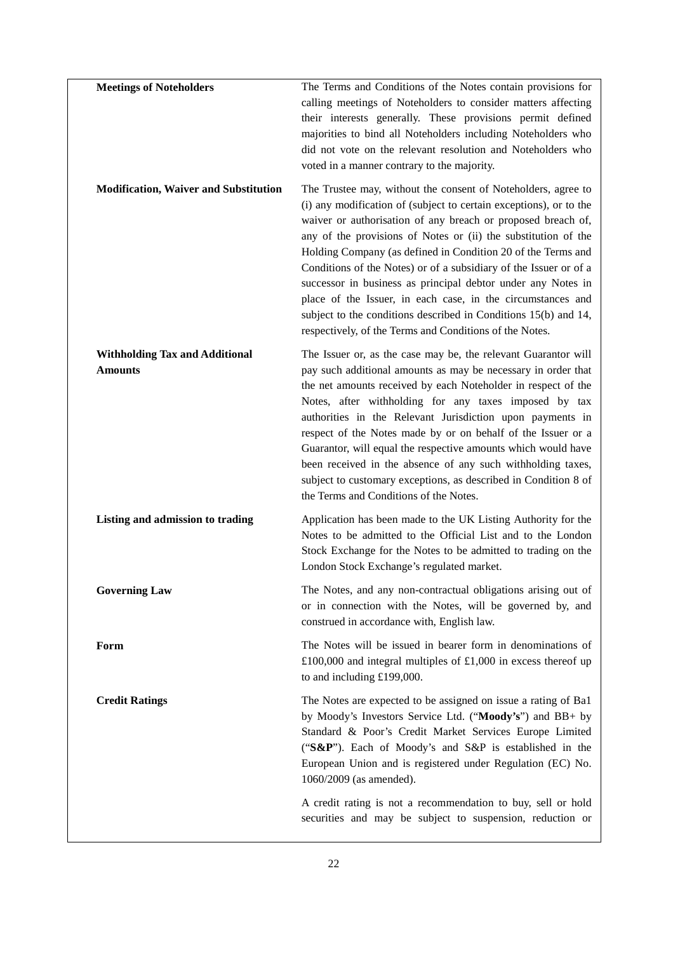| <b>Meetings of Noteholders</b>                          | The Terms and Conditions of the Notes contain provisions for<br>calling meetings of Noteholders to consider matters affecting<br>their interests generally. These provisions permit defined<br>majorities to bind all Noteholders including Noteholders who<br>did not vote on the relevant resolution and Noteholders who<br>voted in a manner contrary to the majority.                                                                                                                                                                                                                                                                                               |
|---------------------------------------------------------|-------------------------------------------------------------------------------------------------------------------------------------------------------------------------------------------------------------------------------------------------------------------------------------------------------------------------------------------------------------------------------------------------------------------------------------------------------------------------------------------------------------------------------------------------------------------------------------------------------------------------------------------------------------------------|
| <b>Modification, Waiver and Substitution</b>            | The Trustee may, without the consent of Noteholders, agree to<br>(i) any modification of (subject to certain exceptions), or to the<br>waiver or authorisation of any breach or proposed breach of,<br>any of the provisions of Notes or (ii) the substitution of the<br>Holding Company (as defined in Condition 20 of the Terms and<br>Conditions of the Notes) or of a subsidiary of the Issuer or of a<br>successor in business as principal debtor under any Notes in<br>place of the Issuer, in each case, in the circumstances and<br>subject to the conditions described in Conditions 15(b) and 14,<br>respectively, of the Terms and Conditions of the Notes. |
| <b>Withholding Tax and Additional</b><br><b>Amounts</b> | The Issuer or, as the case may be, the relevant Guarantor will<br>pay such additional amounts as may be necessary in order that<br>the net amounts received by each Noteholder in respect of the<br>Notes, after withholding for any taxes imposed by tax<br>authorities in the Relevant Jurisdiction upon payments in<br>respect of the Notes made by or on behalf of the Issuer or a<br>Guarantor, will equal the respective amounts which would have<br>been received in the absence of any such withholding taxes,<br>subject to customary exceptions, as described in Condition 8 of<br>the Terms and Conditions of the Notes.                                     |
| Listing and admission to trading                        | Application has been made to the UK Listing Authority for the<br>Notes to be admitted to the Official List and to the London<br>Stock Exchange for the Notes to be admitted to trading on the<br>London Stock Exchange's regulated market.                                                                                                                                                                                                                                                                                                                                                                                                                              |
| <b>Governing Law</b>                                    | The Notes, and any non-contractual obligations arising out of<br>or in connection with the Notes, will be governed by, and<br>construed in accordance with, English law.                                                                                                                                                                                                                                                                                                                                                                                                                                                                                                |
| Form                                                    | The Notes will be issued in bearer form in denominations of<br>£100,000 and integral multiples of £1,000 in excess thereof up<br>to and including $£199,000$ .                                                                                                                                                                                                                                                                                                                                                                                                                                                                                                          |
| <b>Credit Ratings</b>                                   | The Notes are expected to be assigned on issue a rating of Ba1<br>by Moody's Investors Service Ltd. ("Moody's") and BB+ by<br>Standard & Poor's Credit Market Services Europe Limited<br>("S&P"). Each of Moody's and S&P is established in the<br>European Union and is registered under Regulation (EC) No.<br>1060/2009 (as amended).                                                                                                                                                                                                                                                                                                                                |
|                                                         | A credit rating is not a recommendation to buy, sell or hold<br>securities and may be subject to suspension, reduction or                                                                                                                                                                                                                                                                                                                                                                                                                                                                                                                                               |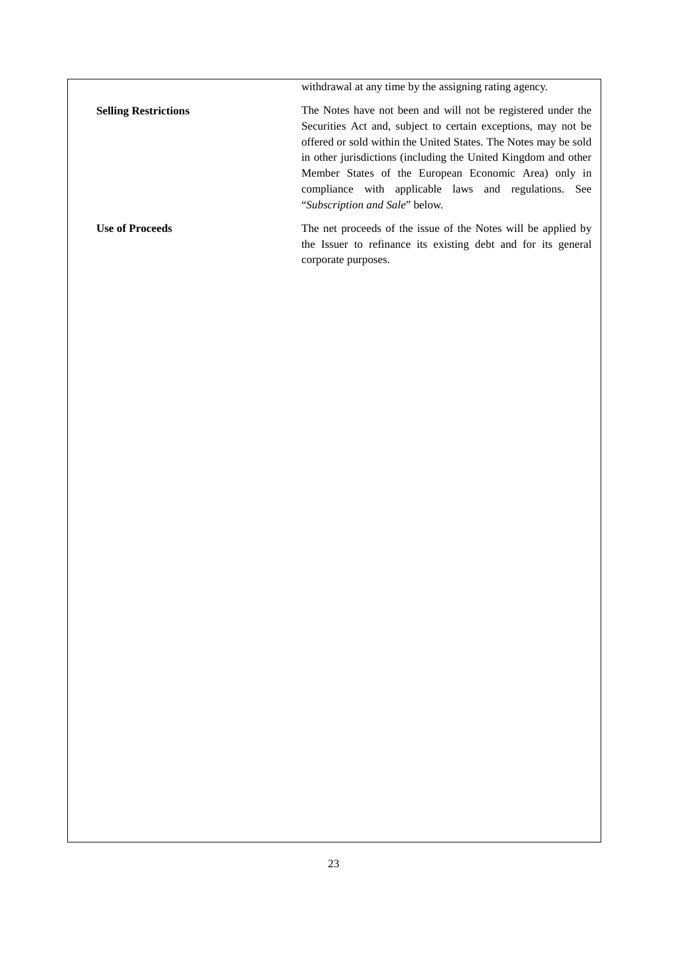withdrawal at any time by the assigning rating agency. **Selling Restrictions** The Notes have not been and will not be registered under the Securities Act and, subject to certain exceptions, may not be offered or sold within the United States. The Notes may be sold in other jurisdictions (including the United Kingdom and other Member States of the European Economic Area) only in compliance with applicable laws and regulations. See "*Subscription and Sale*" below. Use of Proceeds **The net proceeds** of the issue of the Notes will be applied by the Issuer to refinance its existing debt and for its general corporate purposes.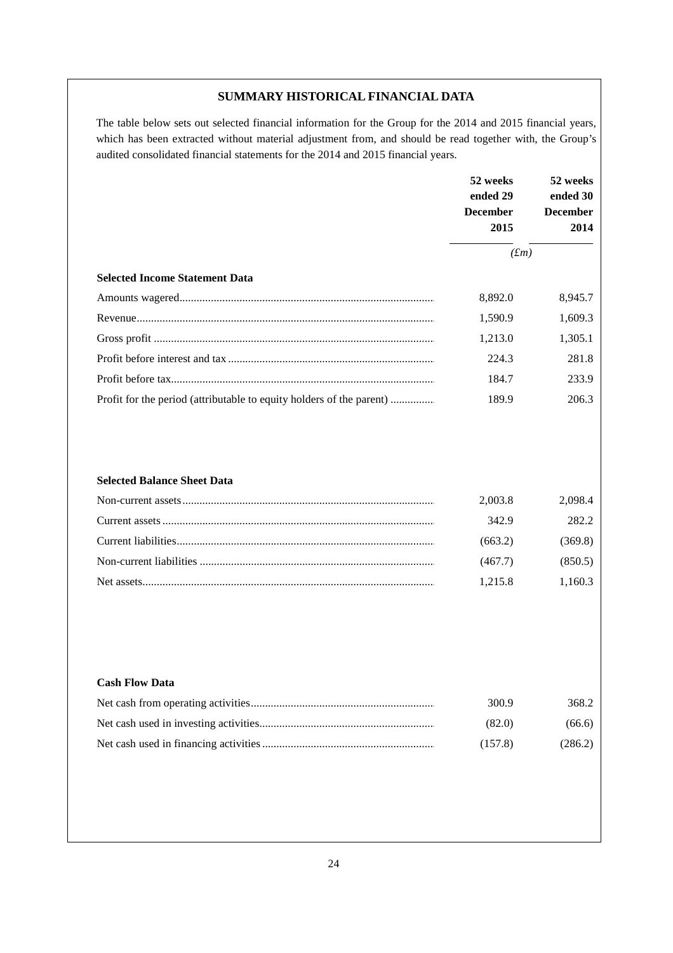## **SUMMARY HISTORICAL FINANCIAL DATA**

The table below sets out selected financial information for the Group for the 2014 and 2015 financial years, which has been extracted without material adjustment from, and should be read together with, the Group's audited consolidated financial statements for the 2014 and 2015 financial years.

|                                                                      | 52 weeks<br>ended 29<br><b>December</b><br>2015 | 52 weeks<br>ended 30<br><b>December</b><br>2014 |
|----------------------------------------------------------------------|-------------------------------------------------|-------------------------------------------------|
|                                                                      | $(f_m)$                                         |                                                 |
| <b>Selected Income Statement Data</b>                                |                                                 |                                                 |
|                                                                      | 8,892.0                                         | 8,945.7                                         |
|                                                                      | 1,590.9                                         | 1,609.3                                         |
|                                                                      | 1,213.0                                         | 1,305.1                                         |
|                                                                      | 224.3                                           | 281.8                                           |
|                                                                      | 184.7                                           | 233.9                                           |
| Profit for the period (attributable to equity holders of the parent) | 189.9                                           | 206.3                                           |

## **Selected Balance Sheet Data**

| 2.003.8 | 2.098.4 |
|---------|---------|
| 342.9   | 282.2   |
| (663.2) | (369.8) |
| (467.7) | (850.5) |
| 1.215.8 | 1.160.3 |

#### **Cash Flow Data**

| 300.9   | 368.2   |
|---------|---------|
| (82.0)  | (66.6)  |
| (157.8) | (286.2) |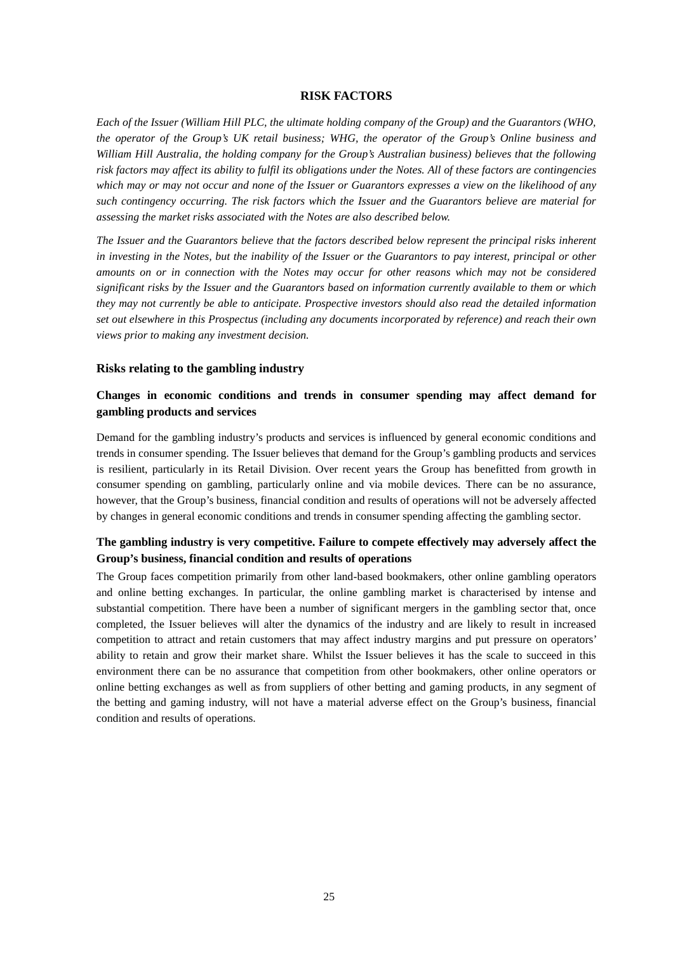#### **RISK FACTORS**

*Each of the Issuer (William Hill PLC, the ultimate holding company of the Group) and the Guarantors (WHO, the operator of the Group's UK retail business; WHG, the operator of the Group's Online business and William Hill Australia, the holding company for the Group's Australian business) believes that the following risk factors may affect its ability to fulfil its obligations under the Notes. All of these factors are contingencies which may or may not occur and none of the Issuer or Guarantors expresses a view on the likelihood of any such contingency occurring. The risk factors which the Issuer and the Guarantors believe are material for assessing the market risks associated with the Notes are also described below.* 

*The Issuer and the Guarantors believe that the factors described below represent the principal risks inherent in investing in the Notes, but the inability of the Issuer or the Guarantors to pay interest, principal or other amounts on or in connection with the Notes may occur for other reasons which may not be considered significant risks by the Issuer and the Guarantors based on information currently available to them or which they may not currently be able to anticipate. Prospective investors should also read the detailed information set out elsewhere in this Prospectus (including any documents incorporated by reference) and reach their own views prior to making any investment decision.* 

#### **Risks relating to the gambling industry**

## **Changes in economic conditions and trends in consumer spending may affect demand for gambling products and services**

Demand for the gambling industry's products and services is influenced by general economic conditions and trends in consumer spending. The Issuer believes that demand for the Group's gambling products and services is resilient, particularly in its Retail Division. Over recent years the Group has benefitted from growth in consumer spending on gambling, particularly online and via mobile devices. There can be no assurance, however, that the Group's business, financial condition and results of operations will not be adversely affected by changes in general economic conditions and trends in consumer spending affecting the gambling sector.

## **The gambling industry is very competitive. Failure to compete effectively may adversely affect the Group's business, financial condition and results of operations**

The Group faces competition primarily from other land-based bookmakers, other online gambling operators and online betting exchanges. In particular, the online gambling market is characterised by intense and substantial competition. There have been a number of significant mergers in the gambling sector that, once completed, the Issuer believes will alter the dynamics of the industry and are likely to result in increased competition to attract and retain customers that may affect industry margins and put pressure on operators' ability to retain and grow their market share. Whilst the Issuer believes it has the scale to succeed in this environment there can be no assurance that competition from other bookmakers, other online operators or online betting exchanges as well as from suppliers of other betting and gaming products, in any segment of the betting and gaming industry, will not have a material adverse effect on the Group's business, financial condition and results of operations.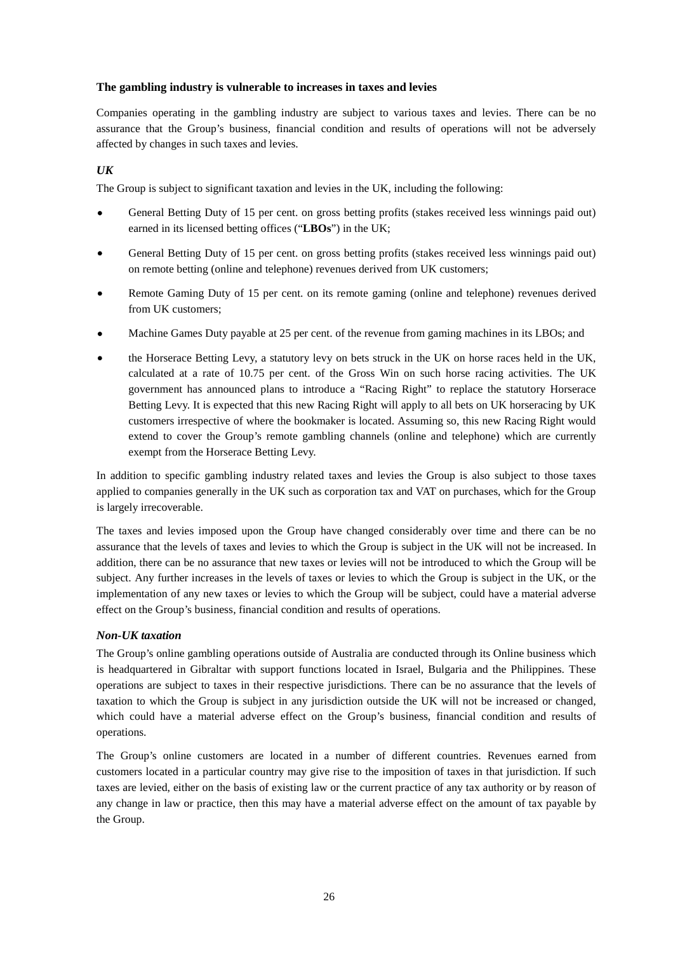## **The gambling industry is vulnerable to increases in taxes and levies**

Companies operating in the gambling industry are subject to various taxes and levies. There can be no assurance that the Group's business, financial condition and results of operations will not be adversely affected by changes in such taxes and levies.

## *UK*

The Group is subject to significant taxation and levies in the UK, including the following:

- General Betting Duty of 15 per cent. on gross betting profits (stakes received less winnings paid out) earned in its licensed betting offices ("**LBOs**") in the UK;
- General Betting Duty of 15 per cent. on gross betting profits (stakes received less winnings paid out) on remote betting (online and telephone) revenues derived from UK customers;
- Remote Gaming Duty of 15 per cent. on its remote gaming (online and telephone) revenues derived from UK customers;
- Machine Games Duty payable at 25 per cent. of the revenue from gaming machines in its LBOs; and
- the Horserace Betting Levy, a statutory levy on bets struck in the UK on horse races held in the UK, calculated at a rate of 10.75 per cent. of the Gross Win on such horse racing activities. The UK government has announced plans to introduce a "Racing Right" to replace the statutory Horserace Betting Levy. It is expected that this new Racing Right will apply to all bets on UK horseracing by UK customers irrespective of where the bookmaker is located. Assuming so, this new Racing Right would extend to cover the Group's remote gambling channels (online and telephone) which are currently exempt from the Horserace Betting Levy.

In addition to specific gambling industry related taxes and levies the Group is also subject to those taxes applied to companies generally in the UK such as corporation tax and VAT on purchases, which for the Group is largely irrecoverable.

The taxes and levies imposed upon the Group have changed considerably over time and there can be no assurance that the levels of taxes and levies to which the Group is subject in the UK will not be increased. In addition, there can be no assurance that new taxes or levies will not be introduced to which the Group will be subject. Any further increases in the levels of taxes or levies to which the Group is subject in the UK, or the implementation of any new taxes or levies to which the Group will be subject, could have a material adverse effect on the Group's business, financial condition and results of operations.

## *Non-UK taxation*

The Group's online gambling operations outside of Australia are conducted through its Online business which is headquartered in Gibraltar with support functions located in Israel, Bulgaria and the Philippines. These operations are subject to taxes in their respective jurisdictions. There can be no assurance that the levels of taxation to which the Group is subject in any jurisdiction outside the UK will not be increased or changed, which could have a material adverse effect on the Group's business, financial condition and results of operations.

The Group's online customers are located in a number of different countries. Revenues earned from customers located in a particular country may give rise to the imposition of taxes in that jurisdiction. If such taxes are levied, either on the basis of existing law or the current practice of any tax authority or by reason of any change in law or practice, then this may have a material adverse effect on the amount of tax payable by the Group.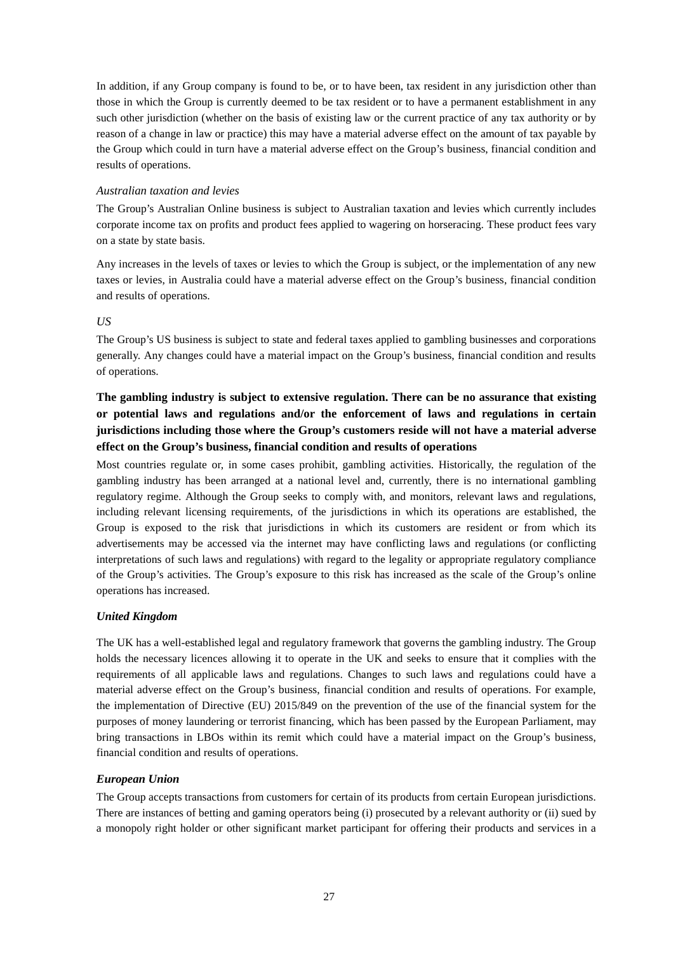In addition, if any Group company is found to be, or to have been, tax resident in any jurisdiction other than those in which the Group is currently deemed to be tax resident or to have a permanent establishment in any such other jurisdiction (whether on the basis of existing law or the current practice of any tax authority or by reason of a change in law or practice) this may have a material adverse effect on the amount of tax payable by the Group which could in turn have a material adverse effect on the Group's business, financial condition and results of operations.

## *Australian taxation and levies*

The Group's Australian Online business is subject to Australian taxation and levies which currently includes corporate income tax on profits and product fees applied to wagering on horseracing. These product fees vary on a state by state basis.

Any increases in the levels of taxes or levies to which the Group is subject, or the implementation of any new taxes or levies, in Australia could have a material adverse effect on the Group's business, financial condition and results of operations.

## *US*

The Group's US business is subject to state and federal taxes applied to gambling businesses and corporations generally. Any changes could have a material impact on the Group's business, financial condition and results of operations.

# **The gambling industry is subject to extensive regulation. There can be no assurance that existing or potential laws and regulations and/or the enforcement of laws and regulations in certain jurisdictions including those where the Group's customers reside will not have a material adverse effect on the Group's business, financial condition and results of operations**

Most countries regulate or, in some cases prohibit, gambling activities. Historically, the regulation of the gambling industry has been arranged at a national level and, currently, there is no international gambling regulatory regime. Although the Group seeks to comply with, and monitors, relevant laws and regulations, including relevant licensing requirements, of the jurisdictions in which its operations are established, the Group is exposed to the risk that jurisdictions in which its customers are resident or from which its advertisements may be accessed via the internet may have conflicting laws and regulations (or conflicting interpretations of such laws and regulations) with regard to the legality or appropriate regulatory compliance of the Group's activities. The Group's exposure to this risk has increased as the scale of the Group's online operations has increased.

## *United Kingdom*

The UK has a well-established legal and regulatory framework that governs the gambling industry. The Group holds the necessary licences allowing it to operate in the UK and seeks to ensure that it complies with the requirements of all applicable laws and regulations. Changes to such laws and regulations could have a material adverse effect on the Group's business, financial condition and results of operations. For example, the implementation of Directive (EU) 2015/849 on the prevention of the use of the financial system for the purposes of money laundering or terrorist financing, which has been passed by the European Parliament, may bring transactions in LBOs within its remit which could have a material impact on the Group's business, financial condition and results of operations.

## *European Union*

The Group accepts transactions from customers for certain of its products from certain European jurisdictions. There are instances of betting and gaming operators being (i) prosecuted by a relevant authority or (ii) sued by a monopoly right holder or other significant market participant for offering their products and services in a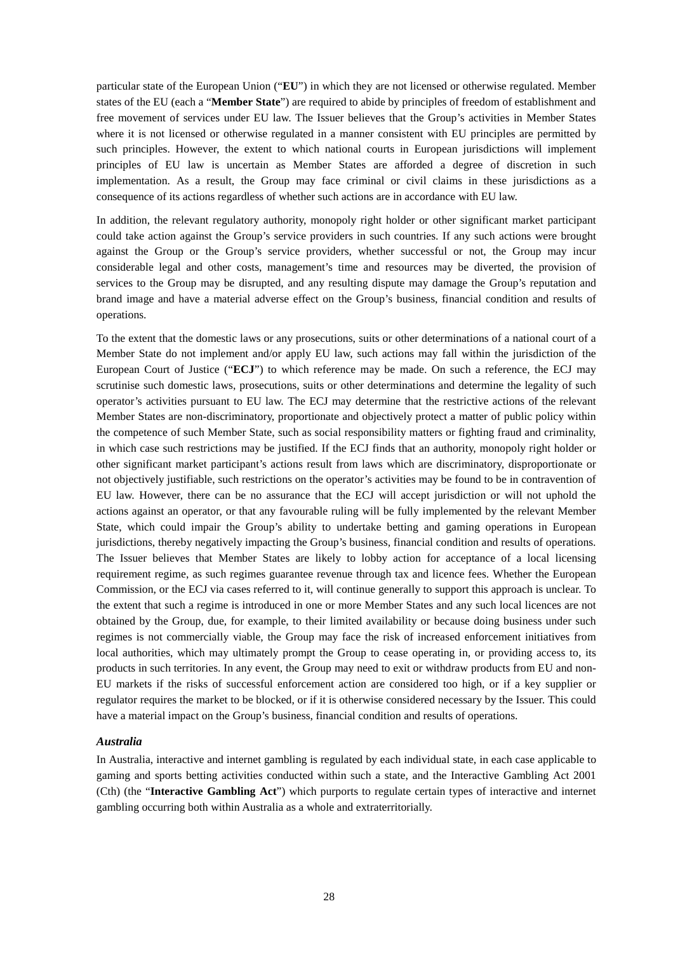particular state of the European Union ("**EU**") in which they are not licensed or otherwise regulated. Member states of the EU (each a "**Member State**") are required to abide by principles of freedom of establishment and free movement of services under EU law. The Issuer believes that the Group's activities in Member States where it is not licensed or otherwise regulated in a manner consistent with EU principles are permitted by such principles. However, the extent to which national courts in European jurisdictions will implement principles of EU law is uncertain as Member States are afforded a degree of discretion in such implementation. As a result, the Group may face criminal or civil claims in these jurisdictions as a consequence of its actions regardless of whether such actions are in accordance with EU law.

In addition, the relevant regulatory authority, monopoly right holder or other significant market participant could take action against the Group's service providers in such countries. If any such actions were brought against the Group or the Group's service providers, whether successful or not, the Group may incur considerable legal and other costs, management's time and resources may be diverted, the provision of services to the Group may be disrupted, and any resulting dispute may damage the Group's reputation and brand image and have a material adverse effect on the Group's business, financial condition and results of operations.

To the extent that the domestic laws or any prosecutions, suits or other determinations of a national court of a Member State do not implement and/or apply EU law, such actions may fall within the jurisdiction of the European Court of Justice ("**ECJ**") to which reference may be made. On such a reference, the ECJ may scrutinise such domestic laws, prosecutions, suits or other determinations and determine the legality of such operator's activities pursuant to EU law. The ECJ may determine that the restrictive actions of the relevant Member States are non-discriminatory, proportionate and objectively protect a matter of public policy within the competence of such Member State, such as social responsibility matters or fighting fraud and criminality, in which case such restrictions may be justified. If the ECJ finds that an authority, monopoly right holder or other significant market participant's actions result from laws which are discriminatory, disproportionate or not objectively justifiable, such restrictions on the operator's activities may be found to be in contravention of EU law. However, there can be no assurance that the ECJ will accept jurisdiction or will not uphold the actions against an operator, or that any favourable ruling will be fully implemented by the relevant Member State, which could impair the Group's ability to undertake betting and gaming operations in European jurisdictions, thereby negatively impacting the Group's business, financial condition and results of operations. The Issuer believes that Member States are likely to lobby action for acceptance of a local licensing requirement regime, as such regimes guarantee revenue through tax and licence fees. Whether the European Commission, or the ECJ via cases referred to it, will continue generally to support this approach is unclear. To the extent that such a regime is introduced in one or more Member States and any such local licences are not obtained by the Group, due, for example, to their limited availability or because doing business under such regimes is not commercially viable, the Group may face the risk of increased enforcement initiatives from local authorities, which may ultimately prompt the Group to cease operating in, or providing access to, its products in such territories. In any event, the Group may need to exit or withdraw products from EU and non-EU markets if the risks of successful enforcement action are considered too high, or if a key supplier or regulator requires the market to be blocked, or if it is otherwise considered necessary by the Issuer. This could have a material impact on the Group's business, financial condition and results of operations.

## *Australia*

In Australia, interactive and internet gambling is regulated by each individual state, in each case applicable to gaming and sports betting activities conducted within such a state, and the Interactive Gambling Act 2001 (Cth) (the "**Interactive Gambling Act**") which purports to regulate certain types of interactive and internet gambling occurring both within Australia as a whole and extraterritorially.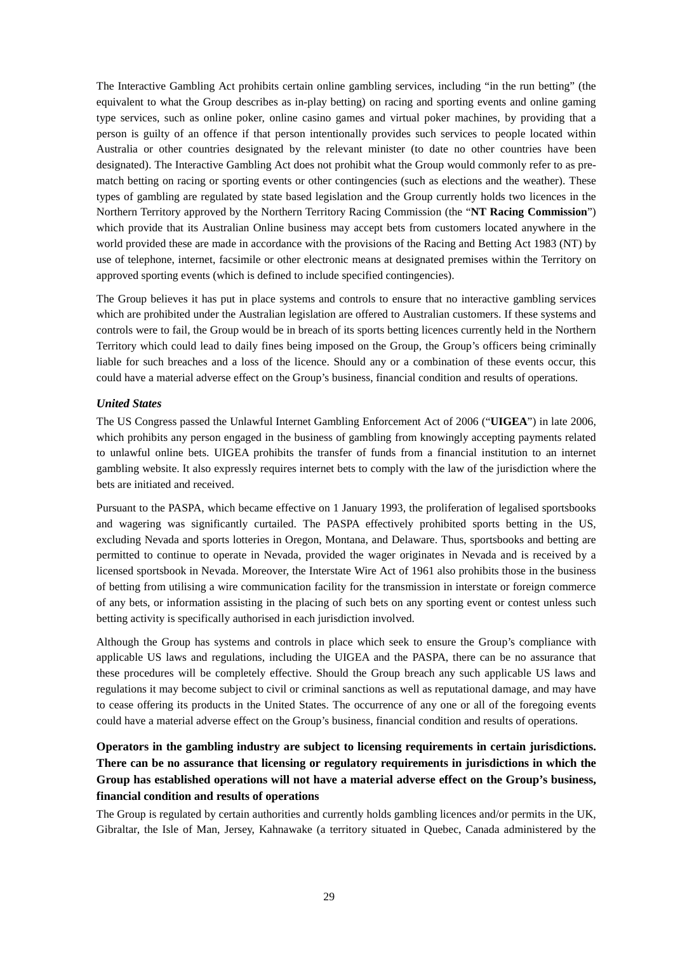The Interactive Gambling Act prohibits certain online gambling services, including "in the run betting" (the equivalent to what the Group describes as in-play betting) on racing and sporting events and online gaming type services, such as online poker, online casino games and virtual poker machines, by providing that a person is guilty of an offence if that person intentionally provides such services to people located within Australia or other countries designated by the relevant minister (to date no other countries have been designated). The Interactive Gambling Act does not prohibit what the Group would commonly refer to as prematch betting on racing or sporting events or other contingencies (such as elections and the weather). These types of gambling are regulated by state based legislation and the Group currently holds two licences in the Northern Territory approved by the Northern Territory Racing Commission (the "**NT Racing Commission**") which provide that its Australian Online business may accept bets from customers located anywhere in the world provided these are made in accordance with the provisions of the Racing and Betting Act 1983 (NT) by use of telephone, internet, facsimile or other electronic means at designated premises within the Territory on approved sporting events (which is defined to include specified contingencies).

The Group believes it has put in place systems and controls to ensure that no interactive gambling services which are prohibited under the Australian legislation are offered to Australian customers. If these systems and controls were to fail, the Group would be in breach of its sports betting licences currently held in the Northern Territory which could lead to daily fines being imposed on the Group, the Group's officers being criminally liable for such breaches and a loss of the licence. Should any or a combination of these events occur, this could have a material adverse effect on the Group's business, financial condition and results of operations.

## *United States*

The US Congress passed the Unlawful Internet Gambling Enforcement Act of 2006 ("**UIGEA**") in late 2006, which prohibits any person engaged in the business of gambling from knowingly accepting payments related to unlawful online bets. UIGEA prohibits the transfer of funds from a financial institution to an internet gambling website. It also expressly requires internet bets to comply with the law of the jurisdiction where the bets are initiated and received.

Pursuant to the PASPA, which became effective on 1 January 1993, the proliferation of legalised sportsbooks and wagering was significantly curtailed. The PASPA effectively prohibited sports betting in the US, excluding Nevada and sports lotteries in Oregon, Montana, and Delaware. Thus, sportsbooks and betting are permitted to continue to operate in Nevada, provided the wager originates in Nevada and is received by a licensed sportsbook in Nevada. Moreover, the Interstate Wire Act of 1961 also prohibits those in the business of betting from utilising a wire communication facility for the transmission in interstate or foreign commerce of any bets, or information assisting in the placing of such bets on any sporting event or contest unless such betting activity is specifically authorised in each jurisdiction involved.

Although the Group has systems and controls in place which seek to ensure the Group's compliance with applicable US laws and regulations, including the UIGEA and the PASPA, there can be no assurance that these procedures will be completely effective. Should the Group breach any such applicable US laws and regulations it may become subject to civil or criminal sanctions as well as reputational damage, and may have to cease offering its products in the United States. The occurrence of any one or all of the foregoing events could have a material adverse effect on the Group's business, financial condition and results of operations.

# **Operators in the gambling industry are subject to licensing requirements in certain jurisdictions. There can be no assurance that licensing or regulatory requirements in jurisdictions in which the Group has established operations will not have a material adverse effect on the Group's business, financial condition and results of operations**

The Group is regulated by certain authorities and currently holds gambling licences and/or permits in the UK, Gibraltar, the Isle of Man, Jersey, Kahnawake (a territory situated in Quebec, Canada administered by the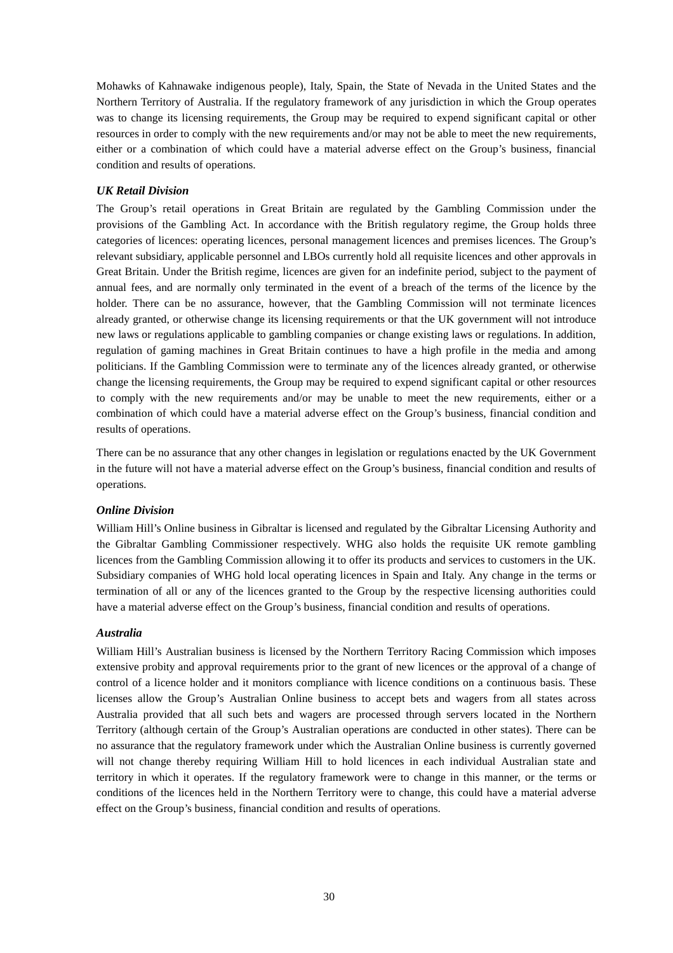Mohawks of Kahnawake indigenous people), Italy, Spain, the State of Nevada in the United States and the Northern Territory of Australia. If the regulatory framework of any jurisdiction in which the Group operates was to change its licensing requirements, the Group may be required to expend significant capital or other resources in order to comply with the new requirements and/or may not be able to meet the new requirements, either or a combination of which could have a material adverse effect on the Group's business, financial condition and results of operations.

## *UK Retail Division*

The Group's retail operations in Great Britain are regulated by the Gambling Commission under the provisions of the Gambling Act. In accordance with the British regulatory regime, the Group holds three categories of licences: operating licences, personal management licences and premises licences. The Group's relevant subsidiary, applicable personnel and LBOs currently hold all requisite licences and other approvals in Great Britain. Under the British regime, licences are given for an indefinite period, subject to the payment of annual fees, and are normally only terminated in the event of a breach of the terms of the licence by the holder. There can be no assurance, however, that the Gambling Commission will not terminate licences already granted, or otherwise change its licensing requirements or that the UK government will not introduce new laws or regulations applicable to gambling companies or change existing laws or regulations. In addition, regulation of gaming machines in Great Britain continues to have a high profile in the media and among politicians. If the Gambling Commission were to terminate any of the licences already granted, or otherwise change the licensing requirements, the Group may be required to expend significant capital or other resources to comply with the new requirements and/or may be unable to meet the new requirements, either or a combination of which could have a material adverse effect on the Group's business, financial condition and results of operations.

There can be no assurance that any other changes in legislation or regulations enacted by the UK Government in the future will not have a material adverse effect on the Group's business, financial condition and results of operations.

## *Online Division*

William Hill's Online business in Gibraltar is licensed and regulated by the Gibraltar Licensing Authority and the Gibraltar Gambling Commissioner respectively. WHG also holds the requisite UK remote gambling licences from the Gambling Commission allowing it to offer its products and services to customers in the UK. Subsidiary companies of WHG hold local operating licences in Spain and Italy. Any change in the terms or termination of all or any of the licences granted to the Group by the respective licensing authorities could have a material adverse effect on the Group's business, financial condition and results of operations.

## *Australia*

William Hill's Australian business is licensed by the Northern Territory Racing Commission which imposes extensive probity and approval requirements prior to the grant of new licences or the approval of a change of control of a licence holder and it monitors compliance with licence conditions on a continuous basis. These licenses allow the Group's Australian Online business to accept bets and wagers from all states across Australia provided that all such bets and wagers are processed through servers located in the Northern Territory (although certain of the Group's Australian operations are conducted in other states). There can be no assurance that the regulatory framework under which the Australian Online business is currently governed will not change thereby requiring William Hill to hold licences in each individual Australian state and territory in which it operates. If the regulatory framework were to change in this manner, or the terms or conditions of the licences held in the Northern Territory were to change, this could have a material adverse effect on the Group's business, financial condition and results of operations.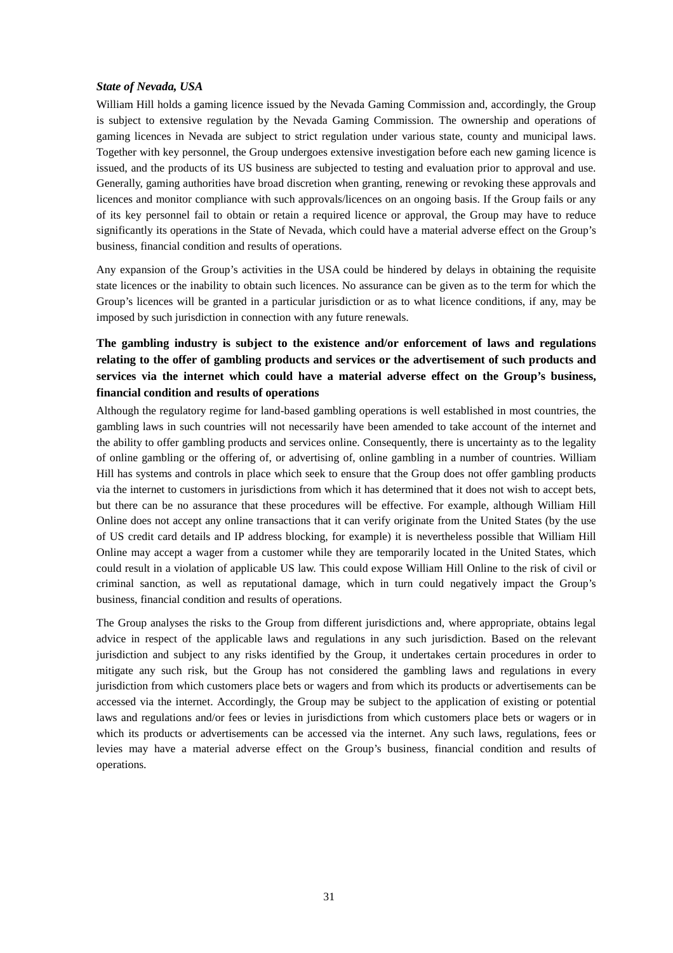## *State of Nevada, USA*

William Hill holds a gaming licence issued by the Nevada Gaming Commission and, accordingly, the Group is subject to extensive regulation by the Nevada Gaming Commission. The ownership and operations of gaming licences in Nevada are subject to strict regulation under various state, county and municipal laws. Together with key personnel, the Group undergoes extensive investigation before each new gaming licence is issued, and the products of its US business are subjected to testing and evaluation prior to approval and use. Generally, gaming authorities have broad discretion when granting, renewing or revoking these approvals and licences and monitor compliance with such approvals/licences on an ongoing basis. If the Group fails or any of its key personnel fail to obtain or retain a required licence or approval, the Group may have to reduce significantly its operations in the State of Nevada, which could have a material adverse effect on the Group's business, financial condition and results of operations.

Any expansion of the Group's activities in the USA could be hindered by delays in obtaining the requisite state licences or the inability to obtain such licences. No assurance can be given as to the term for which the Group's licences will be granted in a particular jurisdiction or as to what licence conditions, if any, may be imposed by such jurisdiction in connection with any future renewals.

# **The gambling industry is subject to the existence and/or enforcement of laws and regulations relating to the offer of gambling products and services or the advertisement of such products and services via the internet which could have a material adverse effect on the Group's business, financial condition and results of operations**

Although the regulatory regime for land-based gambling operations is well established in most countries, the gambling laws in such countries will not necessarily have been amended to take account of the internet and the ability to offer gambling products and services online. Consequently, there is uncertainty as to the legality of online gambling or the offering of, or advertising of, online gambling in a number of countries. William Hill has systems and controls in place which seek to ensure that the Group does not offer gambling products via the internet to customers in jurisdictions from which it has determined that it does not wish to accept bets, but there can be no assurance that these procedures will be effective. For example, although William Hill Online does not accept any online transactions that it can verify originate from the United States (by the use of US credit card details and IP address blocking, for example) it is nevertheless possible that William Hill Online may accept a wager from a customer while they are temporarily located in the United States, which could result in a violation of applicable US law. This could expose William Hill Online to the risk of civil or criminal sanction, as well as reputational damage, which in turn could negatively impact the Group's business, financial condition and results of operations.

The Group analyses the risks to the Group from different jurisdictions and, where appropriate, obtains legal advice in respect of the applicable laws and regulations in any such jurisdiction. Based on the relevant jurisdiction and subject to any risks identified by the Group, it undertakes certain procedures in order to mitigate any such risk, but the Group has not considered the gambling laws and regulations in every jurisdiction from which customers place bets or wagers and from which its products or advertisements can be accessed via the internet. Accordingly, the Group may be subject to the application of existing or potential laws and regulations and/or fees or levies in jurisdictions from which customers place bets or wagers or in which its products or advertisements can be accessed via the internet. Any such laws, regulations, fees or levies may have a material adverse effect on the Group's business, financial condition and results of operations.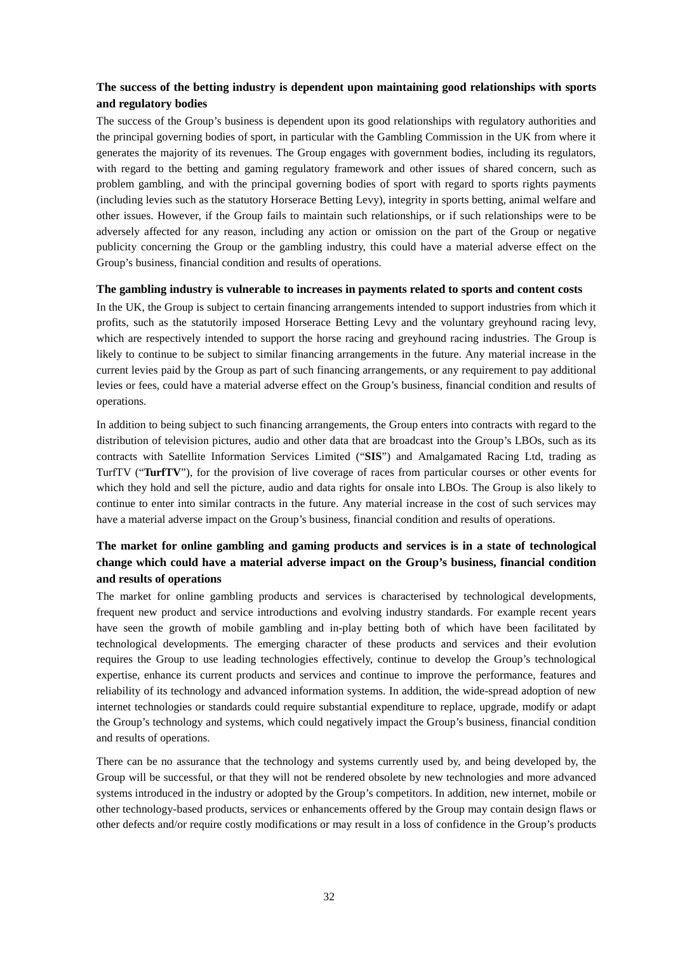## **The success of the betting industry is dependent upon maintaining good relationships with sports and regulatory bodies**

The success of the Group's business is dependent upon its good relationships with regulatory authorities and the principal governing bodies of sport, in particular with the Gambling Commission in the UK from where it generates the majority of its revenues. The Group engages with government bodies, including its regulators, with regard to the betting and gaming regulatory framework and other issues of shared concern, such as problem gambling, and with the principal governing bodies of sport with regard to sports rights payments (including levies such as the statutory Horserace Betting Levy), integrity in sports betting, animal welfare and other issues. However, if the Group fails to maintain such relationships, or if such relationships were to be adversely affected for any reason, including any action or omission on the part of the Group or negative publicity concerning the Group or the gambling industry, this could have a material adverse effect on the Group's business, financial condition and results of operations.

## **The gambling industry is vulnerable to increases in payments related to sports and content costs**

In the UK, the Group is subject to certain financing arrangements intended to support industries from which it profits, such as the statutorily imposed Horserace Betting Levy and the voluntary greyhound racing levy, which are respectively intended to support the horse racing and greyhound racing industries. The Group is likely to continue to be subject to similar financing arrangements in the future. Any material increase in the current levies paid by the Group as part of such financing arrangements, or any requirement to pay additional levies or fees, could have a material adverse effect on the Group's business, financial condition and results of operations.

In addition to being subject to such financing arrangements, the Group enters into contracts with regard to the distribution of television pictures, audio and other data that are broadcast into the Group's LBOs, such as its contracts with Satellite Information Services Limited ("**SIS**") and Amalgamated Racing Ltd, trading as TurfTV ("**TurfTV**"), for the provision of live coverage of races from particular courses or other events for which they hold and sell the picture, audio and data rights for onsale into LBOs. The Group is also likely to continue to enter into similar contracts in the future. Any material increase in the cost of such services may have a material adverse impact on the Group's business, financial condition and results of operations.

# **The market for online gambling and gaming products and services is in a state of technological change which could have a material adverse impact on the Group's business, financial condition and results of operations**

The market for online gambling products and services is characterised by technological developments, frequent new product and service introductions and evolving industry standards. For example recent years have seen the growth of mobile gambling and in-play betting both of which have been facilitated by technological developments. The emerging character of these products and services and their evolution requires the Group to use leading technologies effectively, continue to develop the Group's technological expertise, enhance its current products and services and continue to improve the performance, features and reliability of its technology and advanced information systems. In addition, the wide-spread adoption of new internet technologies or standards could require substantial expenditure to replace, upgrade, modify or adapt the Group's technology and systems, which could negatively impact the Group's business, financial condition and results of operations.

There can be no assurance that the technology and systems currently used by, and being developed by, the Group will be successful, or that they will not be rendered obsolete by new technologies and more advanced systems introduced in the industry or adopted by the Group's competitors. In addition, new internet, mobile or other technology-based products, services or enhancements offered by the Group may contain design flaws or other defects and/or require costly modifications or may result in a loss of confidence in the Group's products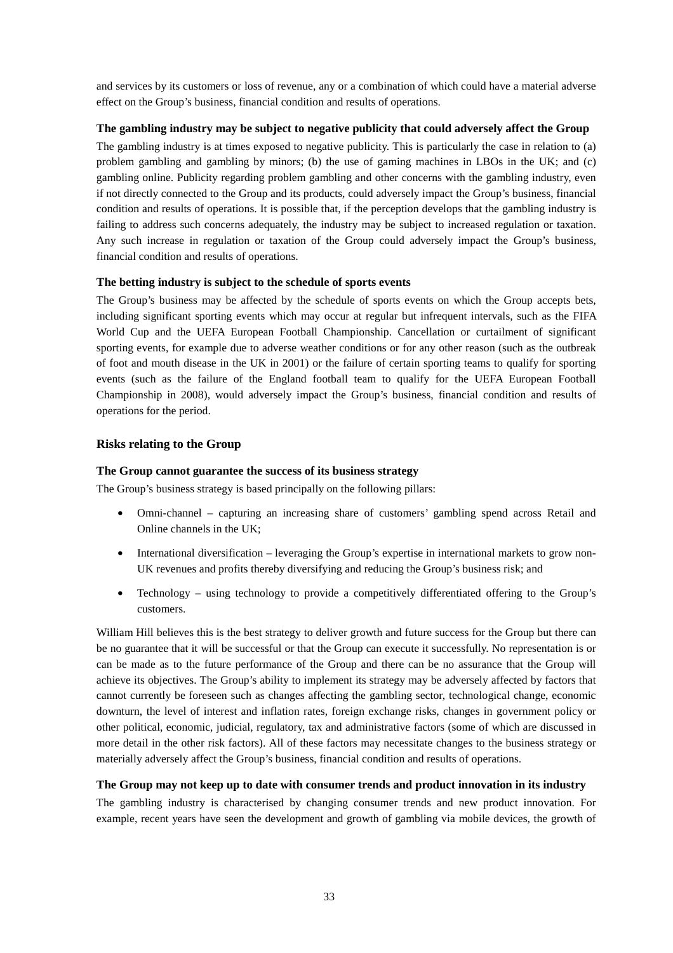and services by its customers or loss of revenue, any or a combination of which could have a material adverse effect on the Group's business, financial condition and results of operations.

## **The gambling industry may be subject to negative publicity that could adversely affect the Group**

The gambling industry is at times exposed to negative publicity. This is particularly the case in relation to (a) problem gambling and gambling by minors; (b) the use of gaming machines in LBOs in the UK; and (c) gambling online. Publicity regarding problem gambling and other concerns with the gambling industry, even if not directly connected to the Group and its products, could adversely impact the Group's business, financial condition and results of operations. It is possible that, if the perception develops that the gambling industry is failing to address such concerns adequately, the industry may be subject to increased regulation or taxation. Any such increase in regulation or taxation of the Group could adversely impact the Group's business, financial condition and results of operations.

## **The betting industry is subject to the schedule of sports events**

The Group's business may be affected by the schedule of sports events on which the Group accepts bets, including significant sporting events which may occur at regular but infrequent intervals, such as the FIFA World Cup and the UEFA European Football Championship. Cancellation or curtailment of significant sporting events, for example due to adverse weather conditions or for any other reason (such as the outbreak of foot and mouth disease in the UK in 2001) or the failure of certain sporting teams to qualify for sporting events (such as the failure of the England football team to qualify for the UEFA European Football Championship in 2008), would adversely impact the Group's business, financial condition and results of operations for the period.

## **Risks relating to the Group**

## **The Group cannot guarantee the success of its business strategy**

The Group's business strategy is based principally on the following pillars:

- Omni-channel capturing an increasing share of customers' gambling spend across Retail and Online channels in the UK;
- International diversification leveraging the Group's expertise in international markets to grow non-UK revenues and profits thereby diversifying and reducing the Group's business risk; and
- Technology using technology to provide a competitively differentiated offering to the Group's customers.

William Hill believes this is the best strategy to deliver growth and future success for the Group but there can be no guarantee that it will be successful or that the Group can execute it successfully. No representation is or can be made as to the future performance of the Group and there can be no assurance that the Group will achieve its objectives. The Group's ability to implement its strategy may be adversely affected by factors that cannot currently be foreseen such as changes affecting the gambling sector, technological change, economic downturn, the level of interest and inflation rates, foreign exchange risks, changes in government policy or other political, economic, judicial, regulatory, tax and administrative factors (some of which are discussed in more detail in the other risk factors). All of these factors may necessitate changes to the business strategy or materially adversely affect the Group's business, financial condition and results of operations.

## **The Group may not keep up to date with consumer trends and product innovation in its industry**

The gambling industry is characterised by changing consumer trends and new product innovation. For example, recent years have seen the development and growth of gambling via mobile devices, the growth of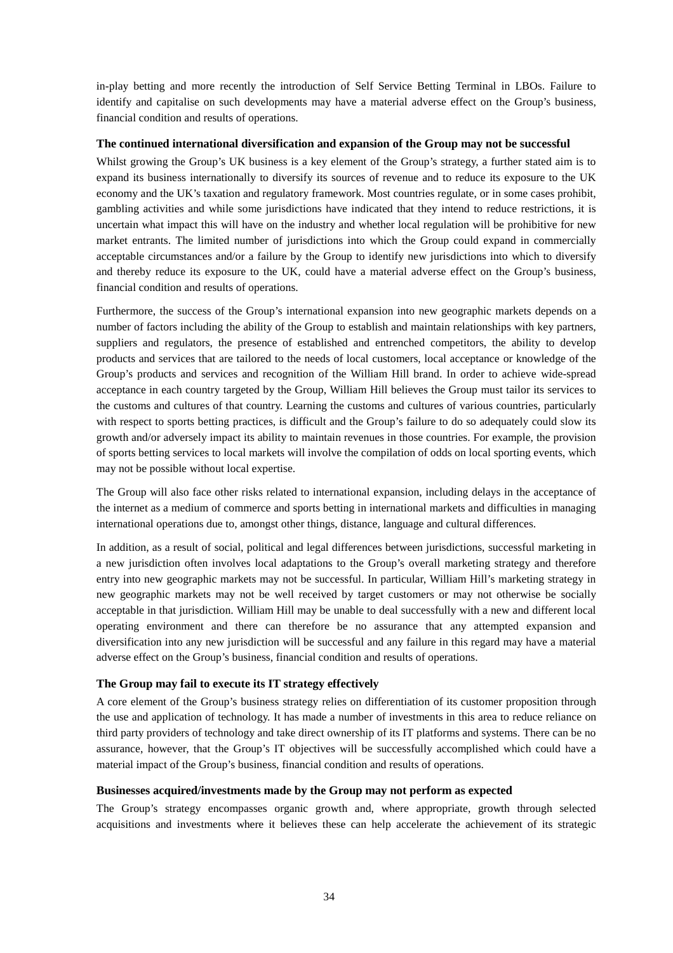in-play betting and more recently the introduction of Self Service Betting Terminal in LBOs. Failure to identify and capitalise on such developments may have a material adverse effect on the Group's business, financial condition and results of operations.

#### **The continued international diversification and expansion of the Group may not be successful**

Whilst growing the Group's UK business is a key element of the Group's strategy, a further stated aim is to expand its business internationally to diversify its sources of revenue and to reduce its exposure to the UK economy and the UK's taxation and regulatory framework. Most countries regulate, or in some cases prohibit, gambling activities and while some jurisdictions have indicated that they intend to reduce restrictions, it is uncertain what impact this will have on the industry and whether local regulation will be prohibitive for new market entrants. The limited number of jurisdictions into which the Group could expand in commercially acceptable circumstances and/or a failure by the Group to identify new jurisdictions into which to diversify and thereby reduce its exposure to the UK, could have a material adverse effect on the Group's business, financial condition and results of operations.

Furthermore, the success of the Group's international expansion into new geographic markets depends on a number of factors including the ability of the Group to establish and maintain relationships with key partners, suppliers and regulators, the presence of established and entrenched competitors, the ability to develop products and services that are tailored to the needs of local customers, local acceptance or knowledge of the Group's products and services and recognition of the William Hill brand. In order to achieve wide-spread acceptance in each country targeted by the Group, William Hill believes the Group must tailor its services to the customs and cultures of that country. Learning the customs and cultures of various countries, particularly with respect to sports betting practices, is difficult and the Group's failure to do so adequately could slow its growth and/or adversely impact its ability to maintain revenues in those countries. For example, the provision of sports betting services to local markets will involve the compilation of odds on local sporting events, which may not be possible without local expertise.

The Group will also face other risks related to international expansion, including delays in the acceptance of the internet as a medium of commerce and sports betting in international markets and difficulties in managing international operations due to, amongst other things, distance, language and cultural differences.

In addition, as a result of social, political and legal differences between jurisdictions, successful marketing in a new jurisdiction often involves local adaptations to the Group's overall marketing strategy and therefore entry into new geographic markets may not be successful. In particular, William Hill's marketing strategy in new geographic markets may not be well received by target customers or may not otherwise be socially acceptable in that jurisdiction. William Hill may be unable to deal successfully with a new and different local operating environment and there can therefore be no assurance that any attempted expansion and diversification into any new jurisdiction will be successful and any failure in this regard may have a material adverse effect on the Group's business, financial condition and results of operations.

## **The Group may fail to execute its IT strategy effectively**

A core element of the Group's business strategy relies on differentiation of its customer proposition through the use and application of technology. It has made a number of investments in this area to reduce reliance on third party providers of technology and take direct ownership of its IT platforms and systems. There can be no assurance, however, that the Group's IT objectives will be successfully accomplished which could have a material impact of the Group's business, financial condition and results of operations.

## **Businesses acquired/investments made by the Group may not perform as expected**

The Group's strategy encompasses organic growth and, where appropriate, growth through selected acquisitions and investments where it believes these can help accelerate the achievement of its strategic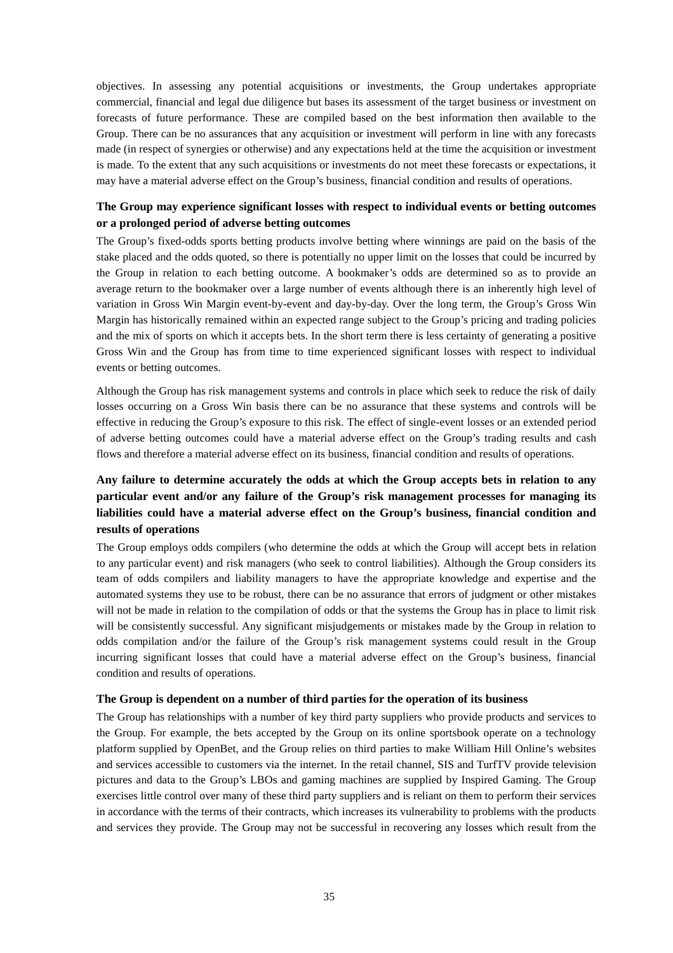objectives. In assessing any potential acquisitions or investments, the Group undertakes appropriate commercial, financial and legal due diligence but bases its assessment of the target business or investment on forecasts of future performance. These are compiled based on the best information then available to the Group. There can be no assurances that any acquisition or investment will perform in line with any forecasts made (in respect of synergies or otherwise) and any expectations held at the time the acquisition or investment is made. To the extent that any such acquisitions or investments do not meet these forecasts or expectations, it may have a material adverse effect on the Group's business, financial condition and results of operations.

## **The Group may experience significant losses with respect to individual events or betting outcomes or a prolonged period of adverse betting outcomes**

The Group's fixed-odds sports betting products involve betting where winnings are paid on the basis of the stake placed and the odds quoted, so there is potentially no upper limit on the losses that could be incurred by the Group in relation to each betting outcome. A bookmaker's odds are determined so as to provide an average return to the bookmaker over a large number of events although there is an inherently high level of variation in Gross Win Margin event-by-event and day-by-day. Over the long term, the Group's Gross Win Margin has historically remained within an expected range subject to the Group's pricing and trading policies and the mix of sports on which it accepts bets. In the short term there is less certainty of generating a positive Gross Win and the Group has from time to time experienced significant losses with respect to individual events or betting outcomes.

Although the Group has risk management systems and controls in place which seek to reduce the risk of daily losses occurring on a Gross Win basis there can be no assurance that these systems and controls will be effective in reducing the Group's exposure to this risk. The effect of single-event losses or an extended period of adverse betting outcomes could have a material adverse effect on the Group's trading results and cash flows and therefore a material adverse effect on its business, financial condition and results of operations.

# **Any failure to determine accurately the odds at which the Group accepts bets in relation to any particular event and/or any failure of the Group's risk management processes for managing its liabilities could have a material adverse effect on the Group's business, financial condition and results of operations**

The Group employs odds compilers (who determine the odds at which the Group will accept bets in relation to any particular event) and risk managers (who seek to control liabilities). Although the Group considers its team of odds compilers and liability managers to have the appropriate knowledge and expertise and the automated systems they use to be robust, there can be no assurance that errors of judgment or other mistakes will not be made in relation to the compilation of odds or that the systems the Group has in place to limit risk will be consistently successful. Any significant misjudgements or mistakes made by the Group in relation to odds compilation and/or the failure of the Group's risk management systems could result in the Group incurring significant losses that could have a material adverse effect on the Group's business, financial condition and results of operations.

## **The Group is dependent on a number of third parties for the operation of its business**

The Group has relationships with a number of key third party suppliers who provide products and services to the Group. For example, the bets accepted by the Group on its online sportsbook operate on a technology platform supplied by OpenBet, and the Group relies on third parties to make William Hill Online's websites and services accessible to customers via the internet. In the retail channel, SIS and TurfTV provide television pictures and data to the Group's LBOs and gaming machines are supplied by Inspired Gaming. The Group exercises little control over many of these third party suppliers and is reliant on them to perform their services in accordance with the terms of their contracts, which increases its vulnerability to problems with the products and services they provide. The Group may not be successful in recovering any losses which result from the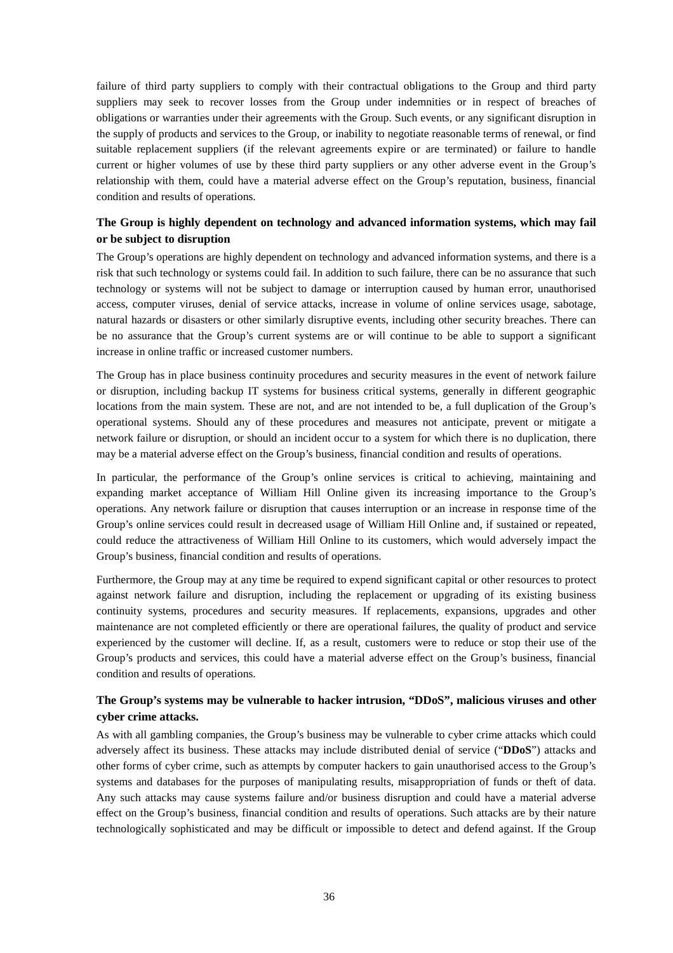failure of third party suppliers to comply with their contractual obligations to the Group and third party suppliers may seek to recover losses from the Group under indemnities or in respect of breaches of obligations or warranties under their agreements with the Group. Such events, or any significant disruption in the supply of products and services to the Group, or inability to negotiate reasonable terms of renewal, or find suitable replacement suppliers (if the relevant agreements expire or are terminated) or failure to handle current or higher volumes of use by these third party suppliers or any other adverse event in the Group's relationship with them, could have a material adverse effect on the Group's reputation, business, financial condition and results of operations.

## **The Group is highly dependent on technology and advanced information systems, which may fail or be subject to disruption**

The Group's operations are highly dependent on technology and advanced information systems, and there is a risk that such technology or systems could fail. In addition to such failure, there can be no assurance that such technology or systems will not be subject to damage or interruption caused by human error, unauthorised access, computer viruses, denial of service attacks, increase in volume of online services usage, sabotage, natural hazards or disasters or other similarly disruptive events, including other security breaches. There can be no assurance that the Group's current systems are or will continue to be able to support a significant increase in online traffic or increased customer numbers.

The Group has in place business continuity procedures and security measures in the event of network failure or disruption, including backup IT systems for business critical systems, generally in different geographic locations from the main system. These are not, and are not intended to be, a full duplication of the Group's operational systems. Should any of these procedures and measures not anticipate, prevent or mitigate a network failure or disruption, or should an incident occur to a system for which there is no duplication, there may be a material adverse effect on the Group's business, financial condition and results of operations.

In particular, the performance of the Group's online services is critical to achieving, maintaining and expanding market acceptance of William Hill Online given its increasing importance to the Group's operations. Any network failure or disruption that causes interruption or an increase in response time of the Group's online services could result in decreased usage of William Hill Online and, if sustained or repeated, could reduce the attractiveness of William Hill Online to its customers, which would adversely impact the Group's business, financial condition and results of operations.

Furthermore, the Group may at any time be required to expend significant capital or other resources to protect against network failure and disruption, including the replacement or upgrading of its existing business continuity systems, procedures and security measures. If replacements, expansions, upgrades and other maintenance are not completed efficiently or there are operational failures, the quality of product and service experienced by the customer will decline. If, as a result, customers were to reduce or stop their use of the Group's products and services, this could have a material adverse effect on the Group's business, financial condition and results of operations.

## **The Group's systems may be vulnerable to hacker intrusion, "DDoS", malicious viruses and other cyber crime attacks.**

As with all gambling companies, the Group's business may be vulnerable to cyber crime attacks which could adversely affect its business. These attacks may include distributed denial of service ("**DDoS**") attacks and other forms of cyber crime, such as attempts by computer hackers to gain unauthorised access to the Group's systems and databases for the purposes of manipulating results, misappropriation of funds or theft of data. Any such attacks may cause systems failure and/or business disruption and could have a material adverse effect on the Group's business, financial condition and results of operations. Such attacks are by their nature technologically sophisticated and may be difficult or impossible to detect and defend against. If the Group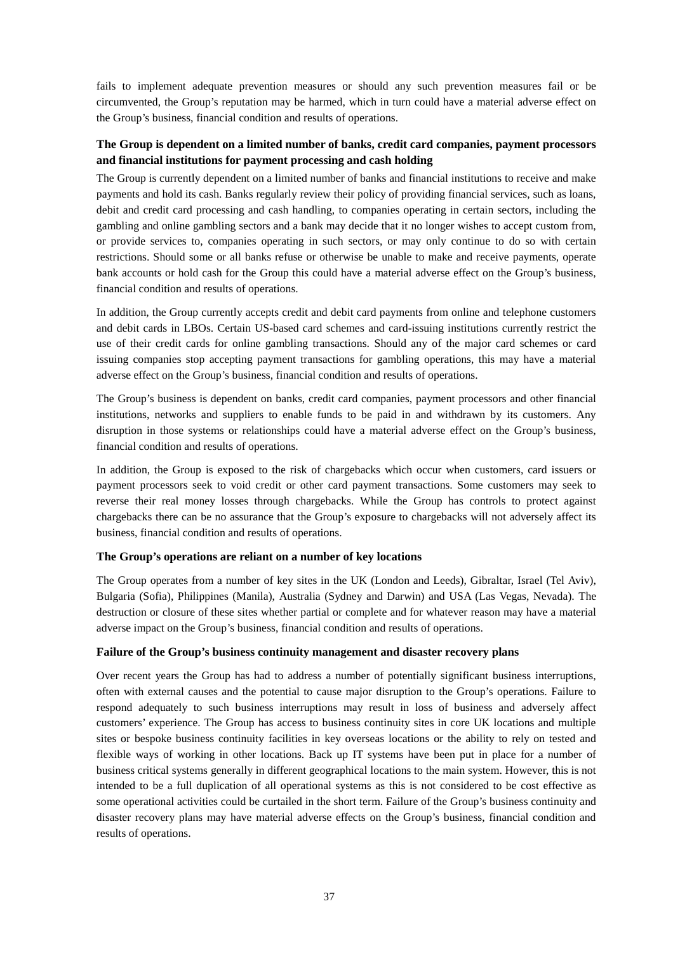fails to implement adequate prevention measures or should any such prevention measures fail or be circumvented, the Group's reputation may be harmed, which in turn could have a material adverse effect on the Group's business, financial condition and results of operations.

# **The Group is dependent on a limited number of banks, credit card companies, payment processors and financial institutions for payment processing and cash holding**

The Group is currently dependent on a limited number of banks and financial institutions to receive and make payments and hold its cash. Banks regularly review their policy of providing financial services, such as loans, debit and credit card processing and cash handling, to companies operating in certain sectors, including the gambling and online gambling sectors and a bank may decide that it no longer wishes to accept custom from, or provide services to, companies operating in such sectors, or may only continue to do so with certain restrictions. Should some or all banks refuse or otherwise be unable to make and receive payments, operate bank accounts or hold cash for the Group this could have a material adverse effect on the Group's business, financial condition and results of operations.

In addition, the Group currently accepts credit and debit card payments from online and telephone customers and debit cards in LBOs. Certain US-based card schemes and card-issuing institutions currently restrict the use of their credit cards for online gambling transactions. Should any of the major card schemes or card issuing companies stop accepting payment transactions for gambling operations, this may have a material adverse effect on the Group's business, financial condition and results of operations.

The Group's business is dependent on banks, credit card companies, payment processors and other financial institutions, networks and suppliers to enable funds to be paid in and withdrawn by its customers. Any disruption in those systems or relationships could have a material adverse effect on the Group's business, financial condition and results of operations.

In addition, the Group is exposed to the risk of chargebacks which occur when customers, card issuers or payment processors seek to void credit or other card payment transactions. Some customers may seek to reverse their real money losses through chargebacks. While the Group has controls to protect against chargebacks there can be no assurance that the Group's exposure to chargebacks will not adversely affect its business, financial condition and results of operations.

### **The Group's operations are reliant on a number of key locations**

The Group operates from a number of key sites in the UK (London and Leeds), Gibraltar, Israel (Tel Aviv), Bulgaria (Sofia), Philippines (Manila), Australia (Sydney and Darwin) and USA (Las Vegas, Nevada). The destruction or closure of these sites whether partial or complete and for whatever reason may have a material adverse impact on the Group's business, financial condition and results of operations.

#### **Failure of the Group's business continuity management and disaster recovery plans**

Over recent years the Group has had to address a number of potentially significant business interruptions, often with external causes and the potential to cause major disruption to the Group's operations. Failure to respond adequately to such business interruptions may result in loss of business and adversely affect customers' experience. The Group has access to business continuity sites in core UK locations and multiple sites or bespoke business continuity facilities in key overseas locations or the ability to rely on tested and flexible ways of working in other locations. Back up IT systems have been put in place for a number of business critical systems generally in different geographical locations to the main system. However, this is not intended to be a full duplication of all operational systems as this is not considered to be cost effective as some operational activities could be curtailed in the short term. Failure of the Group's business continuity and disaster recovery plans may have material adverse effects on the Group's business, financial condition and results of operations.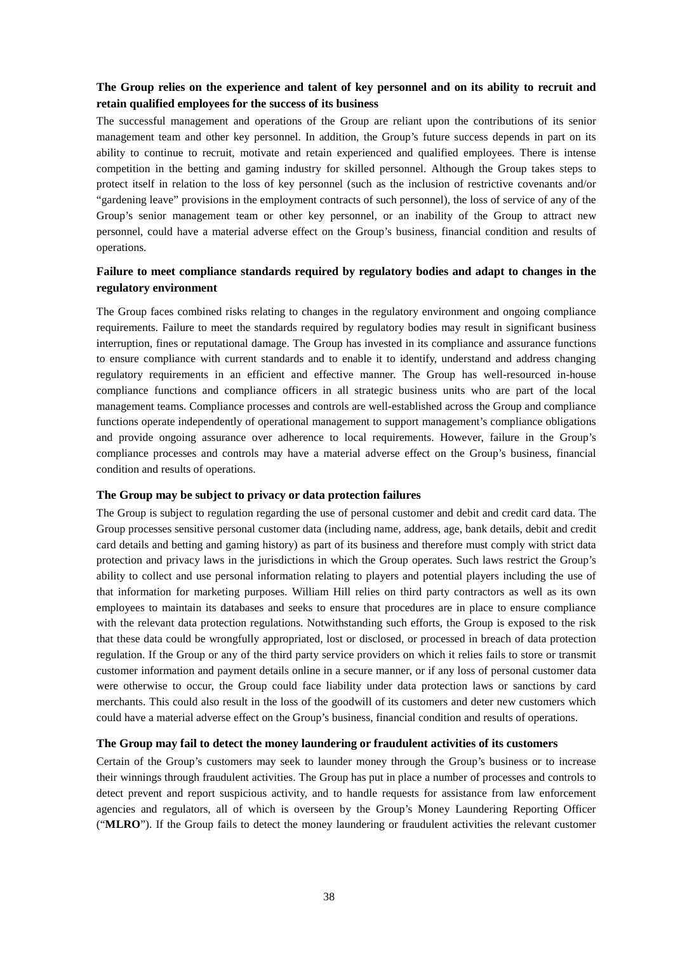# **The Group relies on the experience and talent of key personnel and on its ability to recruit and retain qualified employees for the success of its business**

The successful management and operations of the Group are reliant upon the contributions of its senior management team and other key personnel. In addition, the Group's future success depends in part on its ability to continue to recruit, motivate and retain experienced and qualified employees. There is intense competition in the betting and gaming industry for skilled personnel. Although the Group takes steps to protect itself in relation to the loss of key personnel (such as the inclusion of restrictive covenants and/or "gardening leave" provisions in the employment contracts of such personnel), the loss of service of any of the Group's senior management team or other key personnel, or an inability of the Group to attract new personnel, could have a material adverse effect on the Group's business, financial condition and results of operations.

### **Failure to meet compliance standards required by regulatory bodies and adapt to changes in the regulatory environment**

The Group faces combined risks relating to changes in the regulatory environment and ongoing compliance requirements. Failure to meet the standards required by regulatory bodies may result in significant business interruption, fines or reputational damage. The Group has invested in its compliance and assurance functions to ensure compliance with current standards and to enable it to identify, understand and address changing regulatory requirements in an efficient and effective manner. The Group has well-resourced in-house compliance functions and compliance officers in all strategic business units who are part of the local management teams. Compliance processes and controls are well-established across the Group and compliance functions operate independently of operational management to support management's compliance obligations and provide ongoing assurance over adherence to local requirements. However, failure in the Group's compliance processes and controls may have a material adverse effect on the Group's business, financial condition and results of operations.

#### **The Group may be subject to privacy or data protection failures**

The Group is subject to regulation regarding the use of personal customer and debit and credit card data. The Group processes sensitive personal customer data (including name, address, age, bank details, debit and credit card details and betting and gaming history) as part of its business and therefore must comply with strict data protection and privacy laws in the jurisdictions in which the Group operates. Such laws restrict the Group's ability to collect and use personal information relating to players and potential players including the use of that information for marketing purposes. William Hill relies on third party contractors as well as its own employees to maintain its databases and seeks to ensure that procedures are in place to ensure compliance with the relevant data protection regulations. Notwithstanding such efforts, the Group is exposed to the risk that these data could be wrongfully appropriated, lost or disclosed, or processed in breach of data protection regulation. If the Group or any of the third party service providers on which it relies fails to store or transmit customer information and payment details online in a secure manner, or if any loss of personal customer data were otherwise to occur, the Group could face liability under data protection laws or sanctions by card merchants. This could also result in the loss of the goodwill of its customers and deter new customers which could have a material adverse effect on the Group's business, financial condition and results of operations.

#### **The Group may fail to detect the money laundering or fraudulent activities of its customers**

Certain of the Group's customers may seek to launder money through the Group's business or to increase their winnings through fraudulent activities. The Group has put in place a number of processes and controls to detect prevent and report suspicious activity, and to handle requests for assistance from law enforcement agencies and regulators, all of which is overseen by the Group's Money Laundering Reporting Officer ("**MLRO**"). If the Group fails to detect the money laundering or fraudulent activities the relevant customer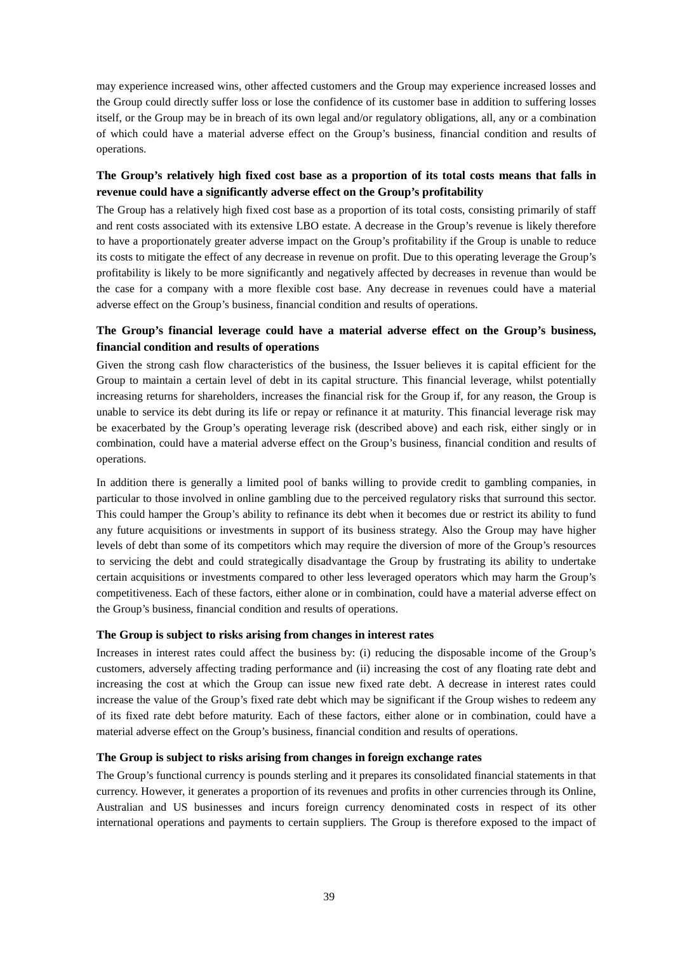may experience increased wins, other affected customers and the Group may experience increased losses and the Group could directly suffer loss or lose the confidence of its customer base in addition to suffering losses itself, or the Group may be in breach of its own legal and/or regulatory obligations, all, any or a combination of which could have a material adverse effect on the Group's business, financial condition and results of operations.

## **The Group's relatively high fixed cost base as a proportion of its total costs means that falls in revenue could have a significantly adverse effect on the Group's profitability**

The Group has a relatively high fixed cost base as a proportion of its total costs, consisting primarily of staff and rent costs associated with its extensive LBO estate. A decrease in the Group's revenue is likely therefore to have a proportionately greater adverse impact on the Group's profitability if the Group is unable to reduce its costs to mitigate the effect of any decrease in revenue on profit. Due to this operating leverage the Group's profitability is likely to be more significantly and negatively affected by decreases in revenue than would be the case for a company with a more flexible cost base. Any decrease in revenues could have a material adverse effect on the Group's business, financial condition and results of operations.

## **The Group's financial leverage could have a material adverse effect on the Group's business, financial condition and results of operations**

Given the strong cash flow characteristics of the business, the Issuer believes it is capital efficient for the Group to maintain a certain level of debt in its capital structure. This financial leverage, whilst potentially increasing returns for shareholders, increases the financial risk for the Group if, for any reason, the Group is unable to service its debt during its life or repay or refinance it at maturity. This financial leverage risk may be exacerbated by the Group's operating leverage risk (described above) and each risk, either singly or in combination, could have a material adverse effect on the Group's business, financial condition and results of operations.

In addition there is generally a limited pool of banks willing to provide credit to gambling companies, in particular to those involved in online gambling due to the perceived regulatory risks that surround this sector. This could hamper the Group's ability to refinance its debt when it becomes due or restrict its ability to fund any future acquisitions or investments in support of its business strategy. Also the Group may have higher levels of debt than some of its competitors which may require the diversion of more of the Group's resources to servicing the debt and could strategically disadvantage the Group by frustrating its ability to undertake certain acquisitions or investments compared to other less leveraged operators which may harm the Group's competitiveness. Each of these factors, either alone or in combination, could have a material adverse effect on the Group's business, financial condition and results of operations.

#### **The Group is subject to risks arising from changes in interest rates**

Increases in interest rates could affect the business by: (i) reducing the disposable income of the Group's customers, adversely affecting trading performance and (ii) increasing the cost of any floating rate debt and increasing the cost at which the Group can issue new fixed rate debt. A decrease in interest rates could increase the value of the Group's fixed rate debt which may be significant if the Group wishes to redeem any of its fixed rate debt before maturity. Each of these factors, either alone or in combination, could have a material adverse effect on the Group's business, financial condition and results of operations.

#### **The Group is subject to risks arising from changes in foreign exchange rates**

The Group's functional currency is pounds sterling and it prepares its consolidated financial statements in that currency. However, it generates a proportion of its revenues and profits in other currencies through its Online, Australian and US businesses and incurs foreign currency denominated costs in respect of its other international operations and payments to certain suppliers. The Group is therefore exposed to the impact of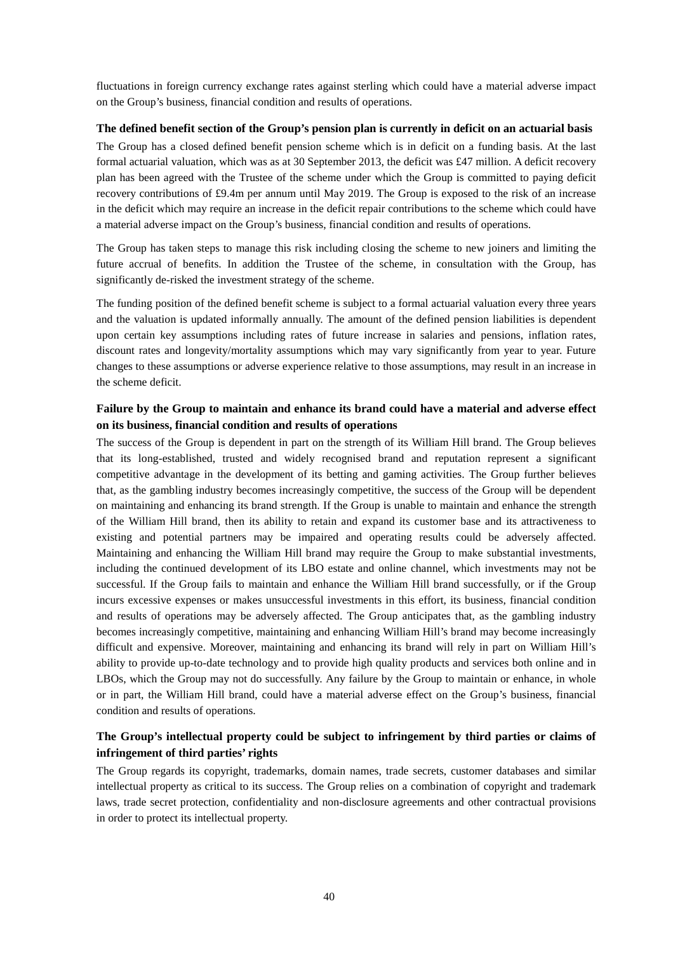fluctuations in foreign currency exchange rates against sterling which could have a material adverse impact on the Group's business, financial condition and results of operations.

#### **The defined benefit section of the Group's pension plan is currently in deficit on an actuarial basis**

The Group has a closed defined benefit pension scheme which is in deficit on a funding basis. At the last formal actuarial valuation, which was as at 30 September 2013, the deficit was £47 million. A deficit recovery plan has been agreed with the Trustee of the scheme under which the Group is committed to paying deficit recovery contributions of £9.4m per annum until May 2019. The Group is exposed to the risk of an increase in the deficit which may require an increase in the deficit repair contributions to the scheme which could have a material adverse impact on the Group's business, financial condition and results of operations.

The Group has taken steps to manage this risk including closing the scheme to new joiners and limiting the future accrual of benefits. In addition the Trustee of the scheme, in consultation with the Group, has significantly de-risked the investment strategy of the scheme.

The funding position of the defined benefit scheme is subject to a formal actuarial valuation every three years and the valuation is updated informally annually. The amount of the defined pension liabilities is dependent upon certain key assumptions including rates of future increase in salaries and pensions, inflation rates, discount rates and longevity/mortality assumptions which may vary significantly from year to year. Future changes to these assumptions or adverse experience relative to those assumptions, may result in an increase in the scheme deficit.

## **Failure by the Group to maintain and enhance its brand could have a material and adverse effect on its business, financial condition and results of operations**

The success of the Group is dependent in part on the strength of its William Hill brand. The Group believes that its long-established, trusted and widely recognised brand and reputation represent a significant competitive advantage in the development of its betting and gaming activities. The Group further believes that, as the gambling industry becomes increasingly competitive, the success of the Group will be dependent on maintaining and enhancing its brand strength. If the Group is unable to maintain and enhance the strength of the William Hill brand, then its ability to retain and expand its customer base and its attractiveness to existing and potential partners may be impaired and operating results could be adversely affected. Maintaining and enhancing the William Hill brand may require the Group to make substantial investments, including the continued development of its LBO estate and online channel, which investments may not be successful. If the Group fails to maintain and enhance the William Hill brand successfully, or if the Group incurs excessive expenses or makes unsuccessful investments in this effort, its business, financial condition and results of operations may be adversely affected. The Group anticipates that, as the gambling industry becomes increasingly competitive, maintaining and enhancing William Hill's brand may become increasingly difficult and expensive. Moreover, maintaining and enhancing its brand will rely in part on William Hill's ability to provide up-to-date technology and to provide high quality products and services both online and in LBOs, which the Group may not do successfully. Any failure by the Group to maintain or enhance, in whole or in part, the William Hill brand, could have a material adverse effect on the Group's business, financial condition and results of operations.

# **The Group's intellectual property could be subject to infringement by third parties or claims of infringement of third parties' rights**

The Group regards its copyright, trademarks, domain names, trade secrets, customer databases and similar intellectual property as critical to its success. The Group relies on a combination of copyright and trademark laws, trade secret protection, confidentiality and non-disclosure agreements and other contractual provisions in order to protect its intellectual property.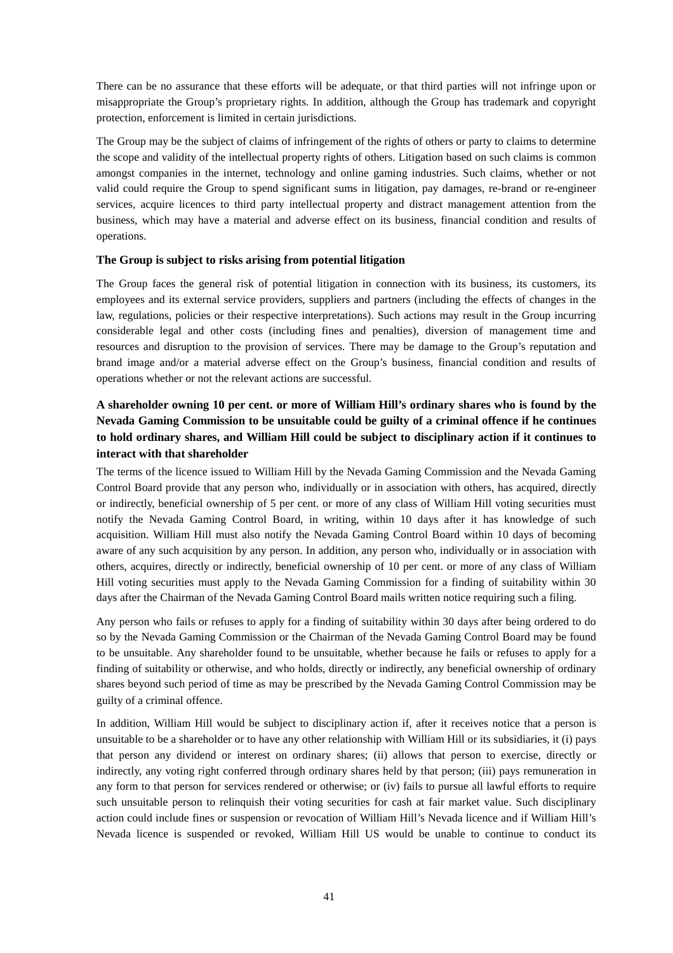There can be no assurance that these efforts will be adequate, or that third parties will not infringe upon or misappropriate the Group's proprietary rights. In addition, although the Group has trademark and copyright protection, enforcement is limited in certain jurisdictions.

The Group may be the subject of claims of infringement of the rights of others or party to claims to determine the scope and validity of the intellectual property rights of others. Litigation based on such claims is common amongst companies in the internet, technology and online gaming industries. Such claims, whether or not valid could require the Group to spend significant sums in litigation, pay damages, re-brand or re-engineer services, acquire licences to third party intellectual property and distract management attention from the business, which may have a material and adverse effect on its business, financial condition and results of operations.

### **The Group is subject to risks arising from potential litigation**

The Group faces the general risk of potential litigation in connection with its business, its customers, its employees and its external service providers, suppliers and partners (including the effects of changes in the law, regulations, policies or their respective interpretations). Such actions may result in the Group incurring considerable legal and other costs (including fines and penalties), diversion of management time and resources and disruption to the provision of services. There may be damage to the Group's reputation and brand image and/or a material adverse effect on the Group's business, financial condition and results of operations whether or not the relevant actions are successful.

# **A shareholder owning 10 per cent. or more of William Hill's ordinary shares who is found by the Nevada Gaming Commission to be unsuitable could be guilty of a criminal offence if he continues to hold ordinary shares, and William Hill could be subject to disciplinary action if it continues to interact with that shareholder**

The terms of the licence issued to William Hill by the Nevada Gaming Commission and the Nevada Gaming Control Board provide that any person who, individually or in association with others, has acquired, directly or indirectly, beneficial ownership of 5 per cent. or more of any class of William Hill voting securities must notify the Nevada Gaming Control Board, in writing, within 10 days after it has knowledge of such acquisition. William Hill must also notify the Nevada Gaming Control Board within 10 days of becoming aware of any such acquisition by any person. In addition, any person who, individually or in association with others, acquires, directly or indirectly, beneficial ownership of 10 per cent. or more of any class of William Hill voting securities must apply to the Nevada Gaming Commission for a finding of suitability within 30 days after the Chairman of the Nevada Gaming Control Board mails written notice requiring such a filing.

Any person who fails or refuses to apply for a finding of suitability within 30 days after being ordered to do so by the Nevada Gaming Commission or the Chairman of the Nevada Gaming Control Board may be found to be unsuitable. Any shareholder found to be unsuitable, whether because he fails or refuses to apply for a finding of suitability or otherwise, and who holds, directly or indirectly, any beneficial ownership of ordinary shares beyond such period of time as may be prescribed by the Nevada Gaming Control Commission may be guilty of a criminal offence.

In addition, William Hill would be subject to disciplinary action if, after it receives notice that a person is unsuitable to be a shareholder or to have any other relationship with William Hill or its subsidiaries, it (i) pays that person any dividend or interest on ordinary shares; (ii) allows that person to exercise, directly or indirectly, any voting right conferred through ordinary shares held by that person; (iii) pays remuneration in any form to that person for services rendered or otherwise; or (iv) fails to pursue all lawful efforts to require such unsuitable person to relinquish their voting securities for cash at fair market value. Such disciplinary action could include fines or suspension or revocation of William Hill's Nevada licence and if William Hill's Nevada licence is suspended or revoked, William Hill US would be unable to continue to conduct its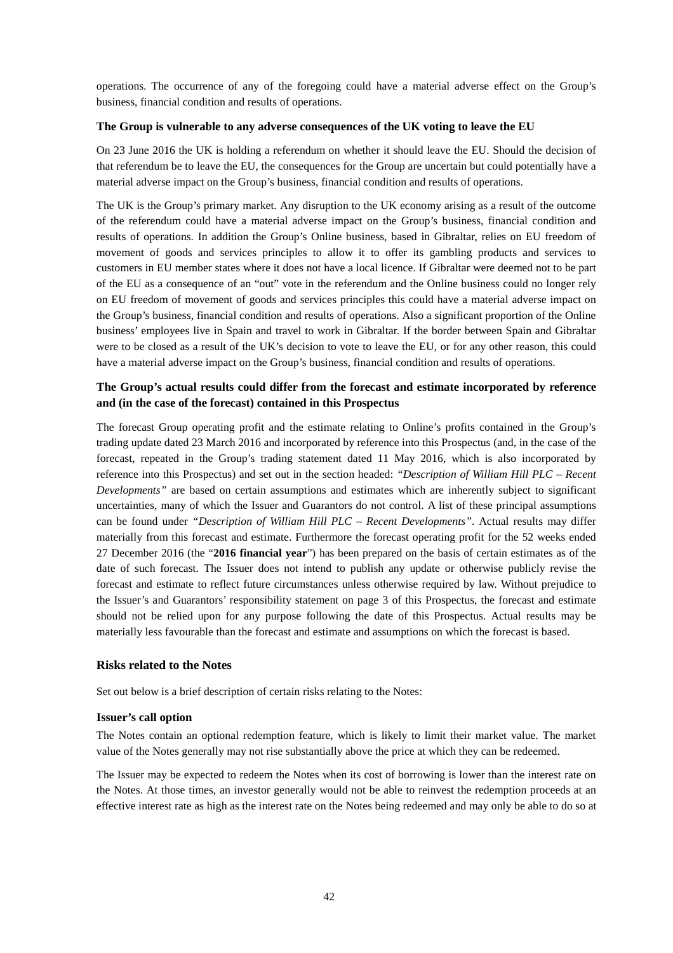operations. The occurrence of any of the foregoing could have a material adverse effect on the Group's business, financial condition and results of operations.

#### **The Group is vulnerable to any adverse consequences of the UK voting to leave the EU**

On 23 June 2016 the UK is holding a referendum on whether it should leave the EU. Should the decision of that referendum be to leave the EU, the consequences for the Group are uncertain but could potentially have a material adverse impact on the Group's business, financial condition and results of operations.

The UK is the Group's primary market. Any disruption to the UK economy arising as a result of the outcome of the referendum could have a material adverse impact on the Group's business, financial condition and results of operations. In addition the Group's Online business, based in Gibraltar, relies on EU freedom of movement of goods and services principles to allow it to offer its gambling products and services to customers in EU member states where it does not have a local licence. If Gibraltar were deemed not to be part of the EU as a consequence of an "out" vote in the referendum and the Online business could no longer rely on EU freedom of movement of goods and services principles this could have a material adverse impact on the Group's business, financial condition and results of operations. Also a significant proportion of the Online business' employees live in Spain and travel to work in Gibraltar. If the border between Spain and Gibraltar were to be closed as a result of the UK's decision to vote to leave the EU, or for any other reason, this could have a material adverse impact on the Group's business, financial condition and results of operations.

# **The Group's actual results could differ from the forecast and estimate incorporated by reference and (in the case of the forecast) contained in this Prospectus**

The forecast Group operating profit and the estimate relating to Online's profits contained in the Group's trading update dated 23 March 2016 and incorporated by reference into this Prospectus (and, in the case of the forecast, repeated in the Group's trading statement dated 11 May 2016, which is also incorporated by reference into this Prospectus) and set out in the section headed: *"Description of William Hill PLC – Recent Developments"* are based on certain assumptions and estimates which are inherently subject to significant uncertainties, many of which the Issuer and Guarantors do not control. A list of these principal assumptions can be found under *"Description of William Hill PLC – Recent Developments"*. Actual results may differ materially from this forecast and estimate. Furthermore the forecast operating profit for the 52 weeks ended 27 December 2016 (the "**2016 financial year**") has been prepared on the basis of certain estimates as of the date of such forecast. The Issuer does not intend to publish any update or otherwise publicly revise the forecast and estimate to reflect future circumstances unless otherwise required by law. Without prejudice to the Issuer's and Guarantors' responsibility statement on page 3 of this Prospectus, the forecast and estimate should not be relied upon for any purpose following the date of this Prospectus. Actual results may be materially less favourable than the forecast and estimate and assumptions on which the forecast is based.

### **Risks related to the Notes**

Set out below is a brief description of certain risks relating to the Notes:

### **Issuer's call option**

The Notes contain an optional redemption feature, which is likely to limit their market value. The market value of the Notes generally may not rise substantially above the price at which they can be redeemed.

The Issuer may be expected to redeem the Notes when its cost of borrowing is lower than the interest rate on the Notes. At those times, an investor generally would not be able to reinvest the redemption proceeds at an effective interest rate as high as the interest rate on the Notes being redeemed and may only be able to do so at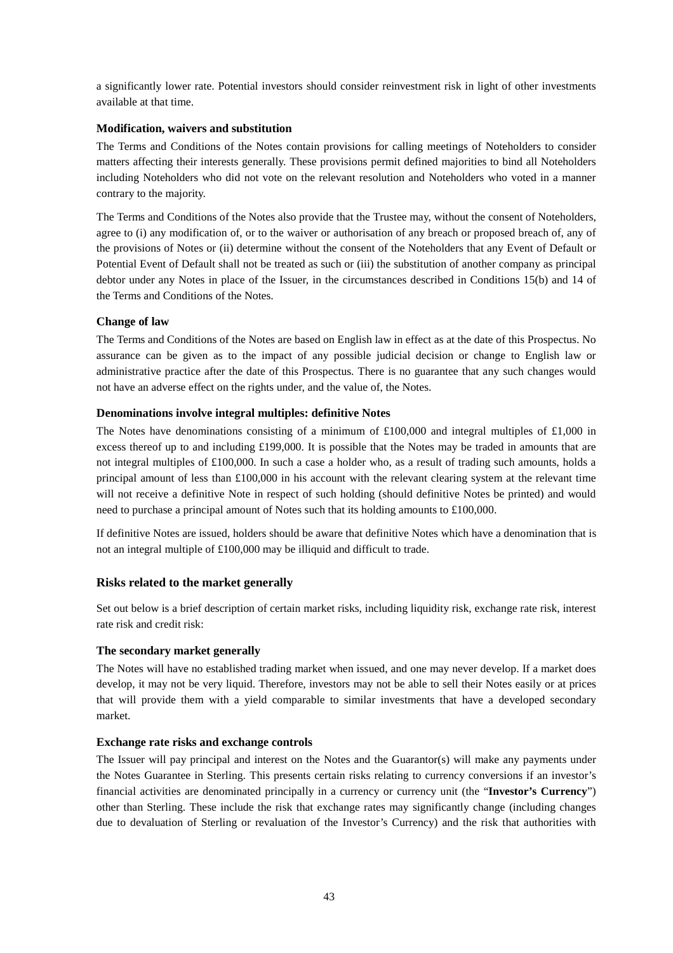a significantly lower rate. Potential investors should consider reinvestment risk in light of other investments available at that time.

#### **Modification, waivers and substitution**

The Terms and Conditions of the Notes contain provisions for calling meetings of Noteholders to consider matters affecting their interests generally. These provisions permit defined majorities to bind all Noteholders including Noteholders who did not vote on the relevant resolution and Noteholders who voted in a manner contrary to the majority.

The Terms and Conditions of the Notes also provide that the Trustee may, without the consent of Noteholders, agree to (i) any modification of, or to the waiver or authorisation of any breach or proposed breach of, any of the provisions of Notes or (ii) determine without the consent of the Noteholders that any Event of Default or Potential Event of Default shall not be treated as such or (iii) the substitution of another company as principal debtor under any Notes in place of the Issuer, in the circumstances described in Conditions 15(b) and 14 of the Terms and Conditions of the Notes.

### **Change of law**

The Terms and Conditions of the Notes are based on English law in effect as at the date of this Prospectus. No assurance can be given as to the impact of any possible judicial decision or change to English law or administrative practice after the date of this Prospectus. There is no guarantee that any such changes would not have an adverse effect on the rights under, and the value of, the Notes.

### **Denominations involve integral multiples: definitive Notes**

The Notes have denominations consisting of a minimum of £100,000 and integral multiples of £1,000 in excess thereof up to and including £199,000. It is possible that the Notes may be traded in amounts that are not integral multiples of £100,000. In such a case a holder who, as a result of trading such amounts, holds a principal amount of less than £100,000 in his account with the relevant clearing system at the relevant time will not receive a definitive Note in respect of such holding (should definitive Notes be printed) and would need to purchase a principal amount of Notes such that its holding amounts to £100,000.

If definitive Notes are issued, holders should be aware that definitive Notes which have a denomination that is not an integral multiple of £100,000 may be illiquid and difficult to trade.

### **Risks related to the market generally**

Set out below is a brief description of certain market risks, including liquidity risk, exchange rate risk, interest rate risk and credit risk:

#### **The secondary market generally**

The Notes will have no established trading market when issued, and one may never develop. If a market does develop, it may not be very liquid. Therefore, investors may not be able to sell their Notes easily or at prices that will provide them with a yield comparable to similar investments that have a developed secondary market.

#### **Exchange rate risks and exchange controls**

The Issuer will pay principal and interest on the Notes and the Guarantor(s) will make any payments under the Notes Guarantee in Sterling. This presents certain risks relating to currency conversions if an investor's financial activities are denominated principally in a currency or currency unit (the "**Investor's Currency**") other than Sterling. These include the risk that exchange rates may significantly change (including changes due to devaluation of Sterling or revaluation of the Investor's Currency) and the risk that authorities with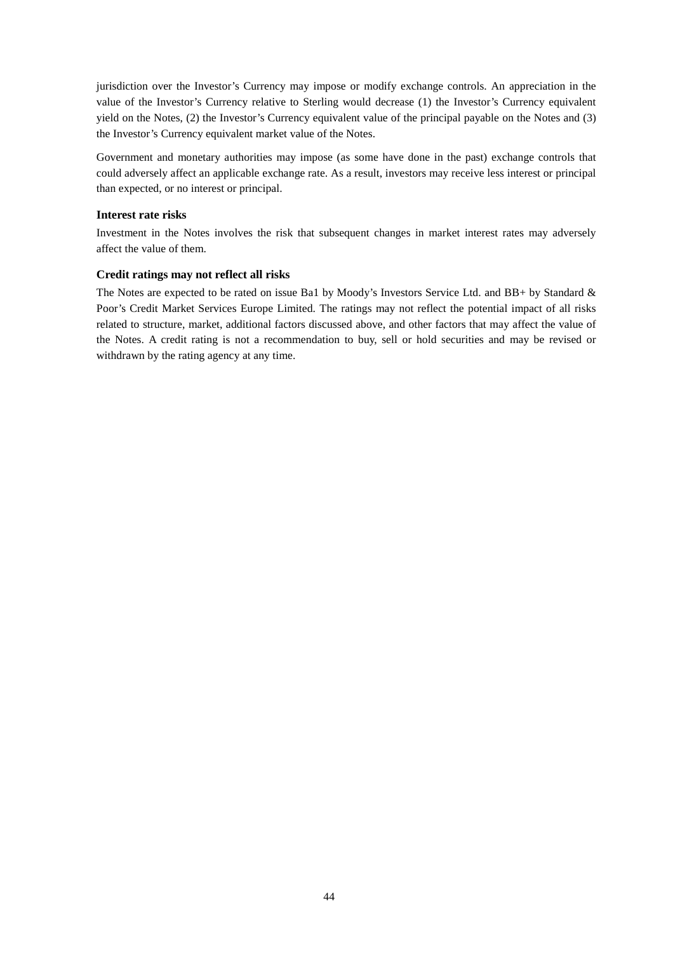jurisdiction over the Investor's Currency may impose or modify exchange controls. An appreciation in the value of the Investor's Currency relative to Sterling would decrease (1) the Investor's Currency equivalent yield on the Notes, (2) the Investor's Currency equivalent value of the principal payable on the Notes and (3) the Investor's Currency equivalent market value of the Notes.

Government and monetary authorities may impose (as some have done in the past) exchange controls that could adversely affect an applicable exchange rate. As a result, investors may receive less interest or principal than expected, or no interest or principal.

### **Interest rate risks**

Investment in the Notes involves the risk that subsequent changes in market interest rates may adversely affect the value of them.

### **Credit ratings may not reflect all risks**

The Notes are expected to be rated on issue Ba1 by Moody's Investors Service Ltd. and BB+ by Standard & Poor's Credit Market Services Europe Limited. The ratings may not reflect the potential impact of all risks related to structure, market, additional factors discussed above, and other factors that may affect the value of the Notes. A credit rating is not a recommendation to buy, sell or hold securities and may be revised or withdrawn by the rating agency at any time.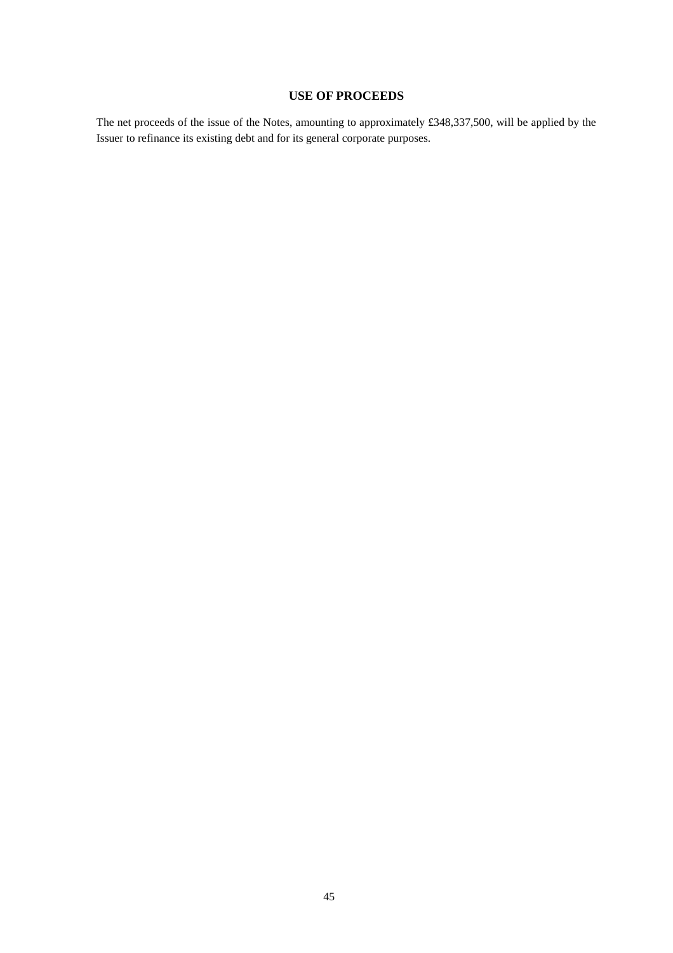# **USE OF PROCEEDS**

The net proceeds of the issue of the Notes, amounting to approximately £348,337,500, will be applied by the Issuer to refinance its existing debt and for its general corporate purposes.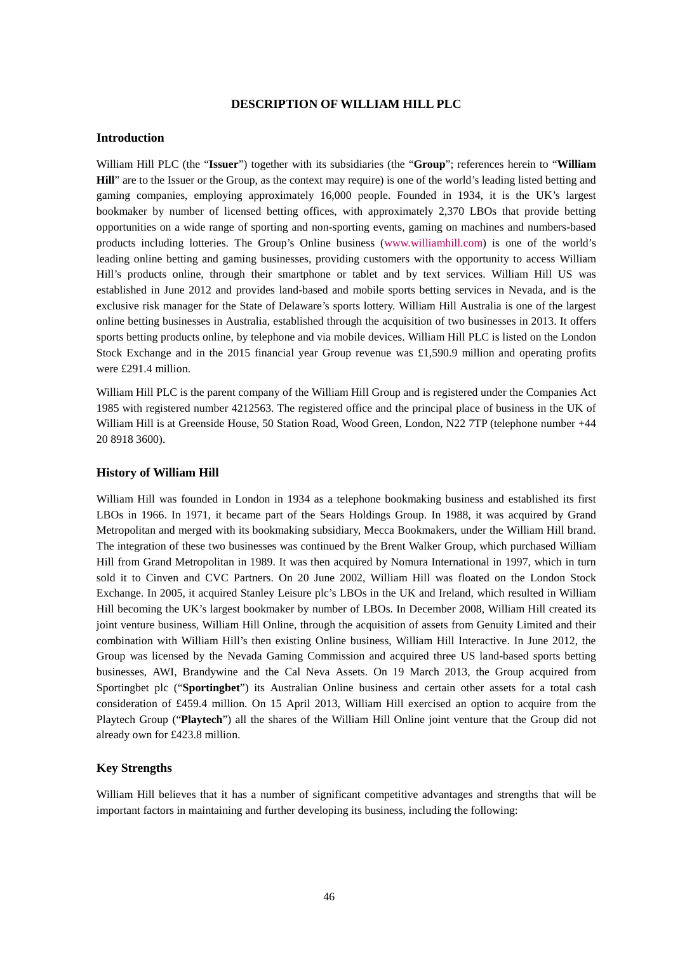#### **DESCRIPTION OF WILLIAM HILL PLC**

#### **Introduction**

William Hill PLC (the "**Issuer**") together with its subsidiaries (the "**Group**"; references herein to "**William Hill**" are to the Issuer or the Group, as the context may require) is one of the world's leading listed betting and gaming companies, employing approximately 16,000 people. Founded in 1934, it is the UK's largest bookmaker by number of licensed betting offices, with approximately 2,370 LBOs that provide betting opportunities on a wide range of sporting and non-sporting events, gaming on machines and numbers-based products including lotteries. The Group's Online business (www.williamhill.com) is one of the world's leading online betting and gaming businesses, providing customers with the opportunity to access William Hill's products online, through their smartphone or tablet and by text services. William Hill US was established in June 2012 and provides land-based and mobile sports betting services in Nevada, and is the exclusive risk manager for the State of Delaware's sports lottery. William Hill Australia is one of the largest online betting businesses in Australia, established through the acquisition of two businesses in 2013. It offers sports betting products online, by telephone and via mobile devices. William Hill PLC is listed on the London Stock Exchange and in the 2015 financial year Group revenue was £1,590.9 million and operating profits were £291.4 million.

William Hill PLC is the parent company of the William Hill Group and is registered under the Companies Act 1985 with registered number 4212563. The registered office and the principal place of business in the UK of William Hill is at Greenside House, 50 Station Road, Wood Green, London, N22 7TP (telephone number +44 20 8918 3600).

#### **History of William Hill**

William Hill was founded in London in 1934 as a telephone bookmaking business and established its first LBOs in 1966. In 1971, it became part of the Sears Holdings Group. In 1988, it was acquired by Grand Metropolitan and merged with its bookmaking subsidiary, Mecca Bookmakers, under the William Hill brand. The integration of these two businesses was continued by the Brent Walker Group, which purchased William Hill from Grand Metropolitan in 1989. It was then acquired by Nomura International in 1997, which in turn sold it to Cinven and CVC Partners. On 20 June 2002, William Hill was floated on the London Stock Exchange. In 2005, it acquired Stanley Leisure plc's LBOs in the UK and Ireland, which resulted in William Hill becoming the UK's largest bookmaker by number of LBOs. In December 2008, William Hill created its joint venture business, William Hill Online, through the acquisition of assets from Genuity Limited and their combination with William Hill's then existing Online business, William Hill Interactive. In June 2012, the Group was licensed by the Nevada Gaming Commission and acquired three US land-based sports betting businesses, AWI, Brandywine and the Cal Neva Assets. On 19 March 2013, the Group acquired from Sportingbet plc ("**Sportingbet**") its Australian Online business and certain other assets for a total cash consideration of £459.4 million. On 15 April 2013, William Hill exercised an option to acquire from the Playtech Group ("**Playtech**") all the shares of the William Hill Online joint venture that the Group did not already own for £423.8 million.

#### **Key Strengths**

William Hill believes that it has a number of significant competitive advantages and strengths that will be important factors in maintaining and further developing its business, including the following: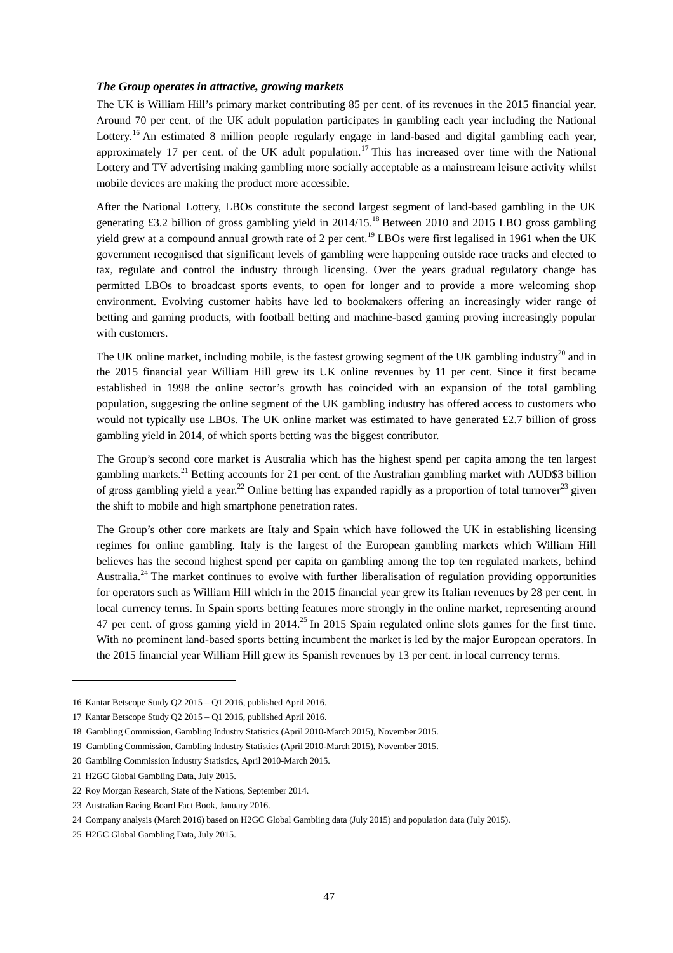#### *The Group operates in attractive, growing markets*

The UK is William Hill's primary market contributing 85 per cent. of its revenues in the 2015 financial year. Around 70 per cent. of the UK adult population participates in gambling each year including the National Lottery.<sup>16</sup> An estimated 8 million people regularly engage in land-based and digital gambling each year, approximately 17 per cent. of the UK adult population.<sup>17</sup> This has increased over time with the National Lottery and TV advertising making gambling more socially acceptable as a mainstream leisure activity whilst mobile devices are making the product more accessible.

After the National Lottery, LBOs constitute the second largest segment of land-based gambling in the UK generating £3.2 billion of gross gambling yield in 2014/15.18 Between 2010 and 2015 LBO gross gambling yield grew at a compound annual growth rate of 2 per cent.<sup>19</sup> LBOs were first legalised in 1961 when the UK government recognised that significant levels of gambling were happening outside race tracks and elected to tax, regulate and control the industry through licensing. Over the years gradual regulatory change has permitted LBOs to broadcast sports events, to open for longer and to provide a more welcoming shop environment. Evolving customer habits have led to bookmakers offering an increasingly wider range of betting and gaming products, with football betting and machine-based gaming proving increasingly popular with customers.

The UK online market, including mobile, is the fastest growing segment of the UK gambling industry<sup>20</sup> and in the 2015 financial year William Hill grew its UK online revenues by 11 per cent. Since it first became established in 1998 the online sector's growth has coincided with an expansion of the total gambling population, suggesting the online segment of the UK gambling industry has offered access to customers who would not typically use LBOs. The UK online market was estimated to have generated £2.7 billion of gross gambling yield in 2014, of which sports betting was the biggest contributor.

The Group's second core market is Australia which has the highest spend per capita among the ten largest gambling markets.<sup>21</sup> Betting accounts for 21 per cent. of the Australian gambling market with AUD\$3 billion of gross gambling yield a year.<sup>22</sup> Online betting has expanded rapidly as a proportion of total turnover<sup>23</sup> given the shift to mobile and high smartphone penetration rates.

The Group's other core markets are Italy and Spain which have followed the UK in establishing licensing regimes for online gambling. Italy is the largest of the European gambling markets which William Hill believes has the second highest spend per capita on gambling among the top ten regulated markets, behind Australia.<sup>24</sup> The market continues to evolve with further liberalisation of regulation providing opportunities for operators such as William Hill which in the 2015 financial year grew its Italian revenues by 28 per cent. in local currency terms. In Spain sports betting features more strongly in the online market, representing around 47 per cent. of gross gaming yield in 2014.<sup>25</sup> In 2015 Spain regulated online slots games for the first time. With no prominent land-based sports betting incumbent the market is led by the major European operators. In the 2015 financial year William Hill grew its Spanish revenues by 13 per cent. in local currency terms.

-

<sup>16</sup> Kantar Betscope Study Q2 2015 – Q1 2016, published April 2016.

<sup>17</sup> Kantar Betscope Study Q2 2015 – Q1 2016, published April 2016.

<sup>18</sup> Gambling Commission, Gambling Industry Statistics (April 2010-March 2015), November 2015.

<sup>19</sup> Gambling Commission, Gambling Industry Statistics (April 2010-March 2015), November 2015.

<sup>20</sup> Gambling Commission Industry Statistics, April 2010-March 2015.

<sup>21</sup> H2GC Global Gambling Data, July 2015.

<sup>22</sup> Roy Morgan Research, State of the Nations, September 2014.

<sup>23</sup> Australian Racing Board Fact Book, January 2016.

<sup>24</sup> Company analysis (March 2016) based on H2GC Global Gambling data (July 2015) and population data (July 2015).

<sup>25</sup> H2GC Global Gambling Data, July 2015.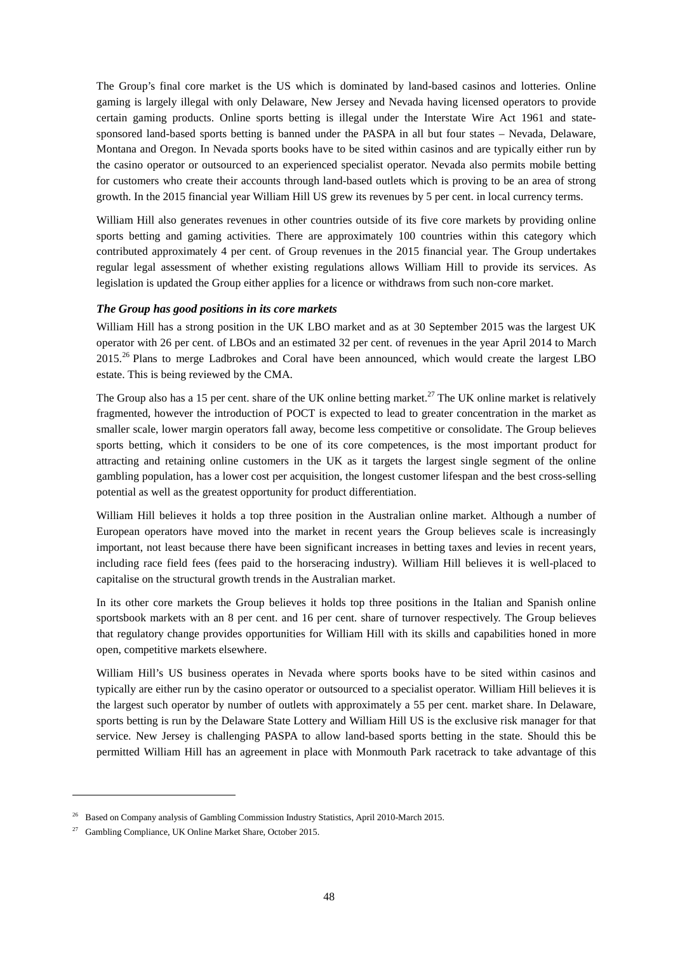The Group's final core market is the US which is dominated by land-based casinos and lotteries. Online gaming is largely illegal with only Delaware, New Jersey and Nevada having licensed operators to provide certain gaming products. Online sports betting is illegal under the Interstate Wire Act 1961 and statesponsored land-based sports betting is banned under the PASPA in all but four states – Nevada, Delaware, Montana and Oregon. In Nevada sports books have to be sited within casinos and are typically either run by the casino operator or outsourced to an experienced specialist operator. Nevada also permits mobile betting for customers who create their accounts through land-based outlets which is proving to be an area of strong growth. In the 2015 financial year William Hill US grew its revenues by 5 per cent. in local currency terms.

William Hill also generates revenues in other countries outside of its five core markets by providing online sports betting and gaming activities. There are approximately 100 countries within this category which contributed approximately 4 per cent. of Group revenues in the 2015 financial year. The Group undertakes regular legal assessment of whether existing regulations allows William Hill to provide its services. As legislation is updated the Group either applies for a licence or withdraws from such non-core market.

#### *The Group has good positions in its core markets*

William Hill has a strong position in the UK LBO market and as at 30 September 2015 was the largest UK operator with 26 per cent. of LBOs and an estimated 32 per cent. of revenues in the year April 2014 to March  $2015<sup>26</sup>$  Plans to merge Ladbrokes and Coral have been announced, which would create the largest LBO estate. This is being reviewed by the CMA.

The Group also has a 15 per cent. share of the UK online betting market.<sup>27</sup> The UK online market is relatively fragmented, however the introduction of POCT is expected to lead to greater concentration in the market as smaller scale, lower margin operators fall away, become less competitive or consolidate. The Group believes sports betting, which it considers to be one of its core competences, is the most important product for attracting and retaining online customers in the UK as it targets the largest single segment of the online gambling population, has a lower cost per acquisition, the longest customer lifespan and the best cross-selling potential as well as the greatest opportunity for product differentiation.

William Hill believes it holds a top three position in the Australian online market. Although a number of European operators have moved into the market in recent years the Group believes scale is increasingly important, not least because there have been significant increases in betting taxes and levies in recent years, including race field fees (fees paid to the horseracing industry). William Hill believes it is well-placed to capitalise on the structural growth trends in the Australian market.

In its other core markets the Group believes it holds top three positions in the Italian and Spanish online sportsbook markets with an 8 per cent. and 16 per cent. share of turnover respectively. The Group believes that regulatory change provides opportunities for William Hill with its skills and capabilities honed in more open, competitive markets elsewhere.

William Hill's US business operates in Nevada where sports books have to be sited within casinos and typically are either run by the casino operator or outsourced to a specialist operator. William Hill believes it is the largest such operator by number of outlets with approximately a 55 per cent. market share. In Delaware, sports betting is run by the Delaware State Lottery and William Hill US is the exclusive risk manager for that service. New Jersey is challenging PASPA to allow land-based sports betting in the state. Should this be permitted William Hill has an agreement in place with Monmouth Park racetrack to take advantage of this

j

<sup>&</sup>lt;sup>26</sup> Based on Company analysis of Gambling Commission Industry Statistics, April 2010-March 2015.

<sup>27</sup> Gambling Compliance, UK Online Market Share, October 2015.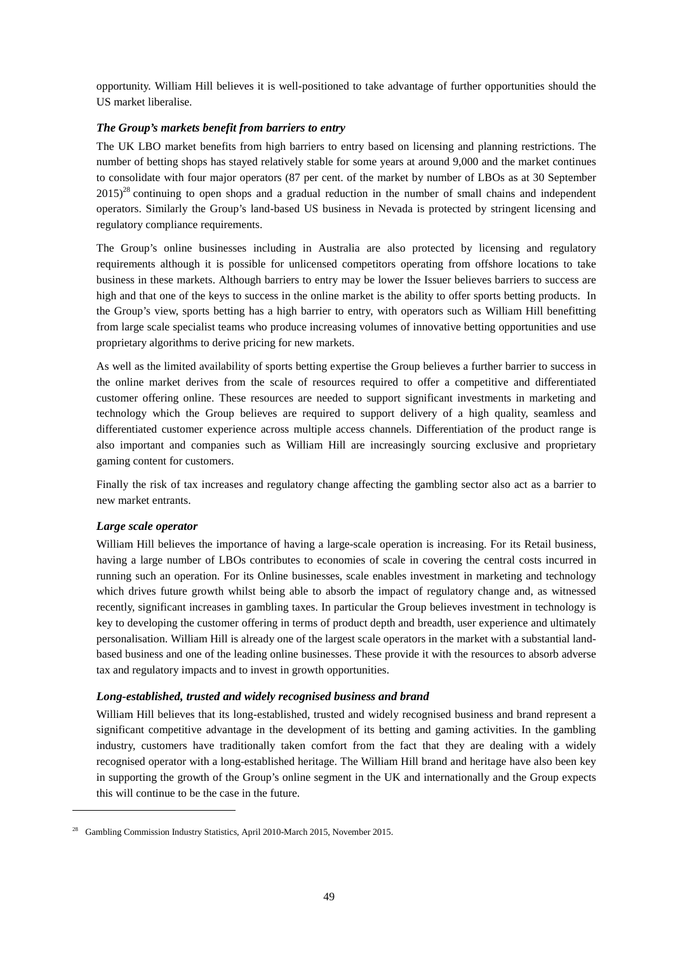opportunity. William Hill believes it is well-positioned to take advantage of further opportunities should the US market liberalise.

### *The Group's markets benefit from barriers to entry*

The UK LBO market benefits from high barriers to entry based on licensing and planning restrictions. The number of betting shops has stayed relatively stable for some years at around 9,000 and the market continues to consolidate with four major operators (87 per cent. of the market by number of LBOs as at 30 September  $2015$ <sup>28</sup> continuing to open shops and a gradual reduction in the number of small chains and independent operators. Similarly the Group's land-based US business in Nevada is protected by stringent licensing and regulatory compliance requirements.

The Group's online businesses including in Australia are also protected by licensing and regulatory requirements although it is possible for unlicensed competitors operating from offshore locations to take business in these markets. Although barriers to entry may be lower the Issuer believes barriers to success are high and that one of the keys to success in the online market is the ability to offer sports betting products. In the Group's view, sports betting has a high barrier to entry, with operators such as William Hill benefitting from large scale specialist teams who produce increasing volumes of innovative betting opportunities and use proprietary algorithms to derive pricing for new markets.

As well as the limited availability of sports betting expertise the Group believes a further barrier to success in the online market derives from the scale of resources required to offer a competitive and differentiated customer offering online. These resources are needed to support significant investments in marketing and technology which the Group believes are required to support delivery of a high quality, seamless and differentiated customer experience across multiple access channels. Differentiation of the product range is also important and companies such as William Hill are increasingly sourcing exclusive and proprietary gaming content for customers.

Finally the risk of tax increases and regulatory change affecting the gambling sector also act as a barrier to new market entrants.

#### *Large scale operator*

-

William Hill believes the importance of having a large-scale operation is increasing. For its Retail business, having a large number of LBOs contributes to economies of scale in covering the central costs incurred in running such an operation. For its Online businesses, scale enables investment in marketing and technology which drives future growth whilst being able to absorb the impact of regulatory change and, as witnessed recently, significant increases in gambling taxes. In particular the Group believes investment in technology is key to developing the customer offering in terms of product depth and breadth, user experience and ultimately personalisation. William Hill is already one of the largest scale operators in the market with a substantial landbased business and one of the leading online businesses. These provide it with the resources to absorb adverse tax and regulatory impacts and to invest in growth opportunities.

#### *Long-established, trusted and widely recognised business and brand*

William Hill believes that its long-established, trusted and widely recognised business and brand represent a significant competitive advantage in the development of its betting and gaming activities. In the gambling industry, customers have traditionally taken comfort from the fact that they are dealing with a widely recognised operator with a long-established heritage. The William Hill brand and heritage have also been key in supporting the growth of the Group's online segment in the UK and internationally and the Group expects this will continue to be the case in the future.

<sup>&</sup>lt;sup>28</sup> Gambling Commission Industry Statistics, April 2010-March 2015, November 2015.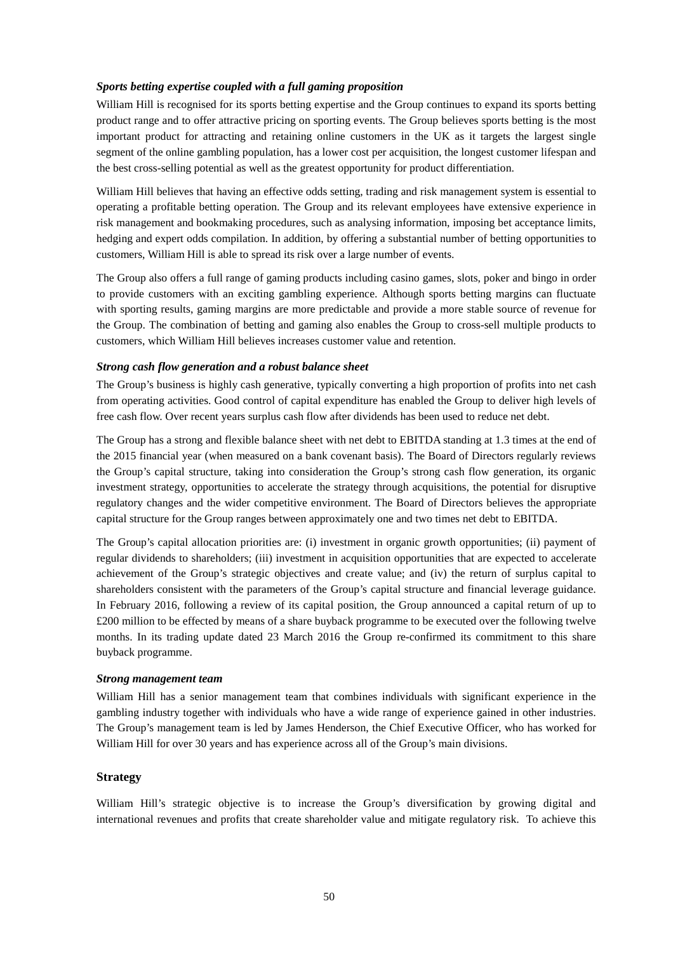### *Sports betting expertise coupled with a full gaming proposition*

William Hill is recognised for its sports betting expertise and the Group continues to expand its sports betting product range and to offer attractive pricing on sporting events. The Group believes sports betting is the most important product for attracting and retaining online customers in the UK as it targets the largest single segment of the online gambling population, has a lower cost per acquisition, the longest customer lifespan and the best cross-selling potential as well as the greatest opportunity for product differentiation.

William Hill believes that having an effective odds setting, trading and risk management system is essential to operating a profitable betting operation. The Group and its relevant employees have extensive experience in risk management and bookmaking procedures, such as analysing information, imposing bet acceptance limits, hedging and expert odds compilation. In addition, by offering a substantial number of betting opportunities to customers, William Hill is able to spread its risk over a large number of events.

The Group also offers a full range of gaming products including casino games, slots, poker and bingo in order to provide customers with an exciting gambling experience. Although sports betting margins can fluctuate with sporting results, gaming margins are more predictable and provide a more stable source of revenue for the Group. The combination of betting and gaming also enables the Group to cross-sell multiple products to customers, which William Hill believes increases customer value and retention.

### *Strong cash flow generation and a robust balance sheet*

The Group's business is highly cash generative, typically converting a high proportion of profits into net cash from operating activities. Good control of capital expenditure has enabled the Group to deliver high levels of free cash flow. Over recent years surplus cash flow after dividends has been used to reduce net debt.

The Group has a strong and flexible balance sheet with net debt to EBITDA standing at 1.3 times at the end of the 2015 financial year (when measured on a bank covenant basis). The Board of Directors regularly reviews the Group's capital structure, taking into consideration the Group's strong cash flow generation, its organic investment strategy, opportunities to accelerate the strategy through acquisitions, the potential for disruptive regulatory changes and the wider competitive environment. The Board of Directors believes the appropriate capital structure for the Group ranges between approximately one and two times net debt to EBITDA.

The Group's capital allocation priorities are: (i) investment in organic growth opportunities; (ii) payment of regular dividends to shareholders; (iii) investment in acquisition opportunities that are expected to accelerate achievement of the Group's strategic objectives and create value; and (iv) the return of surplus capital to shareholders consistent with the parameters of the Group's capital structure and financial leverage guidance. In February 2016, following a review of its capital position, the Group announced a capital return of up to £200 million to be effected by means of a share buyback programme to be executed over the following twelve months. In its trading update dated 23 March 2016 the Group re-confirmed its commitment to this share buyback programme.

#### *Strong management team*

William Hill has a senior management team that combines individuals with significant experience in the gambling industry together with individuals who have a wide range of experience gained in other industries. The Group's management team is led by James Henderson, the Chief Executive Officer, who has worked for William Hill for over 30 years and has experience across all of the Group's main divisions.

#### **Strategy**

William Hill's strategic objective is to increase the Group's diversification by growing digital and international revenues and profits that create shareholder value and mitigate regulatory risk. To achieve this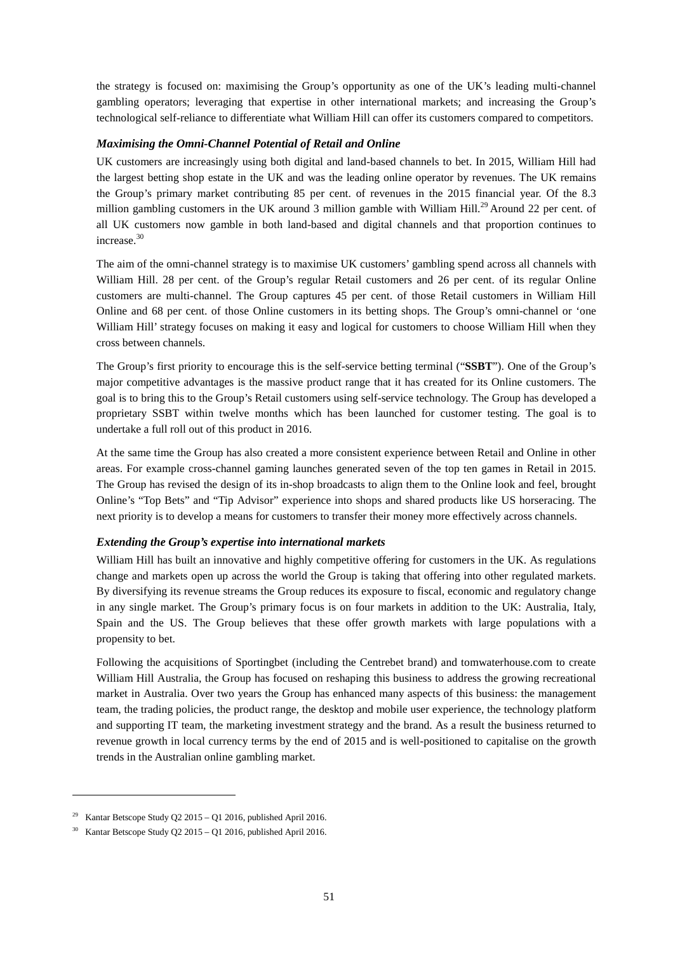the strategy is focused on: maximising the Group's opportunity as one of the UK's leading multi-channel gambling operators; leveraging that expertise in other international markets; and increasing the Group's technological self-reliance to differentiate what William Hill can offer its customers compared to competitors.

#### *Maximising the Omni-Channel Potential of Retail and Online*

UK customers are increasingly using both digital and land-based channels to bet. In 2015, William Hill had the largest betting shop estate in the UK and was the leading online operator by revenues. The UK remains the Group's primary market contributing 85 per cent. of revenues in the 2015 financial year. Of the 8.3 million gambling customers in the UK around 3 million gamble with William Hill.<sup>29</sup> Around 22 per cent. of all UK customers now gamble in both land-based and digital channels and that proportion continues to increase.30

The aim of the omni-channel strategy is to maximise UK customers' gambling spend across all channels with William Hill. 28 per cent. of the Group's regular Retail customers and 26 per cent. of its regular Online customers are multi-channel. The Group captures 45 per cent. of those Retail customers in William Hill Online and 68 per cent. of those Online customers in its betting shops. The Group's omni-channel or 'one William Hill' strategy focuses on making it easy and logical for customers to choose William Hill when they cross between channels.

The Group's first priority to encourage this is the self-service betting terminal ("**SSBT**"). One of the Group's major competitive advantages is the massive product range that it has created for its Online customers. The goal is to bring this to the Group's Retail customers using self-service technology. The Group has developed a proprietary SSBT within twelve months which has been launched for customer testing. The goal is to undertake a full roll out of this product in 2016.

At the same time the Group has also created a more consistent experience between Retail and Online in other areas. For example cross-channel gaming launches generated seven of the top ten games in Retail in 2015. The Group has revised the design of its in-shop broadcasts to align them to the Online look and feel, brought Online's "Top Bets" and "Tip Advisor" experience into shops and shared products like US horseracing. The next priority is to develop a means for customers to transfer their money more effectively across channels.

#### *Extending the Group's expertise into international markets*

William Hill has built an innovative and highly competitive offering for customers in the UK. As regulations change and markets open up across the world the Group is taking that offering into other regulated markets. By diversifying its revenue streams the Group reduces its exposure to fiscal, economic and regulatory change in any single market. The Group's primary focus is on four markets in addition to the UK: Australia, Italy, Spain and the US. The Group believes that these offer growth markets with large populations with a propensity to bet.

Following the acquisitions of Sportingbet (including the Centrebet brand) and tomwaterhouse.com to create William Hill Australia, the Group has focused on reshaping this business to address the growing recreational market in Australia. Over two years the Group has enhanced many aspects of this business: the management team, the trading policies, the product range, the desktop and mobile user experience, the technology platform and supporting IT team, the marketing investment strategy and the brand. As a result the business returned to revenue growth in local currency terms by the end of 2015 and is well-positioned to capitalise on the growth trends in the Australian online gambling market.

j

<sup>&</sup>lt;sup>29</sup> Kantar Betscope Study Q2 2015 – Q1 2016, published April 2016.

<sup>30</sup> Kantar Betscope Study Q2 2015 – Q1 2016, published April 2016.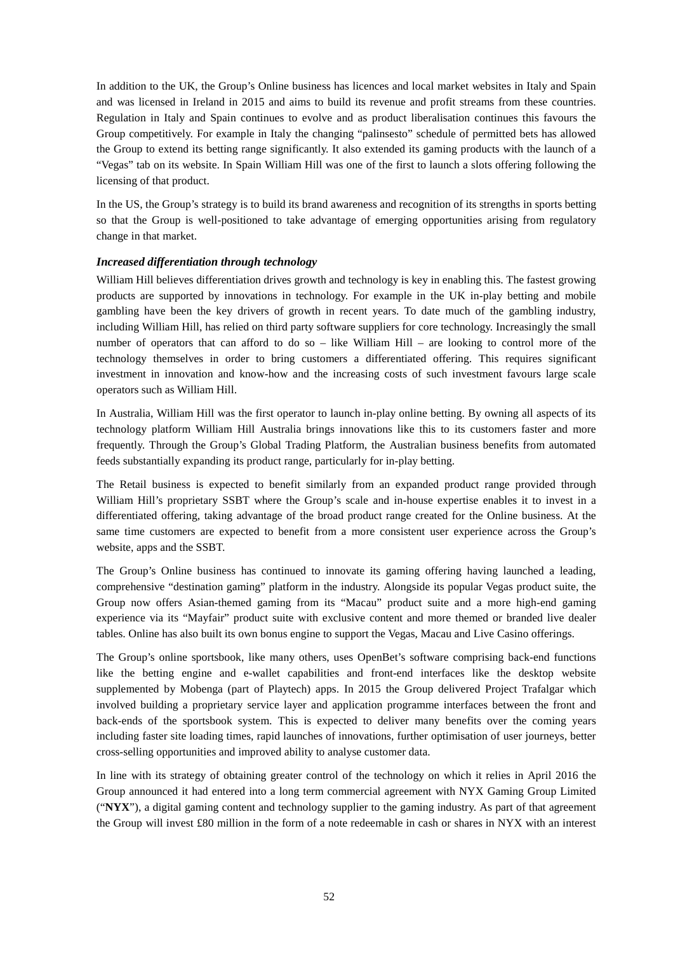In addition to the UK, the Group's Online business has licences and local market websites in Italy and Spain and was licensed in Ireland in 2015 and aims to build its revenue and profit streams from these countries. Regulation in Italy and Spain continues to evolve and as product liberalisation continues this favours the Group competitively. For example in Italy the changing "palinsesto" schedule of permitted bets has allowed the Group to extend its betting range significantly. It also extended its gaming products with the launch of a "Vegas" tab on its website. In Spain William Hill was one of the first to launch a slots offering following the licensing of that product.

In the US, the Group's strategy is to build its brand awareness and recognition of its strengths in sports betting so that the Group is well-positioned to take advantage of emerging opportunities arising from regulatory change in that market.

### *Increased differentiation through technology*

William Hill believes differentiation drives growth and technology is key in enabling this. The fastest growing products are supported by innovations in technology. For example in the UK in-play betting and mobile gambling have been the key drivers of growth in recent years. To date much of the gambling industry, including William Hill, has relied on third party software suppliers for core technology. Increasingly the small number of operators that can afford to do so – like William Hill – are looking to control more of the technology themselves in order to bring customers a differentiated offering. This requires significant investment in innovation and know-how and the increasing costs of such investment favours large scale operators such as William Hill.

In Australia, William Hill was the first operator to launch in-play online betting. By owning all aspects of its technology platform William Hill Australia brings innovations like this to its customers faster and more frequently. Through the Group's Global Trading Platform, the Australian business benefits from automated feeds substantially expanding its product range, particularly for in-play betting.

The Retail business is expected to benefit similarly from an expanded product range provided through William Hill's proprietary SSBT where the Group's scale and in-house expertise enables it to invest in a differentiated offering, taking advantage of the broad product range created for the Online business. At the same time customers are expected to benefit from a more consistent user experience across the Group's website, apps and the SSBT.

The Group's Online business has continued to innovate its gaming offering having launched a leading, comprehensive "destination gaming" platform in the industry. Alongside its popular Vegas product suite, the Group now offers Asian-themed gaming from its "Macau" product suite and a more high-end gaming experience via its "Mayfair" product suite with exclusive content and more themed or branded live dealer tables. Online has also built its own bonus engine to support the Vegas, Macau and Live Casino offerings.

The Group's online sportsbook, like many others, uses OpenBet's software comprising back-end functions like the betting engine and e-wallet capabilities and front-end interfaces like the desktop website supplemented by Mobenga (part of Playtech) apps. In 2015 the Group delivered Project Trafalgar which involved building a proprietary service layer and application programme interfaces between the front and back-ends of the sportsbook system. This is expected to deliver many benefits over the coming years including faster site loading times, rapid launches of innovations, further optimisation of user journeys, better cross-selling opportunities and improved ability to analyse customer data.

In line with its strategy of obtaining greater control of the technology on which it relies in April 2016 the Group announced it had entered into a long term commercial agreement with NYX Gaming Group Limited ("**NYX**"), a digital gaming content and technology supplier to the gaming industry. As part of that agreement the Group will invest £80 million in the form of a note redeemable in cash or shares in NYX with an interest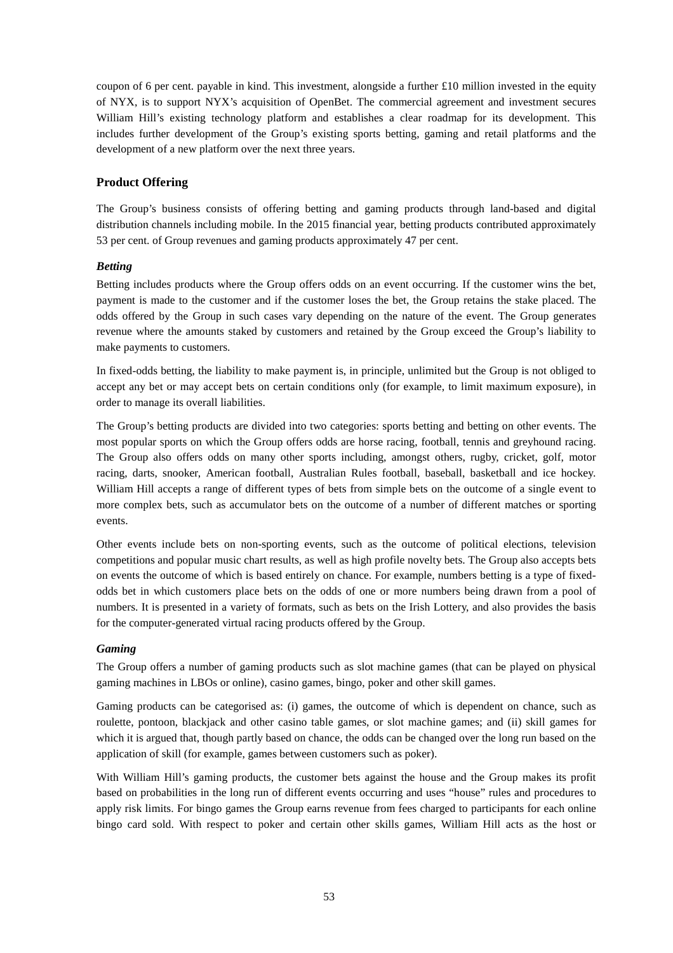coupon of 6 per cent. payable in kind. This investment, alongside a further £10 million invested in the equity of NYX, is to support NYX's acquisition of OpenBet. The commercial agreement and investment secures William Hill's existing technology platform and establishes a clear roadmap for its development. This includes further development of the Group's existing sports betting, gaming and retail platforms and the development of a new platform over the next three years.

## **Product Offering**

The Group's business consists of offering betting and gaming products through land-based and digital distribution channels including mobile. In the 2015 financial year, betting products contributed approximately 53 per cent. of Group revenues and gaming products approximately 47 per cent.

### *Betting*

Betting includes products where the Group offers odds on an event occurring. If the customer wins the bet, payment is made to the customer and if the customer loses the bet, the Group retains the stake placed. The odds offered by the Group in such cases vary depending on the nature of the event. The Group generates revenue where the amounts staked by customers and retained by the Group exceed the Group's liability to make payments to customers.

In fixed-odds betting, the liability to make payment is, in principle, unlimited but the Group is not obliged to accept any bet or may accept bets on certain conditions only (for example, to limit maximum exposure), in order to manage its overall liabilities.

The Group's betting products are divided into two categories: sports betting and betting on other events. The most popular sports on which the Group offers odds are horse racing, football, tennis and greyhound racing. The Group also offers odds on many other sports including, amongst others, rugby, cricket, golf, motor racing, darts, snooker, American football, Australian Rules football, baseball, basketball and ice hockey. William Hill accepts a range of different types of bets from simple bets on the outcome of a single event to more complex bets, such as accumulator bets on the outcome of a number of different matches or sporting events.

Other events include bets on non-sporting events, such as the outcome of political elections, television competitions and popular music chart results, as well as high profile novelty bets. The Group also accepts bets on events the outcome of which is based entirely on chance. For example, numbers betting is a type of fixedodds bet in which customers place bets on the odds of one or more numbers being drawn from a pool of numbers. It is presented in a variety of formats, such as bets on the Irish Lottery, and also provides the basis for the computer-generated virtual racing products offered by the Group.

### *Gaming*

The Group offers a number of gaming products such as slot machine games (that can be played on physical gaming machines in LBOs or online), casino games, bingo, poker and other skill games.

Gaming products can be categorised as: (i) games, the outcome of which is dependent on chance, such as roulette, pontoon, blackjack and other casino table games, or slot machine games; and (ii) skill games for which it is argued that, though partly based on chance, the odds can be changed over the long run based on the application of skill (for example, games between customers such as poker).

With William Hill's gaming products, the customer bets against the house and the Group makes its profit based on probabilities in the long run of different events occurring and uses "house" rules and procedures to apply risk limits. For bingo games the Group earns revenue from fees charged to participants for each online bingo card sold. With respect to poker and certain other skills games, William Hill acts as the host or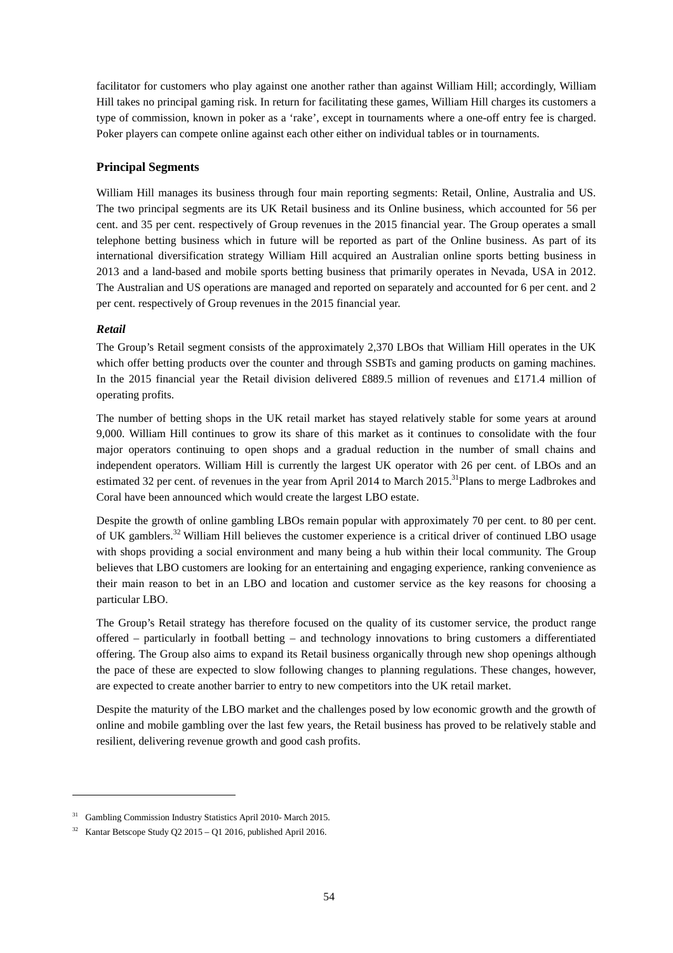facilitator for customers who play against one another rather than against William Hill; accordingly, William Hill takes no principal gaming risk. In return for facilitating these games, William Hill charges its customers a type of commission, known in poker as a 'rake', except in tournaments where a one-off entry fee is charged. Poker players can compete online against each other either on individual tables or in tournaments.

## **Principal Segments**

William Hill manages its business through four main reporting segments: Retail, Online, Australia and US. The two principal segments are its UK Retail business and its Online business, which accounted for 56 per cent. and 35 per cent. respectively of Group revenues in the 2015 financial year. The Group operates a small telephone betting business which in future will be reported as part of the Online business. As part of its international diversification strategy William Hill acquired an Australian online sports betting business in 2013 and a land-based and mobile sports betting business that primarily operates in Nevada, USA in 2012. The Australian and US operations are managed and reported on separately and accounted for 6 per cent. and 2 per cent. respectively of Group revenues in the 2015 financial year.

## *Retail*

j

The Group's Retail segment consists of the approximately 2,370 LBOs that William Hill operates in the UK which offer betting products over the counter and through SSBTs and gaming products on gaming machines. In the 2015 financial year the Retail division delivered £889.5 million of revenues and £171.4 million of operating profits.

The number of betting shops in the UK retail market has stayed relatively stable for some years at around 9,000. William Hill continues to grow its share of this market as it continues to consolidate with the four major operators continuing to open shops and a gradual reduction in the number of small chains and independent operators. William Hill is currently the largest UK operator with 26 per cent. of LBOs and an estimated 32 per cent. of revenues in the year from April 2014 to March 2015.<sup>31</sup>Plans to merge Ladbrokes and Coral have been announced which would create the largest LBO estate.

Despite the growth of online gambling LBOs remain popular with approximately 70 per cent. to 80 per cent. of UK gamblers.<sup>32</sup> William Hill believes the customer experience is a critical driver of continued LBO usage with shops providing a social environment and many being a hub within their local community. The Group believes that LBO customers are looking for an entertaining and engaging experience, ranking convenience as their main reason to bet in an LBO and location and customer service as the key reasons for choosing a particular LBO.

The Group's Retail strategy has therefore focused on the quality of its customer service, the product range offered – particularly in football betting – and technology innovations to bring customers a differentiated offering. The Group also aims to expand its Retail business organically through new shop openings although the pace of these are expected to slow following changes to planning regulations. These changes, however, are expected to create another barrier to entry to new competitors into the UK retail market.

Despite the maturity of the LBO market and the challenges posed by low economic growth and the growth of online and mobile gambling over the last few years, the Retail business has proved to be relatively stable and resilient, delivering revenue growth and good cash profits.

<sup>&</sup>lt;sup>31</sup> Gambling Commission Industry Statistics April 2010- March 2015.

<sup>32</sup> Kantar Betscope Study Q2 2015 – Q1 2016, published April 2016.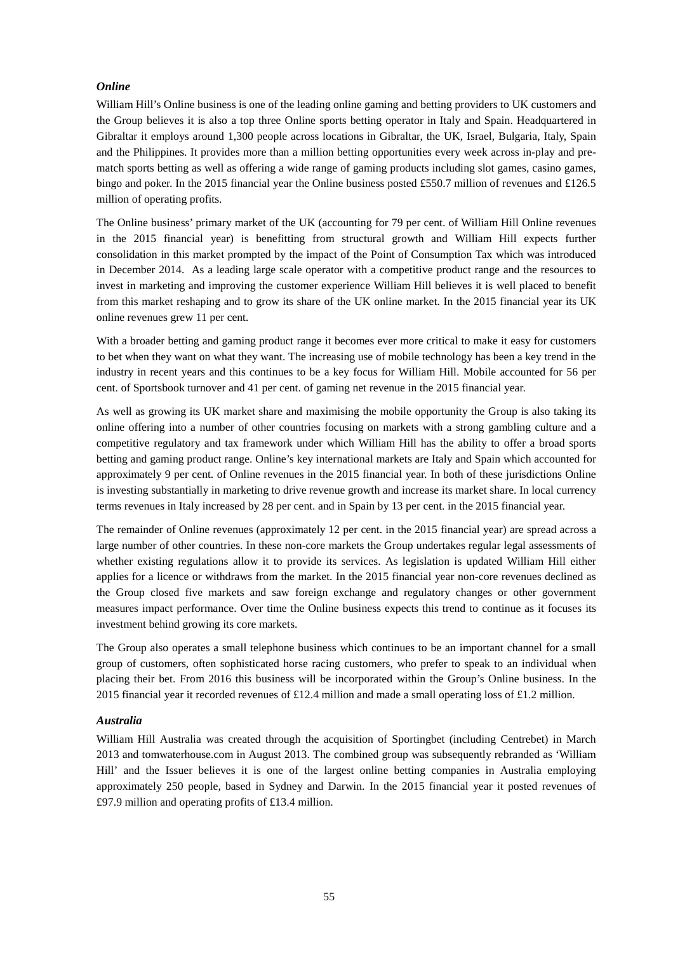### *Online*

William Hill's Online business is one of the leading online gaming and betting providers to UK customers and the Group believes it is also a top three Online sports betting operator in Italy and Spain. Headquartered in Gibraltar it employs around 1,300 people across locations in Gibraltar, the UK, Israel, Bulgaria, Italy, Spain and the Philippines. It provides more than a million betting opportunities every week across in-play and prematch sports betting as well as offering a wide range of gaming products including slot games, casino games, bingo and poker. In the 2015 financial year the Online business posted £550.7 million of revenues and £126.5 million of operating profits.

The Online business' primary market of the UK (accounting for 79 per cent. of William Hill Online revenues in the 2015 financial year) is benefitting from structural growth and William Hill expects further consolidation in this market prompted by the impact of the Point of Consumption Tax which was introduced in December 2014. As a leading large scale operator with a competitive product range and the resources to invest in marketing and improving the customer experience William Hill believes it is well placed to benefit from this market reshaping and to grow its share of the UK online market. In the 2015 financial year its UK online revenues grew 11 per cent.

With a broader betting and gaming product range it becomes ever more critical to make it easy for customers to bet when they want on what they want. The increasing use of mobile technology has been a key trend in the industry in recent years and this continues to be a key focus for William Hill. Mobile accounted for 56 per cent. of Sportsbook turnover and 41 per cent. of gaming net revenue in the 2015 financial year.

As well as growing its UK market share and maximising the mobile opportunity the Group is also taking its online offering into a number of other countries focusing on markets with a strong gambling culture and a competitive regulatory and tax framework under which William Hill has the ability to offer a broad sports betting and gaming product range. Online's key international markets are Italy and Spain which accounted for approximately 9 per cent. of Online revenues in the 2015 financial year. In both of these jurisdictions Online is investing substantially in marketing to drive revenue growth and increase its market share. In local currency terms revenues in Italy increased by 28 per cent. and in Spain by 13 per cent. in the 2015 financial year.

The remainder of Online revenues (approximately 12 per cent. in the 2015 financial year) are spread across a large number of other countries. In these non-core markets the Group undertakes regular legal assessments of whether existing regulations allow it to provide its services. As legislation is updated William Hill either applies for a licence or withdraws from the market. In the 2015 financial year non-core revenues declined as the Group closed five markets and saw foreign exchange and regulatory changes or other government measures impact performance. Over time the Online business expects this trend to continue as it focuses its investment behind growing its core markets.

The Group also operates a small telephone business which continues to be an important channel for a small group of customers, often sophisticated horse racing customers, who prefer to speak to an individual when placing their bet. From 2016 this business will be incorporated within the Group's Online business. In the 2015 financial year it recorded revenues of £12.4 million and made a small operating loss of £1.2 million.

#### *Australia*

William Hill Australia was created through the acquisition of Sportingbet (including Centrebet) in March 2013 and tomwaterhouse.com in August 2013. The combined group was subsequently rebranded as 'William Hill' and the Issuer believes it is one of the largest online betting companies in Australia employing approximately 250 people, based in Sydney and Darwin. In the 2015 financial year it posted revenues of £97.9 million and operating profits of £13.4 million.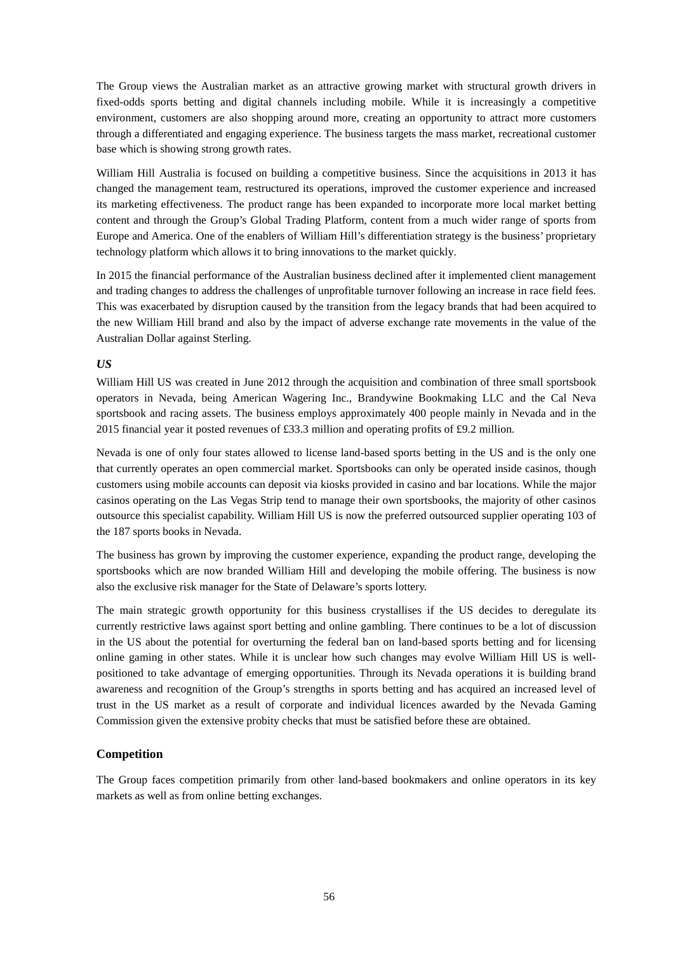The Group views the Australian market as an attractive growing market with structural growth drivers in fixed-odds sports betting and digital channels including mobile. While it is increasingly a competitive environment, customers are also shopping around more, creating an opportunity to attract more customers through a differentiated and engaging experience. The business targets the mass market, recreational customer base which is showing strong growth rates.

William Hill Australia is focused on building a competitive business. Since the acquisitions in 2013 it has changed the management team, restructured its operations, improved the customer experience and increased its marketing effectiveness. The product range has been expanded to incorporate more local market betting content and through the Group's Global Trading Platform, content from a much wider range of sports from Europe and America. One of the enablers of William Hill's differentiation strategy is the business' proprietary technology platform which allows it to bring innovations to the market quickly.

In 2015 the financial performance of the Australian business declined after it implemented client management and trading changes to address the challenges of unprofitable turnover following an increase in race field fees. This was exacerbated by disruption caused by the transition from the legacy brands that had been acquired to the new William Hill brand and also by the impact of adverse exchange rate movements in the value of the Australian Dollar against Sterling.

### *US*

William Hill US was created in June 2012 through the acquisition and combination of three small sportsbook operators in Nevada, being American Wagering Inc., Brandywine Bookmaking LLC and the Cal Neva sportsbook and racing assets. The business employs approximately 400 people mainly in Nevada and in the 2015 financial year it posted revenues of £33.3 million and operating profits of £9.2 million.

Nevada is one of only four states allowed to license land-based sports betting in the US and is the only one that currently operates an open commercial market. Sportsbooks can only be operated inside casinos, though customers using mobile accounts can deposit via kiosks provided in casino and bar locations. While the major casinos operating on the Las Vegas Strip tend to manage their own sportsbooks, the majority of other casinos outsource this specialist capability. William Hill US is now the preferred outsourced supplier operating 103 of the 187 sports books in Nevada.

The business has grown by improving the customer experience, expanding the product range, developing the sportsbooks which are now branded William Hill and developing the mobile offering. The business is now also the exclusive risk manager for the State of Delaware's sports lottery.

The main strategic growth opportunity for this business crystallises if the US decides to deregulate its currently restrictive laws against sport betting and online gambling. There continues to be a lot of discussion in the US about the potential for overturning the federal ban on land-based sports betting and for licensing online gaming in other states. While it is unclear how such changes may evolve William Hill US is wellpositioned to take advantage of emerging opportunities. Through its Nevada operations it is building brand awareness and recognition of the Group's strengths in sports betting and has acquired an increased level of trust in the US market as a result of corporate and individual licences awarded by the Nevada Gaming Commission given the extensive probity checks that must be satisfied before these are obtained.

### **Competition**

The Group faces competition primarily from other land-based bookmakers and online operators in its key markets as well as from online betting exchanges.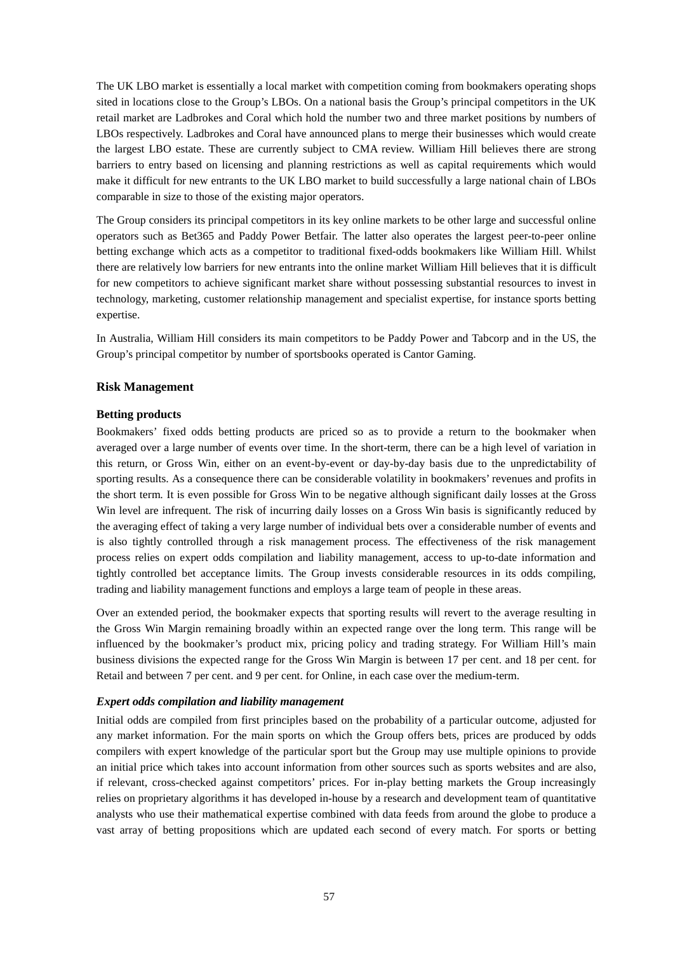The UK LBO market is essentially a local market with competition coming from bookmakers operating shops sited in locations close to the Group's LBOs. On a national basis the Group's principal competitors in the UK retail market are Ladbrokes and Coral which hold the number two and three market positions by numbers of LBOs respectively. Ladbrokes and Coral have announced plans to merge their businesses which would create the largest LBO estate. These are currently subject to CMA review. William Hill believes there are strong barriers to entry based on licensing and planning restrictions as well as capital requirements which would make it difficult for new entrants to the UK LBO market to build successfully a large national chain of LBOs comparable in size to those of the existing major operators.

The Group considers its principal competitors in its key online markets to be other large and successful online operators such as Bet365 and Paddy Power Betfair. The latter also operates the largest peer-to-peer online betting exchange which acts as a competitor to traditional fixed-odds bookmakers like William Hill. Whilst there are relatively low barriers for new entrants into the online market William Hill believes that it is difficult for new competitors to achieve significant market share without possessing substantial resources to invest in technology, marketing, customer relationship management and specialist expertise, for instance sports betting expertise.

In Australia, William Hill considers its main competitors to be Paddy Power and Tabcorp and in the US, the Group's principal competitor by number of sportsbooks operated is Cantor Gaming.

#### **Risk Management**

#### **Betting products**

Bookmakers' fixed odds betting products are priced so as to provide a return to the bookmaker when averaged over a large number of events over time. In the short-term, there can be a high level of variation in this return, or Gross Win, either on an event-by-event or day-by-day basis due to the unpredictability of sporting results. As a consequence there can be considerable volatility in bookmakers' revenues and profits in the short term. It is even possible for Gross Win to be negative although significant daily losses at the Gross Win level are infrequent. The risk of incurring daily losses on a Gross Win basis is significantly reduced by the averaging effect of taking a very large number of individual bets over a considerable number of events and is also tightly controlled through a risk management process. The effectiveness of the risk management process relies on expert odds compilation and liability management, access to up-to-date information and tightly controlled bet acceptance limits. The Group invests considerable resources in its odds compiling, trading and liability management functions and employs a large team of people in these areas.

Over an extended period, the bookmaker expects that sporting results will revert to the average resulting in the Gross Win Margin remaining broadly within an expected range over the long term. This range will be influenced by the bookmaker's product mix, pricing policy and trading strategy. For William Hill's main business divisions the expected range for the Gross Win Margin is between 17 per cent. and 18 per cent. for Retail and between 7 per cent. and 9 per cent. for Online, in each case over the medium-term.

#### *Expert odds compilation and liability management*

Initial odds are compiled from first principles based on the probability of a particular outcome, adjusted for any market information. For the main sports on which the Group offers bets, prices are produced by odds compilers with expert knowledge of the particular sport but the Group may use multiple opinions to provide an initial price which takes into account information from other sources such as sports websites and are also, if relevant, cross-checked against competitors' prices. For in-play betting markets the Group increasingly relies on proprietary algorithms it has developed in-house by a research and development team of quantitative analysts who use their mathematical expertise combined with data feeds from around the globe to produce a vast array of betting propositions which are updated each second of every match. For sports or betting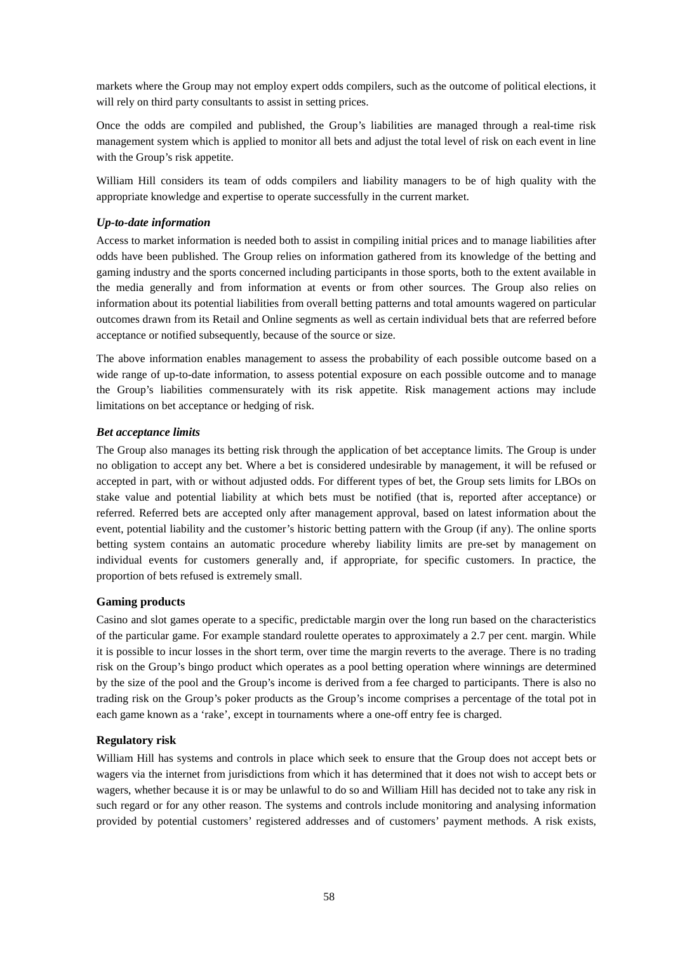markets where the Group may not employ expert odds compilers, such as the outcome of political elections, it will rely on third party consultants to assist in setting prices.

Once the odds are compiled and published, the Group's liabilities are managed through a real-time risk management system which is applied to monitor all bets and adjust the total level of risk on each event in line with the Group's risk appetite.

William Hill considers its team of odds compilers and liability managers to be of high quality with the appropriate knowledge and expertise to operate successfully in the current market.

#### *Up-to-date information*

Access to market information is needed both to assist in compiling initial prices and to manage liabilities after odds have been published. The Group relies on information gathered from its knowledge of the betting and gaming industry and the sports concerned including participants in those sports, both to the extent available in the media generally and from information at events or from other sources. The Group also relies on information about its potential liabilities from overall betting patterns and total amounts wagered on particular outcomes drawn from its Retail and Online segments as well as certain individual bets that are referred before acceptance or notified subsequently, because of the source or size.

The above information enables management to assess the probability of each possible outcome based on a wide range of up-to-date information, to assess potential exposure on each possible outcome and to manage the Group's liabilities commensurately with its risk appetite. Risk management actions may include limitations on bet acceptance or hedging of risk.

#### *Bet acceptance limits*

The Group also manages its betting risk through the application of bet acceptance limits. The Group is under no obligation to accept any bet. Where a bet is considered undesirable by management, it will be refused or accepted in part, with or without adjusted odds. For different types of bet, the Group sets limits for LBOs on stake value and potential liability at which bets must be notified (that is, reported after acceptance) or referred. Referred bets are accepted only after management approval, based on latest information about the event, potential liability and the customer's historic betting pattern with the Group (if any). The online sports betting system contains an automatic procedure whereby liability limits are pre-set by management on individual events for customers generally and, if appropriate, for specific customers. In practice, the proportion of bets refused is extremely small.

### **Gaming products**

Casino and slot games operate to a specific, predictable margin over the long run based on the characteristics of the particular game. For example standard roulette operates to approximately a 2.7 per cent. margin. While it is possible to incur losses in the short term, over time the margin reverts to the average. There is no trading risk on the Group's bingo product which operates as a pool betting operation where winnings are determined by the size of the pool and the Group's income is derived from a fee charged to participants. There is also no trading risk on the Group's poker products as the Group's income comprises a percentage of the total pot in each game known as a 'rake', except in tournaments where a one-off entry fee is charged.

### **Regulatory risk**

William Hill has systems and controls in place which seek to ensure that the Group does not accept bets or wagers via the internet from jurisdictions from which it has determined that it does not wish to accept bets or wagers, whether because it is or may be unlawful to do so and William Hill has decided not to take any risk in such regard or for any other reason. The systems and controls include monitoring and analysing information provided by potential customers' registered addresses and of customers' payment methods. A risk exists,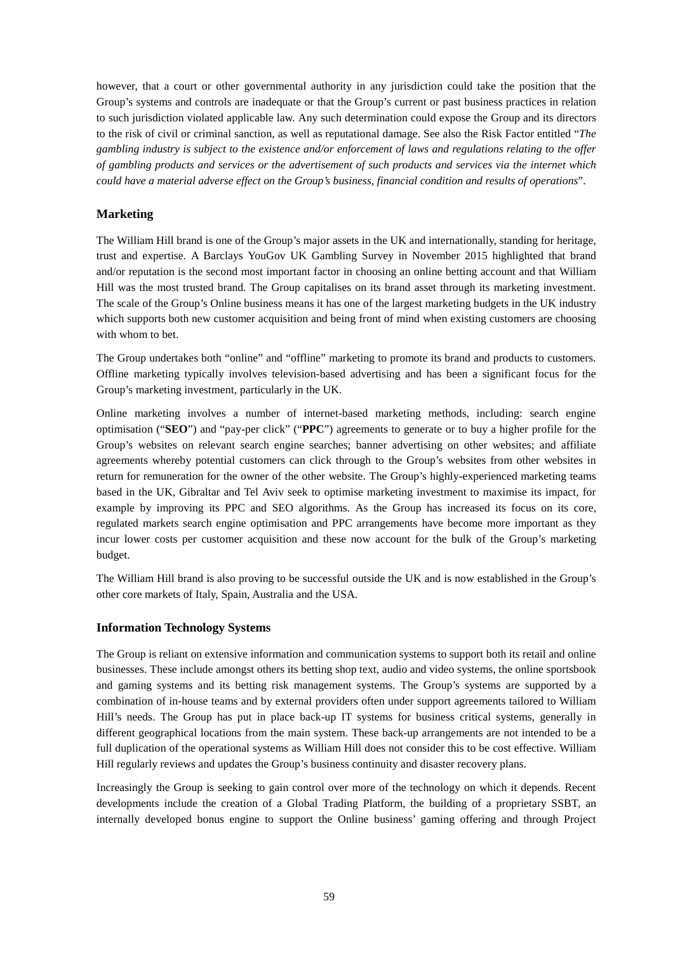however, that a court or other governmental authority in any jurisdiction could take the position that the Group's systems and controls are inadequate or that the Group's current or past business practices in relation to such jurisdiction violated applicable law. Any such determination could expose the Group and its directors to the risk of civil or criminal sanction, as well as reputational damage. See also the Risk Factor entitled "*The gambling industry is subject to the existence and/or enforcement of laws and regulations relating to the offer of gambling products and services or the advertisement of such products and services via the internet which could have a material adverse effect on the Group's business, financial condition and results of operations*".

## **Marketing**

The William Hill brand is one of the Group's major assets in the UK and internationally, standing for heritage, trust and expertise. A Barclays YouGov UK Gambling Survey in November 2015 highlighted that brand and/or reputation is the second most important factor in choosing an online betting account and that William Hill was the most trusted brand. The Group capitalises on its brand asset through its marketing investment. The scale of the Group's Online business means it has one of the largest marketing budgets in the UK industry which supports both new customer acquisition and being front of mind when existing customers are choosing with whom to bet.

The Group undertakes both "online" and "offline" marketing to promote its brand and products to customers. Offline marketing typically involves television-based advertising and has been a significant focus for the Group's marketing investment, particularly in the UK.

Online marketing involves a number of internet-based marketing methods, including: search engine optimisation ("**SEO**") and "pay-per click" ("**PPC**") agreements to generate or to buy a higher profile for the Group's websites on relevant search engine searches; banner advertising on other websites; and affiliate agreements whereby potential customers can click through to the Group's websites from other websites in return for remuneration for the owner of the other website. The Group's highly-experienced marketing teams based in the UK, Gibraltar and Tel Aviv seek to optimise marketing investment to maximise its impact, for example by improving its PPC and SEO algorithms. As the Group has increased its focus on its core, regulated markets search engine optimisation and PPC arrangements have become more important as they incur lower costs per customer acquisition and these now account for the bulk of the Group's marketing budget.

The William Hill brand is also proving to be successful outside the UK and is now established in the Group's other core markets of Italy, Spain, Australia and the USA.

### **Information Technology Systems**

The Group is reliant on extensive information and communication systems to support both its retail and online businesses. These include amongst others its betting shop text, audio and video systems, the online sportsbook and gaming systems and its betting risk management systems. The Group's systems are supported by a combination of in-house teams and by external providers often under support agreements tailored to William Hill's needs. The Group has put in place back-up IT systems for business critical systems, generally in different geographical locations from the main system. These back-up arrangements are not intended to be a full duplication of the operational systems as William Hill does not consider this to be cost effective. William Hill regularly reviews and updates the Group's business continuity and disaster recovery plans.

Increasingly the Group is seeking to gain control over more of the technology on which it depends. Recent developments include the creation of a Global Trading Platform, the building of a proprietary SSBT, an internally developed bonus engine to support the Online business' gaming offering and through Project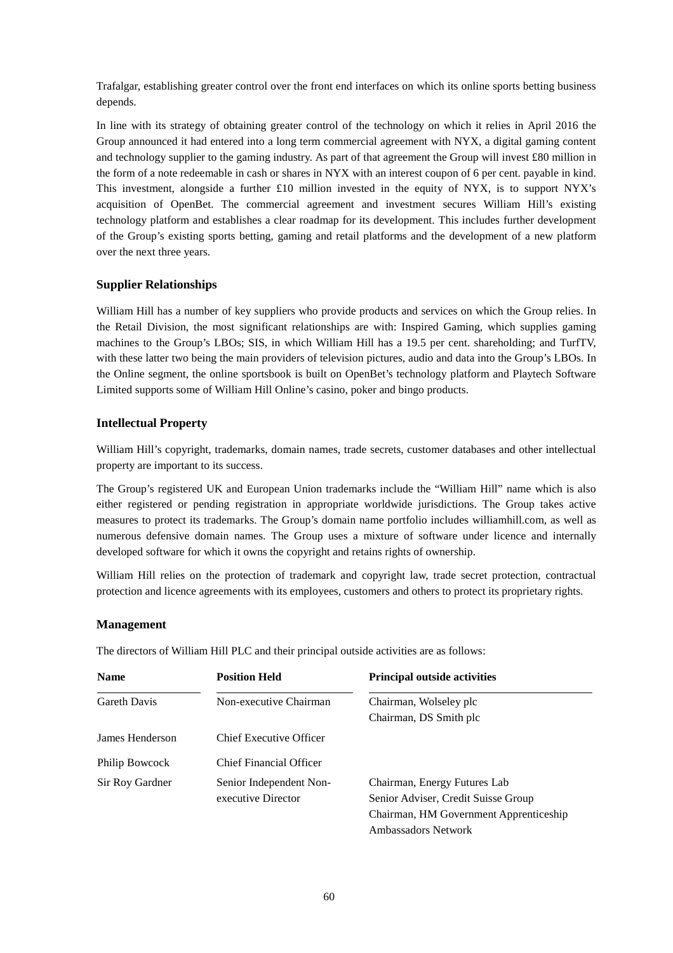Trafalgar, establishing greater control over the front end interfaces on which its online sports betting business depends.

In line with its strategy of obtaining greater control of the technology on which it relies in April 2016 the Group announced it had entered into a long term commercial agreement with NYX, a digital gaming content and technology supplier to the gaming industry. As part of that agreement the Group will invest £80 million in the form of a note redeemable in cash or shares in NYX with an interest coupon of 6 per cent. payable in kind. This investment, alongside a further £10 million invested in the equity of NYX, is to support NYX's acquisition of OpenBet. The commercial agreement and investment secures William Hill's existing technology platform and establishes a clear roadmap for its development. This includes further development of the Group's existing sports betting, gaming and retail platforms and the development of a new platform over the next three years.

### **Supplier Relationships**

William Hill has a number of key suppliers who provide products and services on which the Group relies. In the Retail Division, the most significant relationships are with: Inspired Gaming, which supplies gaming machines to the Group's LBOs; SIS, in which William Hill has a 19.5 per cent. shareholding; and TurfTV, with these latter two being the main providers of television pictures, audio and data into the Group's LBOs. In the Online segment, the online sportsbook is built on OpenBet's technology platform and Playtech Software Limited supports some of William Hill Online's casino, poker and bingo products.

## **Intellectual Property**

William Hill's copyright, trademarks, domain names, trade secrets, customer databases and other intellectual property are important to its success.

The Group's registered UK and European Union trademarks include the "William Hill" name which is also either registered or pending registration in appropriate worldwide jurisdictions. The Group takes active measures to protect its trademarks. The Group's domain name portfolio includes williamhill.com, as well as numerous defensive domain names. The Group uses a mixture of software under licence and internally developed software for which it owns the copyright and retains rights of ownership.

William Hill relies on the protection of trademark and copyright law, trade secret protection, contractual protection and licence agreements with its employees, customers and others to protect its proprietary rights.

### **Management**

The directors of William Hill PLC and their principal outside activities are as follows:

| <b>Name</b>         | <b>Position Held</b>           | <b>Principal outside activities</b>    |
|---------------------|--------------------------------|----------------------------------------|
| <b>Gareth Davis</b> | Non-executive Chairman         | Chairman, Wolseley plc                 |
|                     |                                | Chairman, DS Smith plc                 |
| James Henderson     | Chief Executive Officer        |                                        |
| Philip Bowcock      | <b>Chief Financial Officer</b> |                                        |
| Sir Roy Gardner     | Senior Independent Non-        | Chairman, Energy Futures Lab           |
|                     | executive Director             | Senior Adviser, Credit Suisse Group    |
|                     |                                | Chairman, HM Government Apprenticeship |
|                     |                                | Ambassadors Network                    |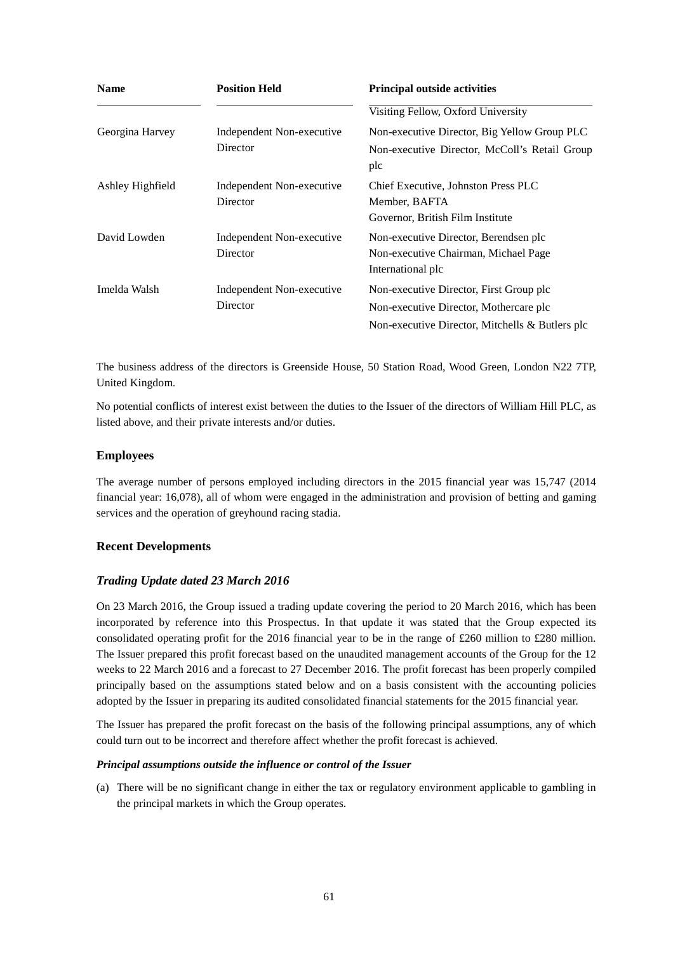| <b>Name</b>      | <b>Position Held</b>                  | <b>Principal outside activities</b>                                                                                                     |
|------------------|---------------------------------------|-----------------------------------------------------------------------------------------------------------------------------------------|
|                  |                                       | Visiting Fellow, Oxford University                                                                                                      |
| Georgina Harvey  | Independent Non-executive<br>Director | Non-executive Director, Big Yellow Group PLC<br>Non-executive Director, McColl's Retail Group<br>plc                                    |
| Ashley Highfield | Independent Non-executive<br>Director | Chief Executive, Johnston Press PLC<br>Member, BAFTA<br>Governor, British Film Institute                                                |
| David Lowden     | Independent Non-executive<br>Director | Non-executive Director, Berendsen plc<br>Non-executive Chairman, Michael Page<br>International plc                                      |
| Imelda Walsh     | Independent Non-executive<br>Director | Non-executive Director, First Group plc<br>Non-executive Director, Mothercare plc<br>Non-executive Director, Mitchells $\&$ Butlers plc |

The business address of the directors is Greenside House, 50 Station Road, Wood Green, London N22 7TP, United Kingdom.

No potential conflicts of interest exist between the duties to the Issuer of the directors of William Hill PLC, as listed above, and their private interests and/or duties.

### **Employees**

The average number of persons employed including directors in the 2015 financial year was 15,747 (2014 financial year: 16,078), all of whom were engaged in the administration and provision of betting and gaming services and the operation of greyhound racing stadia.

### **Recent Developments**

#### *Trading Update dated 23 March 2016*

On 23 March 2016, the Group issued a trading update covering the period to 20 March 2016, which has been incorporated by reference into this Prospectus. In that update it was stated that the Group expected its consolidated operating profit for the 2016 financial year to be in the range of £260 million to £280 million. The Issuer prepared this profit forecast based on the unaudited management accounts of the Group for the 12 weeks to 22 March 2016 and a forecast to 27 December 2016. The profit forecast has been properly compiled principally based on the assumptions stated below and on a basis consistent with the accounting policies adopted by the Issuer in preparing its audited consolidated financial statements for the 2015 financial year.

The Issuer has prepared the profit forecast on the basis of the following principal assumptions, any of which could turn out to be incorrect and therefore affect whether the profit forecast is achieved.

#### *Principal assumptions outside the influence or control of the Issuer*

(a) There will be no significant change in either the tax or regulatory environment applicable to gambling in the principal markets in which the Group operates.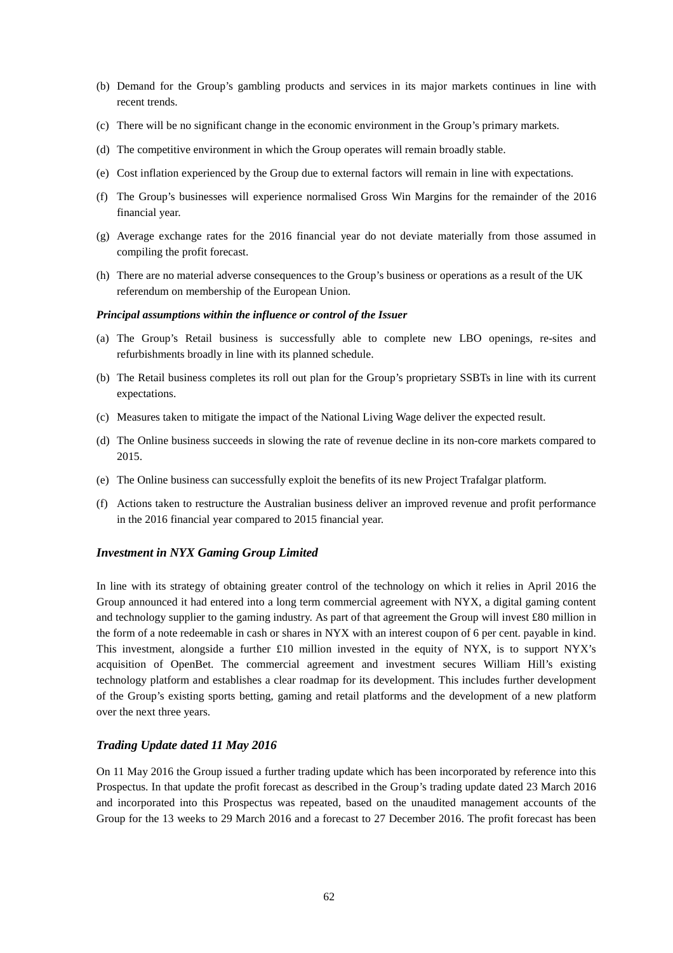- (b) Demand for the Group's gambling products and services in its major markets continues in line with recent trends.
- (c) There will be no significant change in the economic environment in the Group's primary markets.
- (d) The competitive environment in which the Group operates will remain broadly stable.
- (e) Cost inflation experienced by the Group due to external factors will remain in line with expectations.
- (f) The Group's businesses will experience normalised Gross Win Margins for the remainder of the 2016 financial year.
- (g) Average exchange rates for the 2016 financial year do not deviate materially from those assumed in compiling the profit forecast.
- (h) There are no material adverse consequences to the Group's business or operations as a result of the UK referendum on membership of the European Union.

#### *Principal assumptions within the influence or control of the Issuer*

- (a) The Group's Retail business is successfully able to complete new LBO openings, re-sites and refurbishments broadly in line with its planned schedule.
- (b) The Retail business completes its roll out plan for the Group's proprietary SSBTs in line with its current expectations.
- (c) Measures taken to mitigate the impact of the National Living Wage deliver the expected result.
- (d) The Online business succeeds in slowing the rate of revenue decline in its non-core markets compared to 2015.
- (e) The Online business can successfully exploit the benefits of its new Project Trafalgar platform.
- (f) Actions taken to restructure the Australian business deliver an improved revenue and profit performance in the 2016 financial year compared to 2015 financial year.

#### *Investment in NYX Gaming Group Limited*

In line with its strategy of obtaining greater control of the technology on which it relies in April 2016 the Group announced it had entered into a long term commercial agreement with NYX, a digital gaming content and technology supplier to the gaming industry. As part of that agreement the Group will invest  $£80$  million in the form of a note redeemable in cash or shares in NYX with an interest coupon of 6 per cent. payable in kind. This investment, alongside a further £10 million invested in the equity of NYX, is to support NYX's acquisition of OpenBet. The commercial agreement and investment secures William Hill's existing technology platform and establishes a clear roadmap for its development. This includes further development of the Group's existing sports betting, gaming and retail platforms and the development of a new platform over the next three years.

#### *Trading Update dated 11 May 2016*

On 11 May 2016 the Group issued a further trading update which has been incorporated by reference into this Prospectus. In that update the profit forecast as described in the Group's trading update dated 23 March 2016 and incorporated into this Prospectus was repeated, based on the unaudited management accounts of the Group for the 13 weeks to 29 March 2016 and a forecast to 27 December 2016. The profit forecast has been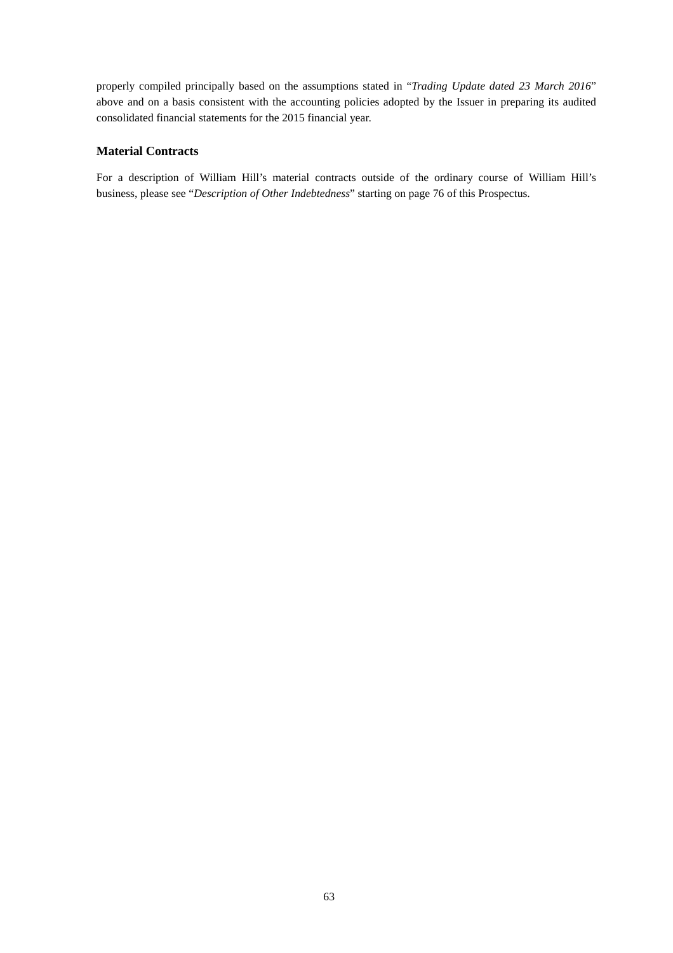properly compiled principally based on the assumptions stated in "*Trading Update dated 23 March 2016*" above and on a basis consistent with the accounting policies adopted by the Issuer in preparing its audited consolidated financial statements for the 2015 financial year.

### **Material Contracts**

For a description of William Hill's material contracts outside of the ordinary course of William Hill's business, please see "*Description of Other Indebtedness*" starting on page 76 of this Prospectus.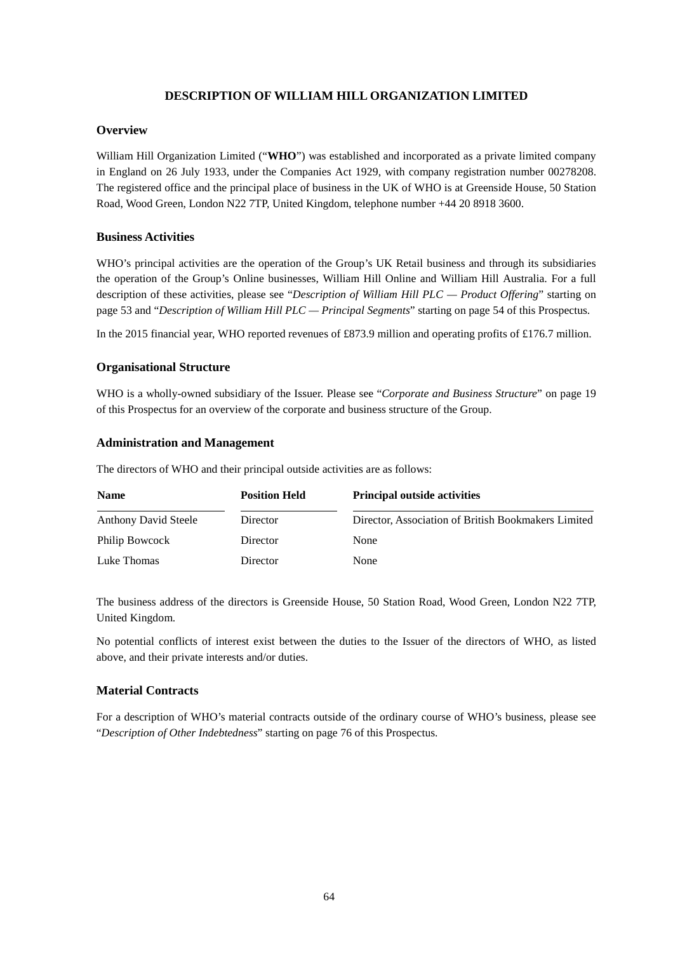## **DESCRIPTION OF WILLIAM HILL ORGANIZATION LIMITED**

### **Overview**

William Hill Organization Limited ("**WHO**") was established and incorporated as a private limited company in England on 26 July 1933, under the Companies Act 1929, with company registration number 00278208. The registered office and the principal place of business in the UK of WHO is at Greenside House, 50 Station Road, Wood Green, London N22 7TP, United Kingdom, telephone number +44 20 8918 3600.

### **Business Activities**

WHO's principal activities are the operation of the Group's UK Retail business and through its subsidiaries the operation of the Group's Online businesses, William Hill Online and William Hill Australia. For a full description of these activities, please see "*Description of William Hill PLC — Product Offering*" starting on page 53 and "*Description of William Hill PLC — Principal Segments*" starting on page 54 of this Prospectus.

In the 2015 financial year, WHO reported revenues of £873.9 million and operating profits of £176.7 million.

### **Organisational Structure**

WHO is a wholly-owned subsidiary of the Issuer. Please see "*Corporate and Business Structure*" on page 19 of this Prospectus for an overview of the corporate and business structure of the Group.

#### **Administration and Management**

The directors of WHO and their principal outside activities are as follows:

| <b>Name</b>                 | <b>Position Held</b> | <b>Principal outside activities</b>                 |
|-----------------------------|----------------------|-----------------------------------------------------|
| <b>Anthony David Steele</b> | Director             | Director, Association of British Bookmakers Limited |
| Philip Bowcock              | Director             | None                                                |
| Luke Thomas                 | Director             | None                                                |

The business address of the directors is Greenside House, 50 Station Road, Wood Green, London N22 7TP, United Kingdom.

No potential conflicts of interest exist between the duties to the Issuer of the directors of WHO, as listed above, and their private interests and/or duties.

### **Material Contracts**

For a description of WHO's material contracts outside of the ordinary course of WHO's business, please see "*Description of Other Indebtedness*" starting on page 76 of this Prospectus.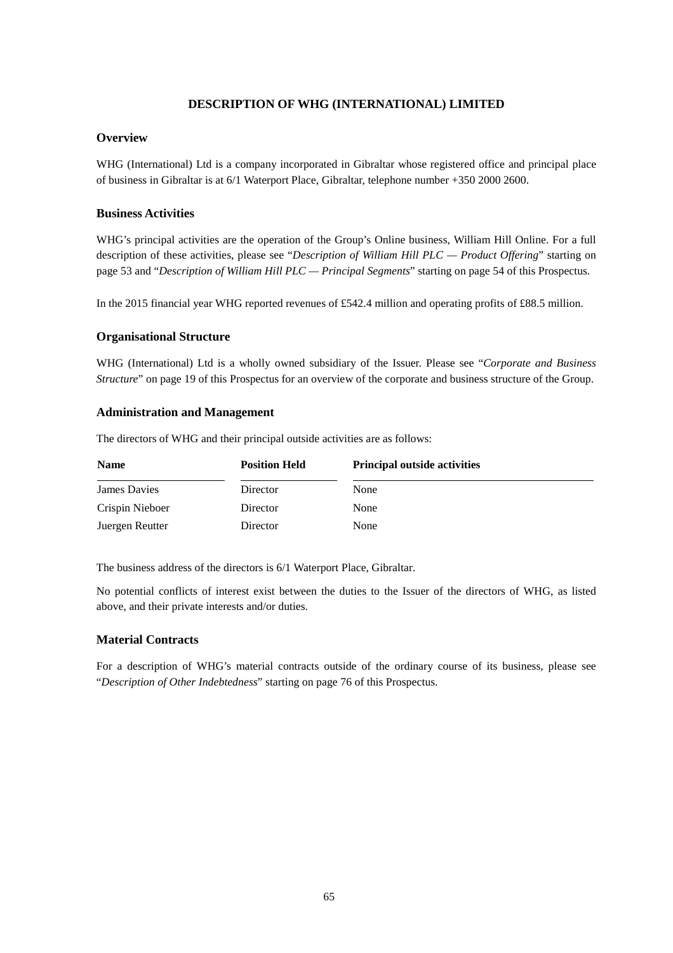## **DESCRIPTION OF WHG (INTERNATIONAL) LIMITED**

### **Overview**

WHG (International) Ltd is a company incorporated in Gibraltar whose registered office and principal place of business in Gibraltar is at 6/1 Waterport Place, Gibraltar, telephone number +350 2000 2600.

### **Business Activities**

WHG's principal activities are the operation of the Group's Online business, William Hill Online. For a full description of these activities, please see "*Description of William Hill PLC — Product Offering*" starting on page 53 and "*Description of William Hill PLC — Principal Segments*" starting on page 54 of this Prospectus.

In the 2015 financial year WHG reported revenues of £542.4 million and operating profits of £88.5 million.

### **Organisational Structure**

WHG (International) Ltd is a wholly owned subsidiary of the Issuer. Please see "*Corporate and Business Structure*" on page 19 of this Prospectus for an overview of the corporate and business structure of the Group.

### **Administration and Management**

The directors of WHG and their principal outside activities are as follows:

| <b>Name</b>     | <b>Position Held</b> | <b>Principal outside activities</b> |
|-----------------|----------------------|-------------------------------------|
| James Davies    | Director             | None                                |
| Crispin Nieboer | Director             | None                                |
| Juergen Reutter | Director             | None                                |

The business address of the directors is 6/1 Waterport Place, Gibraltar.

No potential conflicts of interest exist between the duties to the Issuer of the directors of WHG, as listed above, and their private interests and/or duties.

### **Material Contracts**

For a description of WHG's material contracts outside of the ordinary course of its business, please see "*Description of Other Indebtedness*" starting on page 76 of this Prospectus.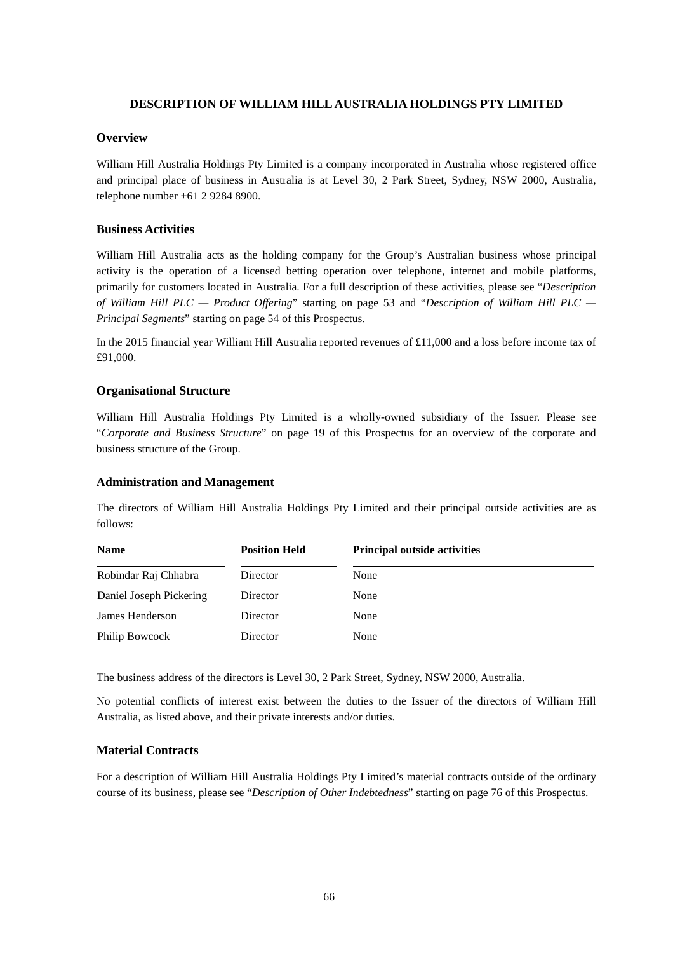### **DESCRIPTION OF WILLIAM HILL AUSTRALIA HOLDINGS PTY LIMITED**

#### **Overview**

William Hill Australia Holdings Pty Limited is a company incorporated in Australia whose registered office and principal place of business in Australia is at Level 30, 2 Park Street, Sydney, NSW 2000, Australia, telephone number +61 2 9284 8900.

#### **Business Activities**

William Hill Australia acts as the holding company for the Group's Australian business whose principal activity is the operation of a licensed betting operation over telephone, internet and mobile platforms, primarily for customers located in Australia. For a full description of these activities, please see "*Description of William Hill PLC — Product Offering*" starting on page 53 and "*Description of William Hill PLC — Principal Segments*" starting on page 54 of this Prospectus.

In the 2015 financial year William Hill Australia reported revenues of £11,000 and a loss before income tax of £91,000.

### **Organisational Structure**

William Hill Australia Holdings Pty Limited is a wholly-owned subsidiary of the Issuer. Please see "*Corporate and Business Structure*" on page 19 of this Prospectus for an overview of the corporate and business structure of the Group.

#### **Administration and Management**

The directors of William Hill Australia Holdings Pty Limited and their principal outside activities are as follows:

| <b>Name</b>             | <b>Position Held</b> | <b>Principal outside activities</b> |
|-------------------------|----------------------|-------------------------------------|
| Robindar Raj Chhabra    | Director             | None                                |
| Daniel Joseph Pickering | Director             | None                                |
| James Henderson         | Director             | None                                |
| Philip Bowcock          | Director             | None                                |

The business address of the directors is Level 30, 2 Park Street, Sydney, NSW 2000, Australia.

No potential conflicts of interest exist between the duties to the Issuer of the directors of William Hill Australia, as listed above, and their private interests and/or duties.

### **Material Contracts**

For a description of William Hill Australia Holdings Pty Limited's material contracts outside of the ordinary course of its business, please see "*Description of Other Indebtedness*" starting on page 76 of this Prospectus.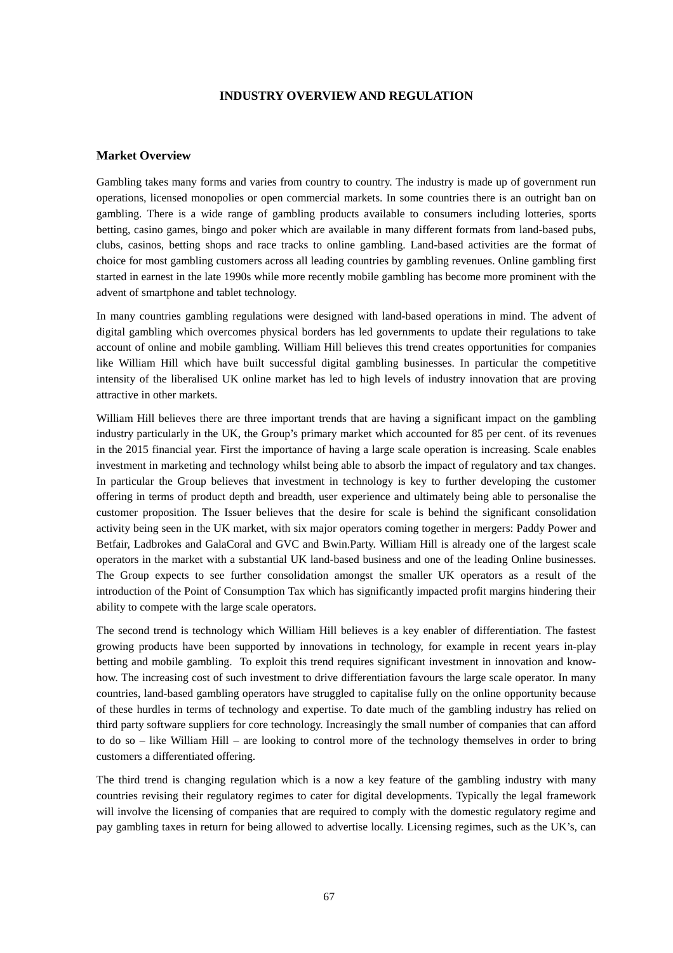### **INDUSTRY OVERVIEW AND REGULATION**

#### **Market Overview**

Gambling takes many forms and varies from country to country. The industry is made up of government run operations, licensed monopolies or open commercial markets. In some countries there is an outright ban on gambling. There is a wide range of gambling products available to consumers including lotteries, sports betting, casino games, bingo and poker which are available in many different formats from land-based pubs, clubs, casinos, betting shops and race tracks to online gambling. Land-based activities are the format of choice for most gambling customers across all leading countries by gambling revenues. Online gambling first started in earnest in the late 1990s while more recently mobile gambling has become more prominent with the advent of smartphone and tablet technology.

In many countries gambling regulations were designed with land-based operations in mind. The advent of digital gambling which overcomes physical borders has led governments to update their regulations to take account of online and mobile gambling. William Hill believes this trend creates opportunities for companies like William Hill which have built successful digital gambling businesses. In particular the competitive intensity of the liberalised UK online market has led to high levels of industry innovation that are proving attractive in other markets.

William Hill believes there are three important trends that are having a significant impact on the gambling industry particularly in the UK, the Group's primary market which accounted for 85 per cent. of its revenues in the 2015 financial year. First the importance of having a large scale operation is increasing. Scale enables investment in marketing and technology whilst being able to absorb the impact of regulatory and tax changes. In particular the Group believes that investment in technology is key to further developing the customer offering in terms of product depth and breadth, user experience and ultimately being able to personalise the customer proposition. The Issuer believes that the desire for scale is behind the significant consolidation activity being seen in the UK market, with six major operators coming together in mergers: Paddy Power and Betfair, Ladbrokes and GalaCoral and GVC and Bwin.Party. William Hill is already one of the largest scale operators in the market with a substantial UK land-based business and one of the leading Online businesses. The Group expects to see further consolidation amongst the smaller UK operators as a result of the introduction of the Point of Consumption Tax which has significantly impacted profit margins hindering their ability to compete with the large scale operators.

The second trend is technology which William Hill believes is a key enabler of differentiation. The fastest growing products have been supported by innovations in technology, for example in recent years in-play betting and mobile gambling. To exploit this trend requires significant investment in innovation and knowhow. The increasing cost of such investment to drive differentiation favours the large scale operator. In many countries, land-based gambling operators have struggled to capitalise fully on the online opportunity because of these hurdles in terms of technology and expertise. To date much of the gambling industry has relied on third party software suppliers for core technology. Increasingly the small number of companies that can afford to do so – like William Hill – are looking to control more of the technology themselves in order to bring customers a differentiated offering.

The third trend is changing regulation which is a now a key feature of the gambling industry with many countries revising their regulatory regimes to cater for digital developments. Typically the legal framework will involve the licensing of companies that are required to comply with the domestic regulatory regime and pay gambling taxes in return for being allowed to advertise locally. Licensing regimes, such as the UK's, can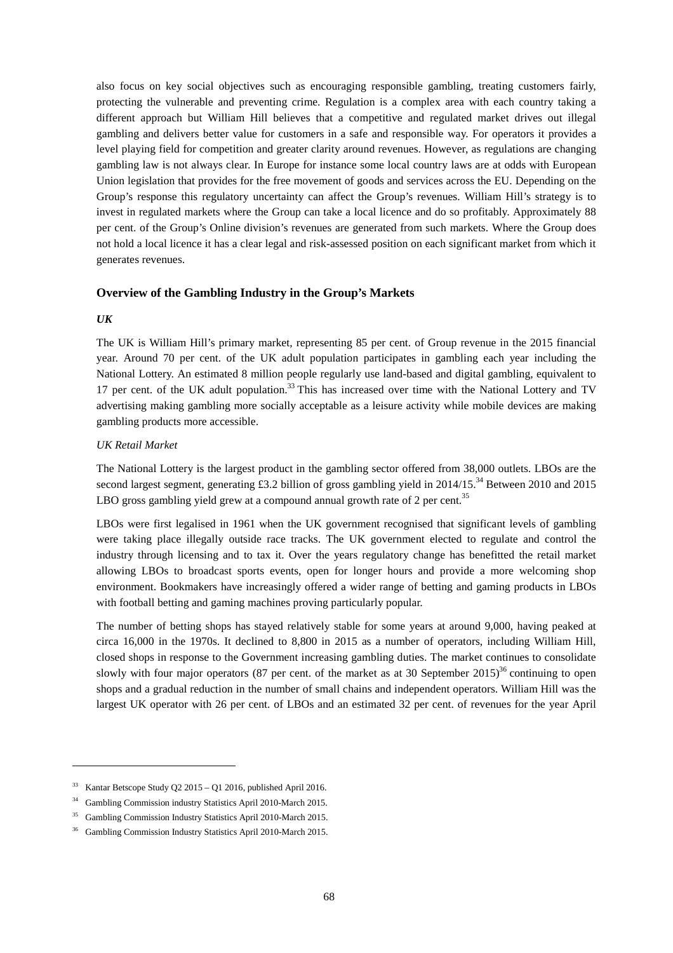also focus on key social objectives such as encouraging responsible gambling, treating customers fairly, protecting the vulnerable and preventing crime. Regulation is a complex area with each country taking a different approach but William Hill believes that a competitive and regulated market drives out illegal gambling and delivers better value for customers in a safe and responsible way. For operators it provides a level playing field for competition and greater clarity around revenues. However, as regulations are changing gambling law is not always clear. In Europe for instance some local country laws are at odds with European Union legislation that provides for the free movement of goods and services across the EU. Depending on the Group's response this regulatory uncertainty can affect the Group's revenues. William Hill's strategy is to invest in regulated markets where the Group can take a local licence and do so profitably. Approximately 88 per cent. of the Group's Online division's revenues are generated from such markets. Where the Group does not hold a local licence it has a clear legal and risk-assessed position on each significant market from which it generates revenues.

### **Overview of the Gambling Industry in the Group's Markets**

#### *UK*

-

The UK is William Hill's primary market, representing 85 per cent. of Group revenue in the 2015 financial year. Around 70 per cent. of the UK adult population participates in gambling each year including the National Lottery. An estimated 8 million people regularly use land-based and digital gambling, equivalent to 17 per cent. of the UK adult population.<sup>33</sup> This has increased over time with the National Lottery and TV advertising making gambling more socially acceptable as a leisure activity while mobile devices are making gambling products more accessible.

#### *UK Retail Market*

The National Lottery is the largest product in the gambling sector offered from 38,000 outlets. LBOs are the second largest segment, generating £3.2 billion of gross gambling yield in 2014/15.<sup>34</sup> Between 2010 and 2015 LBO gross gambling yield grew at a compound annual growth rate of 2 per cent.<sup>35</sup>

LBOs were first legalised in 1961 when the UK government recognised that significant levels of gambling were taking place illegally outside race tracks. The UK government elected to regulate and control the industry through licensing and to tax it. Over the years regulatory change has benefitted the retail market allowing LBOs to broadcast sports events, open for longer hours and provide a more welcoming shop environment. Bookmakers have increasingly offered a wider range of betting and gaming products in LBOs with football betting and gaming machines proving particularly popular.

The number of betting shops has stayed relatively stable for some years at around 9,000, having peaked at circa 16,000 in the 1970s. It declined to 8,800 in 2015 as a number of operators, including William Hill, closed shops in response to the Government increasing gambling duties. The market continues to consolidate slowly with four major operators (87 per cent. of the market as at 30 September 2015)<sup>36</sup> continuing to open shops and a gradual reduction in the number of small chains and independent operators. William Hill was the largest UK operator with 26 per cent. of LBOs and an estimated 32 per cent. of revenues for the year April

<sup>33</sup> Kantar Betscope Study Q2 2015 – Q1 2016, published April 2016.

<sup>34</sup> Gambling Commission industry Statistics April 2010-March 2015.

<sup>35</sup> Gambling Commission Industry Statistics April 2010-March 2015.

<sup>36</sup> Gambling Commission Industry Statistics April 2010-March 2015.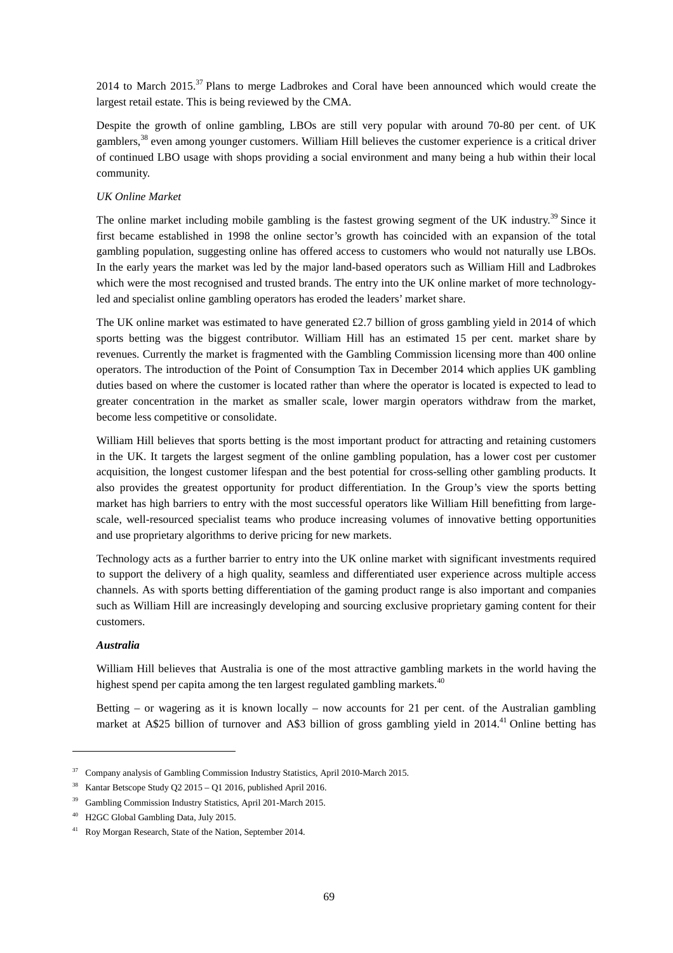2014 to March 2015.<sup>37</sup> Plans to merge Ladbrokes and Coral have been announced which would create the largest retail estate. This is being reviewed by the CMA.

Despite the growth of online gambling, LBOs are still very popular with around 70-80 per cent. of UK gamblers,<sup>38</sup> even among younger customers. William Hill believes the customer experience is a critical driver of continued LBO usage with shops providing a social environment and many being a hub within their local community.

#### *UK Online Market*

The online market including mobile gambling is the fastest growing segment of the UK industry.<sup>39</sup> Since it first became established in 1998 the online sector's growth has coincided with an expansion of the total gambling population, suggesting online has offered access to customers who would not naturally use LBOs. In the early years the market was led by the major land-based operators such as William Hill and Ladbrokes which were the most recognised and trusted brands. The entry into the UK online market of more technologyled and specialist online gambling operators has eroded the leaders' market share.

The UK online market was estimated to have generated £2.7 billion of gross gambling yield in 2014 of which sports betting was the biggest contributor. William Hill has an estimated 15 per cent. market share by revenues. Currently the market is fragmented with the Gambling Commission licensing more than 400 online operators. The introduction of the Point of Consumption Tax in December 2014 which applies UK gambling duties based on where the customer is located rather than where the operator is located is expected to lead to greater concentration in the market as smaller scale, lower margin operators withdraw from the market, become less competitive or consolidate.

William Hill believes that sports betting is the most important product for attracting and retaining customers in the UK. It targets the largest segment of the online gambling population, has a lower cost per customer acquisition, the longest customer lifespan and the best potential for cross-selling other gambling products. It also provides the greatest opportunity for product differentiation. In the Group's view the sports betting market has high barriers to entry with the most successful operators like William Hill benefitting from largescale, well-resourced specialist teams who produce increasing volumes of innovative betting opportunities and use proprietary algorithms to derive pricing for new markets.

Technology acts as a further barrier to entry into the UK online market with significant investments required to support the delivery of a high quality, seamless and differentiated user experience across multiple access channels. As with sports betting differentiation of the gaming product range is also important and companies such as William Hill are increasingly developing and sourcing exclusive proprietary gaming content for their customers.

#### *Australia*

j

William Hill believes that Australia is one of the most attractive gambling markets in the world having the highest spend per capita among the ten largest regulated gambling markets.<sup>40</sup>

Betting – or wagering as it is known locally – now accounts for 21 per cent. of the Australian gambling market at A\$25 billion of turnover and A\$3 billion of gross gambling yield in 2014.<sup>41</sup> Online betting has

<sup>37</sup> Company analysis of Gambling Commission Industry Statistics, April 2010-March 2015.

<sup>38</sup> Kantar Betscope Study Q2 2015 – Q1 2016, published April 2016.

<sup>39</sup> Gambling Commission Industry Statistics, April 201-March 2015.

<sup>40</sup> H2GC Global Gambling Data, July 2015.

<sup>41</sup> Roy Morgan Research, State of the Nation, September 2014.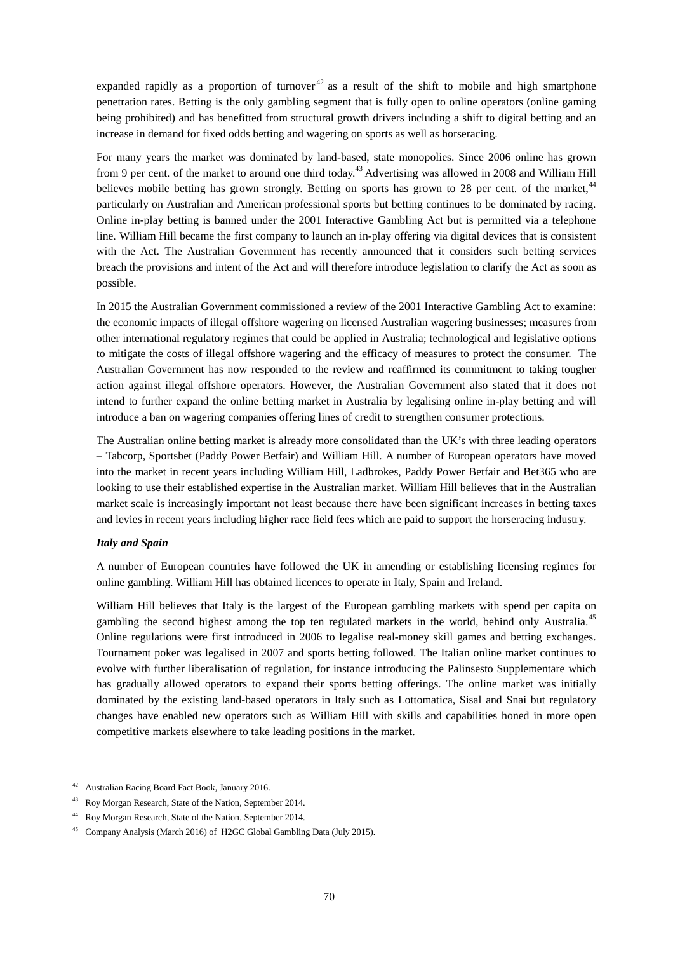expanded rapidly as a proportion of turnover<sup>42</sup> as a result of the shift to mobile and high smartphone penetration rates. Betting is the only gambling segment that is fully open to online operators (online gaming being prohibited) and has benefitted from structural growth drivers including a shift to digital betting and an increase in demand for fixed odds betting and wagering on sports as well as horseracing.

For many years the market was dominated by land-based, state monopolies. Since 2006 online has grown from 9 per cent. of the market to around one third today.<sup>43</sup> Advertising was allowed in 2008 and William Hill believes mobile betting has grown strongly. Betting on sports has grown to 28 per cent. of the market,<sup>44</sup> particularly on Australian and American professional sports but betting continues to be dominated by racing. Online in-play betting is banned under the 2001 Interactive Gambling Act but is permitted via a telephone line. William Hill became the first company to launch an in-play offering via digital devices that is consistent with the Act. The Australian Government has recently announced that it considers such betting services breach the provisions and intent of the Act and will therefore introduce legislation to clarify the Act as soon as possible.

In 2015 the Australian Government commissioned a review of the 2001 Interactive Gambling Act to examine: the economic impacts of illegal offshore wagering on licensed Australian wagering businesses; measures from other international regulatory regimes that could be applied in Australia; technological and legislative options to mitigate the costs of illegal offshore wagering and the efficacy of measures to protect the consumer. The Australian Government has now responded to the review and reaffirmed its commitment to taking tougher action against illegal offshore operators. However, the Australian Government also stated that it does not intend to further expand the online betting market in Australia by legalising online in-play betting and will introduce a ban on wagering companies offering lines of credit to strengthen consumer protections.

The Australian online betting market is already more consolidated than the UK's with three leading operators – Tabcorp, Sportsbet (Paddy Power Betfair) and William Hill. A number of European operators have moved into the market in recent years including William Hill, Ladbrokes, Paddy Power Betfair and Bet365 who are looking to use their established expertise in the Australian market. William Hill believes that in the Australian market scale is increasingly important not least because there have been significant increases in betting taxes and levies in recent years including higher race field fees which are paid to support the horseracing industry.

#### *Italy and Spain*

-

A number of European countries have followed the UK in amending or establishing licensing regimes for online gambling. William Hill has obtained licences to operate in Italy, Spain and Ireland.

William Hill believes that Italy is the largest of the European gambling markets with spend per capita on gambling the second highest among the top ten regulated markets in the world, behind only Australia.<sup>45</sup> Online regulations were first introduced in 2006 to legalise real-money skill games and betting exchanges. Tournament poker was legalised in 2007 and sports betting followed. The Italian online market continues to evolve with further liberalisation of regulation, for instance introducing the Palinsesto Supplementare which has gradually allowed operators to expand their sports betting offerings. The online market was initially dominated by the existing land-based operators in Italy such as Lottomatica, Sisal and Snai but regulatory changes have enabled new operators such as William Hill with skills and capabilities honed in more open competitive markets elsewhere to take leading positions in the market.

<sup>42</sup> Australian Racing Board Fact Book, January 2016.

<sup>&</sup>lt;sup>43</sup> Roy Morgan Research, State of the Nation, September 2014.

<sup>44</sup> Roy Morgan Research, State of the Nation, September 2014.

<sup>45</sup> Company Analysis (March 2016) of H2GC Global Gambling Data (July 2015).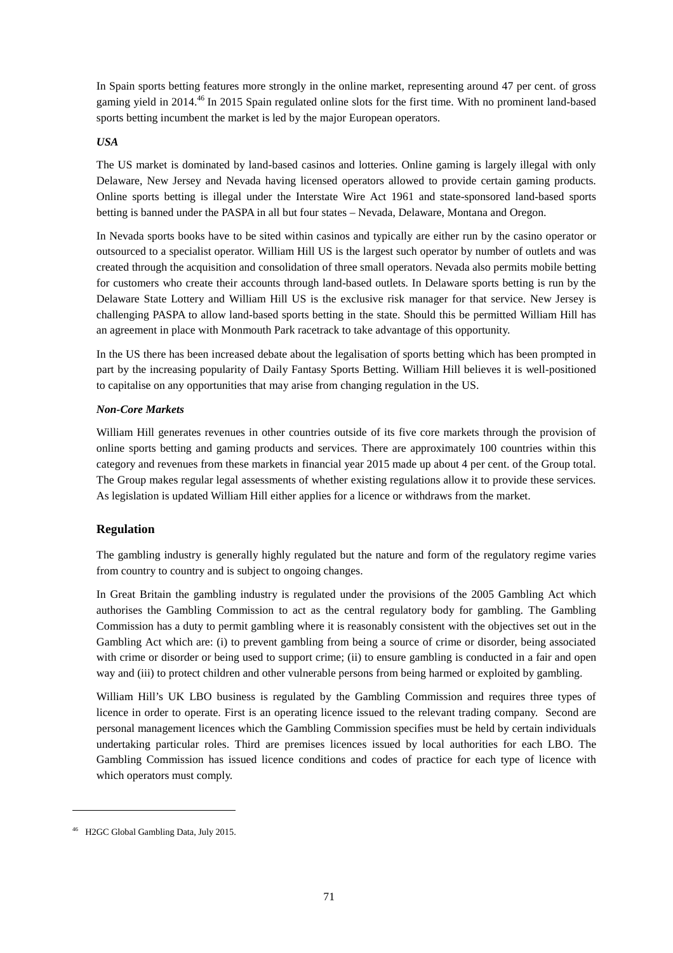In Spain sports betting features more strongly in the online market, representing around 47 per cent. of gross gaming yield in 2014.46 In 2015 Spain regulated online slots for the first time. With no prominent land-based sports betting incumbent the market is led by the major European operators.

### *USA*

The US market is dominated by land-based casinos and lotteries. Online gaming is largely illegal with only Delaware, New Jersey and Nevada having licensed operators allowed to provide certain gaming products. Online sports betting is illegal under the Interstate Wire Act 1961 and state-sponsored land-based sports betting is banned under the PASPA in all but four states – Nevada, Delaware, Montana and Oregon.

In Nevada sports books have to be sited within casinos and typically are either run by the casino operator or outsourced to a specialist operator. William Hill US is the largest such operator by number of outlets and was created through the acquisition and consolidation of three small operators. Nevada also permits mobile betting for customers who create their accounts through land-based outlets. In Delaware sports betting is run by the Delaware State Lottery and William Hill US is the exclusive risk manager for that service. New Jersey is challenging PASPA to allow land-based sports betting in the state. Should this be permitted William Hill has an agreement in place with Monmouth Park racetrack to take advantage of this opportunity.

In the US there has been increased debate about the legalisation of sports betting which has been prompted in part by the increasing popularity of Daily Fantasy Sports Betting. William Hill believes it is well-positioned to capitalise on any opportunities that may arise from changing regulation in the US.

## *Non-Core Markets*

William Hill generates revenues in other countries outside of its five core markets through the provision of online sports betting and gaming products and services. There are approximately 100 countries within this category and revenues from these markets in financial year 2015 made up about 4 per cent. of the Group total. The Group makes regular legal assessments of whether existing regulations allow it to provide these services. As legislation is updated William Hill either applies for a licence or withdraws from the market.

# **Regulation**

The gambling industry is generally highly regulated but the nature and form of the regulatory regime varies from country to country and is subject to ongoing changes.

In Great Britain the gambling industry is regulated under the provisions of the 2005 Gambling Act which authorises the Gambling Commission to act as the central regulatory body for gambling. The Gambling Commission has a duty to permit gambling where it is reasonably consistent with the objectives set out in the Gambling Act which are: (i) to prevent gambling from being a source of crime or disorder, being associated with crime or disorder or being used to support crime; (ii) to ensure gambling is conducted in a fair and open way and (iii) to protect children and other vulnerable persons from being harmed or exploited by gambling.

William Hill's UK LBO business is regulated by the Gambling Commission and requires three types of licence in order to operate. First is an operating licence issued to the relevant trading company. Second are personal management licences which the Gambling Commission specifies must be held by certain individuals undertaking particular roles. Third are premises licences issued by local authorities for each LBO. The Gambling Commission has issued licence conditions and codes of practice for each type of licence with which operators must comply.

-

<sup>46</sup> H2GC Global Gambling Data, July 2015.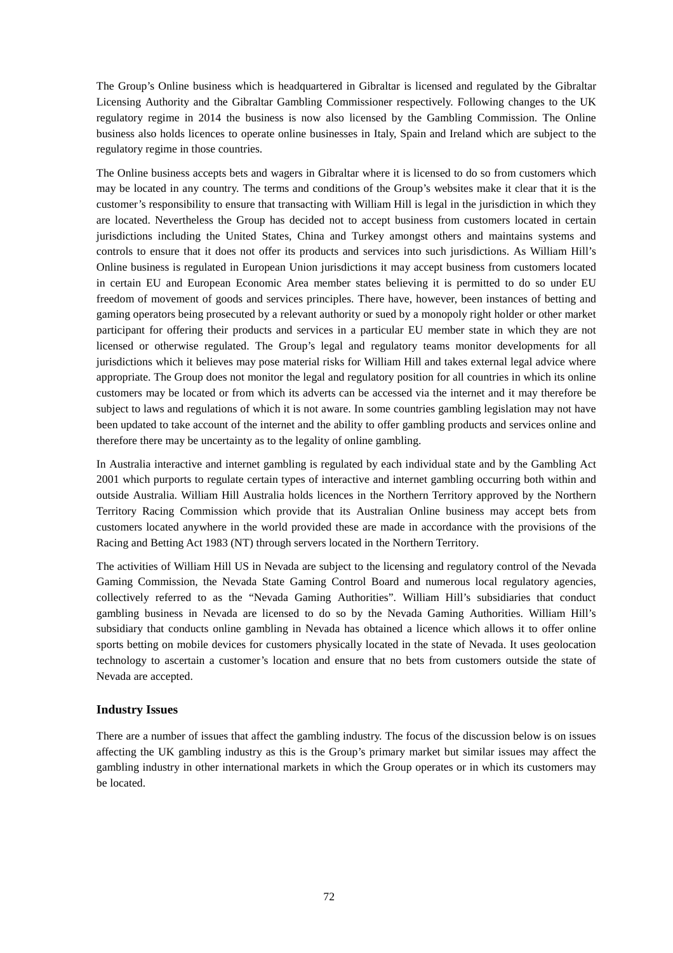The Group's Online business which is headquartered in Gibraltar is licensed and regulated by the Gibraltar Licensing Authority and the Gibraltar Gambling Commissioner respectively. Following changes to the UK regulatory regime in 2014 the business is now also licensed by the Gambling Commission. The Online business also holds licences to operate online businesses in Italy, Spain and Ireland which are subject to the regulatory regime in those countries.

The Online business accepts bets and wagers in Gibraltar where it is licensed to do so from customers which may be located in any country. The terms and conditions of the Group's websites make it clear that it is the customer's responsibility to ensure that transacting with William Hill is legal in the jurisdiction in which they are located. Nevertheless the Group has decided not to accept business from customers located in certain jurisdictions including the United States, China and Turkey amongst others and maintains systems and controls to ensure that it does not offer its products and services into such jurisdictions. As William Hill's Online business is regulated in European Union jurisdictions it may accept business from customers located in certain EU and European Economic Area member states believing it is permitted to do so under EU freedom of movement of goods and services principles. There have, however, been instances of betting and gaming operators being prosecuted by a relevant authority or sued by a monopoly right holder or other market participant for offering their products and services in a particular EU member state in which they are not licensed or otherwise regulated. The Group's legal and regulatory teams monitor developments for all jurisdictions which it believes may pose material risks for William Hill and takes external legal advice where appropriate. The Group does not monitor the legal and regulatory position for all countries in which its online customers may be located or from which its adverts can be accessed via the internet and it may therefore be subject to laws and regulations of which it is not aware. In some countries gambling legislation may not have been updated to take account of the internet and the ability to offer gambling products and services online and therefore there may be uncertainty as to the legality of online gambling.

In Australia interactive and internet gambling is regulated by each individual state and by the Gambling Act 2001 which purports to regulate certain types of interactive and internet gambling occurring both within and outside Australia. William Hill Australia holds licences in the Northern Territory approved by the Northern Territory Racing Commission which provide that its Australian Online business may accept bets from customers located anywhere in the world provided these are made in accordance with the provisions of the Racing and Betting Act 1983 (NT) through servers located in the Northern Territory.

The activities of William Hill US in Nevada are subject to the licensing and regulatory control of the Nevada Gaming Commission, the Nevada State Gaming Control Board and numerous local regulatory agencies, collectively referred to as the "Nevada Gaming Authorities". William Hill's subsidiaries that conduct gambling business in Nevada are licensed to do so by the Nevada Gaming Authorities. William Hill's subsidiary that conducts online gambling in Nevada has obtained a licence which allows it to offer online sports betting on mobile devices for customers physically located in the state of Nevada. It uses geolocation technology to ascertain a customer's location and ensure that no bets from customers outside the state of Nevada are accepted.

### **Industry Issues**

There are a number of issues that affect the gambling industry. The focus of the discussion below is on issues affecting the UK gambling industry as this is the Group's primary market but similar issues may affect the gambling industry in other international markets in which the Group operates or in which its customers may be located.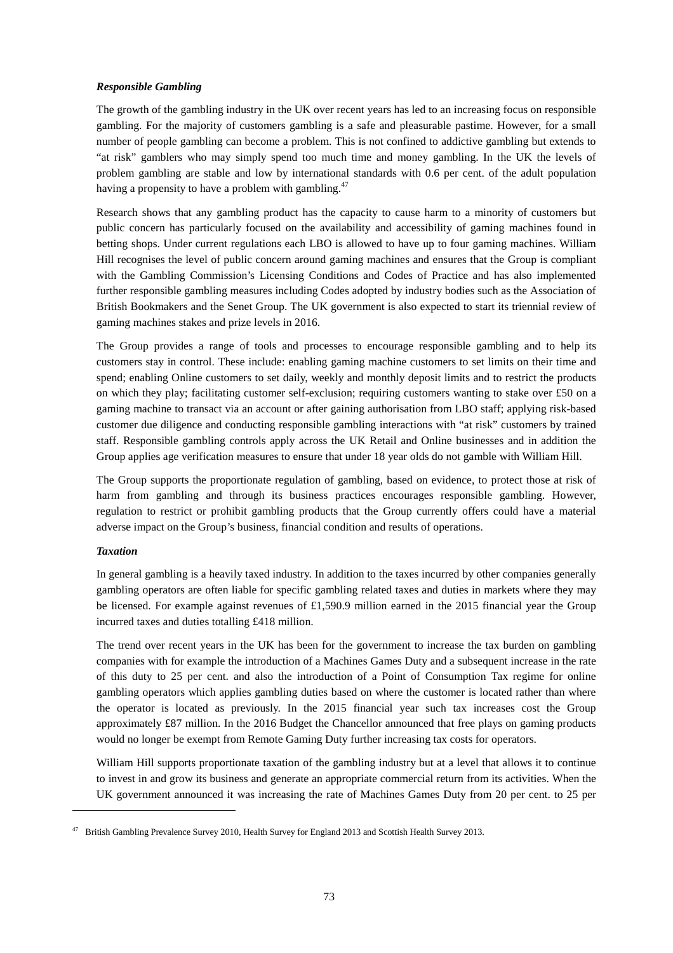## *Responsible Gambling*

The growth of the gambling industry in the UK over recent years has led to an increasing focus on responsible gambling. For the majority of customers gambling is a safe and pleasurable pastime. However, for a small number of people gambling can become a problem. This is not confined to addictive gambling but extends to "at risk" gamblers who may simply spend too much time and money gambling. In the UK the levels of problem gambling are stable and low by international standards with 0.6 per cent. of the adult population having a propensity to have a problem with gambling.<sup>47</sup>

Research shows that any gambling product has the capacity to cause harm to a minority of customers but public concern has particularly focused on the availability and accessibility of gaming machines found in betting shops. Under current regulations each LBO is allowed to have up to four gaming machines. William Hill recognises the level of public concern around gaming machines and ensures that the Group is compliant with the Gambling Commission's Licensing Conditions and Codes of Practice and has also implemented further responsible gambling measures including Codes adopted by industry bodies such as the Association of British Bookmakers and the Senet Group. The UK government is also expected to start its triennial review of gaming machines stakes and prize levels in 2016.

The Group provides a range of tools and processes to encourage responsible gambling and to help its customers stay in control. These include: enabling gaming machine customers to set limits on their time and spend; enabling Online customers to set daily, weekly and monthly deposit limits and to restrict the products on which they play; facilitating customer self-exclusion; requiring customers wanting to stake over £50 on a gaming machine to transact via an account or after gaining authorisation from LBO staff; applying risk-based customer due diligence and conducting responsible gambling interactions with "at risk" customers by trained staff. Responsible gambling controls apply across the UK Retail and Online businesses and in addition the Group applies age verification measures to ensure that under 18 year olds do not gamble with William Hill.

The Group supports the proportionate regulation of gambling, based on evidence, to protect those at risk of harm from gambling and through its business practices encourages responsible gambling. However, regulation to restrict or prohibit gambling products that the Group currently offers could have a material adverse impact on the Group's business, financial condition and results of operations.

## *Taxation*

-

In general gambling is a heavily taxed industry. In addition to the taxes incurred by other companies generally gambling operators are often liable for specific gambling related taxes and duties in markets where they may be licensed. For example against revenues of £1,590.9 million earned in the 2015 financial year the Group incurred taxes and duties totalling £418 million.

The trend over recent years in the UK has been for the government to increase the tax burden on gambling companies with for example the introduction of a Machines Games Duty and a subsequent increase in the rate of this duty to 25 per cent. and also the introduction of a Point of Consumption Tax regime for online gambling operators which applies gambling duties based on where the customer is located rather than where the operator is located as previously. In the 2015 financial year such tax increases cost the Group approximately £87 million. In the 2016 Budget the Chancellor announced that free plays on gaming products would no longer be exempt from Remote Gaming Duty further increasing tax costs for operators.

William Hill supports proportionate taxation of the gambling industry but at a level that allows it to continue to invest in and grow its business and generate an appropriate commercial return from its activities. When the UK government announced it was increasing the rate of Machines Games Duty from 20 per cent. to 25 per

<sup>&</sup>lt;sup>47</sup> British Gambling Prevalence Survey 2010, Health Survey for England 2013 and Scottish Health Survey 2013.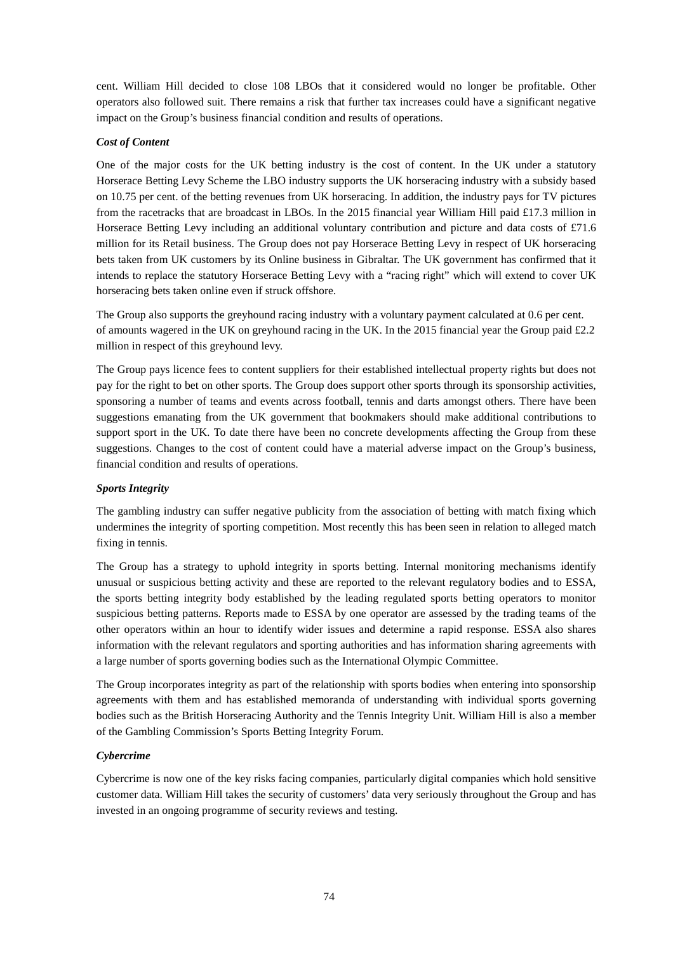cent. William Hill decided to close 108 LBOs that it considered would no longer be profitable. Other operators also followed suit. There remains a risk that further tax increases could have a significant negative impact on the Group's business financial condition and results of operations.

# *Cost of Content*

One of the major costs for the UK betting industry is the cost of content. In the UK under a statutory Horserace Betting Levy Scheme the LBO industry supports the UK horseracing industry with a subsidy based on 10.75 per cent. of the betting revenues from UK horseracing. In addition, the industry pays for TV pictures from the racetracks that are broadcast in LBOs. In the 2015 financial year William Hill paid £17.3 million in Horserace Betting Levy including an additional voluntary contribution and picture and data costs of £71.6 million for its Retail business. The Group does not pay Horserace Betting Levy in respect of UK horseracing bets taken from UK customers by its Online business in Gibraltar. The UK government has confirmed that it intends to replace the statutory Horserace Betting Levy with a "racing right" which will extend to cover UK horseracing bets taken online even if struck offshore.

The Group also supports the greyhound racing industry with a voluntary payment calculated at 0.6 per cent. of amounts wagered in the UK on greyhound racing in the UK. In the 2015 financial year the Group paid £2.2 million in respect of this greyhound levy.

The Group pays licence fees to content suppliers for their established intellectual property rights but does not pay for the right to bet on other sports. The Group does support other sports through its sponsorship activities, sponsoring a number of teams and events across football, tennis and darts amongst others. There have been suggestions emanating from the UK government that bookmakers should make additional contributions to support sport in the UK. To date there have been no concrete developments affecting the Group from these suggestions. Changes to the cost of content could have a material adverse impact on the Group's business, financial condition and results of operations.

# *Sports Integrity*

The gambling industry can suffer negative publicity from the association of betting with match fixing which undermines the integrity of sporting competition. Most recently this has been seen in relation to alleged match fixing in tennis.

The Group has a strategy to uphold integrity in sports betting. Internal monitoring mechanisms identify unusual or suspicious betting activity and these are reported to the relevant regulatory bodies and to ESSA, the sports betting integrity body established by the leading regulated sports betting operators to monitor suspicious betting patterns. Reports made to ESSA by one operator are assessed by the trading teams of the other operators within an hour to identify wider issues and determine a rapid response. ESSA also shares information with the relevant regulators and sporting authorities and has information sharing agreements with a large number of sports governing bodies such as the International Olympic Committee.

The Group incorporates integrity as part of the relationship with sports bodies when entering into sponsorship agreements with them and has established memoranda of understanding with individual sports governing bodies such as the British Horseracing Authority and the Tennis Integrity Unit. William Hill is also a member of the Gambling Commission's Sports Betting Integrity Forum.

# *Cybercrime*

Cybercrime is now one of the key risks facing companies, particularly digital companies which hold sensitive customer data. William Hill takes the security of customers' data very seriously throughout the Group and has invested in an ongoing programme of security reviews and testing.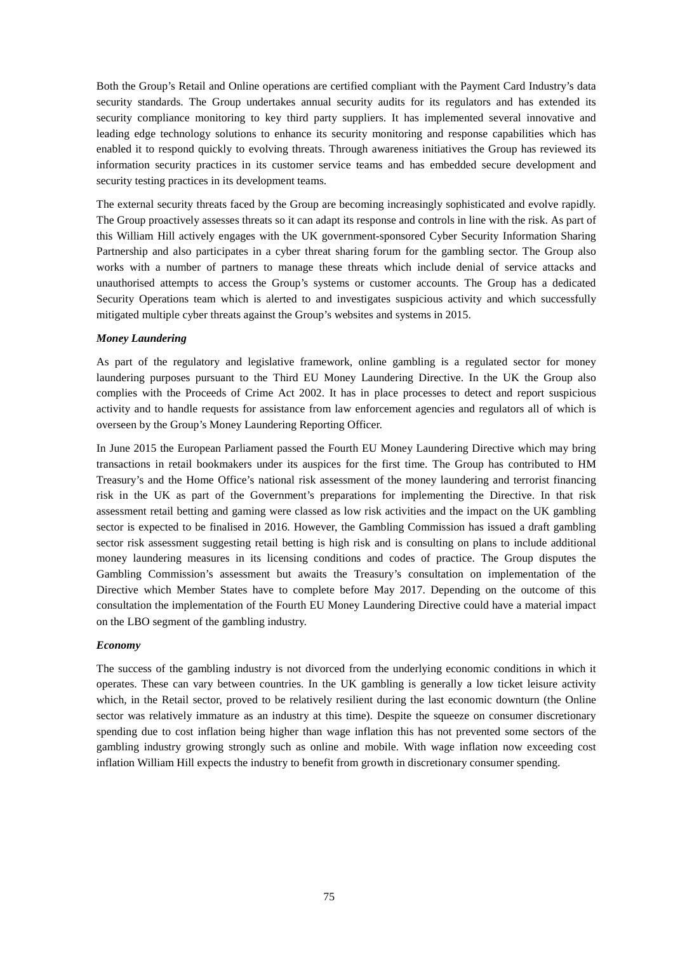Both the Group's Retail and Online operations are certified compliant with the Payment Card Industry's data security standards. The Group undertakes annual security audits for its regulators and has extended its security compliance monitoring to key third party suppliers. It has implemented several innovative and leading edge technology solutions to enhance its security monitoring and response capabilities which has enabled it to respond quickly to evolving threats. Through awareness initiatives the Group has reviewed its information security practices in its customer service teams and has embedded secure development and security testing practices in its development teams.

The external security threats faced by the Group are becoming increasingly sophisticated and evolve rapidly. The Group proactively assesses threats so it can adapt its response and controls in line with the risk. As part of this William Hill actively engages with the UK government-sponsored Cyber Security Information Sharing Partnership and also participates in a cyber threat sharing forum for the gambling sector. The Group also works with a number of partners to manage these threats which include denial of service attacks and unauthorised attempts to access the Group's systems or customer accounts. The Group has a dedicated Security Operations team which is alerted to and investigates suspicious activity and which successfully mitigated multiple cyber threats against the Group's websites and systems in 2015.

## *Money Laundering*

As part of the regulatory and legislative framework, online gambling is a regulated sector for money laundering purposes pursuant to the Third EU Money Laundering Directive. In the UK the Group also complies with the Proceeds of Crime Act 2002. It has in place processes to detect and report suspicious activity and to handle requests for assistance from law enforcement agencies and regulators all of which is overseen by the Group's Money Laundering Reporting Officer.

In June 2015 the European Parliament passed the Fourth EU Money Laundering Directive which may bring transactions in retail bookmakers under its auspices for the first time. The Group has contributed to HM Treasury's and the Home Office's national risk assessment of the money laundering and terrorist financing risk in the UK as part of the Government's preparations for implementing the Directive. In that risk assessment retail betting and gaming were classed as low risk activities and the impact on the UK gambling sector is expected to be finalised in 2016. However, the Gambling Commission has issued a draft gambling sector risk assessment suggesting retail betting is high risk and is consulting on plans to include additional money laundering measures in its licensing conditions and codes of practice. The Group disputes the Gambling Commission's assessment but awaits the Treasury's consultation on implementation of the Directive which Member States have to complete before May 2017. Depending on the outcome of this consultation the implementation of the Fourth EU Money Laundering Directive could have a material impact on the LBO segment of the gambling industry.

## *Economy*

The success of the gambling industry is not divorced from the underlying economic conditions in which it operates. These can vary between countries. In the UK gambling is generally a low ticket leisure activity which, in the Retail sector, proved to be relatively resilient during the last economic downturn (the Online sector was relatively immature as an industry at this time). Despite the squeeze on consumer discretionary spending due to cost inflation being higher than wage inflation this has not prevented some sectors of the gambling industry growing strongly such as online and mobile. With wage inflation now exceeding cost inflation William Hill expects the industry to benefit from growth in discretionary consumer spending.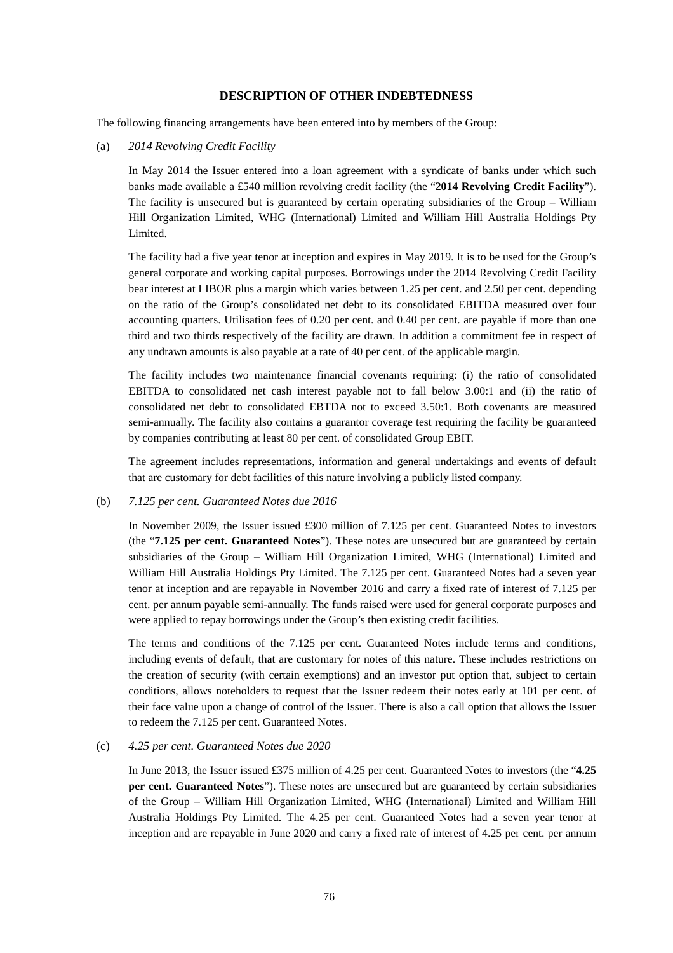## **DESCRIPTION OF OTHER INDEBTEDNESS**

The following financing arrangements have been entered into by members of the Group:

(a) *2014 Revolving Credit Facility* 

In May 2014 the Issuer entered into a loan agreement with a syndicate of banks under which such banks made available a £540 million revolving credit facility (the "**2014 Revolving Credit Facility**"). The facility is unsecured but is guaranteed by certain operating subsidiaries of the Group – William Hill Organization Limited, WHG (International) Limited and William Hill Australia Holdings Pty Limited.

The facility had a five year tenor at inception and expires in May 2019. It is to be used for the Group's general corporate and working capital purposes. Borrowings under the 2014 Revolving Credit Facility bear interest at LIBOR plus a margin which varies between 1.25 per cent. and 2.50 per cent. depending on the ratio of the Group's consolidated net debt to its consolidated EBITDA measured over four accounting quarters. Utilisation fees of 0.20 per cent. and 0.40 per cent. are payable if more than one third and two thirds respectively of the facility are drawn. In addition a commitment fee in respect of any undrawn amounts is also payable at a rate of 40 per cent. of the applicable margin.

The facility includes two maintenance financial covenants requiring: (i) the ratio of consolidated EBITDA to consolidated net cash interest payable not to fall below 3.00:1 and (ii) the ratio of consolidated net debt to consolidated EBTDA not to exceed 3.50:1. Both covenants are measured semi-annually. The facility also contains a guarantor coverage test requiring the facility be guaranteed by companies contributing at least 80 per cent. of consolidated Group EBIT.

The agreement includes representations, information and general undertakings and events of default that are customary for debt facilities of this nature involving a publicly listed company.

### (b) *7.125 per cent. Guaranteed Notes due 2016*

In November 2009, the Issuer issued £300 million of 7.125 per cent. Guaranteed Notes to investors (the "**7.125 per cent. Guaranteed Notes**"). These notes are unsecured but are guaranteed by certain subsidiaries of the Group – William Hill Organization Limited, WHG (International) Limited and William Hill Australia Holdings Pty Limited. The 7.125 per cent. Guaranteed Notes had a seven year tenor at inception and are repayable in November 2016 and carry a fixed rate of interest of 7.125 per cent. per annum payable semi-annually. The funds raised were used for general corporate purposes and were applied to repay borrowings under the Group's then existing credit facilities.

The terms and conditions of the 7.125 per cent. Guaranteed Notes include terms and conditions, including events of default, that are customary for notes of this nature. These includes restrictions on the creation of security (with certain exemptions) and an investor put option that, subject to certain conditions, allows noteholders to request that the Issuer redeem their notes early at 101 per cent. of their face value upon a change of control of the Issuer. There is also a call option that allows the Issuer to redeem the 7.125 per cent. Guaranteed Notes.

## (c) *4.25 per cent. Guaranteed Notes due 2020*

In June 2013, the Issuer issued £375 million of 4.25 per cent. Guaranteed Notes to investors (the "**4.25 per cent. Guaranteed Notes**"). These notes are unsecured but are guaranteed by certain subsidiaries of the Group – William Hill Organization Limited, WHG (International) Limited and William Hill Australia Holdings Pty Limited. The 4.25 per cent. Guaranteed Notes had a seven year tenor at inception and are repayable in June 2020 and carry a fixed rate of interest of 4.25 per cent. per annum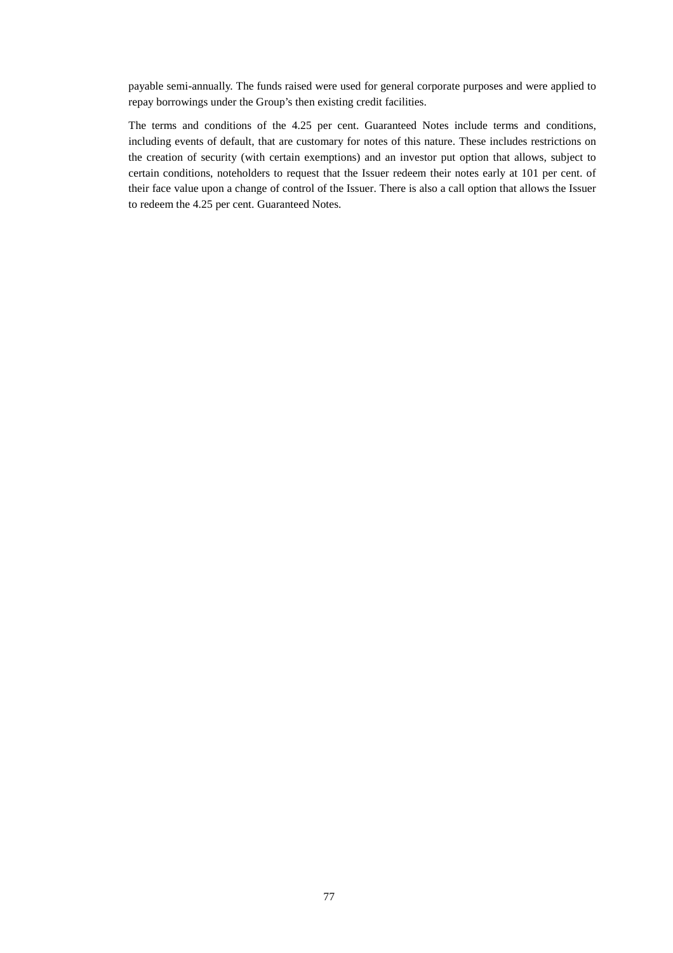payable semi-annually. The funds raised were used for general corporate purposes and were applied to repay borrowings under the Group's then existing credit facilities.

The terms and conditions of the 4.25 per cent. Guaranteed Notes include terms and conditions, including events of default, that are customary for notes of this nature. These includes restrictions on the creation of security (with certain exemptions) and an investor put option that allows, subject to certain conditions, noteholders to request that the Issuer redeem their notes early at 101 per cent. of their face value upon a change of control of the Issuer. There is also a call option that allows the Issuer to redeem the 4.25 per cent. Guaranteed Notes.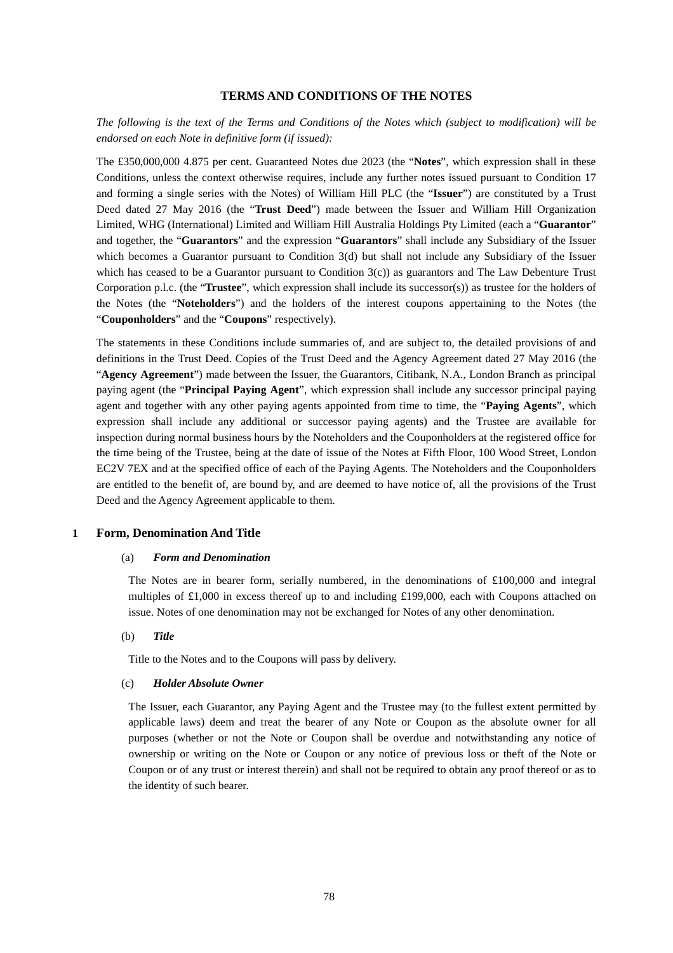## **TERMS AND CONDITIONS OF THE NOTES**

*The following is the text of the Terms and Conditions of the Notes which (subject to modification) will be endorsed on each Note in definitive form (if issued):* 

The £350,000,000 4.875 per cent. Guaranteed Notes due 2023 (the "**Notes**", which expression shall in these Conditions, unless the context otherwise requires, include any further notes issued pursuant to Condition 17 and forming a single series with the Notes) of William Hill PLC (the "**Issuer**") are constituted by a Trust Deed dated 27 May 2016 (the "**Trust Deed**") made between the Issuer and William Hill Organization Limited, WHG (International) Limited and William Hill Australia Holdings Pty Limited (each a "**Guarantor**" and together, the "**Guarantors**" and the expression "**Guarantors**" shall include any Subsidiary of the Issuer which becomes a Guarantor pursuant to Condition 3(d) but shall not include any Subsidiary of the Issuer which has ceased to be a Guarantor pursuant to Condition 3(c)) as guarantors and The Law Debenture Trust Corporation p.l.c. (the "**Trustee**", which expression shall include its successor(s)) as trustee for the holders of the Notes (the "**Noteholders**") and the holders of the interest coupons appertaining to the Notes (the "**Couponholders**" and the "**Coupons**" respectively).

The statements in these Conditions include summaries of, and are subject to, the detailed provisions of and definitions in the Trust Deed. Copies of the Trust Deed and the Agency Agreement dated 27 May 2016 (the "**Agency Agreement**") made between the Issuer, the Guarantors, Citibank, N.A., London Branch as principal paying agent (the "**Principal Paying Agent**", which expression shall include any successor principal paying agent and together with any other paying agents appointed from time to time, the "**Paying Agents**", which expression shall include any additional or successor paying agents) and the Trustee are available for inspection during normal business hours by the Noteholders and the Couponholders at the registered office for the time being of the Trustee, being at the date of issue of the Notes at Fifth Floor, 100 Wood Street, London EC2V 7EX and at the specified office of each of the Paying Agents. The Noteholders and the Couponholders are entitled to the benefit of, are bound by, and are deemed to have notice of, all the provisions of the Trust Deed and the Agency Agreement applicable to them.

#### **1 Form, Denomination And Title**

#### (a) *Form and Denomination*

The Notes are in bearer form, serially numbered, in the denominations of £100,000 and integral multiples of £1,000 in excess thereof up to and including £199,000, each with Coupons attached on issue. Notes of one denomination may not be exchanged for Notes of any other denomination.

## (b) *Title*

Title to the Notes and to the Coupons will pass by delivery.

#### (c) *Holder Absolute Owner*

The Issuer, each Guarantor, any Paying Agent and the Trustee may (to the fullest extent permitted by applicable laws) deem and treat the bearer of any Note or Coupon as the absolute owner for all purposes (whether or not the Note or Coupon shall be overdue and notwithstanding any notice of ownership or writing on the Note or Coupon or any notice of previous loss or theft of the Note or Coupon or of any trust or interest therein) and shall not be required to obtain any proof thereof or as to the identity of such bearer.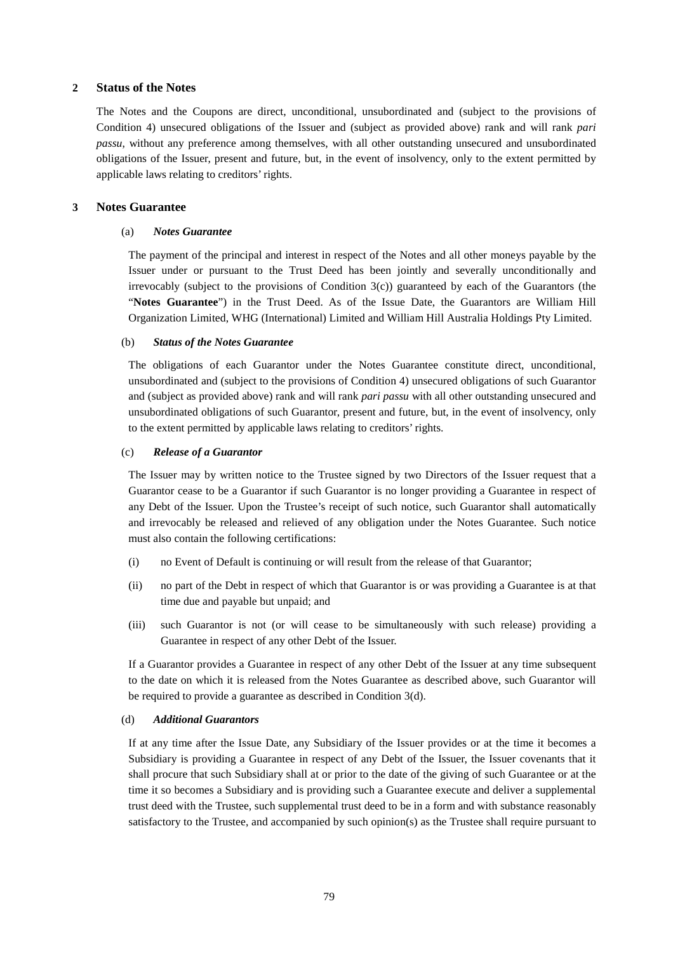## **2 Status of the Notes**

The Notes and the Coupons are direct, unconditional, unsubordinated and (subject to the provisions of Condition 4) unsecured obligations of the Issuer and (subject as provided above) rank and will rank *pari passu*, without any preference among themselves, with all other outstanding unsecured and unsubordinated obligations of the Issuer, present and future, but, in the event of insolvency, only to the extent permitted by applicable laws relating to creditors' rights.

### **3 Notes Guarantee**

#### (a) *Notes Guarantee*

The payment of the principal and interest in respect of the Notes and all other moneys payable by the Issuer under or pursuant to the Trust Deed has been jointly and severally unconditionally and irrevocably (subject to the provisions of Condition 3(c)) guaranteed by each of the Guarantors (the "**Notes Guarantee**") in the Trust Deed. As of the Issue Date, the Guarantors are William Hill Organization Limited, WHG (International) Limited and William Hill Australia Holdings Pty Limited.

#### (b) *Status of the Notes Guarantee*

The obligations of each Guarantor under the Notes Guarantee constitute direct, unconditional, unsubordinated and (subject to the provisions of Condition 4) unsecured obligations of such Guarantor and (subject as provided above) rank and will rank *pari passu* with all other outstanding unsecured and unsubordinated obligations of such Guarantor, present and future, but, in the event of insolvency, only to the extent permitted by applicable laws relating to creditors' rights.

### (c) *Release of a Guarantor*

The Issuer may by written notice to the Trustee signed by two Directors of the Issuer request that a Guarantor cease to be a Guarantor if such Guarantor is no longer providing a Guarantee in respect of any Debt of the Issuer. Upon the Trustee's receipt of such notice, such Guarantor shall automatically and irrevocably be released and relieved of any obligation under the Notes Guarantee. Such notice must also contain the following certifications:

- (i) no Event of Default is continuing or will result from the release of that Guarantor;
- (ii) no part of the Debt in respect of which that Guarantor is or was providing a Guarantee is at that time due and payable but unpaid; and
- (iii) such Guarantor is not (or will cease to be simultaneously with such release) providing a Guarantee in respect of any other Debt of the Issuer.

If a Guarantor provides a Guarantee in respect of any other Debt of the Issuer at any time subsequent to the date on which it is released from the Notes Guarantee as described above, such Guarantor will be required to provide a guarantee as described in Condition 3(d).

#### (d) *Additional Guarantors*

If at any time after the Issue Date, any Subsidiary of the Issuer provides or at the time it becomes a Subsidiary is providing a Guarantee in respect of any Debt of the Issuer, the Issuer covenants that it shall procure that such Subsidiary shall at or prior to the date of the giving of such Guarantee or at the time it so becomes a Subsidiary and is providing such a Guarantee execute and deliver a supplemental trust deed with the Trustee, such supplemental trust deed to be in a form and with substance reasonably satisfactory to the Trustee, and accompanied by such opinion(s) as the Trustee shall require pursuant to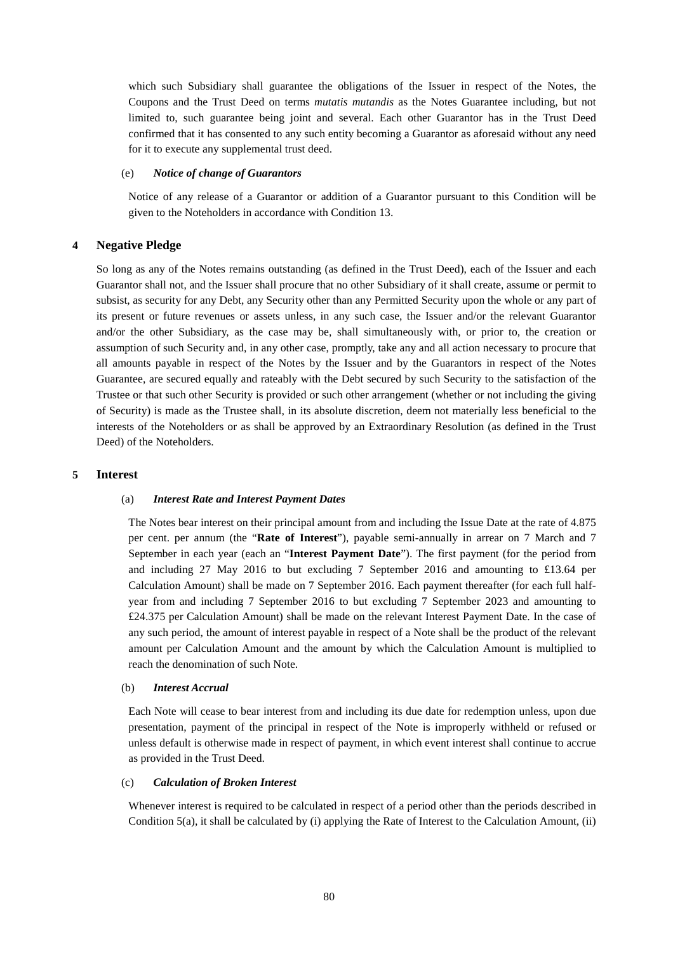which such Subsidiary shall guarantee the obligations of the Issuer in respect of the Notes, the Coupons and the Trust Deed on terms *mutatis mutandis* as the Notes Guarantee including, but not limited to, such guarantee being joint and several. Each other Guarantor has in the Trust Deed confirmed that it has consented to any such entity becoming a Guarantor as aforesaid without any need for it to execute any supplemental trust deed.

### (e) *Notice of change of Guarantors*

Notice of any release of a Guarantor or addition of a Guarantor pursuant to this Condition will be given to the Noteholders in accordance with Condition 13.

## **4 Negative Pledge**

So long as any of the Notes remains outstanding (as defined in the Trust Deed), each of the Issuer and each Guarantor shall not, and the Issuer shall procure that no other Subsidiary of it shall create, assume or permit to subsist, as security for any Debt, any Security other than any Permitted Security upon the whole or any part of its present or future revenues or assets unless, in any such case, the Issuer and/or the relevant Guarantor and/or the other Subsidiary, as the case may be, shall simultaneously with, or prior to, the creation or assumption of such Security and, in any other case, promptly, take any and all action necessary to procure that all amounts payable in respect of the Notes by the Issuer and by the Guarantors in respect of the Notes Guarantee, are secured equally and rateably with the Debt secured by such Security to the satisfaction of the Trustee or that such other Security is provided or such other arrangement (whether or not including the giving of Security) is made as the Trustee shall, in its absolute discretion, deem not materially less beneficial to the interests of the Noteholders or as shall be approved by an Extraordinary Resolution (as defined in the Trust Deed) of the Noteholders.

### **5 Interest**

#### (a) *Interest Rate and Interest Payment Dates*

The Notes bear interest on their principal amount from and including the Issue Date at the rate of 4.875 per cent. per annum (the "**Rate of Interest**"), payable semi-annually in arrear on 7 March and 7 September in each year (each an "**Interest Payment Date**"). The first payment (for the period from and including 27 May 2016 to but excluding 7 September 2016 and amounting to £13.64 per Calculation Amount) shall be made on 7 September 2016. Each payment thereafter (for each full halfyear from and including 7 September 2016 to but excluding 7 September 2023 and amounting to £24.375 per Calculation Amount) shall be made on the relevant Interest Payment Date. In the case of any such period, the amount of interest payable in respect of a Note shall be the product of the relevant amount per Calculation Amount and the amount by which the Calculation Amount is multiplied to reach the denomination of such Note.

#### (b) *Interest Accrual*

Each Note will cease to bear interest from and including its due date for redemption unless, upon due presentation, payment of the principal in respect of the Note is improperly withheld or refused or unless default is otherwise made in respect of payment, in which event interest shall continue to accrue as provided in the Trust Deed.

#### (c) *Calculation of Broken Interest*

Whenever interest is required to be calculated in respect of a period other than the periods described in Condition 5(a), it shall be calculated by (i) applying the Rate of Interest to the Calculation Amount, (ii)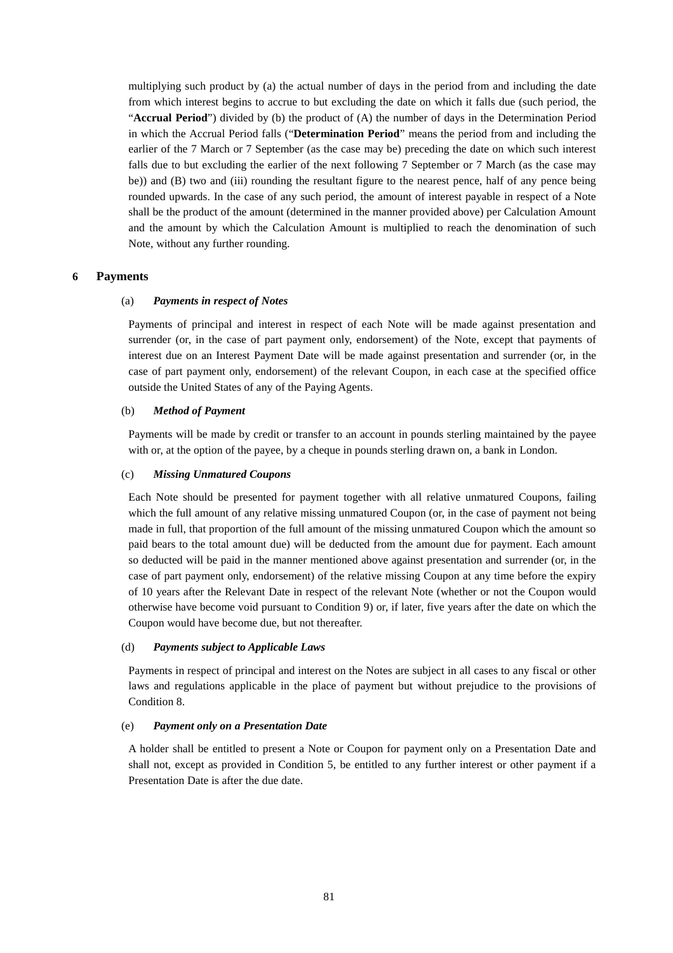multiplying such product by (a) the actual number of days in the period from and including the date from which interest begins to accrue to but excluding the date on which it falls due (such period, the "**Accrual Period**") divided by (b) the product of (A) the number of days in the Determination Period in which the Accrual Period falls ("**Determination Period**" means the period from and including the earlier of the 7 March or 7 September (as the case may be) preceding the date on which such interest falls due to but excluding the earlier of the next following 7 September or 7 March (as the case may be)) and (B) two and (iii) rounding the resultant figure to the nearest pence, half of any pence being rounded upwards. In the case of any such period, the amount of interest payable in respect of a Note shall be the product of the amount (determined in the manner provided above) per Calculation Amount and the amount by which the Calculation Amount is multiplied to reach the denomination of such Note, without any further rounding.

### **6 Payments**

### (a) *Payments in respect of Notes*

Payments of principal and interest in respect of each Note will be made against presentation and surrender (or, in the case of part payment only, endorsement) of the Note, except that payments of interest due on an Interest Payment Date will be made against presentation and surrender (or, in the case of part payment only, endorsement) of the relevant Coupon, in each case at the specified office outside the United States of any of the Paying Agents.

### (b) *Method of Payment*

Payments will be made by credit or transfer to an account in pounds sterling maintained by the payee with or, at the option of the payee, by a cheque in pounds sterling drawn on, a bank in London.

### (c) *Missing Unmatured Coupons*

Each Note should be presented for payment together with all relative unmatured Coupons, failing which the full amount of any relative missing unmatured Coupon (or, in the case of payment not being made in full, that proportion of the full amount of the missing unmatured Coupon which the amount so paid bears to the total amount due) will be deducted from the amount due for payment. Each amount so deducted will be paid in the manner mentioned above against presentation and surrender (or, in the case of part payment only, endorsement) of the relative missing Coupon at any time before the expiry of 10 years after the Relevant Date in respect of the relevant Note (whether or not the Coupon would otherwise have become void pursuant to Condition 9) or, if later, five years after the date on which the Coupon would have become due, but not thereafter.

#### (d) *Payments subject to Applicable Laws*

Payments in respect of principal and interest on the Notes are subject in all cases to any fiscal or other laws and regulations applicable in the place of payment but without prejudice to the provisions of Condition 8.

#### (e) *Payment only on a Presentation Date*

A holder shall be entitled to present a Note or Coupon for payment only on a Presentation Date and shall not, except as provided in Condition 5, be entitled to any further interest or other payment if a Presentation Date is after the due date.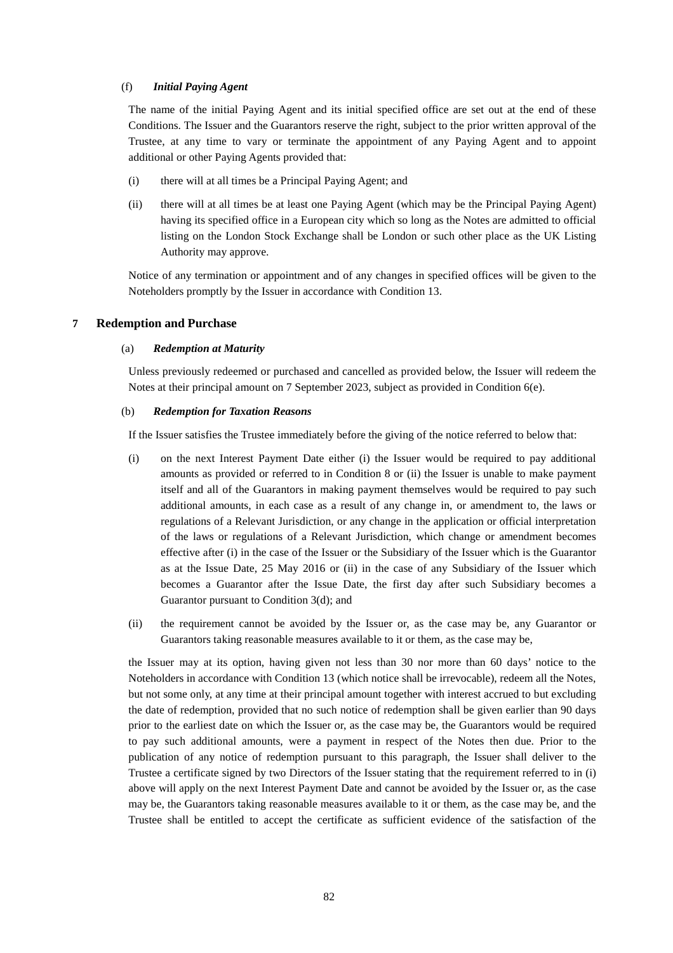#### (f) *Initial Paying Agent*

The name of the initial Paying Agent and its initial specified office are set out at the end of these Conditions. The Issuer and the Guarantors reserve the right, subject to the prior written approval of the Trustee, at any time to vary or terminate the appointment of any Paying Agent and to appoint additional or other Paying Agents provided that:

- (i) there will at all times be a Principal Paying Agent; and
- (ii) there will at all times be at least one Paying Agent (which may be the Principal Paying Agent) having its specified office in a European city which so long as the Notes are admitted to official listing on the London Stock Exchange shall be London or such other place as the UK Listing Authority may approve.

Notice of any termination or appointment and of any changes in specified offices will be given to the Noteholders promptly by the Issuer in accordance with Condition 13.

### **7 Redemption and Purchase**

#### (a) *Redemption at Maturity*

Unless previously redeemed or purchased and cancelled as provided below, the Issuer will redeem the Notes at their principal amount on 7 September 2023, subject as provided in Condition 6(e).

### (b) *Redemption for Taxation Reasons*

If the Issuer satisfies the Trustee immediately before the giving of the notice referred to below that:

- (i) on the next Interest Payment Date either (i) the Issuer would be required to pay additional amounts as provided or referred to in Condition 8 or (ii) the Issuer is unable to make payment itself and all of the Guarantors in making payment themselves would be required to pay such additional amounts, in each case as a result of any change in, or amendment to, the laws or regulations of a Relevant Jurisdiction, or any change in the application or official interpretation of the laws or regulations of a Relevant Jurisdiction, which change or amendment becomes effective after (i) in the case of the Issuer or the Subsidiary of the Issuer which is the Guarantor as at the Issue Date, 25 May 2016 or (ii) in the case of any Subsidiary of the Issuer which becomes a Guarantor after the Issue Date, the first day after such Subsidiary becomes a Guarantor pursuant to Condition 3(d); and
- (ii) the requirement cannot be avoided by the Issuer or, as the case may be, any Guarantor or Guarantors taking reasonable measures available to it or them, as the case may be,

the Issuer may at its option, having given not less than 30 nor more than 60 days' notice to the Noteholders in accordance with Condition 13 (which notice shall be irrevocable), redeem all the Notes, but not some only, at any time at their principal amount together with interest accrued to but excluding the date of redemption, provided that no such notice of redemption shall be given earlier than 90 days prior to the earliest date on which the Issuer or, as the case may be, the Guarantors would be required to pay such additional amounts, were a payment in respect of the Notes then due. Prior to the publication of any notice of redemption pursuant to this paragraph, the Issuer shall deliver to the Trustee a certificate signed by two Directors of the Issuer stating that the requirement referred to in (i) above will apply on the next Interest Payment Date and cannot be avoided by the Issuer or, as the case may be, the Guarantors taking reasonable measures available to it or them, as the case may be, and the Trustee shall be entitled to accept the certificate as sufficient evidence of the satisfaction of the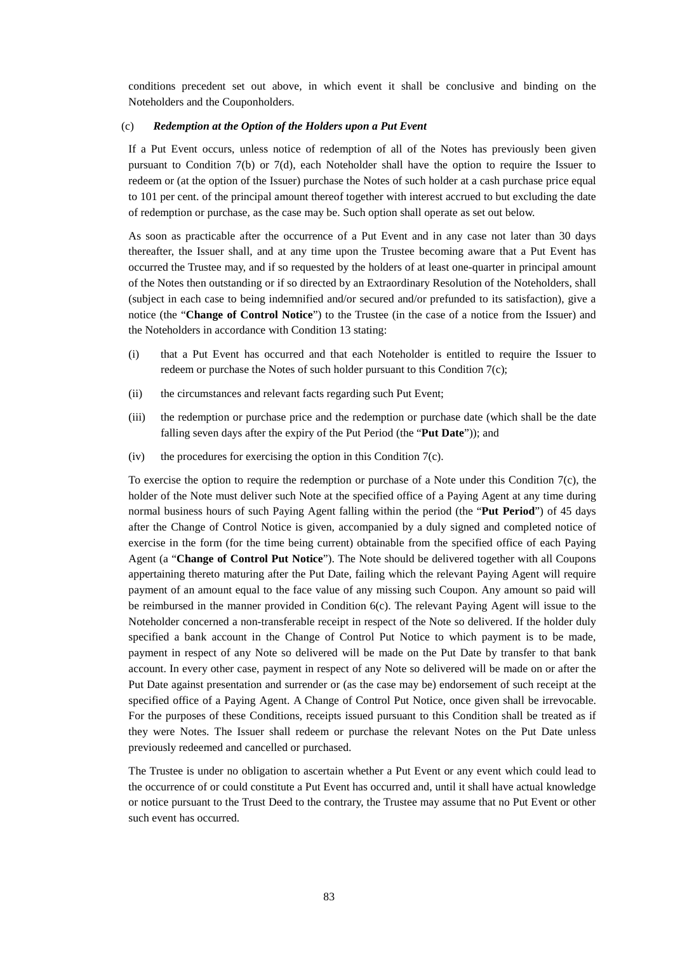conditions precedent set out above, in which event it shall be conclusive and binding on the Noteholders and the Couponholders.

#### (c) *Redemption at the Option of the Holders upon a Put Event*

If a Put Event occurs, unless notice of redemption of all of the Notes has previously been given pursuant to Condition 7(b) or 7(d), each Noteholder shall have the option to require the Issuer to redeem or (at the option of the Issuer) purchase the Notes of such holder at a cash purchase price equal to 101 per cent. of the principal amount thereof together with interest accrued to but excluding the date of redemption or purchase, as the case may be. Such option shall operate as set out below.

As soon as practicable after the occurrence of a Put Event and in any case not later than 30 days thereafter, the Issuer shall, and at any time upon the Trustee becoming aware that a Put Event has occurred the Trustee may, and if so requested by the holders of at least one-quarter in principal amount of the Notes then outstanding or if so directed by an Extraordinary Resolution of the Noteholders, shall (subject in each case to being indemnified and/or secured and/or prefunded to its satisfaction), give a notice (the "**Change of Control Notice**") to the Trustee (in the case of a notice from the Issuer) and the Noteholders in accordance with Condition 13 stating:

- (i) that a Put Event has occurred and that each Noteholder is entitled to require the Issuer to redeem or purchase the Notes of such holder pursuant to this Condition 7(c);
- (ii) the circumstances and relevant facts regarding such Put Event;
- (iii) the redemption or purchase price and the redemption or purchase date (which shall be the date falling seven days after the expiry of the Put Period (the "**Put Date**")); and
- (iv) the procedures for exercising the option in this Condition 7(c).

To exercise the option to require the redemption or purchase of a Note under this Condition 7(c), the holder of the Note must deliver such Note at the specified office of a Paying Agent at any time during normal business hours of such Paying Agent falling within the period (the "**Put Period**") of 45 days after the Change of Control Notice is given, accompanied by a duly signed and completed notice of exercise in the form (for the time being current) obtainable from the specified office of each Paying Agent (a "**Change of Control Put Notice**"). The Note should be delivered together with all Coupons appertaining thereto maturing after the Put Date, failing which the relevant Paying Agent will require payment of an amount equal to the face value of any missing such Coupon. Any amount so paid will be reimbursed in the manner provided in Condition 6(c). The relevant Paying Agent will issue to the Noteholder concerned a non-transferable receipt in respect of the Note so delivered. If the holder duly specified a bank account in the Change of Control Put Notice to which payment is to be made, payment in respect of any Note so delivered will be made on the Put Date by transfer to that bank account. In every other case, payment in respect of any Note so delivered will be made on or after the Put Date against presentation and surrender or (as the case may be) endorsement of such receipt at the specified office of a Paying Agent. A Change of Control Put Notice, once given shall be irrevocable. For the purposes of these Conditions, receipts issued pursuant to this Condition shall be treated as if they were Notes. The Issuer shall redeem or purchase the relevant Notes on the Put Date unless previously redeemed and cancelled or purchased.

The Trustee is under no obligation to ascertain whether a Put Event or any event which could lead to the occurrence of or could constitute a Put Event has occurred and, until it shall have actual knowledge or notice pursuant to the Trust Deed to the contrary, the Trustee may assume that no Put Event or other such event has occurred.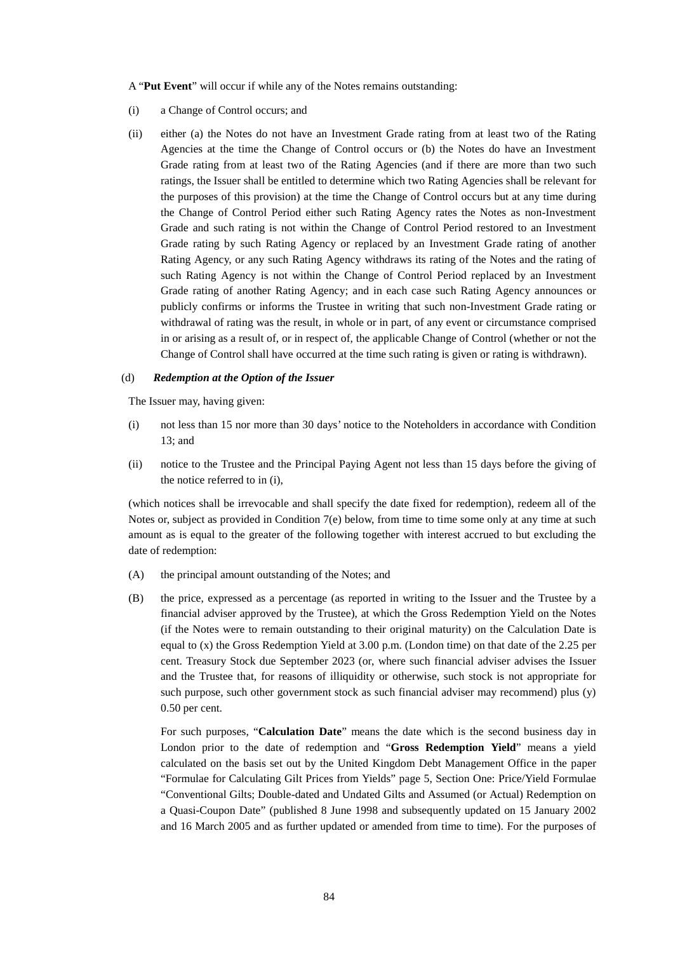A "**Put Event**" will occur if while any of the Notes remains outstanding:

- (i) a Change of Control occurs; and
- (ii) either (a) the Notes do not have an Investment Grade rating from at least two of the Rating Agencies at the time the Change of Control occurs or (b) the Notes do have an Investment Grade rating from at least two of the Rating Agencies (and if there are more than two such ratings, the Issuer shall be entitled to determine which two Rating Agencies shall be relevant for the purposes of this provision) at the time the Change of Control occurs but at any time during the Change of Control Period either such Rating Agency rates the Notes as non-Investment Grade and such rating is not within the Change of Control Period restored to an Investment Grade rating by such Rating Agency or replaced by an Investment Grade rating of another Rating Agency, or any such Rating Agency withdraws its rating of the Notes and the rating of such Rating Agency is not within the Change of Control Period replaced by an Investment Grade rating of another Rating Agency; and in each case such Rating Agency announces or publicly confirms or informs the Trustee in writing that such non-Investment Grade rating or withdrawal of rating was the result, in whole or in part, of any event or circumstance comprised in or arising as a result of, or in respect of, the applicable Change of Control (whether or not the Change of Control shall have occurred at the time such rating is given or rating is withdrawn).

## (d) *Redemption at the Option of the Issuer*

The Issuer may, having given:

- (i) not less than 15 nor more than 30 days' notice to the Noteholders in accordance with Condition 13; and
- (ii) notice to the Trustee and the Principal Paying Agent not less than 15 days before the giving of the notice referred to in (i),

(which notices shall be irrevocable and shall specify the date fixed for redemption), redeem all of the Notes or, subject as provided in Condition 7(e) below, from time to time some only at any time at such amount as is equal to the greater of the following together with interest accrued to but excluding the date of redemption:

- (A) the principal amount outstanding of the Notes; and
- (B) the price, expressed as a percentage (as reported in writing to the Issuer and the Trustee by a financial adviser approved by the Trustee), at which the Gross Redemption Yield on the Notes (if the Notes were to remain outstanding to their original maturity) on the Calculation Date is equal to (x) the Gross Redemption Yield at 3.00 p.m. (London time) on that date of the 2.25 per cent. Treasury Stock due September 2023 (or, where such financial adviser advises the Issuer and the Trustee that, for reasons of illiquidity or otherwise, such stock is not appropriate for such purpose, such other government stock as such financial adviser may recommend) plus (y) 0.50 per cent.

For such purposes, "**Calculation Date**" means the date which is the second business day in London prior to the date of redemption and "**Gross Redemption Yield**" means a yield calculated on the basis set out by the United Kingdom Debt Management Office in the paper "Formulae for Calculating Gilt Prices from Yields" page 5, Section One: Price/Yield Formulae "Conventional Gilts; Double-dated and Undated Gilts and Assumed (or Actual) Redemption on a Quasi-Coupon Date" (published 8 June 1998 and subsequently updated on 15 January 2002 and 16 March 2005 and as further updated or amended from time to time). For the purposes of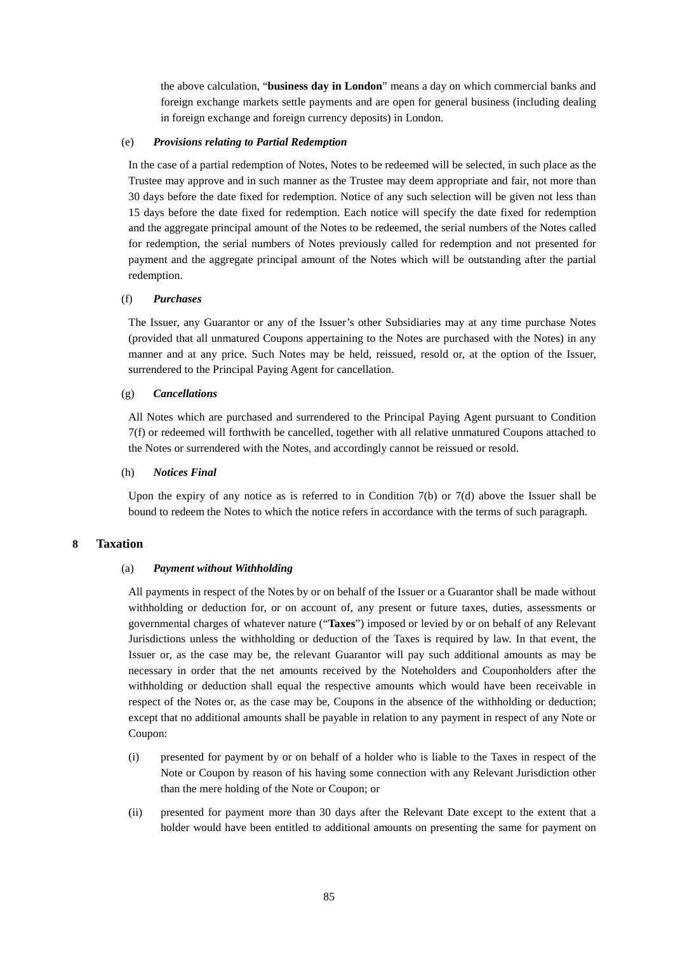the above calculation, "**business day in London**" means a day on which commercial banks and foreign exchange markets settle payments and are open for general business (including dealing in foreign exchange and foreign currency deposits) in London.

#### (e) *Provisions relating to Partial Redemption*

In the case of a partial redemption of Notes, Notes to be redeemed will be selected, in such place as the Trustee may approve and in such manner as the Trustee may deem appropriate and fair, not more than 30 days before the date fixed for redemption. Notice of any such selection will be given not less than 15 days before the date fixed for redemption. Each notice will specify the date fixed for redemption and the aggregate principal amount of the Notes to be redeemed, the serial numbers of the Notes called for redemption, the serial numbers of Notes previously called for redemption and not presented for payment and the aggregate principal amount of the Notes which will be outstanding after the partial redemption.

### (f) *Purchases*

The Issuer, any Guarantor or any of the Issuer's other Subsidiaries may at any time purchase Notes (provided that all unmatured Coupons appertaining to the Notes are purchased with the Notes) in any manner and at any price. Such Notes may be held, reissued, resold or, at the option of the Issuer, surrendered to the Principal Paying Agent for cancellation.

### (g) *Cancellations*

All Notes which are purchased and surrendered to the Principal Paying Agent pursuant to Condition 7(f) or redeemed will forthwith be cancelled, together with all relative unmatured Coupons attached to the Notes or surrendered with the Notes, and accordingly cannot be reissued or resold.

### (h) *Notices Final*

Upon the expiry of any notice as is referred to in Condition 7(b) or 7(d) above the Issuer shall be bound to redeem the Notes to which the notice refers in accordance with the terms of such paragraph.

## **8 Taxation**

#### (a) *Payment without Withholding*

All payments in respect of the Notes by or on behalf of the Issuer or a Guarantor shall be made without withholding or deduction for, or on account of, any present or future taxes, duties, assessments or governmental charges of whatever nature ("**Taxes**") imposed or levied by or on behalf of any Relevant Jurisdictions unless the withholding or deduction of the Taxes is required by law. In that event, the Issuer or, as the case may be, the relevant Guarantor will pay such additional amounts as may be necessary in order that the net amounts received by the Noteholders and Couponholders after the withholding or deduction shall equal the respective amounts which would have been receivable in respect of the Notes or, as the case may be, Coupons in the absence of the withholding or deduction; except that no additional amounts shall be payable in relation to any payment in respect of any Note or Coupon:

- (i) presented for payment by or on behalf of a holder who is liable to the Taxes in respect of the Note or Coupon by reason of his having some connection with any Relevant Jurisdiction other than the mere holding of the Note or Coupon; or
- (ii) presented for payment more than 30 days after the Relevant Date except to the extent that a holder would have been entitled to additional amounts on presenting the same for payment on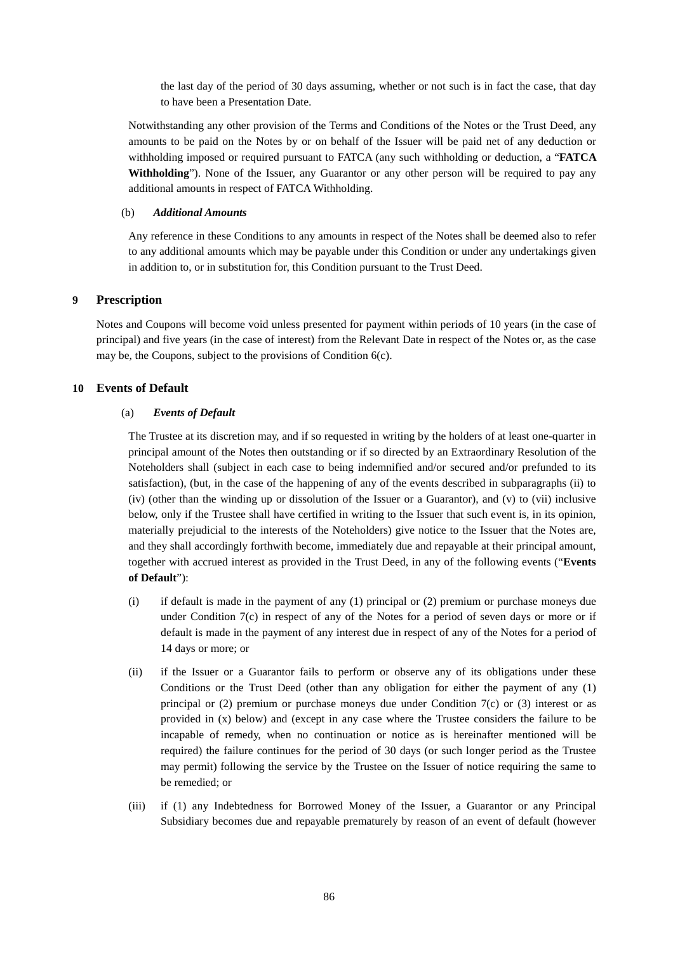the last day of the period of 30 days assuming, whether or not such is in fact the case, that day to have been a Presentation Date.

Notwithstanding any other provision of the Terms and Conditions of the Notes or the Trust Deed, any amounts to be paid on the Notes by or on behalf of the Issuer will be paid net of any deduction or withholding imposed or required pursuant to FATCA (any such withholding or deduction, a "**FATCA Withholding**"). None of the Issuer, any Guarantor or any other person will be required to pay any additional amounts in respect of FATCA Withholding.

### (b) *Additional Amounts*

Any reference in these Conditions to any amounts in respect of the Notes shall be deemed also to refer to any additional amounts which may be payable under this Condition or under any undertakings given in addition to, or in substitution for, this Condition pursuant to the Trust Deed.

### **9 Prescription**

Notes and Coupons will become void unless presented for payment within periods of 10 years (in the case of principal) and five years (in the case of interest) from the Relevant Date in respect of the Notes or, as the case may be, the Coupons, subject to the provisions of Condition 6(c).

### **10 Events of Default**

### (a) *Events of Default*

The Trustee at its discretion may, and if so requested in writing by the holders of at least one-quarter in principal amount of the Notes then outstanding or if so directed by an Extraordinary Resolution of the Noteholders shall (subject in each case to being indemnified and/or secured and/or prefunded to its satisfaction), (but, in the case of the happening of any of the events described in subparagraphs (ii) to (iv) (other than the winding up or dissolution of the Issuer or a Guarantor), and (v) to (vii) inclusive below, only if the Trustee shall have certified in writing to the Issuer that such event is, in its opinion, materially prejudicial to the interests of the Noteholders) give notice to the Issuer that the Notes are, and they shall accordingly forthwith become, immediately due and repayable at their principal amount, together with accrued interest as provided in the Trust Deed, in any of the following events ("**Events of Default**"):

- (i) if default is made in the payment of any (1) principal or (2) premium or purchase moneys due under Condition 7(c) in respect of any of the Notes for a period of seven days or more or if default is made in the payment of any interest due in respect of any of the Notes for a period of 14 days or more; or
- (ii) if the Issuer or a Guarantor fails to perform or observe any of its obligations under these Conditions or the Trust Deed (other than any obligation for either the payment of any (1) principal or (2) premium or purchase moneys due under Condition  $7(c)$  or (3) interest or as provided in (x) below) and (except in any case where the Trustee considers the failure to be incapable of remedy, when no continuation or notice as is hereinafter mentioned will be required) the failure continues for the period of 30 days (or such longer period as the Trustee may permit) following the service by the Trustee on the Issuer of notice requiring the same to be remedied; or
- (iii) if (1) any Indebtedness for Borrowed Money of the Issuer, a Guarantor or any Principal Subsidiary becomes due and repayable prematurely by reason of an event of default (however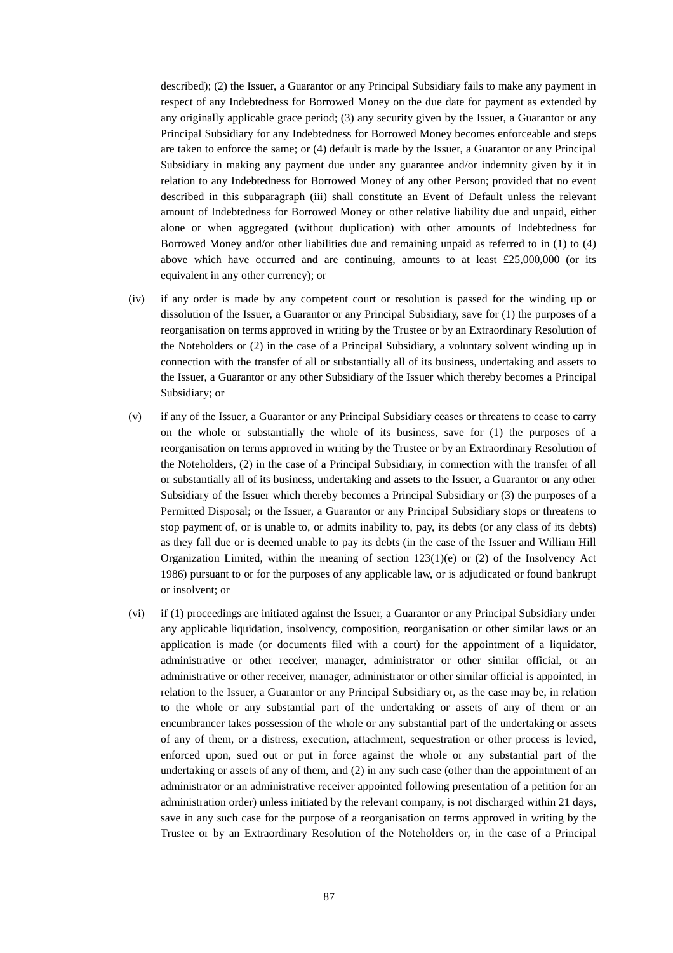described); (2) the Issuer, a Guarantor or any Principal Subsidiary fails to make any payment in respect of any Indebtedness for Borrowed Money on the due date for payment as extended by any originally applicable grace period; (3) any security given by the Issuer, a Guarantor or any Principal Subsidiary for any Indebtedness for Borrowed Money becomes enforceable and steps are taken to enforce the same; or (4) default is made by the Issuer, a Guarantor or any Principal Subsidiary in making any payment due under any guarantee and/or indemnity given by it in relation to any Indebtedness for Borrowed Money of any other Person; provided that no event described in this subparagraph (iii) shall constitute an Event of Default unless the relevant amount of Indebtedness for Borrowed Money or other relative liability due and unpaid, either alone or when aggregated (without duplication) with other amounts of Indebtedness for Borrowed Money and/or other liabilities due and remaining unpaid as referred to in (1) to (4) above which have occurred and are continuing, amounts to at least £25,000,000 (or its equivalent in any other currency); or

- (iv) if any order is made by any competent court or resolution is passed for the winding up or dissolution of the Issuer, a Guarantor or any Principal Subsidiary, save for (1) the purposes of a reorganisation on terms approved in writing by the Trustee or by an Extraordinary Resolution of the Noteholders or (2) in the case of a Principal Subsidiary, a voluntary solvent winding up in connection with the transfer of all or substantially all of its business, undertaking and assets to the Issuer, a Guarantor or any other Subsidiary of the Issuer which thereby becomes a Principal Subsidiary; or
- (v) if any of the Issuer, a Guarantor or any Principal Subsidiary ceases or threatens to cease to carry on the whole or substantially the whole of its business, save for (1) the purposes of a reorganisation on terms approved in writing by the Trustee or by an Extraordinary Resolution of the Noteholders, (2) in the case of a Principal Subsidiary, in connection with the transfer of all or substantially all of its business, undertaking and assets to the Issuer, a Guarantor or any other Subsidiary of the Issuer which thereby becomes a Principal Subsidiary or (3) the purposes of a Permitted Disposal; or the Issuer, a Guarantor or any Principal Subsidiary stops or threatens to stop payment of, or is unable to, or admits inability to, pay, its debts (or any class of its debts) as they fall due or is deemed unable to pay its debts (in the case of the Issuer and William Hill Organization Limited, within the meaning of section  $123(1)(e)$  or (2) of the Insolvency Act 1986) pursuant to or for the purposes of any applicable law, or is adjudicated or found bankrupt or insolvent; or
- (vi) if (1) proceedings are initiated against the Issuer, a Guarantor or any Principal Subsidiary under any applicable liquidation, insolvency, composition, reorganisation or other similar laws or an application is made (or documents filed with a court) for the appointment of a liquidator, administrative or other receiver, manager, administrator or other similar official, or an administrative or other receiver, manager, administrator or other similar official is appointed, in relation to the Issuer, a Guarantor or any Principal Subsidiary or, as the case may be, in relation to the whole or any substantial part of the undertaking or assets of any of them or an encumbrancer takes possession of the whole or any substantial part of the undertaking or assets of any of them, or a distress, execution, attachment, sequestration or other process is levied, enforced upon, sued out or put in force against the whole or any substantial part of the undertaking or assets of any of them, and (2) in any such case (other than the appointment of an administrator or an administrative receiver appointed following presentation of a petition for an administration order) unless initiated by the relevant company, is not discharged within 21 days, save in any such case for the purpose of a reorganisation on terms approved in writing by the Trustee or by an Extraordinary Resolution of the Noteholders or, in the case of a Principal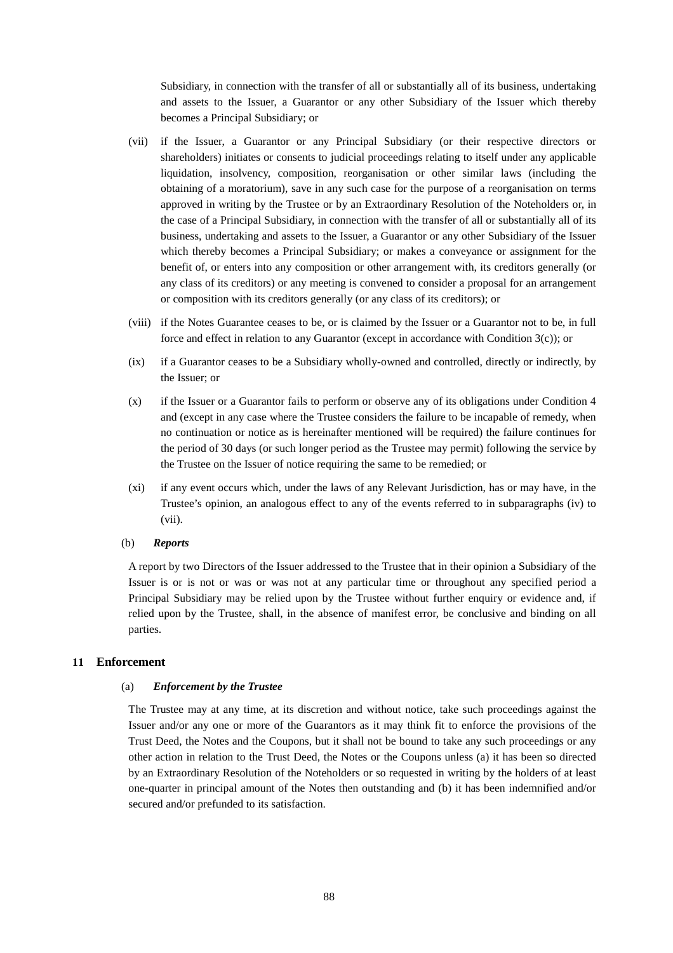Subsidiary, in connection with the transfer of all or substantially all of its business, undertaking and assets to the Issuer, a Guarantor or any other Subsidiary of the Issuer which thereby becomes a Principal Subsidiary; or

- (vii) if the Issuer, a Guarantor or any Principal Subsidiary (or their respective directors or shareholders) initiates or consents to judicial proceedings relating to itself under any applicable liquidation, insolvency, composition, reorganisation or other similar laws (including the obtaining of a moratorium), save in any such case for the purpose of a reorganisation on terms approved in writing by the Trustee or by an Extraordinary Resolution of the Noteholders or, in the case of a Principal Subsidiary, in connection with the transfer of all or substantially all of its business, undertaking and assets to the Issuer, a Guarantor or any other Subsidiary of the Issuer which thereby becomes a Principal Subsidiary; or makes a conveyance or assignment for the benefit of, or enters into any composition or other arrangement with, its creditors generally (or any class of its creditors) or any meeting is convened to consider a proposal for an arrangement or composition with its creditors generally (or any class of its creditors); or
- (viii) if the Notes Guarantee ceases to be, or is claimed by the Issuer or a Guarantor not to be, in full force and effect in relation to any Guarantor (except in accordance with Condition 3(c)); or
- (ix) if a Guarantor ceases to be a Subsidiary wholly-owned and controlled, directly or indirectly, by the Issuer; or
- (x) if the Issuer or a Guarantor fails to perform or observe any of its obligations under Condition 4 and (except in any case where the Trustee considers the failure to be incapable of remedy, when no continuation or notice as is hereinafter mentioned will be required) the failure continues for the period of 30 days (or such longer period as the Trustee may permit) following the service by the Trustee on the Issuer of notice requiring the same to be remedied; or
- (xi) if any event occurs which, under the laws of any Relevant Jurisdiction, has or may have, in the Trustee's opinion, an analogous effect to any of the events referred to in subparagraphs (iv) to (vii).

#### (b) *Reports*

A report by two Directors of the Issuer addressed to the Trustee that in their opinion a Subsidiary of the Issuer is or is not or was or was not at any particular time or throughout any specified period a Principal Subsidiary may be relied upon by the Trustee without further enquiry or evidence and, if relied upon by the Trustee, shall, in the absence of manifest error, be conclusive and binding on all parties.

## **11 Enforcement**

### (a) *Enforcement by the Trustee*

The Trustee may at any time, at its discretion and without notice, take such proceedings against the Issuer and/or any one or more of the Guarantors as it may think fit to enforce the provisions of the Trust Deed, the Notes and the Coupons, but it shall not be bound to take any such proceedings or any other action in relation to the Trust Deed, the Notes or the Coupons unless (a) it has been so directed by an Extraordinary Resolution of the Noteholders or so requested in writing by the holders of at least one-quarter in principal amount of the Notes then outstanding and (b) it has been indemnified and/or secured and/or prefunded to its satisfaction.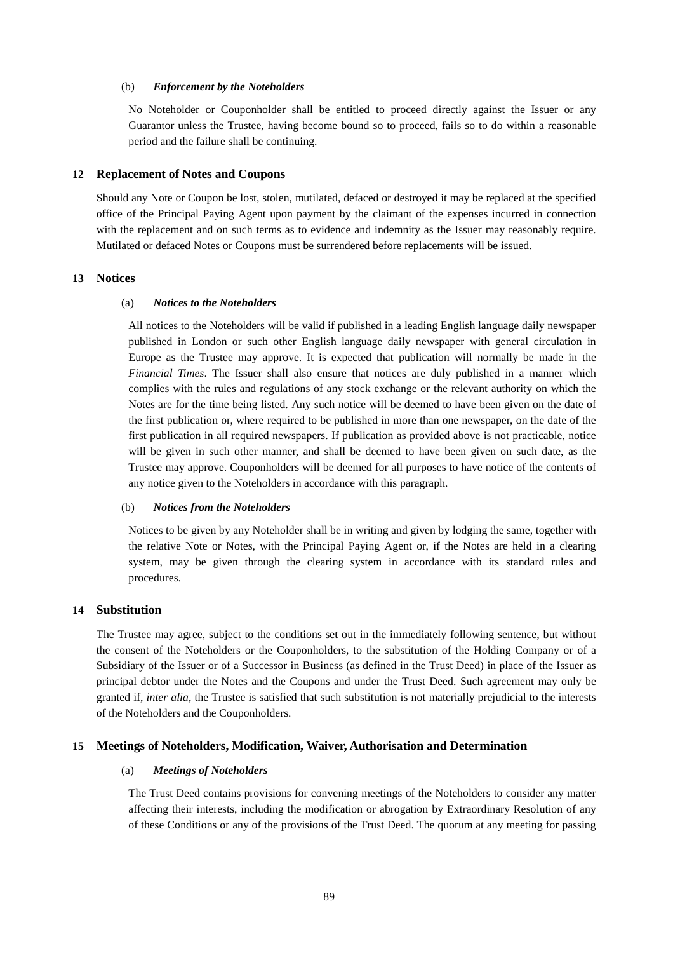#### (b) *Enforcement by the Noteholders*

No Noteholder or Couponholder shall be entitled to proceed directly against the Issuer or any Guarantor unless the Trustee, having become bound so to proceed, fails so to do within a reasonable period and the failure shall be continuing.

#### **12 Replacement of Notes and Coupons**

Should any Note or Coupon be lost, stolen, mutilated, defaced or destroyed it may be replaced at the specified office of the Principal Paying Agent upon payment by the claimant of the expenses incurred in connection with the replacement and on such terms as to evidence and indemnity as the Issuer may reasonably require. Mutilated or defaced Notes or Coupons must be surrendered before replacements will be issued.

#### **13 Notices**

### (a) *Notices to the Noteholders*

All notices to the Noteholders will be valid if published in a leading English language daily newspaper published in London or such other English language daily newspaper with general circulation in Europe as the Trustee may approve. It is expected that publication will normally be made in the *Financial Times*. The Issuer shall also ensure that notices are duly published in a manner which complies with the rules and regulations of any stock exchange or the relevant authority on which the Notes are for the time being listed. Any such notice will be deemed to have been given on the date of the first publication or, where required to be published in more than one newspaper, on the date of the first publication in all required newspapers. If publication as provided above is not practicable, notice will be given in such other manner, and shall be deemed to have been given on such date, as the Trustee may approve. Couponholders will be deemed for all purposes to have notice of the contents of any notice given to the Noteholders in accordance with this paragraph.

#### (b) *Notices from the Noteholders*

Notices to be given by any Noteholder shall be in writing and given by lodging the same, together with the relative Note or Notes, with the Principal Paying Agent or, if the Notes are held in a clearing system, may be given through the clearing system in accordance with its standard rules and procedures.

### **14 Substitution**

The Trustee may agree, subject to the conditions set out in the immediately following sentence, but without the consent of the Noteholders or the Couponholders, to the substitution of the Holding Company or of a Subsidiary of the Issuer or of a Successor in Business (as defined in the Trust Deed) in place of the Issuer as principal debtor under the Notes and the Coupons and under the Trust Deed. Such agreement may only be granted if, *inter alia*, the Trustee is satisfied that such substitution is not materially prejudicial to the interests of the Noteholders and the Couponholders.

## **15 Meetings of Noteholders, Modification, Waiver, Authorisation and Determination**

#### (a) *Meetings of Noteholders*

The Trust Deed contains provisions for convening meetings of the Noteholders to consider any matter affecting their interests, including the modification or abrogation by Extraordinary Resolution of any of these Conditions or any of the provisions of the Trust Deed. The quorum at any meeting for passing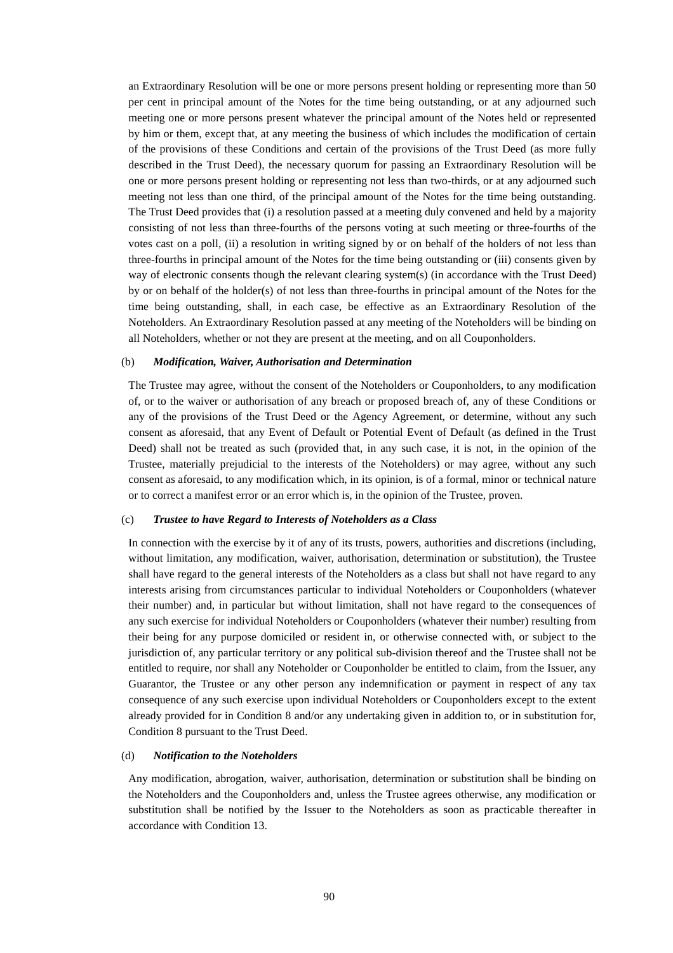an Extraordinary Resolution will be one or more persons present holding or representing more than 50 per cent in principal amount of the Notes for the time being outstanding, or at any adjourned such meeting one or more persons present whatever the principal amount of the Notes held or represented by him or them, except that, at any meeting the business of which includes the modification of certain of the provisions of these Conditions and certain of the provisions of the Trust Deed (as more fully described in the Trust Deed), the necessary quorum for passing an Extraordinary Resolution will be one or more persons present holding or representing not less than two-thirds, or at any adjourned such meeting not less than one third, of the principal amount of the Notes for the time being outstanding. The Trust Deed provides that (i) a resolution passed at a meeting duly convened and held by a majority consisting of not less than three-fourths of the persons voting at such meeting or three-fourths of the votes cast on a poll, (ii) a resolution in writing signed by or on behalf of the holders of not less than three-fourths in principal amount of the Notes for the time being outstanding or (iii) consents given by way of electronic consents though the relevant clearing system(s) (in accordance with the Trust Deed) by or on behalf of the holder(s) of not less than three-fourths in principal amount of the Notes for the time being outstanding, shall, in each case, be effective as an Extraordinary Resolution of the Noteholders. An Extraordinary Resolution passed at any meeting of the Noteholders will be binding on all Noteholders, whether or not they are present at the meeting, and on all Couponholders.

#### (b) *Modification, Waiver, Authorisation and Determination*

The Trustee may agree, without the consent of the Noteholders or Couponholders, to any modification of, or to the waiver or authorisation of any breach or proposed breach of, any of these Conditions or any of the provisions of the Trust Deed or the Agency Agreement, or determine, without any such consent as aforesaid, that any Event of Default or Potential Event of Default (as defined in the Trust Deed) shall not be treated as such (provided that, in any such case, it is not, in the opinion of the Trustee, materially prejudicial to the interests of the Noteholders) or may agree, without any such consent as aforesaid, to any modification which, in its opinion, is of a formal, minor or technical nature or to correct a manifest error or an error which is, in the opinion of the Trustee, proven.

#### (c) *Trustee to have Regard to Interests of Noteholders as a Class*

In connection with the exercise by it of any of its trusts, powers, authorities and discretions (including, without limitation, any modification, waiver, authorisation, determination or substitution), the Trustee shall have regard to the general interests of the Noteholders as a class but shall not have regard to any interests arising from circumstances particular to individual Noteholders or Couponholders (whatever their number) and, in particular but without limitation, shall not have regard to the consequences of any such exercise for individual Noteholders or Couponholders (whatever their number) resulting from their being for any purpose domiciled or resident in, or otherwise connected with, or subject to the jurisdiction of, any particular territory or any political sub-division thereof and the Trustee shall not be entitled to require, nor shall any Noteholder or Couponholder be entitled to claim, from the Issuer, any Guarantor, the Trustee or any other person any indemnification or payment in respect of any tax consequence of any such exercise upon individual Noteholders or Couponholders except to the extent already provided for in Condition 8 and/or any undertaking given in addition to, or in substitution for, Condition 8 pursuant to the Trust Deed.

#### (d) *Notification to the Noteholders*

Any modification, abrogation, waiver, authorisation, determination or substitution shall be binding on the Noteholders and the Couponholders and, unless the Trustee agrees otherwise, any modification or substitution shall be notified by the Issuer to the Noteholders as soon as practicable thereafter in accordance with Condition 13.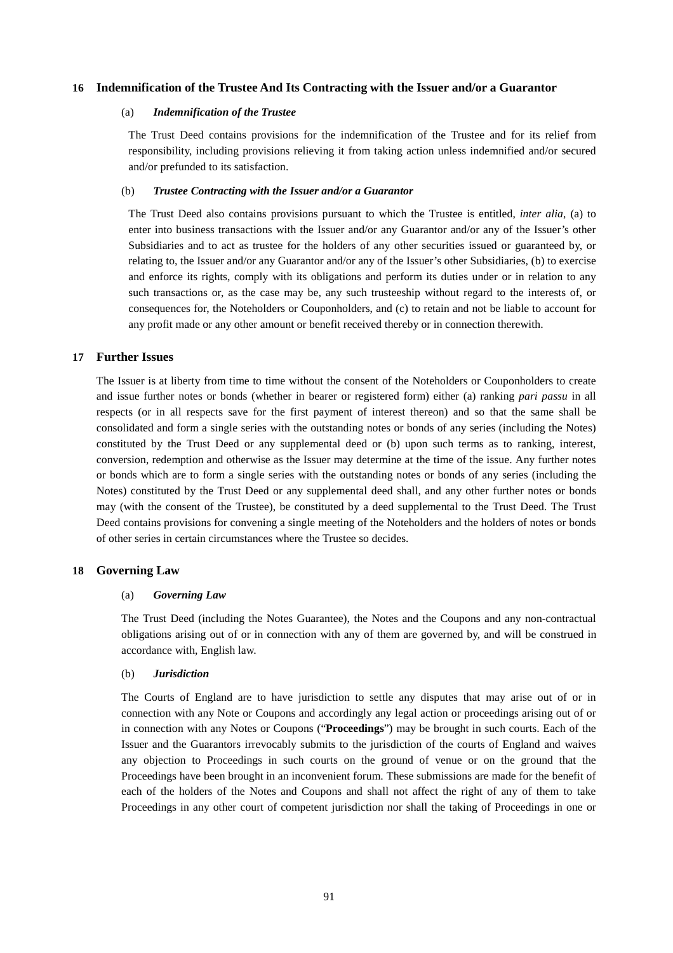## **16 Indemnification of the Trustee And Its Contracting with the Issuer and/or a Guarantor**

# (a) *Indemnification of the Trustee*

The Trust Deed contains provisions for the indemnification of the Trustee and for its relief from responsibility, including provisions relieving it from taking action unless indemnified and/or secured and/or prefunded to its satisfaction.

### (b) *Trustee Contracting with the Issuer and/or a Guarantor*

The Trust Deed also contains provisions pursuant to which the Trustee is entitled, *inter alia*, (a) to enter into business transactions with the Issuer and/or any Guarantor and/or any of the Issuer's other Subsidiaries and to act as trustee for the holders of any other securities issued or guaranteed by, or relating to, the Issuer and/or any Guarantor and/or any of the Issuer's other Subsidiaries, (b) to exercise and enforce its rights, comply with its obligations and perform its duties under or in relation to any such transactions or, as the case may be, any such trusteeship without regard to the interests of, or consequences for, the Noteholders or Couponholders, and (c) to retain and not be liable to account for any profit made or any other amount or benefit received thereby or in connection therewith.

### **17 Further Issues**

The Issuer is at liberty from time to time without the consent of the Noteholders or Couponholders to create and issue further notes or bonds (whether in bearer or registered form) either (a) ranking *pari passu* in all respects (or in all respects save for the first payment of interest thereon) and so that the same shall be consolidated and form a single series with the outstanding notes or bonds of any series (including the Notes) constituted by the Trust Deed or any supplemental deed or (b) upon such terms as to ranking, interest, conversion, redemption and otherwise as the Issuer may determine at the time of the issue. Any further notes or bonds which are to form a single series with the outstanding notes or bonds of any series (including the Notes) constituted by the Trust Deed or any supplemental deed shall, and any other further notes or bonds may (with the consent of the Trustee), be constituted by a deed supplemental to the Trust Deed. The Trust Deed contains provisions for convening a single meeting of the Noteholders and the holders of notes or bonds of other series in certain circumstances where the Trustee so decides.

#### **18 Governing Law**

#### (a) *Governing Law*

The Trust Deed (including the Notes Guarantee), the Notes and the Coupons and any non-contractual obligations arising out of or in connection with any of them are governed by, and will be construed in accordance with, English law.

## (b) *Jurisdiction*

The Courts of England are to have jurisdiction to settle any disputes that may arise out of or in connection with any Note or Coupons and accordingly any legal action or proceedings arising out of or in connection with any Notes or Coupons ("**Proceedings**") may be brought in such courts. Each of the Issuer and the Guarantors irrevocably submits to the jurisdiction of the courts of England and waives any objection to Proceedings in such courts on the ground of venue or on the ground that the Proceedings have been brought in an inconvenient forum. These submissions are made for the benefit of each of the holders of the Notes and Coupons and shall not affect the right of any of them to take Proceedings in any other court of competent jurisdiction nor shall the taking of Proceedings in one or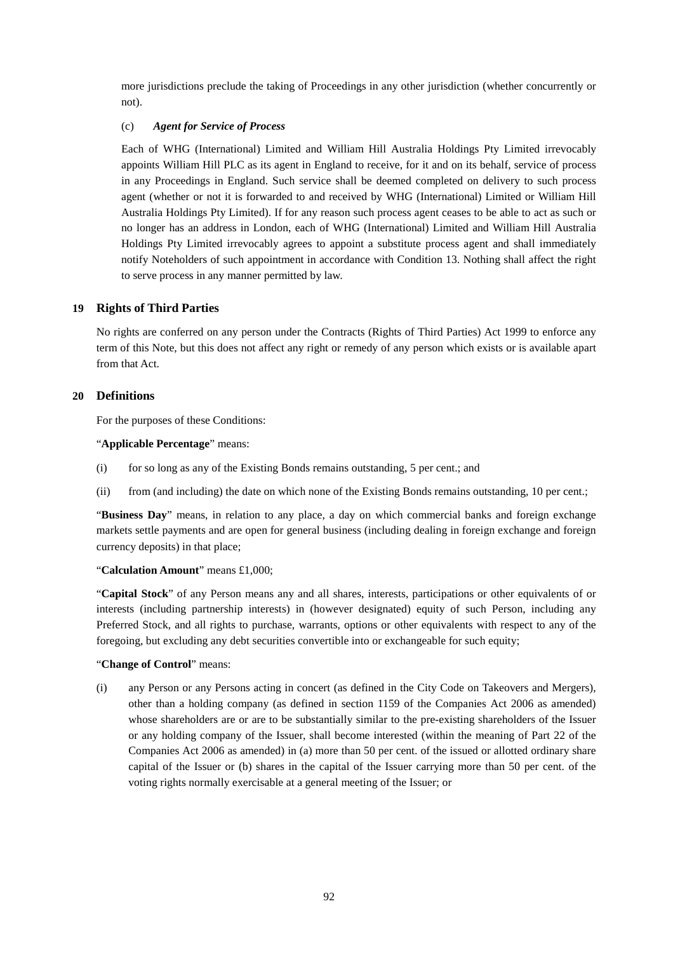more jurisdictions preclude the taking of Proceedings in any other jurisdiction (whether concurrently or not).

## (c) *Agent for Service of Process*

Each of WHG (International) Limited and William Hill Australia Holdings Pty Limited irrevocably appoints William Hill PLC as its agent in England to receive, for it and on its behalf, service of process in any Proceedings in England. Such service shall be deemed completed on delivery to such process agent (whether or not it is forwarded to and received by WHG (International) Limited or William Hill Australia Holdings Pty Limited). If for any reason such process agent ceases to be able to act as such or no longer has an address in London, each of WHG (International) Limited and William Hill Australia Holdings Pty Limited irrevocably agrees to appoint a substitute process agent and shall immediately notify Noteholders of such appointment in accordance with Condition 13. Nothing shall affect the right to serve process in any manner permitted by law.

# **19 Rights of Third Parties**

No rights are conferred on any person under the Contracts (Rights of Third Parties) Act 1999 to enforce any term of this Note, but this does not affect any right or remedy of any person which exists or is available apart from that Act.

## **20 Definitions**

For the purposes of these Conditions:

## "**Applicable Percentage**" means:

- (i) for so long as any of the Existing Bonds remains outstanding, 5 per cent.; and
- (ii) from (and including) the date on which none of the Existing Bonds remains outstanding, 10 per cent.;

"**Business Day**" means, in relation to any place, a day on which commercial banks and foreign exchange markets settle payments and are open for general business (including dealing in foreign exchange and foreign currency deposits) in that place;

## "**Calculation Amount**" means £1,000;

"**Capital Stock**" of any Person means any and all shares, interests, participations or other equivalents of or interests (including partnership interests) in (however designated) equity of such Person, including any Preferred Stock, and all rights to purchase, warrants, options or other equivalents with respect to any of the foregoing, but excluding any debt securities convertible into or exchangeable for such equity;

## "**Change of Control**" means:

(i) any Person or any Persons acting in concert (as defined in the City Code on Takeovers and Mergers), other than a holding company (as defined in section 1159 of the Companies Act 2006 as amended) whose shareholders are or are to be substantially similar to the pre-existing shareholders of the Issuer or any holding company of the Issuer, shall become interested (within the meaning of Part 22 of the Companies Act 2006 as amended) in (a) more than 50 per cent. of the issued or allotted ordinary share capital of the Issuer or (b) shares in the capital of the Issuer carrying more than 50 per cent. of the voting rights normally exercisable at a general meeting of the Issuer; or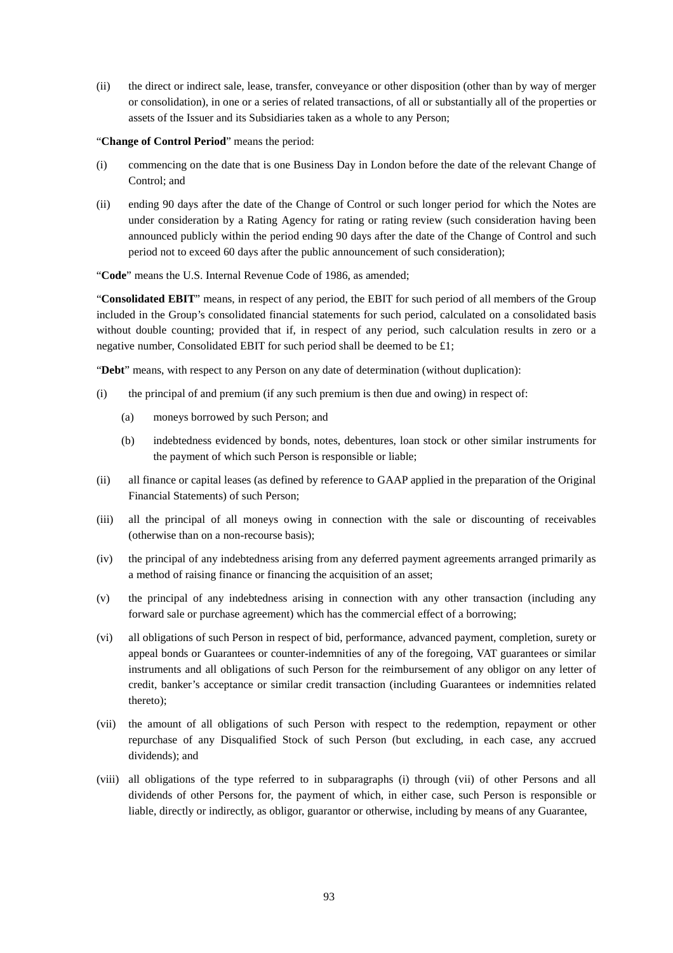(ii) the direct or indirect sale, lease, transfer, conveyance or other disposition (other than by way of merger or consolidation), in one or a series of related transactions, of all or substantially all of the properties or assets of the Issuer and its Subsidiaries taken as a whole to any Person;

"**Change of Control Period**" means the period:

- (i) commencing on the date that is one Business Day in London before the date of the relevant Change of Control; and
- (ii) ending 90 days after the date of the Change of Control or such longer period for which the Notes are under consideration by a Rating Agency for rating or rating review (such consideration having been announced publicly within the period ending 90 days after the date of the Change of Control and such period not to exceed 60 days after the public announcement of such consideration);

"**Code**" means the U.S. Internal Revenue Code of 1986, as amended;

"**Consolidated EBIT**" means, in respect of any period, the EBIT for such period of all members of the Group included in the Group's consolidated financial statements for such period, calculated on a consolidated basis without double counting; provided that if, in respect of any period, such calculation results in zero or a negative number, Consolidated EBIT for such period shall be deemed to be £1;

"**Debt**" means, with respect to any Person on any date of determination (without duplication):

- (i) the principal of and premium (if any such premium is then due and owing) in respect of:
	- (a) moneys borrowed by such Person; and
	- (b) indebtedness evidenced by bonds, notes, debentures, loan stock or other similar instruments for the payment of which such Person is responsible or liable;
- (ii) all finance or capital leases (as defined by reference to GAAP applied in the preparation of the Original Financial Statements) of such Person;
- (iii) all the principal of all moneys owing in connection with the sale or discounting of receivables (otherwise than on a non-recourse basis);
- (iv) the principal of any indebtedness arising from any deferred payment agreements arranged primarily as a method of raising finance or financing the acquisition of an asset;
- (v) the principal of any indebtedness arising in connection with any other transaction (including any forward sale or purchase agreement) which has the commercial effect of a borrowing;
- (vi) all obligations of such Person in respect of bid, performance, advanced payment, completion, surety or appeal bonds or Guarantees or counter-indemnities of any of the foregoing, VAT guarantees or similar instruments and all obligations of such Person for the reimbursement of any obligor on any letter of credit, banker's acceptance or similar credit transaction (including Guarantees or indemnities related thereto);
- (vii) the amount of all obligations of such Person with respect to the redemption, repayment or other repurchase of any Disqualified Stock of such Person (but excluding, in each case, any accrued dividends); and
- (viii) all obligations of the type referred to in subparagraphs (i) through (vii) of other Persons and all dividends of other Persons for, the payment of which, in either case, such Person is responsible or liable, directly or indirectly, as obligor, guarantor or otherwise, including by means of any Guarantee,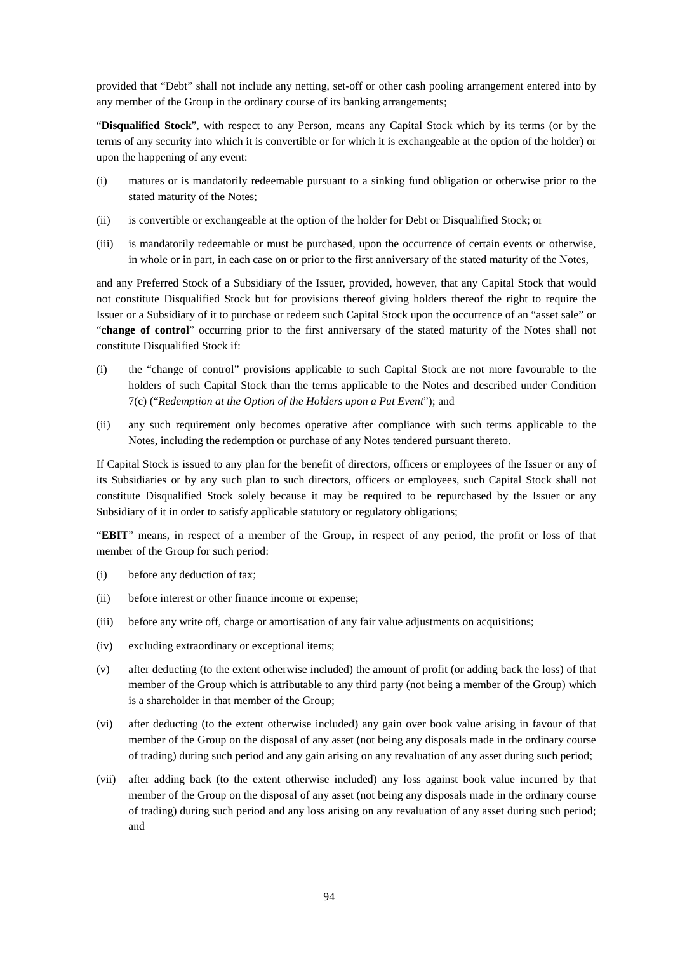provided that "Debt" shall not include any netting, set-off or other cash pooling arrangement entered into by any member of the Group in the ordinary course of its banking arrangements;

"**Disqualified Stock**", with respect to any Person, means any Capital Stock which by its terms (or by the terms of any security into which it is convertible or for which it is exchangeable at the option of the holder) or upon the happening of any event:

- (i) matures or is mandatorily redeemable pursuant to a sinking fund obligation or otherwise prior to the stated maturity of the Notes;
- (ii) is convertible or exchangeable at the option of the holder for Debt or Disqualified Stock; or
- (iii) is mandatorily redeemable or must be purchased, upon the occurrence of certain events or otherwise, in whole or in part, in each case on or prior to the first anniversary of the stated maturity of the Notes,

and any Preferred Stock of a Subsidiary of the Issuer, provided, however, that any Capital Stock that would not constitute Disqualified Stock but for provisions thereof giving holders thereof the right to require the Issuer or a Subsidiary of it to purchase or redeem such Capital Stock upon the occurrence of an "asset sale" or "**change of control**" occurring prior to the first anniversary of the stated maturity of the Notes shall not constitute Disqualified Stock if:

- (i) the "change of control" provisions applicable to such Capital Stock are not more favourable to the holders of such Capital Stock than the terms applicable to the Notes and described under Condition 7(c) ("*Redemption at the Option of the Holders upon a Put Event*"); and
- (ii) any such requirement only becomes operative after compliance with such terms applicable to the Notes, including the redemption or purchase of any Notes tendered pursuant thereto.

If Capital Stock is issued to any plan for the benefit of directors, officers or employees of the Issuer or any of its Subsidiaries or by any such plan to such directors, officers or employees, such Capital Stock shall not constitute Disqualified Stock solely because it may be required to be repurchased by the Issuer or any Subsidiary of it in order to satisfy applicable statutory or regulatory obligations;

"**EBIT**" means, in respect of a member of the Group, in respect of any period, the profit or loss of that member of the Group for such period:

- (i) before any deduction of tax;
- (ii) before interest or other finance income or expense;
- (iii) before any write off, charge or amortisation of any fair value adjustments on acquisitions;
- (iv) excluding extraordinary or exceptional items;
- (v) after deducting (to the extent otherwise included) the amount of profit (or adding back the loss) of that member of the Group which is attributable to any third party (not being a member of the Group) which is a shareholder in that member of the Group;
- (vi) after deducting (to the extent otherwise included) any gain over book value arising in favour of that member of the Group on the disposal of any asset (not being any disposals made in the ordinary course of trading) during such period and any gain arising on any revaluation of any asset during such period;
- (vii) after adding back (to the extent otherwise included) any loss against book value incurred by that member of the Group on the disposal of any asset (not being any disposals made in the ordinary course of trading) during such period and any loss arising on any revaluation of any asset during such period; and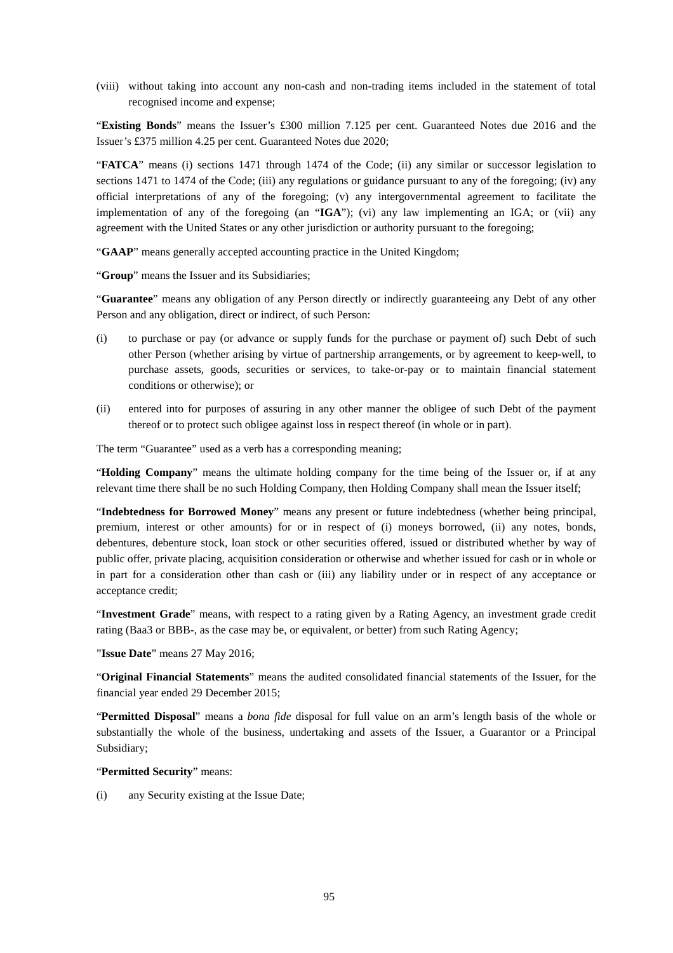(viii) without taking into account any non-cash and non-trading items included in the statement of total recognised income and expense;

"**Existing Bonds**" means the Issuer's £300 million 7.125 per cent. Guaranteed Notes due 2016 and the Issuer's £375 million 4.25 per cent. Guaranteed Notes due 2020;

"**FATCA**" means (i) sections 1471 through 1474 of the Code; (ii) any similar or successor legislation to sections 1471 to 1474 of the Code; (iii) any regulations or guidance pursuant to any of the foregoing; (iv) any official interpretations of any of the foregoing; (v) any intergovernmental agreement to facilitate the implementation of any of the foregoing (an "**IGA**"); (vi) any law implementing an IGA; or (vii) any agreement with the United States or any other jurisdiction or authority pursuant to the foregoing;

"**GAAP**" means generally accepted accounting practice in the United Kingdom;

"**Group**" means the Issuer and its Subsidiaries;

"**Guarantee**" means any obligation of any Person directly or indirectly guaranteeing any Debt of any other Person and any obligation, direct or indirect, of such Person:

- (i) to purchase or pay (or advance or supply funds for the purchase or payment of) such Debt of such other Person (whether arising by virtue of partnership arrangements, or by agreement to keep-well, to purchase assets, goods, securities or services, to take-or-pay or to maintain financial statement conditions or otherwise); or
- (ii) entered into for purposes of assuring in any other manner the obligee of such Debt of the payment thereof or to protect such obligee against loss in respect thereof (in whole or in part).

The term "Guarantee" used as a verb has a corresponding meaning;

"**Holding Company**" means the ultimate holding company for the time being of the Issuer or, if at any relevant time there shall be no such Holding Company, then Holding Company shall mean the Issuer itself;

"**Indebtedness for Borrowed Money**" means any present or future indebtedness (whether being principal, premium, interest or other amounts) for or in respect of (i) moneys borrowed, (ii) any notes, bonds, debentures, debenture stock, loan stock or other securities offered, issued or distributed whether by way of public offer, private placing, acquisition consideration or otherwise and whether issued for cash or in whole or in part for a consideration other than cash or (iii) any liability under or in respect of any acceptance or acceptance credit;

"**Investment Grade**" means, with respect to a rating given by a Rating Agency, an investment grade credit rating (Baa3 or BBB-, as the case may be, or equivalent, or better) from such Rating Agency;

"**Issue Date**" means 27 May 2016;

"**Original Financial Statements**" means the audited consolidated financial statements of the Issuer, for the financial year ended 29 December 2015;

"**Permitted Disposal**" means a *bona fide* disposal for full value on an arm's length basis of the whole or substantially the whole of the business, undertaking and assets of the Issuer, a Guarantor or a Principal Subsidiary;

#### "**Permitted Security**" means:

(i) any Security existing at the Issue Date;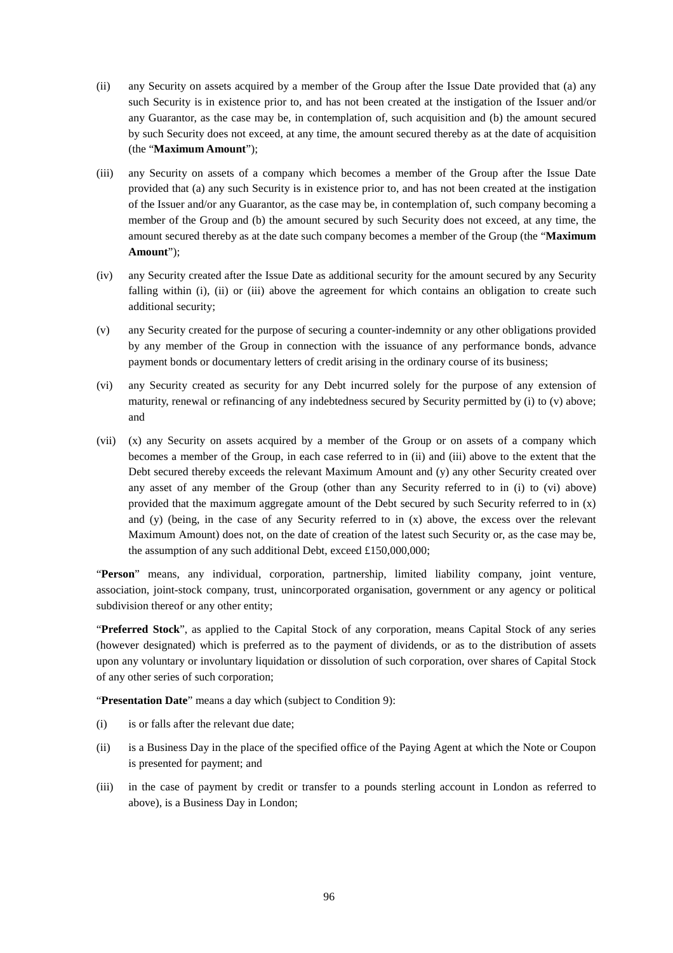- (ii) any Security on assets acquired by a member of the Group after the Issue Date provided that (a) any such Security is in existence prior to, and has not been created at the instigation of the Issuer and/or any Guarantor, as the case may be, in contemplation of, such acquisition and (b) the amount secured by such Security does not exceed, at any time, the amount secured thereby as at the date of acquisition (the "**Maximum Amount**");
- (iii) any Security on assets of a company which becomes a member of the Group after the Issue Date provided that (a) any such Security is in existence prior to, and has not been created at the instigation of the Issuer and/or any Guarantor, as the case may be, in contemplation of, such company becoming a member of the Group and (b) the amount secured by such Security does not exceed, at any time, the amount secured thereby as at the date such company becomes a member of the Group (the "**Maximum Amount**");
- (iv) any Security created after the Issue Date as additional security for the amount secured by any Security falling within (i), (ii) or (iii) above the agreement for which contains an obligation to create such additional security;
- (v) any Security created for the purpose of securing a counter-indemnity or any other obligations provided by any member of the Group in connection with the issuance of any performance bonds, advance payment bonds or documentary letters of credit arising in the ordinary course of its business;
- (vi) any Security created as security for any Debt incurred solely for the purpose of any extension of maturity, renewal or refinancing of any indebtedness secured by Security permitted by (i) to (v) above; and
- (vii) (x) any Security on assets acquired by a member of the Group or on assets of a company which becomes a member of the Group, in each case referred to in (ii) and (iii) above to the extent that the Debt secured thereby exceeds the relevant Maximum Amount and (y) any other Security created over any asset of any member of the Group (other than any Security referred to in (i) to (vi) above) provided that the maximum aggregate amount of the Debt secured by such Security referred to in (x) and (y) (being, in the case of any Security referred to in (x) above, the excess over the relevant Maximum Amount) does not, on the date of creation of the latest such Security or, as the case may be, the assumption of any such additional Debt, exceed £150,000,000;

"**Person**" means, any individual, corporation, partnership, limited liability company, joint venture, association, joint-stock company, trust, unincorporated organisation, government or any agency or political subdivision thereof or any other entity;

"**Preferred Stock**", as applied to the Capital Stock of any corporation, means Capital Stock of any series (however designated) which is preferred as to the payment of dividends, or as to the distribution of assets upon any voluntary or involuntary liquidation or dissolution of such corporation, over shares of Capital Stock of any other series of such corporation;

"**Presentation Date**" means a day which (subject to Condition 9):

- (i) is or falls after the relevant due date;
- (ii) is a Business Day in the place of the specified office of the Paying Agent at which the Note or Coupon is presented for payment; and
- (iii) in the case of payment by credit or transfer to a pounds sterling account in London as referred to above), is a Business Day in London;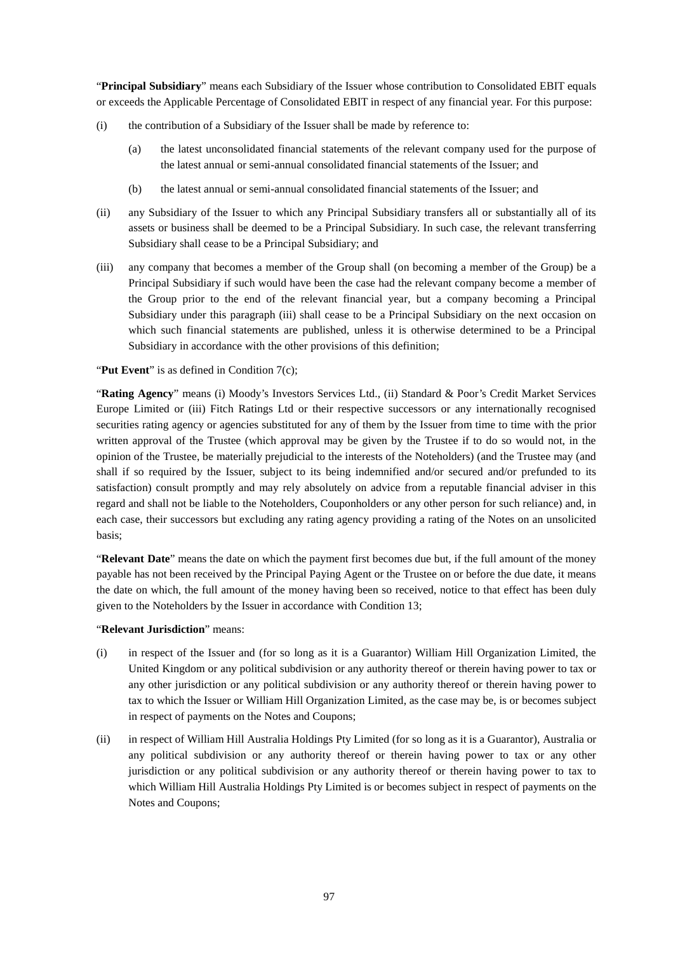"**Principal Subsidiary**" means each Subsidiary of the Issuer whose contribution to Consolidated EBIT equals or exceeds the Applicable Percentage of Consolidated EBIT in respect of any financial year. For this purpose:

- (i) the contribution of a Subsidiary of the Issuer shall be made by reference to:
	- (a) the latest unconsolidated financial statements of the relevant company used for the purpose of the latest annual or semi-annual consolidated financial statements of the Issuer; and
	- (b) the latest annual or semi-annual consolidated financial statements of the Issuer; and
- (ii) any Subsidiary of the Issuer to which any Principal Subsidiary transfers all or substantially all of its assets or business shall be deemed to be a Principal Subsidiary. In such case, the relevant transferring Subsidiary shall cease to be a Principal Subsidiary; and
- (iii) any company that becomes a member of the Group shall (on becoming a member of the Group) be a Principal Subsidiary if such would have been the case had the relevant company become a member of the Group prior to the end of the relevant financial year, but a company becoming a Principal Subsidiary under this paragraph (iii) shall cease to be a Principal Subsidiary on the next occasion on which such financial statements are published, unless it is otherwise determined to be a Principal Subsidiary in accordance with the other provisions of this definition;

### "Put Event" is as defined in Condition 7(c):

"**Rating Agency**" means (i) Moody's Investors Services Ltd., (ii) Standard & Poor's Credit Market Services Europe Limited or (iii) Fitch Ratings Ltd or their respective successors or any internationally recognised securities rating agency or agencies substituted for any of them by the Issuer from time to time with the prior written approval of the Trustee (which approval may be given by the Trustee if to do so would not, in the opinion of the Trustee, be materially prejudicial to the interests of the Noteholders) (and the Trustee may (and shall if so required by the Issuer, subject to its being indemnified and/or secured and/or prefunded to its satisfaction) consult promptly and may rely absolutely on advice from a reputable financial adviser in this regard and shall not be liable to the Noteholders, Couponholders or any other person for such reliance) and, in each case, their successors but excluding any rating agency providing a rating of the Notes on an unsolicited basis;

"**Relevant Date**" means the date on which the payment first becomes due but, if the full amount of the money payable has not been received by the Principal Paying Agent or the Trustee on or before the due date, it means the date on which, the full amount of the money having been so received, notice to that effect has been duly given to the Noteholders by the Issuer in accordance with Condition 13;

#### "**Relevant Jurisdiction**" means:

- (i) in respect of the Issuer and (for so long as it is a Guarantor) William Hill Organization Limited, the United Kingdom or any political subdivision or any authority thereof or therein having power to tax or any other jurisdiction or any political subdivision or any authority thereof or therein having power to tax to which the Issuer or William Hill Organization Limited, as the case may be, is or becomes subject in respect of payments on the Notes and Coupons;
- (ii) in respect of William Hill Australia Holdings Pty Limited (for so long as it is a Guarantor), Australia or any political subdivision or any authority thereof or therein having power to tax or any other jurisdiction or any political subdivision or any authority thereof or therein having power to tax to which William Hill Australia Holdings Pty Limited is or becomes subject in respect of payments on the Notes and Coupons;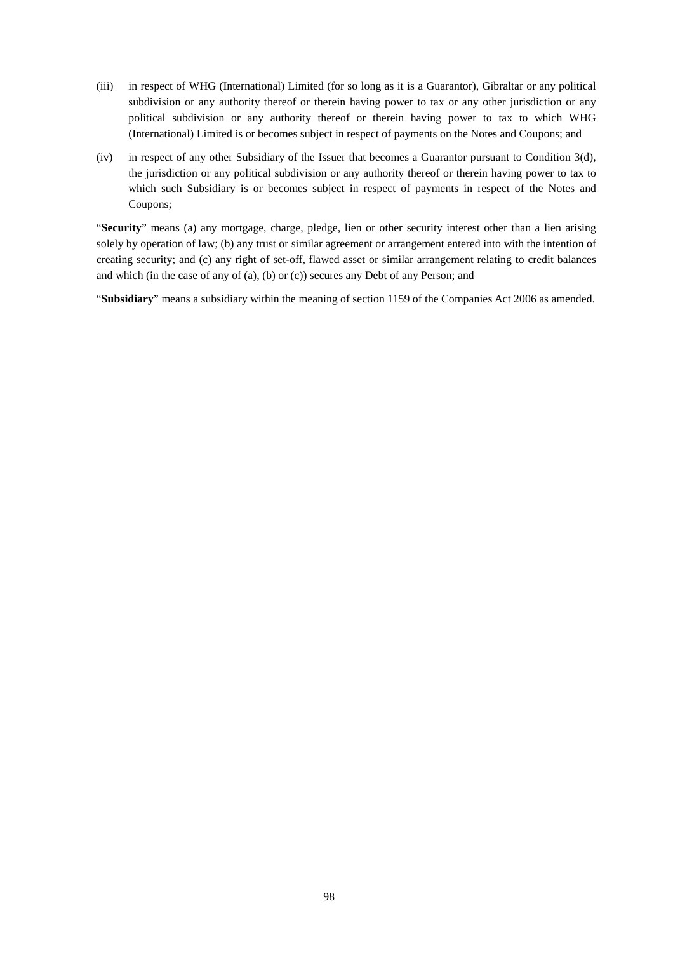- (iii) in respect of WHG (International) Limited (for so long as it is a Guarantor), Gibraltar or any political subdivision or any authority thereof or therein having power to tax or any other jurisdiction or any political subdivision or any authority thereof or therein having power to tax to which WHG (International) Limited is or becomes subject in respect of payments on the Notes and Coupons; and
- (iv) in respect of any other Subsidiary of the Issuer that becomes a Guarantor pursuant to Condition 3(d), the jurisdiction or any political subdivision or any authority thereof or therein having power to tax to which such Subsidiary is or becomes subject in respect of payments in respect of the Notes and Coupons;

"**Security**" means (a) any mortgage, charge, pledge, lien or other security interest other than a lien arising solely by operation of law; (b) any trust or similar agreement or arrangement entered into with the intention of creating security; and (c) any right of set-off, flawed asset or similar arrangement relating to credit balances and which (in the case of any of (a), (b) or (c)) secures any Debt of any Person; and

"**Subsidiary**" means a subsidiary within the meaning of section 1159 of the Companies Act 2006 as amended.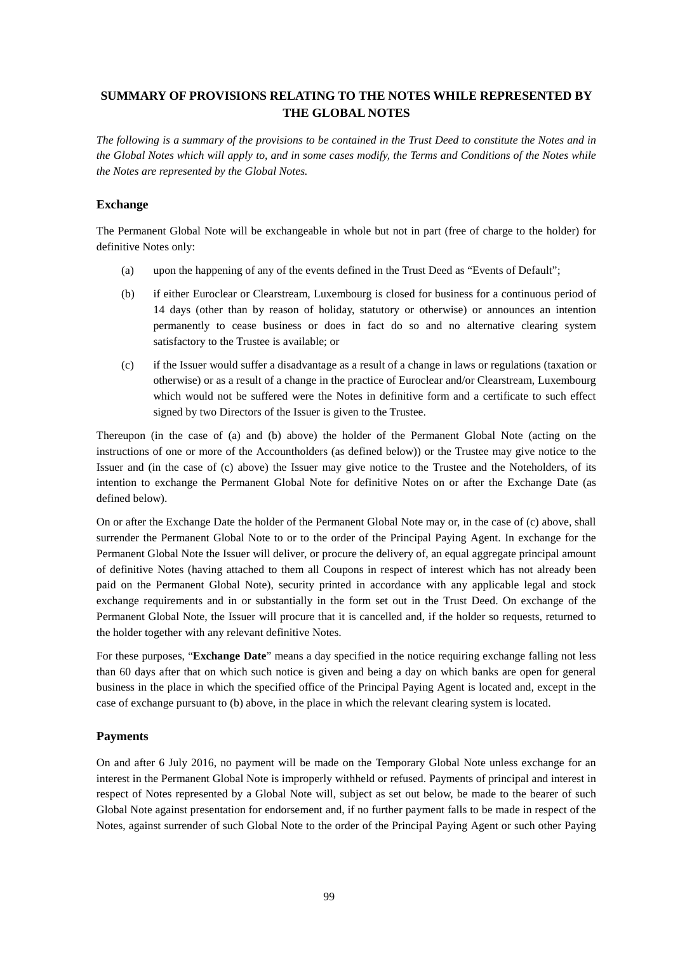# **SUMMARY OF PROVISIONS RELATING TO THE NOTES WHILE REPRESENTED BY THE GLOBAL NOTES**

*The following is a summary of the provisions to be contained in the Trust Deed to constitute the Notes and in the Global Notes which will apply to, and in some cases modify, the Terms and Conditions of the Notes while the Notes are represented by the Global Notes.* 

## **Exchange**

The Permanent Global Note will be exchangeable in whole but not in part (free of charge to the holder) for definitive Notes only:

- (a) upon the happening of any of the events defined in the Trust Deed as "Events of Default";
- (b) if either Euroclear or Clearstream, Luxembourg is closed for business for a continuous period of 14 days (other than by reason of holiday, statutory or otherwise) or announces an intention permanently to cease business or does in fact do so and no alternative clearing system satisfactory to the Trustee is available; or
- (c) if the Issuer would suffer a disadvantage as a result of a change in laws or regulations (taxation or otherwise) or as a result of a change in the practice of Euroclear and/or Clearstream, Luxembourg which would not be suffered were the Notes in definitive form and a certificate to such effect signed by two Directors of the Issuer is given to the Trustee.

Thereupon (in the case of (a) and (b) above) the holder of the Permanent Global Note (acting on the instructions of one or more of the Accountholders (as defined below)) or the Trustee may give notice to the Issuer and (in the case of (c) above) the Issuer may give notice to the Trustee and the Noteholders, of its intention to exchange the Permanent Global Note for definitive Notes on or after the Exchange Date (as defined below).

On or after the Exchange Date the holder of the Permanent Global Note may or, in the case of (c) above, shall surrender the Permanent Global Note to or to the order of the Principal Paying Agent. In exchange for the Permanent Global Note the Issuer will deliver, or procure the delivery of, an equal aggregate principal amount of definitive Notes (having attached to them all Coupons in respect of interest which has not already been paid on the Permanent Global Note), security printed in accordance with any applicable legal and stock exchange requirements and in or substantially in the form set out in the Trust Deed. On exchange of the Permanent Global Note, the Issuer will procure that it is cancelled and, if the holder so requests, returned to the holder together with any relevant definitive Notes.

For these purposes, "**Exchange Date**" means a day specified in the notice requiring exchange falling not less than 60 days after that on which such notice is given and being a day on which banks are open for general business in the place in which the specified office of the Principal Paying Agent is located and, except in the case of exchange pursuant to (b) above, in the place in which the relevant clearing system is located.

# **Payments**

On and after 6 July 2016, no payment will be made on the Temporary Global Note unless exchange for an interest in the Permanent Global Note is improperly withheld or refused. Payments of principal and interest in respect of Notes represented by a Global Note will, subject as set out below, be made to the bearer of such Global Note against presentation for endorsement and, if no further payment falls to be made in respect of the Notes, against surrender of such Global Note to the order of the Principal Paying Agent or such other Paying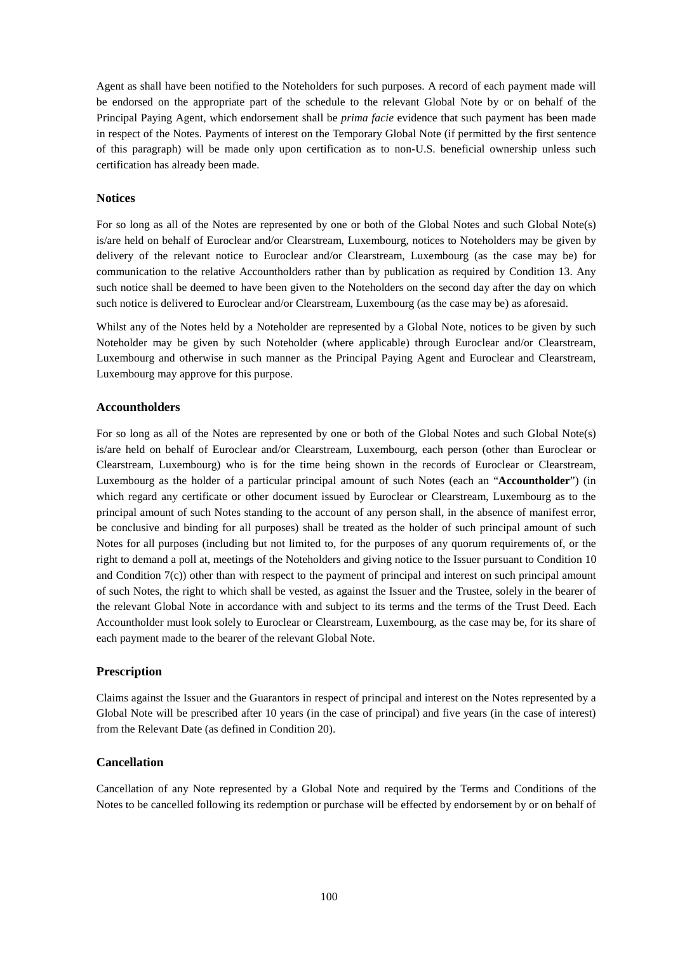Agent as shall have been notified to the Noteholders for such purposes. A record of each payment made will be endorsed on the appropriate part of the schedule to the relevant Global Note by or on behalf of the Principal Paying Agent, which endorsement shall be *prima facie* evidence that such payment has been made in respect of the Notes. Payments of interest on the Temporary Global Note (if permitted by the first sentence of this paragraph) will be made only upon certification as to non-U.S. beneficial ownership unless such certification has already been made.

## **Notices**

For so long as all of the Notes are represented by one or both of the Global Notes and such Global Note(s) is/are held on behalf of Euroclear and/or Clearstream, Luxembourg, notices to Noteholders may be given by delivery of the relevant notice to Euroclear and/or Clearstream, Luxembourg (as the case may be) for communication to the relative Accountholders rather than by publication as required by Condition 13. Any such notice shall be deemed to have been given to the Noteholders on the second day after the day on which such notice is delivered to Euroclear and/or Clearstream, Luxembourg (as the case may be) as aforesaid.

Whilst any of the Notes held by a Noteholder are represented by a Global Note, notices to be given by such Noteholder may be given by such Noteholder (where applicable) through Euroclear and/or Clearstream, Luxembourg and otherwise in such manner as the Principal Paying Agent and Euroclear and Clearstream, Luxembourg may approve for this purpose.

## **Accountholders**

For so long as all of the Notes are represented by one or both of the Global Notes and such Global Note(s) is/are held on behalf of Euroclear and/or Clearstream, Luxembourg, each person (other than Euroclear or Clearstream, Luxembourg) who is for the time being shown in the records of Euroclear or Clearstream, Luxembourg as the holder of a particular principal amount of such Notes (each an "**Accountholder**") (in which regard any certificate or other document issued by Euroclear or Clearstream, Luxembourg as to the principal amount of such Notes standing to the account of any person shall, in the absence of manifest error, be conclusive and binding for all purposes) shall be treated as the holder of such principal amount of such Notes for all purposes (including but not limited to, for the purposes of any quorum requirements of, or the right to demand a poll at, meetings of the Noteholders and giving notice to the Issuer pursuant to Condition 10 and Condition 7(c)) other than with respect to the payment of principal and interest on such principal amount of such Notes, the right to which shall be vested, as against the Issuer and the Trustee, solely in the bearer of the relevant Global Note in accordance with and subject to its terms and the terms of the Trust Deed. Each Accountholder must look solely to Euroclear or Clearstream, Luxembourg, as the case may be, for its share of each payment made to the bearer of the relevant Global Note.

# **Prescription**

Claims against the Issuer and the Guarantors in respect of principal and interest on the Notes represented by a Global Note will be prescribed after 10 years (in the case of principal) and five years (in the case of interest) from the Relevant Date (as defined in Condition 20).

# **Cancellation**

Cancellation of any Note represented by a Global Note and required by the Terms and Conditions of the Notes to be cancelled following its redemption or purchase will be effected by endorsement by or on behalf of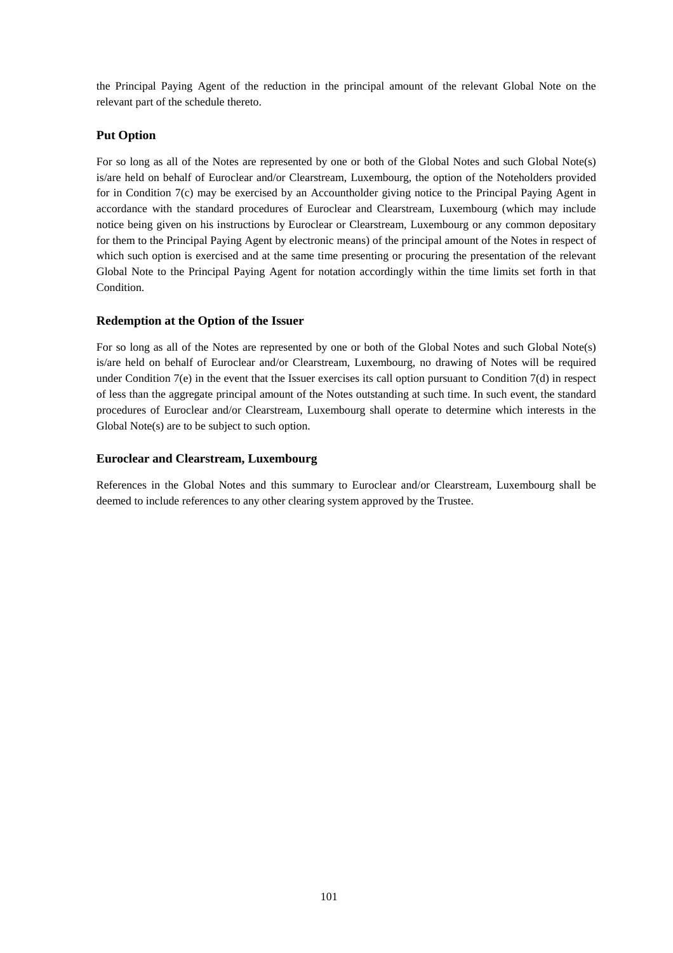the Principal Paying Agent of the reduction in the principal amount of the relevant Global Note on the relevant part of the schedule thereto.

# **Put Option**

For so long as all of the Notes are represented by one or both of the Global Notes and such Global Note(s) is/are held on behalf of Euroclear and/or Clearstream, Luxembourg, the option of the Noteholders provided for in Condition 7(c) may be exercised by an Accountholder giving notice to the Principal Paying Agent in accordance with the standard procedures of Euroclear and Clearstream, Luxembourg (which may include notice being given on his instructions by Euroclear or Clearstream, Luxembourg or any common depositary for them to the Principal Paying Agent by electronic means) of the principal amount of the Notes in respect of which such option is exercised and at the same time presenting or procuring the presentation of the relevant Global Note to the Principal Paying Agent for notation accordingly within the time limits set forth in that Condition.

# **Redemption at the Option of the Issuer**

For so long as all of the Notes are represented by one or both of the Global Notes and such Global Note(s) is/are held on behalf of Euroclear and/or Clearstream, Luxembourg, no drawing of Notes will be required under Condition  $7(e)$  in the event that the Issuer exercises its call option pursuant to Condition  $7(d)$  in respect of less than the aggregate principal amount of the Notes outstanding at such time. In such event, the standard procedures of Euroclear and/or Clearstream, Luxembourg shall operate to determine which interests in the Global Note(s) are to be subject to such option.

# **Euroclear and Clearstream, Luxembourg**

References in the Global Notes and this summary to Euroclear and/or Clearstream, Luxembourg shall be deemed to include references to any other clearing system approved by the Trustee.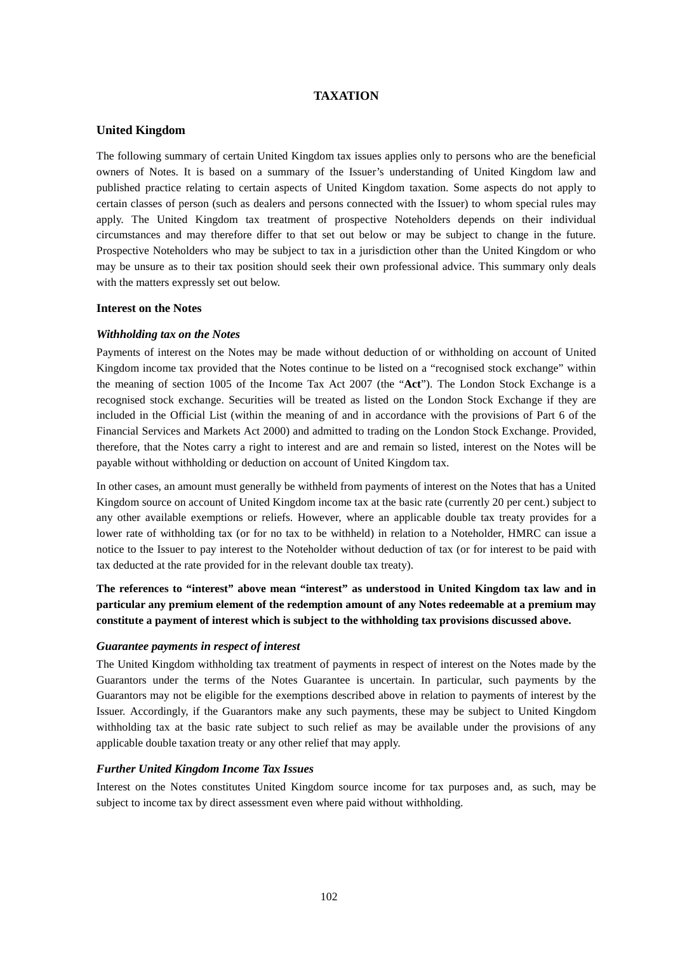## **TAXATION**

## **United Kingdom**

The following summary of certain United Kingdom tax issues applies only to persons who are the beneficial owners of Notes. It is based on a summary of the Issuer's understanding of United Kingdom law and published practice relating to certain aspects of United Kingdom taxation. Some aspects do not apply to certain classes of person (such as dealers and persons connected with the Issuer) to whom special rules may apply. The United Kingdom tax treatment of prospective Noteholders depends on their individual circumstances and may therefore differ to that set out below or may be subject to change in the future. Prospective Noteholders who may be subject to tax in a jurisdiction other than the United Kingdom or who may be unsure as to their tax position should seek their own professional advice. This summary only deals with the matters expressly set out below.

### **Interest on the Notes**

### *Withholding tax on the Notes*

Payments of interest on the Notes may be made without deduction of or withholding on account of United Kingdom income tax provided that the Notes continue to be listed on a "recognised stock exchange" within the meaning of section 1005 of the Income Tax Act 2007 (the "**Act**"). The London Stock Exchange is a recognised stock exchange. Securities will be treated as listed on the London Stock Exchange if they are included in the Official List (within the meaning of and in accordance with the provisions of Part 6 of the Financial Services and Markets Act 2000) and admitted to trading on the London Stock Exchange. Provided, therefore, that the Notes carry a right to interest and are and remain so listed, interest on the Notes will be payable without withholding or deduction on account of United Kingdom tax.

In other cases, an amount must generally be withheld from payments of interest on the Notes that has a United Kingdom source on account of United Kingdom income tax at the basic rate (currently 20 per cent.) subject to any other available exemptions or reliefs. However, where an applicable double tax treaty provides for a lower rate of withholding tax (or for no tax to be withheld) in relation to a Noteholder, HMRC can issue a notice to the Issuer to pay interest to the Noteholder without deduction of tax (or for interest to be paid with tax deducted at the rate provided for in the relevant double tax treaty).

**The references to "interest" above mean "interest" as understood in United Kingdom tax law and in particular any premium element of the redemption amount of any Notes redeemable at a premium may constitute a payment of interest which is subject to the withholding tax provisions discussed above.** 

#### *Guarantee payments in respect of interest*

The United Kingdom withholding tax treatment of payments in respect of interest on the Notes made by the Guarantors under the terms of the Notes Guarantee is uncertain. In particular, such payments by the Guarantors may not be eligible for the exemptions described above in relation to payments of interest by the Issuer. Accordingly, if the Guarantors make any such payments, these may be subject to United Kingdom withholding tax at the basic rate subject to such relief as may be available under the provisions of any applicable double taxation treaty or any other relief that may apply.

## *Further United Kingdom Income Tax Issues*

Interest on the Notes constitutes United Kingdom source income for tax purposes and, as such, may be subject to income tax by direct assessment even where paid without withholding.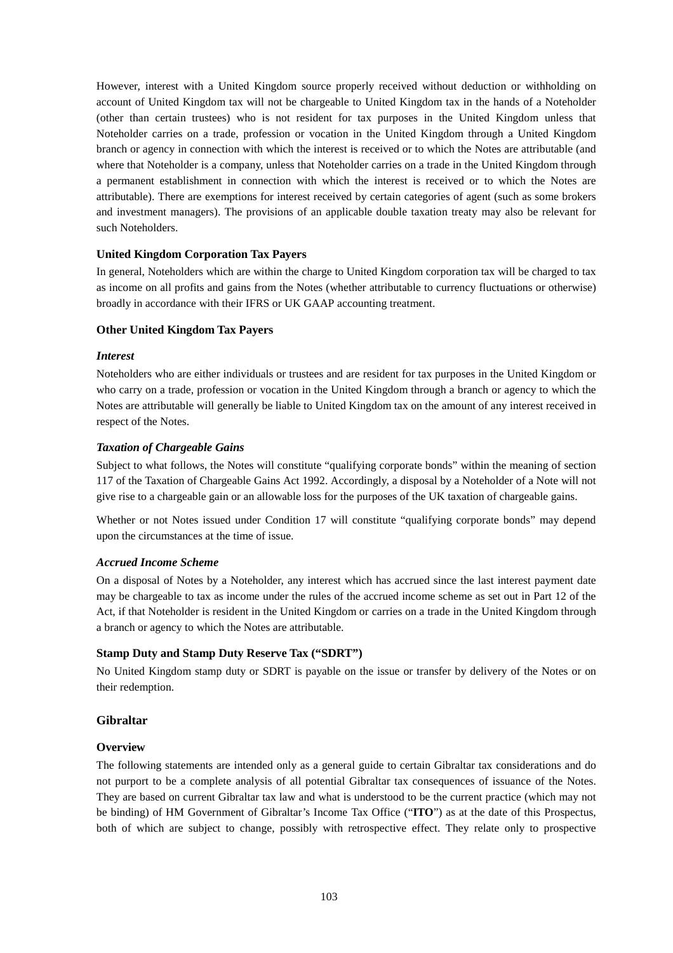However, interest with a United Kingdom source properly received without deduction or withholding on account of United Kingdom tax will not be chargeable to United Kingdom tax in the hands of a Noteholder (other than certain trustees) who is not resident for tax purposes in the United Kingdom unless that Noteholder carries on a trade, profession or vocation in the United Kingdom through a United Kingdom branch or agency in connection with which the interest is received or to which the Notes are attributable (and where that Noteholder is a company, unless that Noteholder carries on a trade in the United Kingdom through a permanent establishment in connection with which the interest is received or to which the Notes are attributable). There are exemptions for interest received by certain categories of agent (such as some brokers and investment managers). The provisions of an applicable double taxation treaty may also be relevant for such Noteholders.

# **United Kingdom Corporation Tax Payers**

In general, Noteholders which are within the charge to United Kingdom corporation tax will be charged to tax as income on all profits and gains from the Notes (whether attributable to currency fluctuations or otherwise) broadly in accordance with their IFRS or UK GAAP accounting treatment.

# **Other United Kingdom Tax Payers**

# *Interest*

Noteholders who are either individuals or trustees and are resident for tax purposes in the United Kingdom or who carry on a trade, profession or vocation in the United Kingdom through a branch or agency to which the Notes are attributable will generally be liable to United Kingdom tax on the amount of any interest received in respect of the Notes.

# *Taxation of Chargeable Gains*

Subject to what follows, the Notes will constitute "qualifying corporate bonds" within the meaning of section 117 of the Taxation of Chargeable Gains Act 1992. Accordingly, a disposal by a Noteholder of a Note will not give rise to a chargeable gain or an allowable loss for the purposes of the UK taxation of chargeable gains.

Whether or not Notes issued under Condition 17 will constitute "qualifying corporate bonds" may depend upon the circumstances at the time of issue.

# *Accrued Income Scheme*

On a disposal of Notes by a Noteholder, any interest which has accrued since the last interest payment date may be chargeable to tax as income under the rules of the accrued income scheme as set out in Part 12 of the Act, if that Noteholder is resident in the United Kingdom or carries on a trade in the United Kingdom through a branch or agency to which the Notes are attributable.

# **Stamp Duty and Stamp Duty Reserve Tax ("SDRT")**

No United Kingdom stamp duty or SDRT is payable on the issue or transfer by delivery of the Notes or on their redemption.

# **Gibraltar**

# **Overview**

The following statements are intended only as a general guide to certain Gibraltar tax considerations and do not purport to be a complete analysis of all potential Gibraltar tax consequences of issuance of the Notes. They are based on current Gibraltar tax law and what is understood to be the current practice (which may not be binding) of HM Government of Gibraltar's Income Tax Office ("**ITO**") as at the date of this Prospectus, both of which are subject to change, possibly with retrospective effect. They relate only to prospective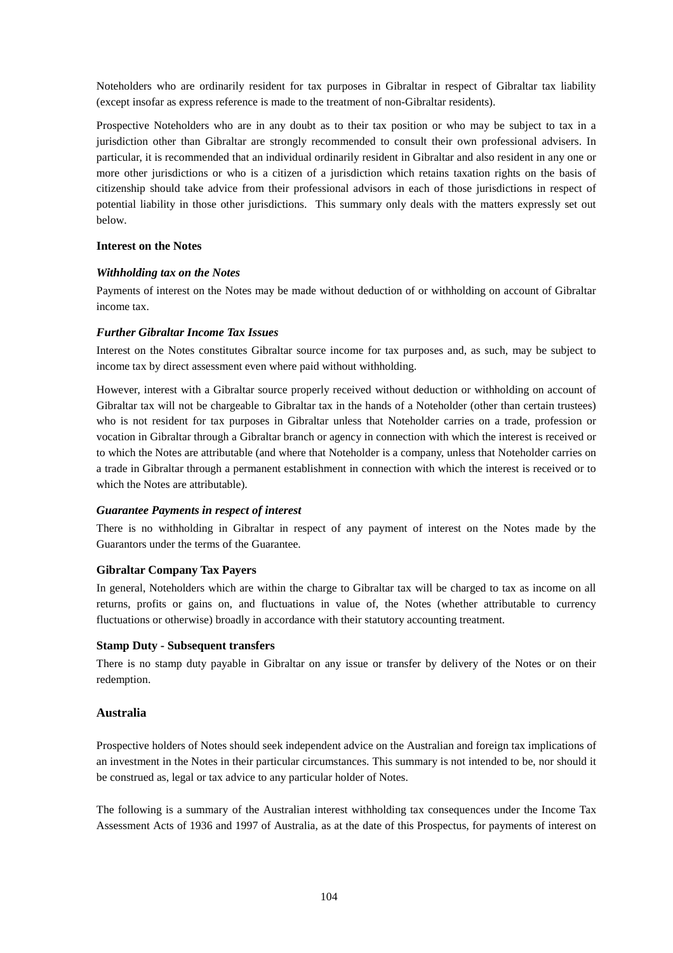Noteholders who are ordinarily resident for tax purposes in Gibraltar in respect of Gibraltar tax liability (except insofar as express reference is made to the treatment of non-Gibraltar residents).

Prospective Noteholders who are in any doubt as to their tax position or who may be subject to tax in a jurisdiction other than Gibraltar are strongly recommended to consult their own professional advisers. In particular, it is recommended that an individual ordinarily resident in Gibraltar and also resident in any one or more other jurisdictions or who is a citizen of a jurisdiction which retains taxation rights on the basis of citizenship should take advice from their professional advisors in each of those jurisdictions in respect of potential liability in those other jurisdictions. This summary only deals with the matters expressly set out below.

## **Interest on the Notes**

## *Withholding tax on the Notes*

Payments of interest on the Notes may be made without deduction of or withholding on account of Gibraltar income tax.

## *Further Gibraltar Income Tax Issues*

Interest on the Notes constitutes Gibraltar source income for tax purposes and, as such, may be subject to income tax by direct assessment even where paid without withholding.

However, interest with a Gibraltar source properly received without deduction or withholding on account of Gibraltar tax will not be chargeable to Gibraltar tax in the hands of a Noteholder (other than certain trustees) who is not resident for tax purposes in Gibraltar unless that Noteholder carries on a trade, profession or vocation in Gibraltar through a Gibraltar branch or agency in connection with which the interest is received or to which the Notes are attributable (and where that Noteholder is a company, unless that Noteholder carries on a trade in Gibraltar through a permanent establishment in connection with which the interest is received or to which the Notes are attributable).

## *Guarantee Payments in respect of interest*

There is no withholding in Gibraltar in respect of any payment of interest on the Notes made by the Guarantors under the terms of the Guarantee.

## **Gibraltar Company Tax Payers**

In general, Noteholders which are within the charge to Gibraltar tax will be charged to tax as income on all returns, profits or gains on, and fluctuations in value of, the Notes (whether attributable to currency fluctuations or otherwise) broadly in accordance with their statutory accounting treatment.

## **Stamp Duty - Subsequent transfers**

There is no stamp duty payable in Gibraltar on any issue or transfer by delivery of the Notes or on their redemption.

## **Australia**

Prospective holders of Notes should seek independent advice on the Australian and foreign tax implications of an investment in the Notes in their particular circumstances. This summary is not intended to be, nor should it be construed as, legal or tax advice to any particular holder of Notes.

The following is a summary of the Australian interest withholding tax consequences under the Income Tax Assessment Acts of 1936 and 1997 of Australia, as at the date of this Prospectus, for payments of interest on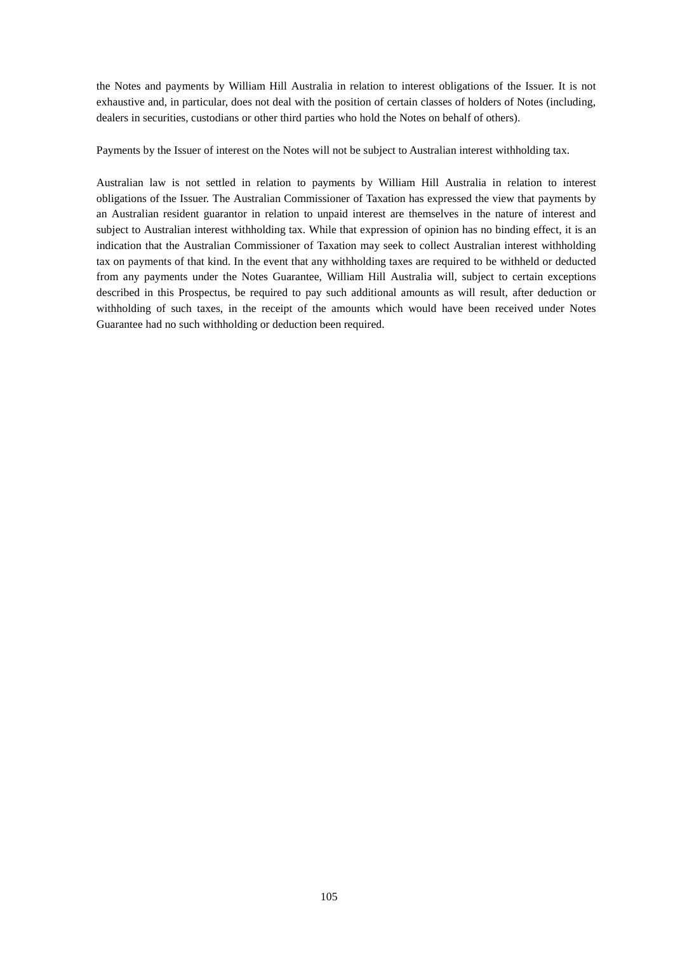the Notes and payments by William Hill Australia in relation to interest obligations of the Issuer. It is not exhaustive and, in particular, does not deal with the position of certain classes of holders of Notes (including, dealers in securities, custodians or other third parties who hold the Notes on behalf of others).

Payments by the Issuer of interest on the Notes will not be subject to Australian interest withholding tax.

Australian law is not settled in relation to payments by William Hill Australia in relation to interest obligations of the Issuer. The Australian Commissioner of Taxation has expressed the view that payments by an Australian resident guarantor in relation to unpaid interest are themselves in the nature of interest and subject to Australian interest withholding tax. While that expression of opinion has no binding effect, it is an indication that the Australian Commissioner of Taxation may seek to collect Australian interest withholding tax on payments of that kind. In the event that any withholding taxes are required to be withheld or deducted from any payments under the Notes Guarantee, William Hill Australia will, subject to certain exceptions described in this Prospectus, be required to pay such additional amounts as will result, after deduction or withholding of such taxes, in the receipt of the amounts which would have been received under Notes Guarantee had no such withholding or deduction been required.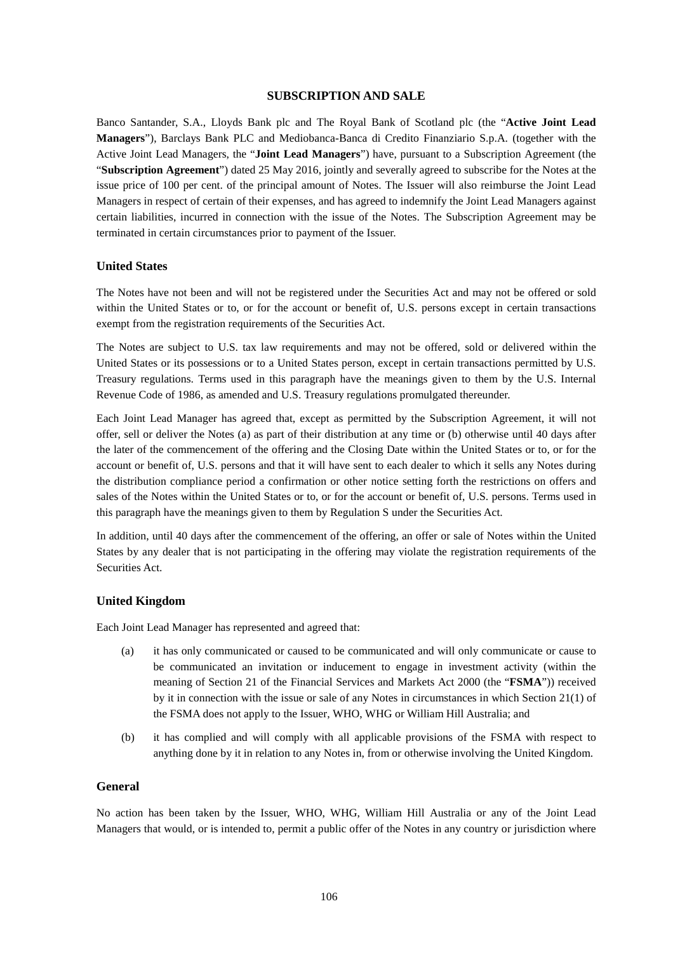### **SUBSCRIPTION AND SALE**

Banco Santander, S.A., Lloyds Bank plc and The Royal Bank of Scotland plc (the "**Active Joint Lead Managers**"), Barclays Bank PLC and Mediobanca-Banca di Credito Finanziario S.p.A. (together with the Active Joint Lead Managers, the "**Joint Lead Managers**") have, pursuant to a Subscription Agreement (the "**Subscription Agreement**") dated 25 May 2016, jointly and severally agreed to subscribe for the Notes at the issue price of 100 per cent. of the principal amount of Notes. The Issuer will also reimburse the Joint Lead Managers in respect of certain of their expenses, and has agreed to indemnify the Joint Lead Managers against certain liabilities, incurred in connection with the issue of the Notes. The Subscription Agreement may be terminated in certain circumstances prior to payment of the Issuer.

#### **United States**

The Notes have not been and will not be registered under the Securities Act and may not be offered or sold within the United States or to, or for the account or benefit of, U.S. persons except in certain transactions exempt from the registration requirements of the Securities Act.

The Notes are subject to U.S. tax law requirements and may not be offered, sold or delivered within the United States or its possessions or to a United States person, except in certain transactions permitted by U.S. Treasury regulations. Terms used in this paragraph have the meanings given to them by the U.S. Internal Revenue Code of 1986, as amended and U.S. Treasury regulations promulgated thereunder.

Each Joint Lead Manager has agreed that, except as permitted by the Subscription Agreement, it will not offer, sell or deliver the Notes (a) as part of their distribution at any time or (b) otherwise until 40 days after the later of the commencement of the offering and the Closing Date within the United States or to, or for the account or benefit of, U.S. persons and that it will have sent to each dealer to which it sells any Notes during the distribution compliance period a confirmation or other notice setting forth the restrictions on offers and sales of the Notes within the United States or to, or for the account or benefit of, U.S. persons. Terms used in this paragraph have the meanings given to them by Regulation S under the Securities Act.

In addition, until 40 days after the commencement of the offering, an offer or sale of Notes within the United States by any dealer that is not participating in the offering may violate the registration requirements of the Securities Act.

## **United Kingdom**

Each Joint Lead Manager has represented and agreed that:

- (a) it has only communicated or caused to be communicated and will only communicate or cause to be communicated an invitation or inducement to engage in investment activity (within the meaning of Section 21 of the Financial Services and Markets Act 2000 (the "**FSMA**")) received by it in connection with the issue or sale of any Notes in circumstances in which Section 21(1) of the FSMA does not apply to the Issuer, WHO, WHG or William Hill Australia; and
- (b) it has complied and will comply with all applicable provisions of the FSMA with respect to anything done by it in relation to any Notes in, from or otherwise involving the United Kingdom.

### **General**

No action has been taken by the Issuer, WHO, WHG, William Hill Australia or any of the Joint Lead Managers that would, or is intended to, permit a public offer of the Notes in any country or jurisdiction where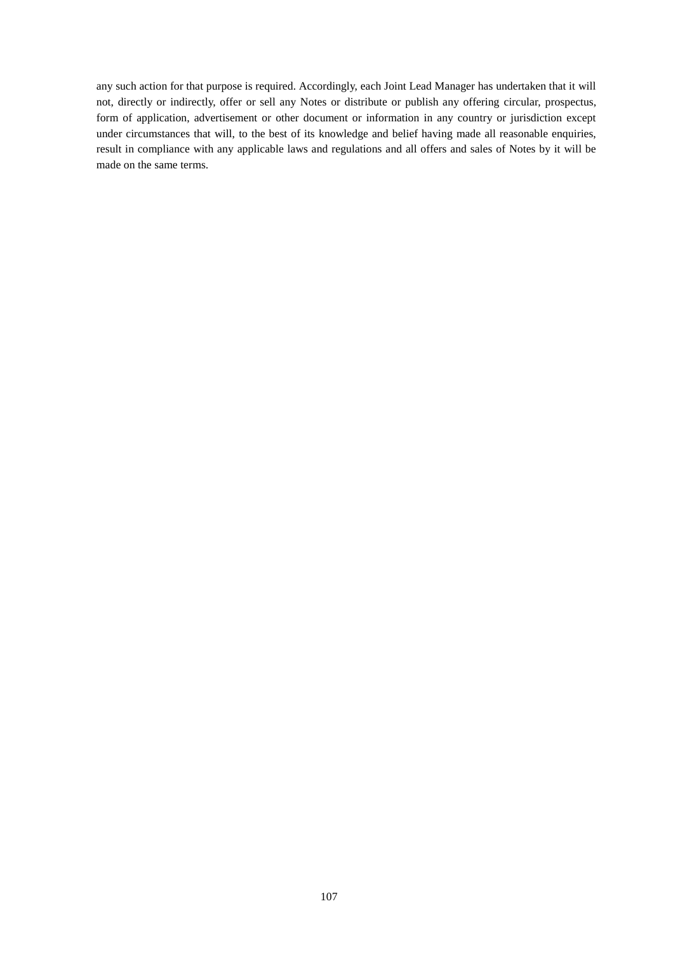any such action for that purpose is required. Accordingly, each Joint Lead Manager has undertaken that it will not, directly or indirectly, offer or sell any Notes or distribute or publish any offering circular, prospectus, form of application, advertisement or other document or information in any country or jurisdiction except under circumstances that will, to the best of its knowledge and belief having made all reasonable enquiries, result in compliance with any applicable laws and regulations and all offers and sales of Notes by it will be made on the same terms.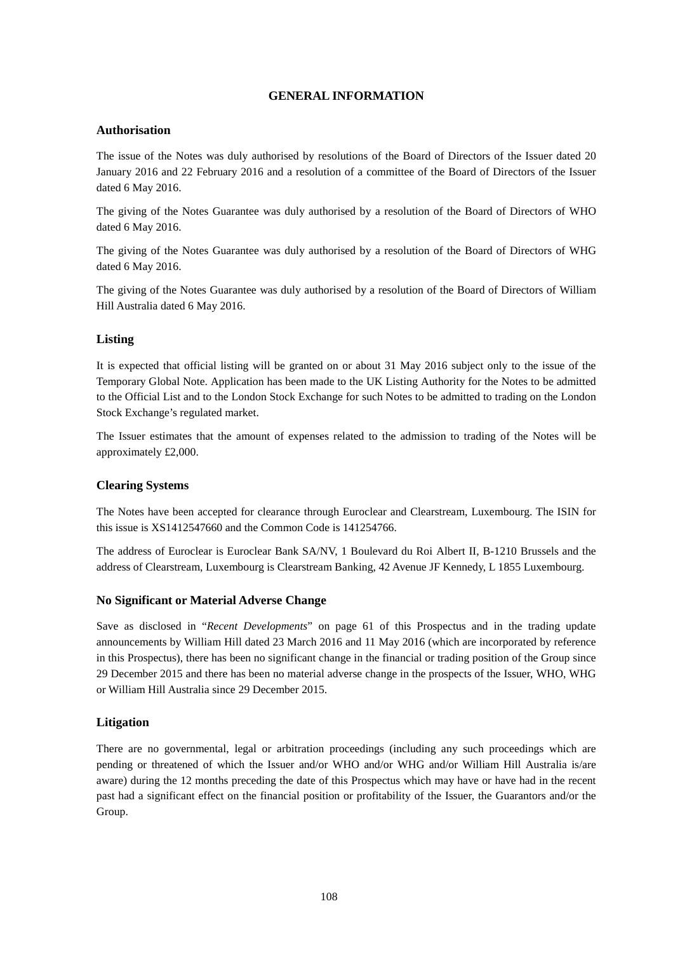# **GENERAL INFORMATION**

# **Authorisation**

The issue of the Notes was duly authorised by resolutions of the Board of Directors of the Issuer dated 20 January 2016 and 22 February 2016 and a resolution of a committee of the Board of Directors of the Issuer dated 6 May 2016.

The giving of the Notes Guarantee was duly authorised by a resolution of the Board of Directors of WHO dated 6 May 2016.

The giving of the Notes Guarantee was duly authorised by a resolution of the Board of Directors of WHG dated 6 May 2016.

The giving of the Notes Guarantee was duly authorised by a resolution of the Board of Directors of William Hill Australia dated 6 May 2016.

# **Listing**

It is expected that official listing will be granted on or about 31 May 2016 subject only to the issue of the Temporary Global Note. Application has been made to the UK Listing Authority for the Notes to be admitted to the Official List and to the London Stock Exchange for such Notes to be admitted to trading on the London Stock Exchange's regulated market.

The Issuer estimates that the amount of expenses related to the admission to trading of the Notes will be approximately £2,000.

# **Clearing Systems**

The Notes have been accepted for clearance through Euroclear and Clearstream, Luxembourg. The ISIN for this issue is XS1412547660 and the Common Code is 141254766.

The address of Euroclear is Euroclear Bank SA/NV, 1 Boulevard du Roi Albert II, B-1210 Brussels and the address of Clearstream, Luxembourg is Clearstream Banking, 42 Avenue JF Kennedy, L 1855 Luxembourg.

# **No Significant or Material Adverse Change**

Save as disclosed in "*Recent Developments*" on page 61 of this Prospectus and in the trading update announcements by William Hill dated 23 March 2016 and 11 May 2016 (which are incorporated by reference in this Prospectus), there has been no significant change in the financial or trading position of the Group since 29 December 2015 and there has been no material adverse change in the prospects of the Issuer, WHO, WHG or William Hill Australia since 29 December 2015.

# **Litigation**

There are no governmental, legal or arbitration proceedings (including any such proceedings which are pending or threatened of which the Issuer and/or WHO and/or WHG and/or William Hill Australia is/are aware) during the 12 months preceding the date of this Prospectus which may have or have had in the recent past had a significant effect on the financial position or profitability of the Issuer, the Guarantors and/or the Group.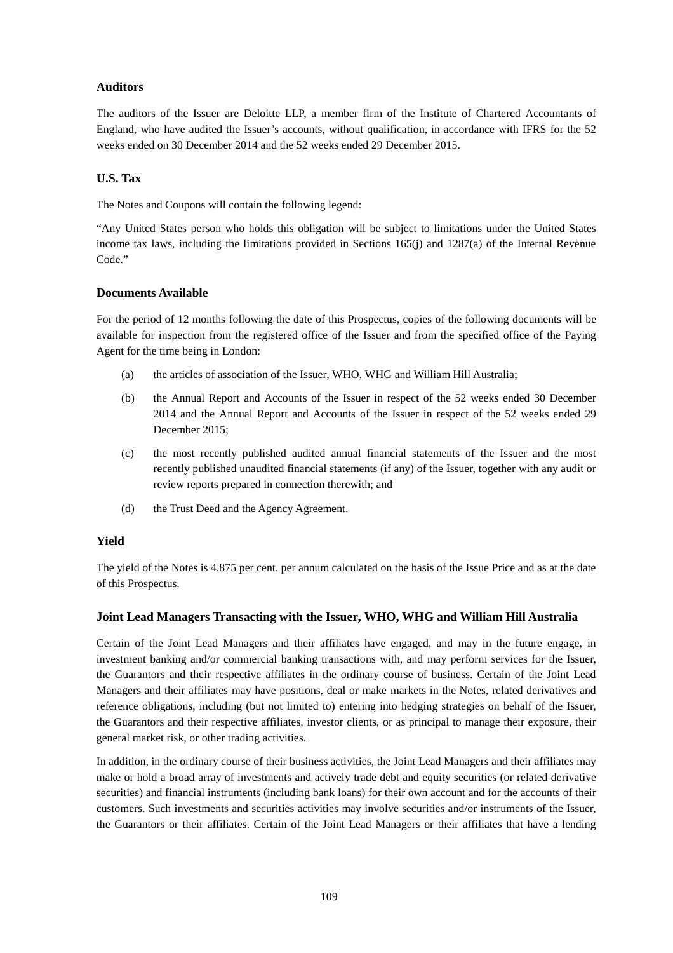# **Auditors**

The auditors of the Issuer are Deloitte LLP, a member firm of the Institute of Chartered Accountants of England, who have audited the Issuer's accounts, without qualification, in accordance with IFRS for the 52 weeks ended on 30 December 2014 and the 52 weeks ended 29 December 2015.

# **U.S. Tax**

The Notes and Coupons will contain the following legend:

"Any United States person who holds this obligation will be subject to limitations under the United States income tax laws, including the limitations provided in Sections 165(j) and 1287(a) of the Internal Revenue Code."

# **Documents Available**

For the period of 12 months following the date of this Prospectus, copies of the following documents will be available for inspection from the registered office of the Issuer and from the specified office of the Paying Agent for the time being in London:

- (a) the articles of association of the Issuer, WHO, WHG and William Hill Australia;
- (b) the Annual Report and Accounts of the Issuer in respect of the 52 weeks ended 30 December 2014 and the Annual Report and Accounts of the Issuer in respect of the 52 weeks ended 29 December 2015;
- (c) the most recently published audited annual financial statements of the Issuer and the most recently published unaudited financial statements (if any) of the Issuer, together with any audit or review reports prepared in connection therewith; and
- (d) the Trust Deed and the Agency Agreement.

# **Yield**

The yield of the Notes is 4.875 per cent. per annum calculated on the basis of the Issue Price and as at the date of this Prospectus.

# **Joint Lead Managers Transacting with the Issuer, WHO, WHG and William Hill Australia**

Certain of the Joint Lead Managers and their affiliates have engaged, and may in the future engage, in investment banking and/or commercial banking transactions with, and may perform services for the Issuer, the Guarantors and their respective affiliates in the ordinary course of business. Certain of the Joint Lead Managers and their affiliates may have positions, deal or make markets in the Notes, related derivatives and reference obligations, including (but not limited to) entering into hedging strategies on behalf of the Issuer, the Guarantors and their respective affiliates, investor clients, or as principal to manage their exposure, their general market risk, or other trading activities.

In addition, in the ordinary course of their business activities, the Joint Lead Managers and their affiliates may make or hold a broad array of investments and actively trade debt and equity securities (or related derivative securities) and financial instruments (including bank loans) for their own account and for the accounts of their customers. Such investments and securities activities may involve securities and/or instruments of the Issuer, the Guarantors or their affiliates. Certain of the Joint Lead Managers or their affiliates that have a lending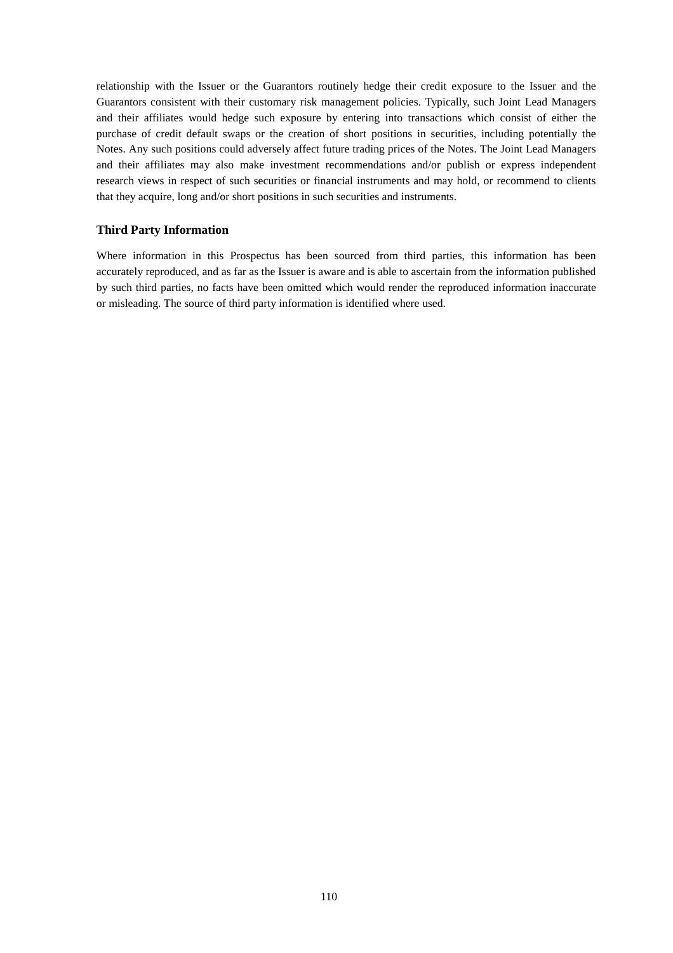relationship with the Issuer or the Guarantors routinely hedge their credit exposure to the Issuer and the Guarantors consistent with their customary risk management policies. Typically, such Joint Lead Managers and their affiliates would hedge such exposure by entering into transactions which consist of either the purchase of credit default swaps or the creation of short positions in securities, including potentially the Notes. Any such positions could adversely affect future trading prices of the Notes. The Joint Lead Managers and their affiliates may also make investment recommendations and/or publish or express independent research views in respect of such securities or financial instruments and may hold, or recommend to clients that they acquire, long and/or short positions in such securities and instruments.

### **Third Party Information**

Where information in this Prospectus has been sourced from third parties, this information has been accurately reproduced, and as far as the Issuer is aware and is able to ascertain from the information published by such third parties, no facts have been omitted which would render the reproduced information inaccurate or misleading. The source of third party information is identified where used.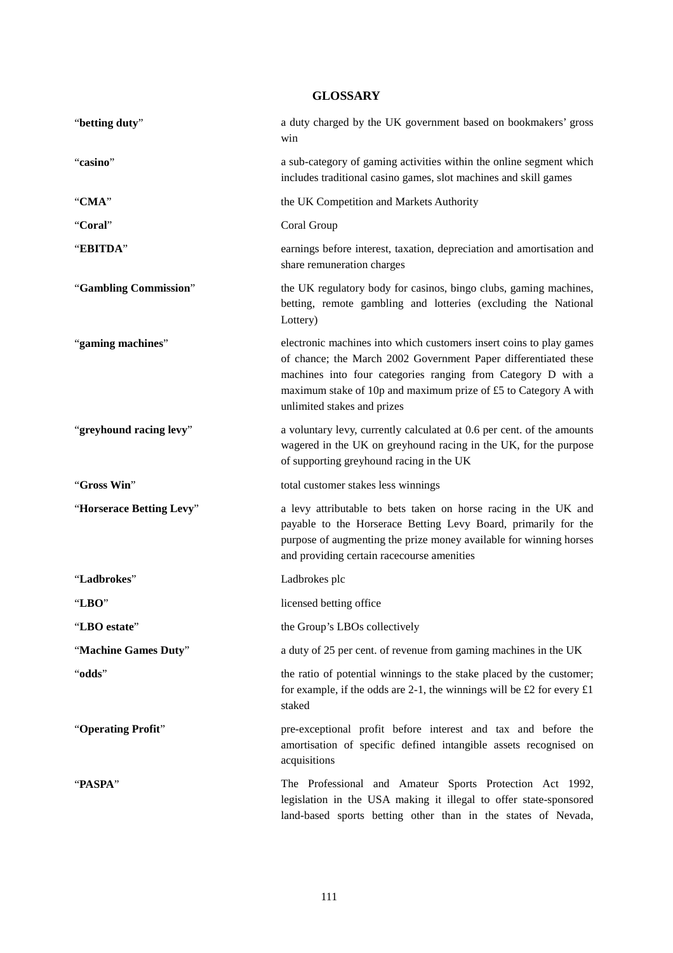# **GLOSSARY**

| "betting duty"           | a duty charged by the UK government based on bookmakers' gross<br>win                                                                                                                                                                                                                                    |
|--------------------------|----------------------------------------------------------------------------------------------------------------------------------------------------------------------------------------------------------------------------------------------------------------------------------------------------------|
| "casino"                 | a sub-category of gaming activities within the online segment which<br>includes traditional casino games, slot machines and skill games                                                                                                                                                                  |
| "CMA"                    | the UK Competition and Markets Authority                                                                                                                                                                                                                                                                 |
| "Coral"                  | Coral Group                                                                                                                                                                                                                                                                                              |
| "EBITDA"                 | earnings before interest, taxation, depreciation and amortisation and<br>share remuneration charges                                                                                                                                                                                                      |
| "Gambling Commission"    | the UK regulatory body for casinos, bingo clubs, gaming machines,<br>betting, remote gambling and lotteries (excluding the National<br>Lottery)                                                                                                                                                          |
| "gaming machines"        | electronic machines into which customers insert coins to play games<br>of chance; the March 2002 Government Paper differentiated these<br>machines into four categories ranging from Category D with a<br>maximum stake of 10p and maximum prize of £5 to Category A with<br>unlimited stakes and prizes |
| "greyhound racing levy"  | a voluntary levy, currently calculated at 0.6 per cent. of the amounts<br>wagered in the UK on greyhound racing in the UK, for the purpose<br>of supporting greyhound racing in the UK                                                                                                                   |
| "Gross Win"              | total customer stakes less winnings                                                                                                                                                                                                                                                                      |
| "Horserace Betting Levy" | a levy attributable to bets taken on horse racing in the UK and<br>payable to the Horserace Betting Levy Board, primarily for the<br>purpose of augmenting the prize money available for winning horses<br>and providing certain racecourse amenities                                                    |
| "Ladbrokes"              | Ladbrokes plc                                                                                                                                                                                                                                                                                            |
| "LBO $"$                 | licensed betting office                                                                                                                                                                                                                                                                                  |
| "LBO estate"             | the Group's LBOs collectively                                                                                                                                                                                                                                                                            |
| "Machine Games Duty"     | a duty of 25 per cent. of revenue from gaming machines in the UK                                                                                                                                                                                                                                         |
| "odds"                   | the ratio of potential winnings to the stake placed by the customer;<br>for example, if the odds are 2-1, the winnings will be £2 for every $£1$<br>staked                                                                                                                                               |
| "Operating Profit"       | pre-exceptional profit before interest and tax and before the<br>amortisation of specific defined intangible assets recognised on<br>acquisitions                                                                                                                                                        |
| "PASPA"                  | The Professional and Amateur Sports Protection Act 1992,<br>legislation in the USA making it illegal to offer state-sponsored<br>land-based sports betting other than in the states of Nevada,                                                                                                           |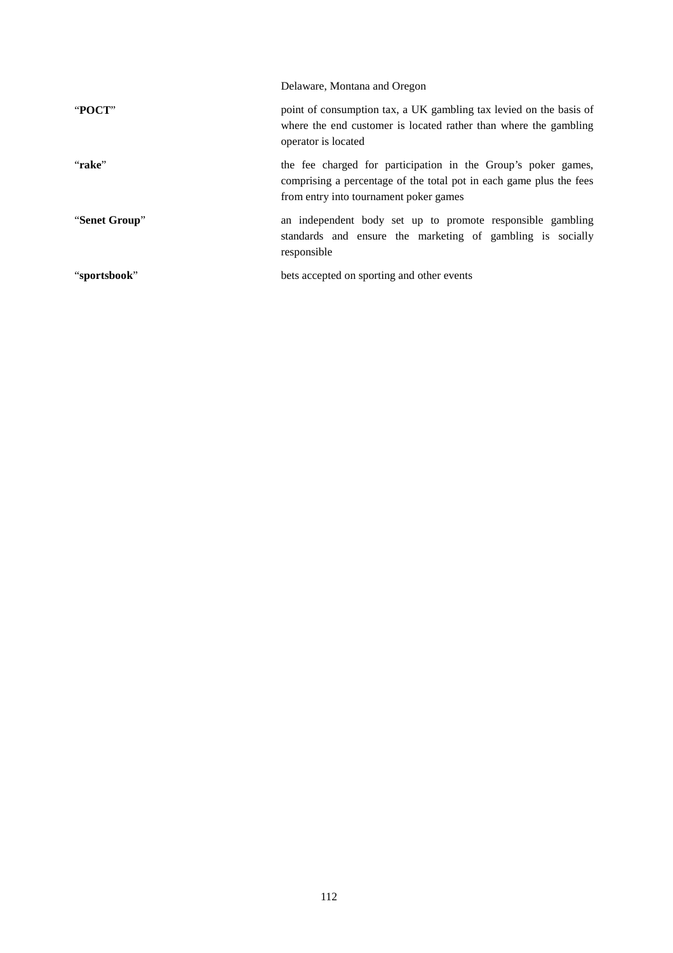|               | Delaware, Montana and Oregon                                                                                                                                                   |
|---------------|--------------------------------------------------------------------------------------------------------------------------------------------------------------------------------|
| "POCT"        | point of consumption tax, a UK gambling tax levied on the basis of<br>where the end customer is located rather than where the gambling<br>operator is located                  |
| "rake"        | the fee charged for participation in the Group's poker games,<br>comprising a percentage of the total pot in each game plus the fees<br>from entry into tournament poker games |
| "Senet Group" | an independent body set up to promote responsible gambling<br>standards and ensure the marketing of gambling is socially<br>responsible                                        |
| "sportsbook"  | bets accepted on sporting and other events                                                                                                                                     |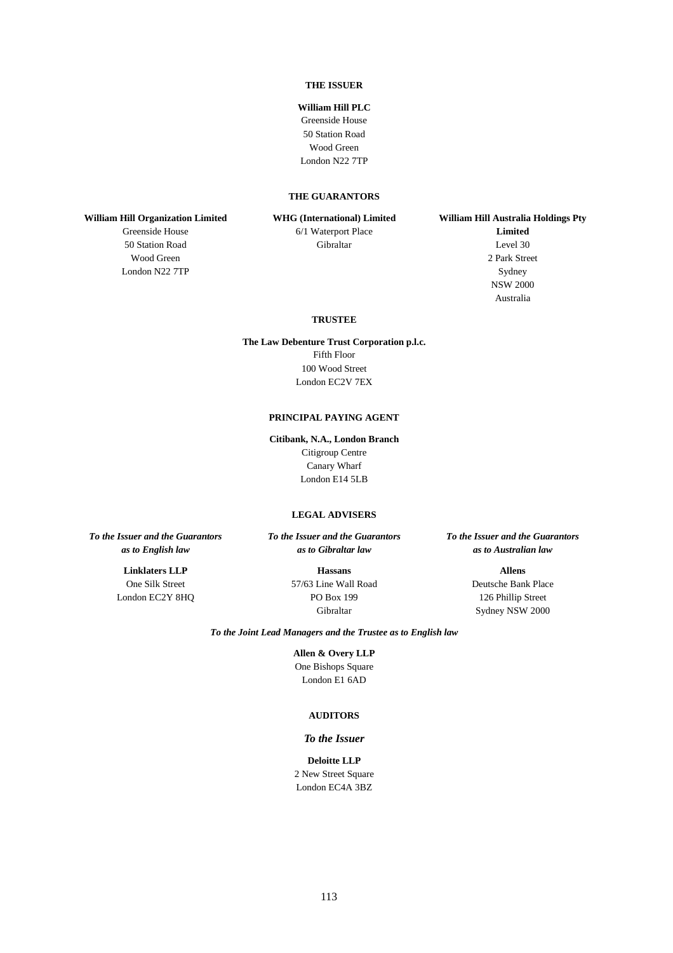#### **THE ISSUER**

#### **William Hill PLC**

Greenside House 50 Station Road Wood Green London N22 7TP

### **THE GUARANTORS**

**William Hill Organization Limited** 

Greenside House 50 Station Road Wood Green London N22 7TP

**WHG (International) Limited** 

6/1 Waterport Place Gibraltar

**William Hill Australia Holdings Pty Limited**  Level 30 2 Park Street Sydney NSW 2000 Australia

#### **TRUSTEE**

**The Law Debenture Trust Corporation p.l.c.**  Fifth Floor 100 Wood Street London EC2V 7EX

### **PRINCIPAL PAYING AGENT**

**Citibank, N.A., London Branch**  Citigroup Centre Canary Wharf London E14 5LB

#### **LEGAL ADVISERS**

*To the Issuer and the Guarantors as to English law*

> **Linklaters LLP**  One Silk Street London EC2Y 8HQ

*To the Issuer and the Guarantors as to Gibraltar law*

> **Hassans**  57/63 Line Wall Road PO Box 199 Gibraltar

#### *To the Issuer and the Guarantors as to Australian law*

**Allens**  Deutsche Bank Place 126 Phillip Street Sydney NSW 2000

*To the Joint Lead Managers and the Trustee as to English law* 

**Allen & Overy LLP**  One Bishops Square London E1 6AD

#### **AUDITORS**

#### *To the Issuer*

**Deloitte LLP** 2 New Street Square London EC4A 3BZ